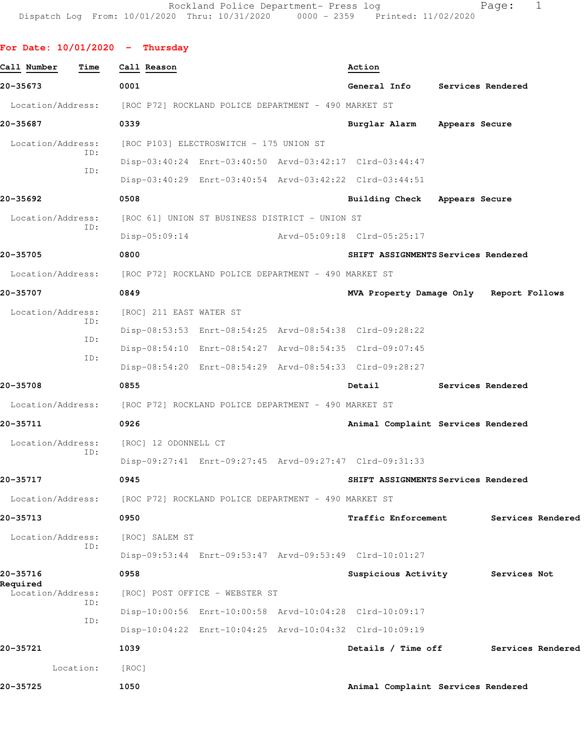## **For Date: 10/01/2020 - Thursday**

| Call Number                   | Time       | Call Reason                                                            |                                                      | Action                                                  |                |                   |  |
|-------------------------------|------------|------------------------------------------------------------------------|------------------------------------------------------|---------------------------------------------------------|----------------|-------------------|--|
| 20-35673                      |            | 0001                                                                   |                                                      | General Info                                            |                | Services Rendered |  |
| Location/Address:             |            | [ROC P72] ROCKLAND POLICE DEPARTMENT - 490 MARKET ST                   |                                                      |                                                         |                |                   |  |
| 20-35687                      |            | 0339                                                                   |                                                      | Burglar Alarm                                           | Appears Secure |                   |  |
| Location/Address:             |            |                                                                        | [ROC P103] ELECTROSWITCH - 175 UNION ST              |                                                         |                |                   |  |
|                               | ID:<br>ID: |                                                                        |                                                      | Disp-03:40:24 Enrt-03:40:50 Arvd-03:42:17 Clrd-03:44:47 |                |                   |  |
|                               |            |                                                                        |                                                      | Disp-03:40:29 Enrt-03:40:54 Arvd-03:42:22 Clrd-03:44:51 |                |                   |  |
| 20-35692                      |            | 0508                                                                   |                                                      | Building Check Appears Secure                           |                |                   |  |
| Location/Address:             | ID:        |                                                                        | [ROC 61] UNION ST BUSINESS DISTRICT - UNION ST       |                                                         |                |                   |  |
|                               |            | $Disp-05:09:14$                                                        |                                                      | Arvd-05:09:18 Clrd-05:25:17                             |                |                   |  |
| 20-35705                      |            | 0800                                                                   |                                                      | SHIFT ASSIGNMENTS Services Rendered                     |                |                   |  |
| Location/Address:             |            |                                                                        | [ROC P72] ROCKLAND POLICE DEPARTMENT - 490 MARKET ST |                                                         |                |                   |  |
| 20-35707                      |            | 0849                                                                   |                                                      | MVA Property Damage Only Report Follows                 |                |                   |  |
| Location/Address:             |            | [ROC] 211 EAST WATER ST                                                |                                                      |                                                         |                |                   |  |
|                               | ID:        |                                                                        |                                                      | Disp-08:53:53 Enrt-08:54:25 Arvd-08:54:38 Clrd-09:28:22 |                |                   |  |
|                               | ID:<br>ID: |                                                                        |                                                      | Disp-08:54:10 Enrt-08:54:27 Arvd-08:54:35 Clrd-09:07:45 |                |                   |  |
|                               |            |                                                                        |                                                      | Disp-08:54:20 Enrt-08:54:29 Arvd-08:54:33 Clrd-09:28:27 |                |                   |  |
| 20-35708                      |            | 0855                                                                   |                                                      | Detail                                                  |                | Services Rendered |  |
|                               |            | Location/Address: [ROC P72] ROCKLAND POLICE DEPARTMENT - 490 MARKET ST |                                                      |                                                         |                |                   |  |
| 20-35711                      |            | 0926                                                                   |                                                      | Animal Complaint Services Rendered                      |                |                   |  |
| Location/Address:             |            | [ROC] 12 ODONNELL CT                                                   |                                                      |                                                         |                |                   |  |
|                               | ID:        |                                                                        |                                                      | Disp-09:27:41 Enrt-09:27:45 Arvd-09:27:47 Clrd-09:31:33 |                |                   |  |
| 20-35717                      |            | 0945                                                                   |                                                      | SHIFT ASSIGNMENTS Services Rendered                     |                |                   |  |
| Location/Address:             |            | [ROC P72] ROCKLAND POLICE DEPARTMENT - 490 MARKET ST                   |                                                      |                                                         |                |                   |  |
| 20-35713                      |            | 0950                                                                   |                                                      | <b>Traffic Enforcement</b>                              |                | Services Rendered |  |
| Location/Address:             |            | [ROC] SALEM ST                                                         |                                                      |                                                         |                |                   |  |
|                               | ID:        |                                                                        |                                                      | Disp-09:53:44 Enrt-09:53:47 Arvd-09:53:49 Clrd-10:01:27 |                |                   |  |
| 20-35716                      |            | 0958                                                                   |                                                      | Suspicious Activity                                     |                | Services Not      |  |
| Required<br>Location/Address: |            |                                                                        | [ROC] POST OFFICE - WEBSTER ST                       |                                                         |                |                   |  |
|                               | ID:        |                                                                        |                                                      | Disp-10:00:56 Enrt-10:00:58 Arvd-10:04:28 Clrd-10:09:17 |                |                   |  |
|                               | ID:        |                                                                        |                                                      | Disp-10:04:22 Enrt-10:04:25 Arvd-10:04:32 Clrd-10:09:19 |                |                   |  |
| 20-35721                      |            | 1039                                                                   |                                                      | Details / Time off                                      |                | Services Rendered |  |
|                               | Location:  | [ROC]                                                                  |                                                      |                                                         |                |                   |  |
| 20-35725                      |            | 1050                                                                   |                                                      | Animal Complaint Services Rendered                      |                |                   |  |
|                               |            |                                                                        |                                                      |                                                         |                |                   |  |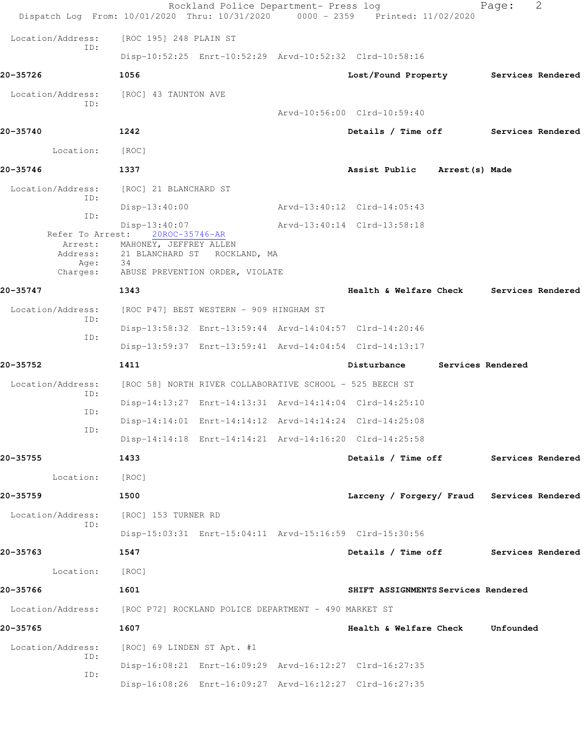|                          | Dispatch Log From: 10/01/2020 Thru: 10/31/2020 0000 - 2359 Printed: 11/02/2020 | Rockland Police Department- Press log |                                            | 2<br>Page:        |
|--------------------------|--------------------------------------------------------------------------------|---------------------------------------|--------------------------------------------|-------------------|
| Location/Address:        | [ROC 195] 248 PLAIN ST                                                         |                                       |                                            |                   |
| ID:                      | Disp-10:52:25 Enrt-10:52:29 Arvd-10:52:32 Clrd-10:58:16                        |                                       |                                            |                   |
| 20-35726                 | 1056                                                                           |                                       | Lost/Found Property Services Rendered      |                   |
| Location/Address:        | [ROC] 43 TAUNTON AVE                                                           |                                       |                                            |                   |
| ID:                      |                                                                                |                                       | Arvd-10:56:00 Clrd-10:59:40                |                   |
| 20-35740                 | 1242                                                                           |                                       | Details / Time off Services Rendered       |                   |
| Location:                | [ROC]                                                                          |                                       |                                            |                   |
| 20-35746                 | 1337                                                                           |                                       | Assist Public Arrest (s) Made              |                   |
| Location/Address:<br>ID: | [ROC] 21 BLANCHARD ST                                                          |                                       |                                            |                   |
| ID:                      | $Disp-13:40:00$                                                                |                                       | Arvd-13:40:12 Clrd-14:05:43                |                   |
| Refer To Arrest:         | $Disp-13:40:07$<br>20ROC-35746-AR                                              |                                       | Arvd-13:40:14 Clrd-13:58:18                |                   |
| Arrest:<br>Address:      | MAHONEY, JEFFREY ALLEN<br>21 BLANCHARD ST<br>ROCKLAND, MA                      |                                       |                                            |                   |
| Age:<br>Charges:         | 34<br>ABUSE PREVENTION ORDER, VIOLATE                                          |                                       |                                            |                   |
| 20-35747                 | 1343                                                                           |                                       | Health & Welfare Check Services Rendered   |                   |
| Location/Address:        | [ROC P47] BEST WESTERN - 909 HINGHAM ST                                        |                                       |                                            |                   |
| ID:                      | Disp-13:58:32 Enrt-13:59:44 Arvd-14:04:57 Clrd-14:20:46                        |                                       |                                            |                   |
| ID:                      | Disp-13:59:37 Enrt-13:59:41 Arvd-14:04:54 Clrd-14:13:17                        |                                       |                                            |                   |
| 20-35752                 | 1411                                                                           |                                       | Disturbance                                | Services Rendered |
| Location/Address:        | [ROC 58] NORTH RIVER COLLABORATIVE SCHOOL - 525 BEECH ST                       |                                       |                                            |                   |
| ID:                      | Disp-14:13:27 Enrt-14:13:31 Arvd-14:14:04 Clrd-14:25:10                        |                                       |                                            |                   |
| ID:                      | Disp-14:14:01 Enrt-14:14:12 Arvd-14:14:24 Clrd-14:25:08                        |                                       |                                            |                   |
| ID:                      | Disp-14:14:18 Enrt-14:14:21 Arvd-14:16:20 Clrd-14:25:58                        |                                       |                                            |                   |
| 20-35755                 | 1433                                                                           |                                       | Details / Time off Services Rendered       |                   |
| Location:                | [ROC]                                                                          |                                       |                                            |                   |
| 20-35759                 | 1500                                                                           |                                       | Larceny / Forgery/ Fraud Services Rendered |                   |
| Location/Address:        | [ROC] 153 TURNER RD                                                            |                                       |                                            |                   |
| ID:                      | Disp-15:03:31 Enrt-15:04:11 Arvd-15:16:59 Clrd-15:30:56                        |                                       |                                            |                   |
| 20-35763                 | 1547                                                                           |                                       | Details / Time off Services Rendered       |                   |
| Location:                | [ROC]                                                                          |                                       |                                            |                   |
| 20-35766                 | 1601                                                                           |                                       | SHIFT ASSIGNMENTS Services Rendered        |                   |
|                          | Location/Address: [ROC P72] ROCKLAND POLICE DEPARTMENT - 490 MARKET ST         |                                       |                                            |                   |
| 20-35765                 | 1607                                                                           |                                       | Health & Welfare Check                     | Unfounded         |
| Location/Address:        | [ROC] 69 LINDEN ST Apt. #1                                                     |                                       |                                            |                   |
| ID:                      | Disp-16:08:21 Enrt-16:09:29 Arvd-16:12:27 Clrd-16:27:35                        |                                       |                                            |                   |
| ID:                      | Disp-16:08:26 Enrt-16:09:27 Arvd-16:12:27 Clrd-16:27:35                        |                                       |                                            |                   |
|                          |                                                                                |                                       |                                            |                   |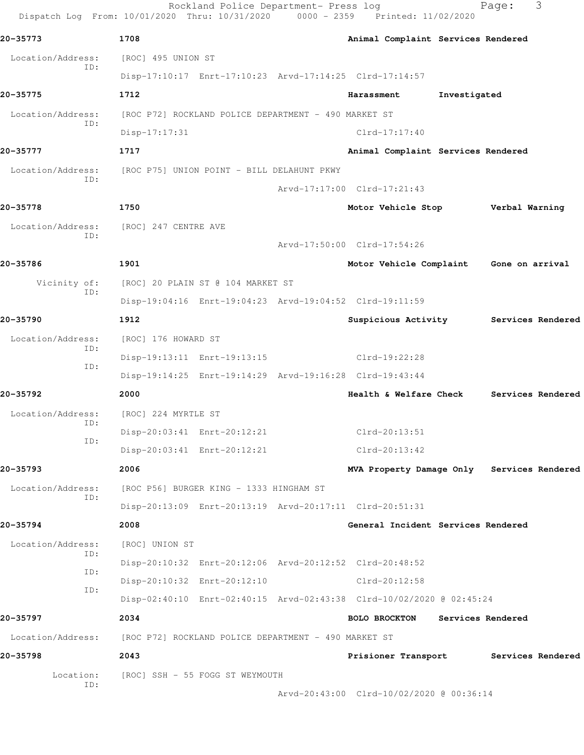| 20-35773                 | 1708                                                                   | Animal Complaint Services Rendered         |              |                   |                   |
|--------------------------|------------------------------------------------------------------------|--------------------------------------------|--------------|-------------------|-------------------|
| Location/Address:        | [ROC] 495 UNION ST                                                     |                                            |              |                   |                   |
| ID:                      | Disp-17:10:17 Enrt-17:10:23 Arvd-17:14:25 Clrd-17:14:57                |                                            |              |                   |                   |
| 20-35775                 | 1712                                                                   | Harassment                                 | Investigated |                   |                   |
| Location/Address:        | [ROC P72] ROCKLAND POLICE DEPARTMENT - 490 MARKET ST                   |                                            |              |                   |                   |
| ID:                      | Disp-17:17:31                                                          | $Clrd-17:17:40$                            |              |                   |                   |
| 20-35777                 | 1717                                                                   | Animal Complaint Services Rendered         |              |                   |                   |
| Location/Address:        | [ROC P75] UNION POINT - BILL DELAHUNT PKWY                             |                                            |              |                   |                   |
| ID:                      |                                                                        | Arvd-17:17:00 Clrd-17:21:43                |              |                   |                   |
| 20-35778                 | 1750                                                                   | Motor Vehicle Stop                         |              | Verbal Warning    |                   |
| Location/Address:        | [ROC] 247 CENTRE AVE                                                   |                                            |              |                   |                   |
| ID:                      |                                                                        | Arvd-17:50:00 Clrd-17:54:26                |              |                   |                   |
| 20-35786                 | 1901                                                                   | Motor Vehicle Complaint Gone on arrival    |              |                   |                   |
| Vicinity of:             | [ROC] 20 PLAIN ST @ 104 MARKET ST                                      |                                            |              |                   |                   |
| ID:                      | Disp-19:04:16 Enrt-19:04:23 Arvd-19:04:52 Clrd-19:11:59                |                                            |              |                   |                   |
| 20-35790                 | 1912                                                                   | Suspicious Activity                        |              |                   | Services Rendered |
| Location/Address:        | [ROC] 176 HOWARD ST                                                    |                                            |              |                   |                   |
| ID:                      | Disp-19:13:11 Enrt-19:13:15                                            | Clrd-19:22:28                              |              |                   |                   |
| ID:                      | Disp-19:14:25 Enrt-19:14:29 Arvd-19:16:28 Clrd-19:43:44                |                                            |              |                   |                   |
| 20-35792                 | 2000                                                                   | Health & Welfare Check                     |              |                   | Services Rendered |
| Location/Address:        | [ROC] 224 MYRTLE ST                                                    |                                            |              |                   |                   |
| ID:<br>ID:               | Disp-20:03:41 Enrt-20:12:21                                            | $Clrd-20:13:51$                            |              |                   |                   |
|                          | Disp-20:03:41 Enrt-20:12:21                                            | $Clrd-20:13:42$                            |              |                   |                   |
| 20-35793                 | 2006                                                                   | MVA Property Damage Only Services Rendered |              |                   |                   |
| Location/Address:<br>ID: | [ROC P56] BURGER KING - 1333 HINGHAM ST                                |                                            |              |                   |                   |
|                          | Disp-20:13:09 Enrt-20:13:19 Arvd-20:17:11 Clrd-20:51:31                |                                            |              |                   |                   |
| 20-35794                 | 2008                                                                   | General Incident Services Rendered         |              |                   |                   |
| Location/Address:<br>ID: | [ROC] UNION ST                                                         |                                            |              |                   |                   |
| ID:                      | Disp-20:10:32 Enrt-20:12:06 Arvd-20:12:52 Clrd-20:48:52                |                                            |              |                   |                   |
| ID:                      | Disp-20:10:32 Enrt-20:12:10                                            | Clrd-20:12:58                              |              |                   |                   |
|                          | Disp-02:40:10 Enrt-02:40:15 Arvd-02:43:38 Clrd-10/02/2020 @ 02:45:24   |                                            |              |                   |                   |
| 20-35797                 | 2034                                                                   | <b>BOLO BROCKTON</b>                       |              | Services Rendered |                   |
|                          | Location/Address: [ROC P72] ROCKLAND POLICE DEPARTMENT - 490 MARKET ST |                                            |              |                   |                   |
| 20-35798                 | 2043                                                                   | Prisioner Transport Services Rendered      |              |                   |                   |
| Location:<br>ID:         | [ROC] SSH - 55 FOGG ST WEYMOUTH                                        |                                            |              |                   |                   |
|                          |                                                                        | Arvd-20:43:00 Clrd-10/02/2020 @ 00:36:14   |              |                   |                   |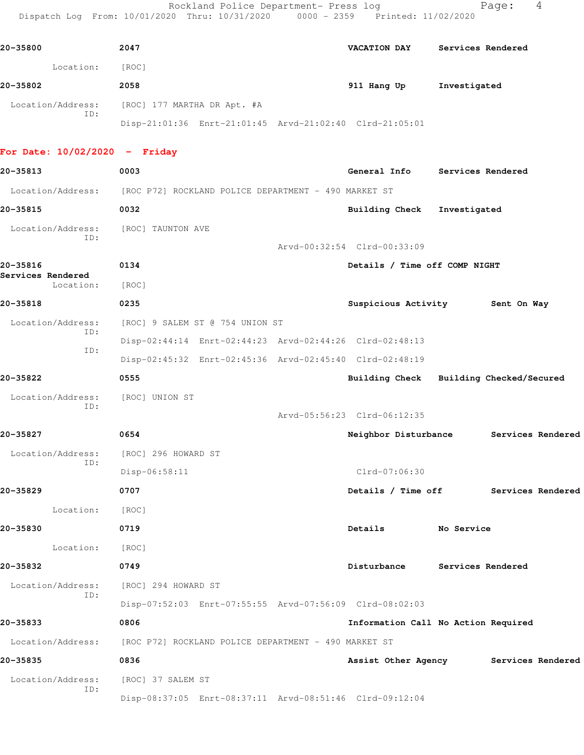Rockland Police Department- Press log entitled and Page: 4 Dispatch Log From: 10/01/2020 Thru: 10/31/2020 0000 - 2359 Printed: 11/02/2020

| 20-35800                 | 2047                                                    | VACATION DAY | Services Rendered |
|--------------------------|---------------------------------------------------------|--------------|-------------------|
| Location:                | [ROC]                                                   |              |                   |
| 20-35802                 | 2058                                                    | 911 Hang Up  | Investigated      |
| Location/Address:<br>ID: | [ROC] 177 MARTHA DR Apt. #A                             |              |                   |
|                          | Disp-21:01:36 Enrt-21:01:45 Arvd-21:02:40 Clrd-21:05:01 |              |                   |

## **For Date: 10/02/2020 - Friday**

| 20-35813                       | 0003                                                                   | General Info Services Rendered          |                   |                   |  |
|--------------------------------|------------------------------------------------------------------------|-----------------------------------------|-------------------|-------------------|--|
|                                | Location/Address: [ROC P72] ROCKLAND POLICE DEPARTMENT - 490 MARKET ST |                                         |                   |                   |  |
| 20-35815                       | 0032                                                                   | <b>Building Check</b>                   | Investigated      |                   |  |
| Location/Address:              | [ROC] TAUNTON AVE                                                      |                                         |                   |                   |  |
| ID:                            |                                                                        | Arvd-00:32:54 Clrd-00:33:09             |                   |                   |  |
| 20-35816                       | 0134                                                                   | Details / Time off COMP NIGHT           |                   |                   |  |
| Services Rendered<br>Location: | [ROC]                                                                  |                                         |                   |                   |  |
| 20-35818                       | 0235                                                                   | Suspicious Activity 5ent On Way         |                   |                   |  |
| Location/Address:              | [ROC] 9 SALEM ST @ 754 UNION ST                                        |                                         |                   |                   |  |
| ID:                            | Disp-02:44:14 Enrt-02:44:23 Arvd-02:44:26 Clrd-02:48:13                |                                         |                   |                   |  |
| ID:                            | Disp-02:45:32 Enrt-02:45:36 Arvd-02:45:40 Clrd-02:48:19                |                                         |                   |                   |  |
| 20-35822                       | 0555                                                                   | Building Check Building Checked/Secured |                   |                   |  |
| Location/Address:              | [ROC] UNION ST                                                         |                                         |                   |                   |  |
| TD:                            |                                                                        | Arvd-05:56:23 Clrd-06:12:35             |                   |                   |  |
| 20-35827                       | 0654                                                                   | Neighbor Disturbance Services Rendered  |                   |                   |  |
| Location/Address:              | [ROC] 296 HOWARD ST                                                    |                                         |                   |                   |  |
| ID:                            | Disp-06:58:11                                                          | Clrd-07:06:30                           |                   |                   |  |
| 20-35829                       | 0707                                                                   | Details / Time off Services Rendered    |                   |                   |  |
| Location: [ROC]                |                                                                        |                                         |                   |                   |  |
| 20-35830                       | 0719                                                                   | Details                                 | No Service        |                   |  |
| Location:                      | [ROC]                                                                  |                                         |                   |                   |  |
| 20-35832                       | 0749                                                                   | Disturbance                             | Services Rendered |                   |  |
| Location/Address:              | [ROC] 294 HOWARD ST                                                    |                                         |                   |                   |  |
| ID:                            | Disp-07:52:03 Enrt-07:55:55 Arvd-07:56:09 Clrd-08:02:03                |                                         |                   |                   |  |
| 20-35833                       | 0806                                                                   | Information Call No Action Required     |                   |                   |  |
| Location/Address:              | [ROC P72] ROCKLAND POLICE DEPARTMENT - 490 MARKET ST                   |                                         |                   |                   |  |
| 20-35835                       | 0836                                                                   | Assist Other Agency                     |                   | Services Rendered |  |
| Location/Address:              | [ROC] 37 SALEM ST                                                      |                                         |                   |                   |  |
| ID:                            | Disp-08:37:05 Enrt-08:37:11 Arvd-08:51:46 Clrd-09:12:04                |                                         |                   |                   |  |
|                                |                                                                        |                                         |                   |                   |  |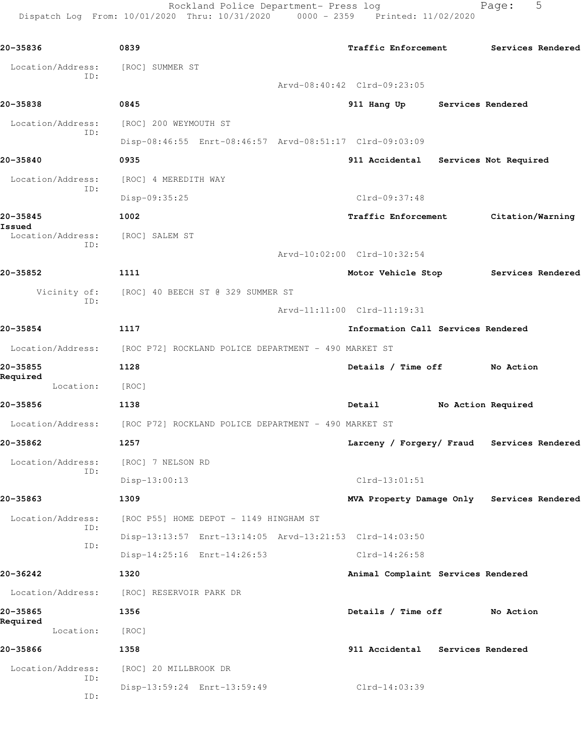Rockland Police Department- Press log Fage: 5 Dispatch Log From: 10/01/2020 Thru: 10/31/2020 0000 - 2359 Printed: 11/02/2020

**20-35836 0839 Traffic Enforcement Services Rendered** Location/Address: [ROC] SUMMER ST ID: Arvd-08:40:42 Clrd-09:23:05 **20-35838 0845 911 Hang Up Services Rendered** Location/Address: [ROC] 200 WEYMOUTH ST ID: Disp-08:46:55 Enrt-08:46:57 Arvd-08:51:17 Clrd-09:03:09 **20-35840 0935 911 Accidental Services Not Required** Location/Address: [ROC] 4 MEREDITH WAY ID: Disp-09:35:25 Clrd-09:37:48 **20-35845 1002 Traffic Enforcement Citation/Warning Issued**  Location/Address: [ROC] SALEM ST ID: Arvd-10:02:00 Clrd-10:32:54 **20-35852 1111 Motor Vehicle Stop Services Rendered** Vicinity of: [ROC] 40 BEECH ST @ 329 SUMMER ST ID: Arvd-11:11:00 Clrd-11:19:31 **20-35854 1117 Information Call Services Rendered** Location/Address: [ROC P72] ROCKLAND POLICE DEPARTMENT - 490 MARKET ST **20-35855 1128 Details / Time off No Action Required**  Location: [ROC] **20-35856 1138 Detail No Action Required** Location/Address: [ROC P72] ROCKLAND POLICE DEPARTMENT - 490 MARKET ST **20-35862 1257 Larceny / Forgery/ Fraud Services Rendered** Location/Address: [ROC] 7 NELSON RD ID: Disp-13:00:13 Clrd-13:01:51 **20-35863 1309 MVA Property Damage Only Services Rendered** Location/Address: [ROC P55] HOME DEPOT - 1149 HINGHAM ST ID: Disp-13:13:57 Enrt-13:14:05 Arvd-13:21:53 Clrd-14:03:50 ID: Disp-14:25:16 Enrt-14:26:53 Clrd-14:26:58 **20-36242 1320 Animal Complaint Services Rendered** Location/Address: [ROC] RESERVOIR PARK DR **20-35865 1356 Details / Time off No Action Required**  Location: [ROC] **20-35866 1358 911 Accidental Services Rendered** Location/Address: [ROC] 20 MILLBROOK DR ID: Disp-13:59:24 Enrt-13:59:49 Clrd-14:03:39 ID: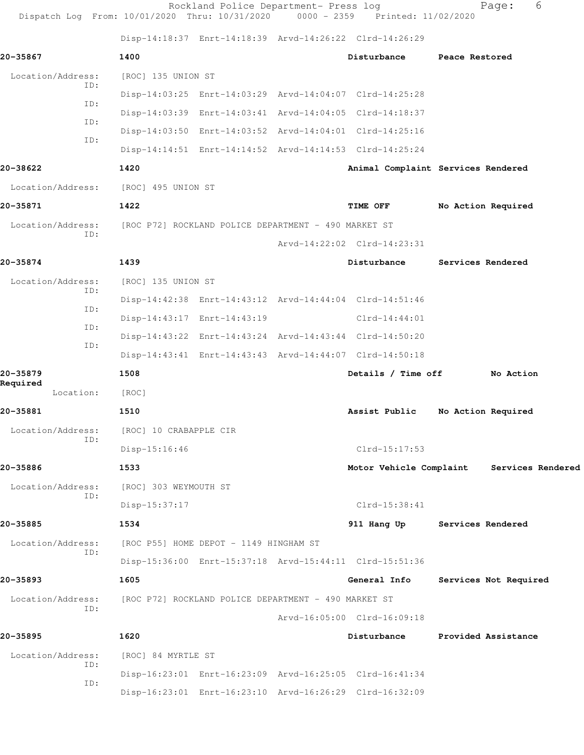| Dispatch Log From: 10/01/2020 Thru: 10/31/2020 0000 - 2359 Printed: 11/02/2020 |                                                      | Rockland Police Department- Press log                |                                                         | 6<br>Page:                                |
|--------------------------------------------------------------------------------|------------------------------------------------------|------------------------------------------------------|---------------------------------------------------------|-------------------------------------------|
|                                                                                |                                                      |                                                      | Disp-14:18:37 Enrt-14:18:39 Arvd-14:26:22 Clrd-14:26:29 |                                           |
| 20-35867                                                                       | 1400                                                 |                                                      | Disturbance                                             | Peace Restored                            |
| Location/Address:                                                              | [ROC] 135 UNION ST                                   |                                                      |                                                         |                                           |
| ID:<br>ID:                                                                     |                                                      |                                                      | Disp-14:03:25 Enrt-14:03:29 Arvd-14:04:07 Clrd-14:25:28 |                                           |
| ID:                                                                            |                                                      |                                                      | Disp-14:03:39 Enrt-14:03:41 Arvd-14:04:05 Clrd-14:18:37 |                                           |
| ID:                                                                            |                                                      |                                                      | Disp-14:03:50 Enrt-14:03:52 Arvd-14:04:01 Clrd-14:25:16 |                                           |
|                                                                                |                                                      |                                                      | Disp-14:14:51 Enrt-14:14:52 Arvd-14:14:53 Clrd-14:25:24 |                                           |
| 20-38622                                                                       | 1420                                                 |                                                      |                                                         | Animal Complaint Services Rendered        |
| Location/Address:                                                              | [ROC] 495 UNION ST                                   |                                                      |                                                         |                                           |
| 20-35871                                                                       | 1422                                                 |                                                      | <b>TIME OFF</b>                                         | No Action Required                        |
| Location/Address:<br>ID:                                                       | [ROC P72] ROCKLAND POLICE DEPARTMENT - 490 MARKET ST |                                                      |                                                         |                                           |
|                                                                                |                                                      |                                                      | Arvd-14:22:02 Clrd-14:23:31                             |                                           |
| 20-35874                                                                       | 1439                                                 |                                                      | Disturbance                                             | Services Rendered                         |
| Location/Address:<br>ID:                                                       | [ROC] 135 UNION ST                                   |                                                      |                                                         |                                           |
| ID:                                                                            |                                                      |                                                      | Disp-14:42:38 Enrt-14:43:12 Arvd-14:44:04 Clrd-14:51:46 |                                           |
| ID:                                                                            |                                                      | Disp-14:43:17 Enrt-14:43:19                          | $Clrd-14:44:01$                                         |                                           |
| ID:                                                                            |                                                      |                                                      | Disp-14:43:22 Enrt-14:43:24 Arvd-14:43:44 Clrd-14:50:20 |                                           |
|                                                                                |                                                      |                                                      | Disp-14:43:41 Enrt-14:43:43 Arvd-14:44:07 Clrd-14:50:18 |                                           |
| 20-35879<br>Required                                                           | 1508                                                 |                                                      | Details / Time off                                      | No Action                                 |
| Location:                                                                      | [ROC]                                                |                                                      |                                                         |                                           |
| 20-35881                                                                       | 1510                                                 |                                                      | Assist Public                                           | No Action Required                        |
| Location/Address:<br>ID:                                                       | [ROC] 10 CRABAPPLE CIR                               |                                                      |                                                         |                                           |
|                                                                                | Disp-15:16:46                                        |                                                      | $Clrd-15:17:53$                                         |                                           |
| 20-35886                                                                       | 1533                                                 |                                                      |                                                         | Motor Vehicle Complaint Services Rendered |
| Location/Address:<br>ID:                                                       | [ROC] 303 WEYMOUTH ST                                |                                                      |                                                         |                                           |
|                                                                                | Disp-15:37:17                                        |                                                      | $Clrd-15:38:41$                                         |                                           |
| 20-35885                                                                       | 1534                                                 |                                                      | 911 Hang Up                                             | Services Rendered                         |
| Location/Address:<br>ID:                                                       |                                                      | [ROC P55] HOME DEPOT - 1149 HINGHAM ST               |                                                         |                                           |
|                                                                                |                                                      |                                                      | Disp-15:36:00 Enrt-15:37:18 Arvd-15:44:11 Clrd-15:51:36 |                                           |
| 20-35893                                                                       | 1605                                                 |                                                      | General Info                                            | Services Not Required                     |
| Location/Address:<br>ID:                                                       |                                                      | [ROC P72] ROCKLAND POLICE DEPARTMENT - 490 MARKET ST |                                                         |                                           |
|                                                                                |                                                      |                                                      | Arvd-16:05:00 Clrd-16:09:18                             |                                           |
| 20-35895                                                                       | 1620                                                 |                                                      | Disturbance                                             | Provided Assistance                       |
| Location/Address:<br>ID:                                                       | [ROC] 84 MYRTLE ST                                   |                                                      |                                                         |                                           |
| ID:                                                                            |                                                      |                                                      | Disp-16:23:01 Enrt-16:23:09 Arvd-16:25:05 Clrd-16:41:34 |                                           |
|                                                                                |                                                      |                                                      | Disp-16:23:01 Enrt-16:23:10 Arvd-16:26:29 Clrd-16:32:09 |                                           |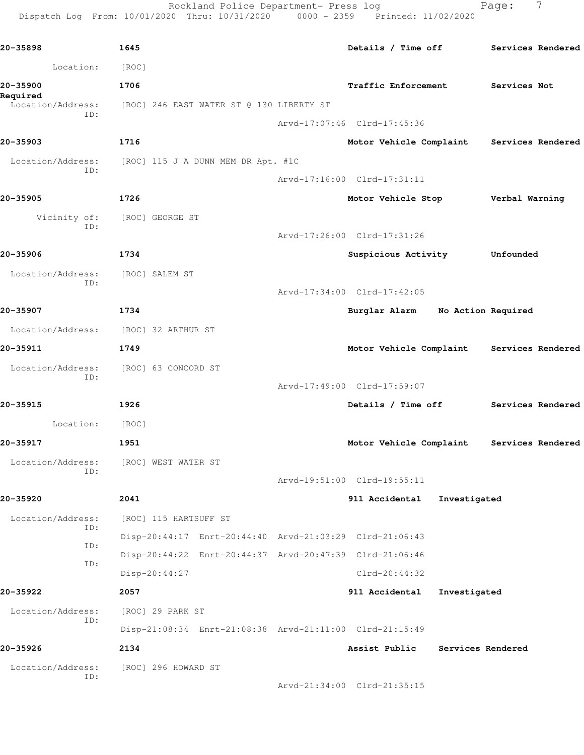Rockland Police Department- Press log entitled and Page: 7 Dispatch Log From: 10/01/2020 Thru: 10/31/2020 0000 - 2359 Printed: 11/02/2020

| 20-35898                      | 1645                                                    | Details / Time off          |                    | Services Rendered |
|-------------------------------|---------------------------------------------------------|-----------------------------|--------------------|-------------------|
| Location:                     | [ROC]                                                   |                             |                    |                   |
| 20-35900                      | 1706                                                    | Traffic Enforcement         |                    | Services Not      |
| Required<br>Location/Address: | [ROC] 246 EAST WATER ST @ 130 LIBERTY ST                |                             |                    |                   |
| ID:                           |                                                         | Arvd-17:07:46 Clrd-17:45:36 |                    |                   |
| 20-35903                      | 1716                                                    | Motor Vehicle Complaint     |                    | Services Rendered |
| Location/Address:             | [ROC] 115 J A DUNN MEM DR Apt. #1C                      |                             |                    |                   |
| ID:                           |                                                         | Arvd-17:16:00 Clrd-17:31:11 |                    |                   |
| 20-35905                      | 1726                                                    | Motor Vehicle Stop          |                    | Verbal Warning    |
| Vicinity of:<br>ID:           | [ROC] GEORGE ST                                         |                             |                    |                   |
|                               |                                                         | Arvd-17:26:00 Clrd-17:31:26 |                    |                   |
| 20-35906                      | 1734                                                    | Suspicious Activity         |                    | Unfounded         |
| Location/Address:             | [ROC] SALEM ST                                          |                             |                    |                   |
| ID:                           |                                                         | Arvd-17:34:00 Clrd-17:42:05 |                    |                   |
| 20-35907                      | 1734                                                    | Burglar Alarm               | No Action Required |                   |
| Location/Address:             | [ROC] 32 ARTHUR ST                                      |                             |                    |                   |
| 20-35911                      | 1749                                                    | Motor Vehicle Complaint     |                    | Services Rendered |
| Location/Address:<br>ID:      | [ROC] 63 CONCORD ST                                     |                             |                    |                   |
|                               |                                                         | Arvd-17:49:00 Clrd-17:59:07 |                    |                   |
| 20-35915                      | 1926                                                    | Details / Time off          |                    | Services Rendered |
| Location:                     | [ROC]                                                   |                             |                    |                   |
| 20-35917                      | 1951                                                    | Motor Vehicle Complaint     |                    | Services Rendered |
| Location/Address:<br>ID:      | [ROC] WEST WATER ST                                     |                             |                    |                   |
|                               |                                                         | Arvd-19:51:00 Clrd-19:55:11 |                    |                   |
| 20-35920                      | 2041                                                    | 911 Accidental              | Investigated       |                   |
| Location/Address:<br>ID:      | [ROC] 115 HARTSUFF ST                                   |                             |                    |                   |
| ID:                           | Disp-20:44:17 Enrt-20:44:40 Arvd-21:03:29 Clrd-21:06:43 |                             |                    |                   |
| ID:                           | Disp-20:44:22 Enrt-20:44:37 Arvd-20:47:39 Clrd-21:06:46 |                             |                    |                   |
|                               | Disp-20:44:27                                           | $Clrd-20:44:32$             |                    |                   |
| 20-35922                      | 2057                                                    | 911 Accidental              | Investigated       |                   |
| Location/Address:<br>ID:      | [ROC] 29 PARK ST                                        |                             |                    |                   |
|                               | Disp-21:08:34 Enrt-21:08:38 Arvd-21:11:00 Clrd-21:15:49 |                             |                    |                   |
| 20-35926                      | 2134                                                    | Assist Public               | Services Rendered  |                   |
| Location/Address:<br>ID:      | [ROC] 296 HOWARD ST                                     |                             |                    |                   |
|                               |                                                         | Arvd-21:34:00 Clrd-21:35:15 |                    |                   |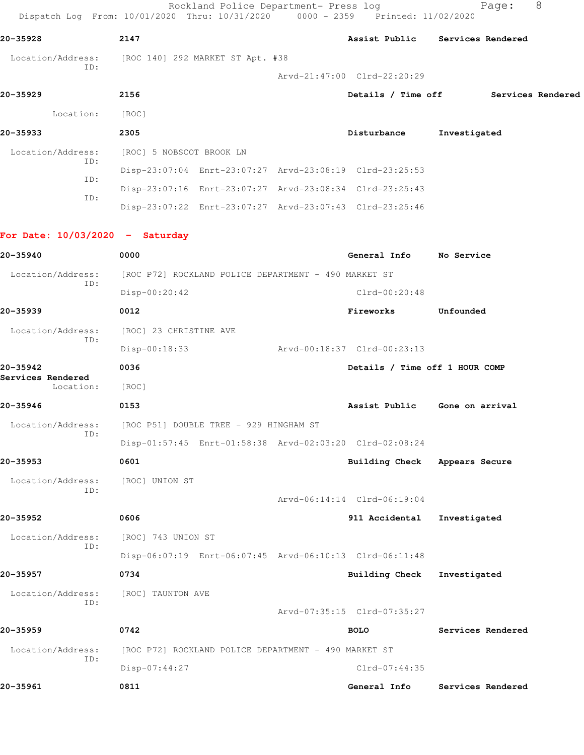Rockland Police Department- Press log entitled and Page: 8 Dispatch Log From: 10/01/2020 Thru: 10/31/2020 0000 - 2359 Printed: 11/02/2020 **20-35928 2147 Assist Public Services Rendered**

 Location/Address: [ROC 140] 292 MARKET ST Apt. #38 ID:

Arvd-21:47:00 Clrd-22:20:29

| 20-35929                 | 2156                     |  | Details / Time off                                      |              | Services Rendered |
|--------------------------|--------------------------|--|---------------------------------------------------------|--------------|-------------------|
| Location:                | [ROC]                    |  |                                                         |              |                   |
| 20-35933                 | 2305                     |  | Disturbance                                             | Investigated |                   |
| Location/Address:<br>ID: | [ROC] 5 NOBSCOT BROOK LN |  |                                                         |              |                   |
| ID:                      |                          |  | Disp-23:07:04 Enrt-23:07:27 Arvd-23:08:19 Clrd-23:25:53 |              |                   |
|                          |                          |  | Disp-23:07:16 Enrt-23:07:27 Arvd-23:08:34 Clrd-23:25:43 |              |                   |
| ID:                      |                          |  | Disp-23:07:22 Enrt-23:07:27 Arvd-23:07:43 Clrd-23:25:46 |              |                   |
|                          |                          |  |                                                         |              |                   |

**For Date: 10/03/2020 - Saturday**

| 20-35940                      | 0000                                                    | General Info                   | No Service        |
|-------------------------------|---------------------------------------------------------|--------------------------------|-------------------|
| Location/Address:<br>TD:      | [ROC P72] ROCKLAND POLICE DEPARTMENT - 490 MARKET ST    |                                |                   |
|                               | Disp-00:20:42                                           | Clrd-00:20:48                  |                   |
| 20-35939                      | 0012                                                    | Fireworks                      | Unfounded         |
| Location/Address:<br>TD:      | [ROC] 23 CHRISTINE AVE                                  |                                |                   |
|                               | Disp-00:18:33                                           | Arvd-00:18:37 Clrd-00:23:13    |                   |
| 20-35942<br>Services Rendered | 0036                                                    | Details / Time off 1 HOUR COMP |                   |
| Location:                     | [ROC]                                                   |                                |                   |
| 20-35946                      | 0153                                                    | Assist Public                  | Gone on arrival   |
| Location/Address:             | [ROC P51] DOUBLE TREE - 929 HINGHAM ST                  |                                |                   |
| ID:                           | Disp-01:57:45 Enrt-01:58:38 Arvd-02:03:20 Clrd-02:08:24 |                                |                   |
| 20-35953                      | 0601                                                    | <b>Building Check</b>          | Appears Secure    |
| Location/Address:             | [ROC] UNION ST                                          |                                |                   |
| ID:                           |                                                         | Arvd-06:14:14 Clrd-06:19:04    |                   |
| 20-35952                      | 0606                                                    | 911 Accidental                 | Investigated      |
| Location/Address:             | [ROC] 743 UNION ST                                      |                                |                   |
| ID:                           | Disp-06:07:19 Enrt-06:07:45 Arvd-06:10:13 Clrd-06:11:48 |                                |                   |
| 20-35957                      | 0734                                                    | <b>Building Check</b>          | Investigated      |
| Location/Address:             | [ROC] TAUNTON AVE                                       |                                |                   |
| ID:                           |                                                         | Arvd-07:35:15 Clrd-07:35:27    |                   |
| 20-35959                      | 0742                                                    | <b>BOLO</b>                    | Services Rendered |
| Location/Address:             | [ROC P72] ROCKLAND POLICE DEPARTMENT - 490 MARKET ST    |                                |                   |
| ID:                           | Disp-07:44:27                                           | Clrd-07:44:35                  |                   |
| 20-35961                      | 0811                                                    | General Info                   | Services Rendered |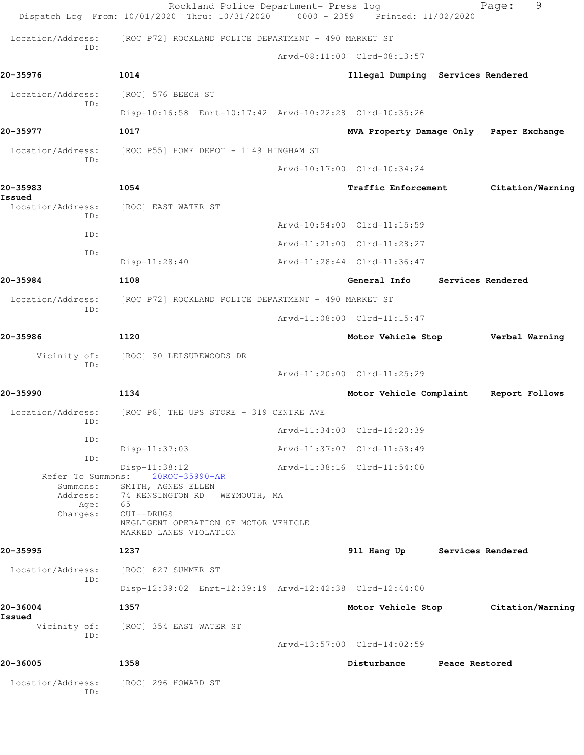|                             | Rockland Police Department- Press log<br>Dispatch Log From: 10/01/2020 Thru: 10/31/2020 | $0000 - 2359$ | Printed: 11/02/2020               |                | 9<br>Page:        |
|-----------------------------|-----------------------------------------------------------------------------------------|---------------|-----------------------------------|----------------|-------------------|
| Location/Address:           | [ROC P72] ROCKLAND POLICE DEPARTMENT - 490 MARKET ST                                    |               |                                   |                |                   |
| TD:                         |                                                                                         |               | Arvd-08:11:00 Clrd-08:13:57       |                |                   |
| 20-35976                    | 1014                                                                                    |               | Illegal Dumping Services Rendered |                |                   |
| Location/Address:           | [ROC] 576 BEECH ST                                                                      |               |                                   |                |                   |
| ID:                         | Disp-10:16:58 Enrt-10:17:42 Arvd-10:22:28 Clrd-10:35:26                                 |               |                                   |                |                   |
| 20-35977                    | 1017                                                                                    |               | MVA Property Damage Only          |                | Paper Exchange    |
| Location/Address:           | [ROC P55] HOME DEPOT - 1149 HINGHAM ST                                                  |               |                                   |                |                   |
| ID:                         |                                                                                         |               | Arvd-10:17:00 Clrd-10:34:24       |                |                   |
| 20-35983                    | 1054                                                                                    |               | Traffic Enforcement               |                | Citation/Warning  |
| Issued<br>Location/Address: | [ROC] EAST WATER ST                                                                     |               |                                   |                |                   |
| TD:                         |                                                                                         |               | Arvd-10:54:00 Clrd-11:15:59       |                |                   |
| ID:                         |                                                                                         |               | Arvd-11:21:00 Clrd-11:28:27       |                |                   |
| ID:                         | $Disp-11:28:40$                                                                         |               | Arvd-11:28:44 Clrd-11:36:47       |                |                   |
| 20-35984                    | 1108                                                                                    |               | General Info                      |                | Services Rendered |
| Location/Address:           | [ROC P72] ROCKLAND POLICE DEPARTMENT - 490 MARKET ST                                    |               |                                   |                |                   |
| ID:                         |                                                                                         |               | Arvd-11:08:00 Clrd-11:15:47       |                |                   |
| 20-35986                    | 1120                                                                                    |               | Motor Vehicle Stop                |                | Verbal Warning    |
| Vicinity of:                | [ROC] 30 LEISUREWOODS DR                                                                |               |                                   |                |                   |
| ID:                         |                                                                                         |               | Arvd-11:20:00 Clrd-11:25:29       |                |                   |
| 20-35990                    | 1134                                                                                    |               | Motor Vehicle Complaint           |                | Report Follows    |
| Location/Address:           | [ROC P8] THE UPS STORE - 319 CENTRE AVE                                                 |               |                                   |                |                   |
| ID:                         |                                                                                         |               | Arvd-11:34:00 Clrd-12:20:39       |                |                   |
| ID:                         | $Disp-11:37:03$                                                                         |               | Arvd-11:37:07 Clrd-11:58:49       |                |                   |
| ID:                         | $Disp-11:38:12$<br>Refer To Summons: 20ROC-35990-AR                                     |               | Arvd-11:38:16 Clrd-11:54:00       |                |                   |
|                             | Summons: SMITH, AGNES ELLEN                                                             |               |                                   |                |                   |
| Age: 65                     | Address: 74 KENSINGTON RD WEYMOUTH, MA<br>OUI--DRUGS                                    |               |                                   |                |                   |
| Charges:                    | NEGLIGENT OPERATION OF MOTOR VEHICLE<br>MARKED LANES VIOLATION                          |               |                                   |                |                   |
| 20-35995                    | 1237                                                                                    |               | 911 Hang Up Services Rendered     |                |                   |
| Location/Address:           | [ROC] 627 SUMMER ST                                                                     |               |                                   |                |                   |
| ID:                         | Disp-12:39:02 Enrt-12:39:19 Arvd-12:42:38 Clrd-12:44:00                                 |               |                                   |                |                   |
| 20-36004                    | 1357                                                                                    |               | Motor Vehicle Stop                |                | Citation/Warning  |
| Issued                      | Vicinity of: [ROC] 354 EAST WATER ST                                                    |               |                                   |                |                   |
| ID:                         |                                                                                         |               | Arvd-13:57:00 Clrd-14:02:59       |                |                   |
| 20-36005                    | 1358                                                                                    |               | Disturbance                       | Peace Restored |                   |
| Location/Address:           | [ROC] 296 HOWARD ST                                                                     |               |                                   |                |                   |
| ID:                         |                                                                                         |               |                                   |                |                   |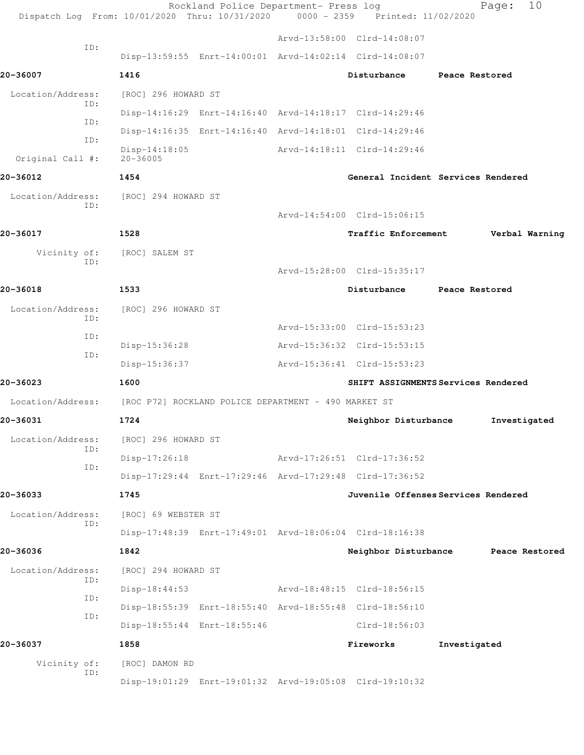|                          | Dispatch Log From: 10/01/2020 Thru: 10/31/2020 0000 - 2359 Printed: 11/02/2020 | Rockland Police Department- Press log |                             | 10<br>Page:                         |
|--------------------------|--------------------------------------------------------------------------------|---------------------------------------|-----------------------------|-------------------------------------|
|                          |                                                                                |                                       | Arvd-13:58:00 Clrd-14:08:07 |                                     |
| ID:                      | Disp-13:59:55 Enrt-14:00:01 Arvd-14:02:14 Clrd-14:08:07                        |                                       |                             |                                     |
| 20-36007                 | 1416                                                                           |                                       | Disturbance                 | Peace Restored                      |
| Location/Address:        | [ROC] 296 HOWARD ST                                                            |                                       |                             |                                     |
| ID:                      | Disp-14:16:29 Enrt-14:16:40 Arvd-14:18:17 Clrd-14:29:46                        |                                       |                             |                                     |
| ID:<br>ID:               | Disp-14:16:35 Enrt-14:16:40 Arvd-14:18:01 Clrd-14:29:46                        |                                       |                             |                                     |
| Original Call #:         | $Disp-14:18:05$<br>$20 - 36005$                                                |                                       | Arvd-14:18:11 Clrd-14:29:46 |                                     |
| 20-36012                 | 1454                                                                           |                                       |                             | General Incident Services Rendered  |
| Location/Address:        | [ROC] 294 HOWARD ST                                                            |                                       |                             |                                     |
| ID:                      |                                                                                |                                       | Arvd-14:54:00 Clrd-15:06:15 |                                     |
| 20-36017                 | 1528                                                                           |                                       | Traffic Enforcement         | Verbal Warning                      |
| Vicinity of:             | [ROC] SALEM ST                                                                 |                                       |                             |                                     |
| ID:                      |                                                                                |                                       | Arvd-15:28:00 Clrd-15:35:17 |                                     |
| 20-36018                 | 1533                                                                           |                                       | Disturbance                 | Peace Restored                      |
| Location/Address:        | [ROC] 296 HOWARD ST                                                            |                                       |                             |                                     |
| ID:                      |                                                                                |                                       | Arvd-15:33:00 Clrd-15:53:23 |                                     |
| ID:                      | Disp-15:36:28                                                                  |                                       | Arvd-15:36:32 Clrd-15:53:15 |                                     |
| ID:                      | Disp-15:36:37                                                                  |                                       | Arvd-15:36:41 Clrd-15:53:23 |                                     |
| 20-36023                 | 1600                                                                           |                                       |                             | SHIFT ASSIGNMENTS Services Rendered |
| Location/Address:        | [ROC P72] ROCKLAND POLICE DEPARTMENT - 490 MARKET ST                           |                                       |                             |                                     |
| 20-36031                 | 1724                                                                           |                                       | Neighbor Disturbance        | Investigated                        |
| Location/Address:<br>ID: | [ROC] 296 HOWARD ST                                                            |                                       |                             |                                     |
| ID:                      | $Disp-17:26:18$                                                                |                                       | Arvd-17:26:51 Clrd-17:36:52 |                                     |
|                          | Disp-17:29:44 Enrt-17:29:46 Arvd-17:29:48 Clrd-17:36:52                        |                                       |                             |                                     |
| 20-36033                 | 1745                                                                           |                                       |                             | Juvenile Offenses Services Rendered |
| Location/Address:<br>ID: | [ROC] 69 WEBSTER ST                                                            |                                       |                             |                                     |
|                          | Disp-17:48:39 Enrt-17:49:01 Arvd-18:06:04 Clrd-18:16:38                        |                                       |                             |                                     |
| 20-36036                 | 1842                                                                           |                                       |                             | Neighbor Disturbance Peace Restored |
| Location/Address:<br>ID: | [ROC] 294 HOWARD ST                                                            |                                       |                             |                                     |
| ID:                      | $Disp-18:44:53$                                                                |                                       | Arvd-18:48:15 Clrd-18:56:15 |                                     |
| ID:                      | Disp-18:55:39 Enrt-18:55:40 Arvd-18:55:48 Clrd-18:56:10                        |                                       |                             |                                     |
|                          | Disp-18:55:44 Enrt-18:55:46                                                    |                                       | Clrd-18:56:03               |                                     |
| 20-36037                 | 1858                                                                           |                                       | Fireworks                   | Investigated                        |
| Vicinity of:<br>ID:      | [ROC] DAMON RD                                                                 |                                       |                             |                                     |
|                          | Disp-19:01:29 Enrt-19:01:32 Arvd-19:05:08 Clrd-19:10:32                        |                                       |                             |                                     |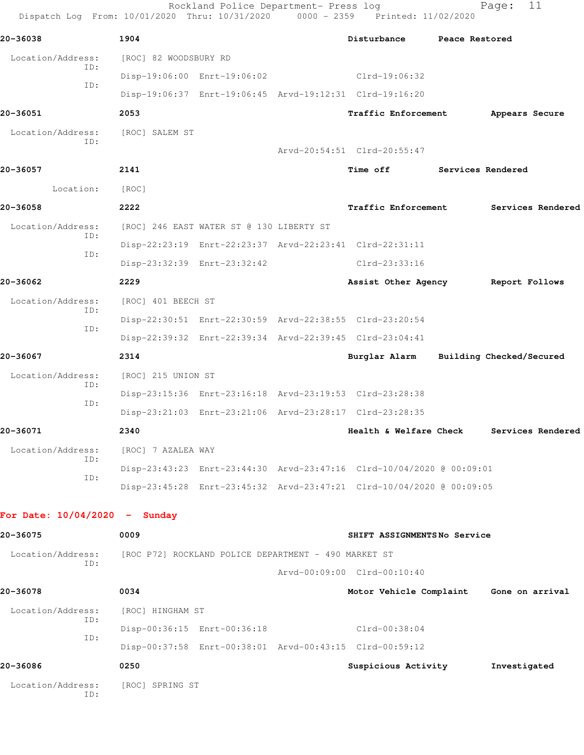| Dispatch Log From: 10/01/2020 Thru: 10/31/2020 0000 - 2359 Printed: 11/02/2020 |                       | Rockland Police Department- Press log                |                                                                      |                   | 11<br>Page:              |
|--------------------------------------------------------------------------------|-----------------------|------------------------------------------------------|----------------------------------------------------------------------|-------------------|--------------------------|
| 20-36038                                                                       | 1904                  |                                                      | Disturbance                                                          | Peace Restored    |                          |
| Location/Address:                                                              | [ROC] 82 WOODSBURY RD |                                                      |                                                                      |                   |                          |
| ID:                                                                            |                       | Disp-19:06:00 Enrt-19:06:02                          | $Clrd-19:06:32$                                                      |                   |                          |
| ID:                                                                            |                       |                                                      | Disp-19:06:37 Enrt-19:06:45 Arvd-19:12:31 Clrd-19:16:20              |                   |                          |
| 20-36051                                                                       | 2053                  |                                                      | <b>Traffic Enforcement</b>                                           |                   | Appears Secure           |
| Location/Address:<br>ID:                                                       | [ROC] SALEM ST        |                                                      |                                                                      |                   |                          |
|                                                                                |                       |                                                      | Arvd-20:54:51 Clrd-20:55:47                                          |                   |                          |
| 20-36057                                                                       | 2141                  |                                                      | Time off                                                             | Services Rendered |                          |
| Location:                                                                      | [ROC]                 |                                                      |                                                                      |                   |                          |
| 20-36058                                                                       | 2222                  |                                                      | <b>Traffic Enforcement</b>                                           |                   | Services Rendered        |
| Location/Address:<br>ID:                                                       |                       | [ROC] 246 EAST WATER ST @ 130 LIBERTY ST             |                                                                      |                   |                          |
| ID:                                                                            |                       |                                                      | Disp-22:23:19 Enrt-22:23:37 Arvd-22:23:41 Clrd-22:31:11              |                   |                          |
|                                                                                |                       | Disp-23:32:39 Enrt-23:32:42                          | Clrd-23:33:16                                                        |                   |                          |
| 20-36062                                                                       | 2229                  |                                                      | Assist Other Agency                                                  |                   | Report Follows           |
| Location/Address:                                                              | [ROC] 401 BEECH ST    |                                                      |                                                                      |                   |                          |
| ID:                                                                            |                       |                                                      | Disp-22:30:51 Enrt-22:30:59 Arvd-22:38:55 Clrd-23:20:54              |                   |                          |
| ID:                                                                            |                       |                                                      | Disp-22:39:32 Enrt-22:39:34 Arvd-22:39:45 Clrd-23:04:41              |                   |                          |
| 20-36067                                                                       | 2314                  |                                                      | Burglar Alarm                                                        |                   | Building Checked/Secured |
| Location/Address:                                                              | [ROC] 215 UNION ST    |                                                      |                                                                      |                   |                          |
| ID:                                                                            |                       |                                                      | Disp-23:15:36 Enrt-23:16:18 Arvd-23:19:53 Clrd-23:28:38              |                   |                          |
| ID:                                                                            |                       |                                                      | Disp-23:21:03 Enrt-23:21:06 Arvd-23:28:17 Clrd-23:28:35              |                   |                          |
| 20-36071                                                                       | 2340                  |                                                      | Health & Welfare Check                                               |                   | Services Rendered        |
| Location/Address:                                                              | [ROC] 7 AZALEA WAY    |                                                      |                                                                      |                   |                          |
| ID:                                                                            |                       |                                                      | Disp-23:43:23 Enrt-23:44:30 Arvd-23:47:16 Clrd-10/04/2020 @ 00:09:01 |                   |                          |
| ID:                                                                            |                       |                                                      | Disp-23:45:28 Enrt-23:45:32 Arvd-23:47:21 Clrd-10/04/2020 @ 00:09:05 |                   |                          |
| For Date: $10/04/2020 -$ Sunday                                                |                       |                                                      |                                                                      |                   |                          |
| 20-36075                                                                       | 0009                  |                                                      | SHIFT ASSIGNMENTSNo Service                                          |                   |                          |
| Location/Address:                                                              |                       | [ROC P72] ROCKLAND POLICE DEPARTMENT - 490 MARKET ST |                                                                      |                   |                          |
| ID:                                                                            |                       |                                                      | Arvd-00:09:00 Clrd-00:10:40                                          |                   |                          |
| 20-36078                                                                       | 0034                  |                                                      | Motor Vehicle Complaint Gone on arrival                              |                   |                          |
| Location/Address:                                                              | [ROC] HINGHAM ST      |                                                      |                                                                      |                   |                          |
| ID:                                                                            |                       | Disp-00:36:15 Enrt-00:36:18                          | Clrd-00:38:04                                                        |                   |                          |
| ID:                                                                            |                       |                                                      | Disp-00:37:58 Enrt-00:38:01 Arvd-00:43:15 Clrd-00:59:12              |                   |                          |
| 20-36086                                                                       | 0250                  |                                                      | Suspicious Activity                                                  |                   | Investigated             |
| Location/Address:<br>ID:                                                       | [ROC] SPRING ST       |                                                      |                                                                      |                   |                          |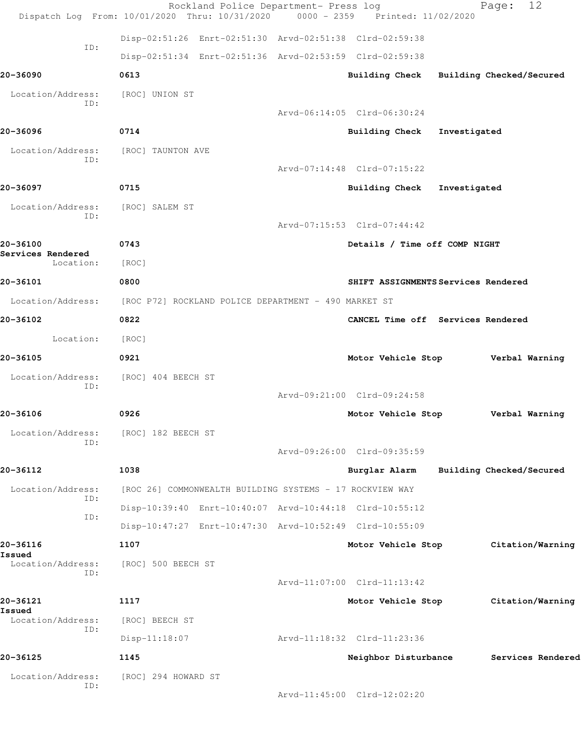|                               | Rockland Police Department- Press log<br>Dispatch Log From: 10/01/2020 Thru: 10/31/2020 0000 - 2359 Printed: 11/02/2020 |                               | 12<br>Page:                             |  |
|-------------------------------|-------------------------------------------------------------------------------------------------------------------------|-------------------------------|-----------------------------------------|--|
|                               | Disp-02:51:26 Enrt-02:51:30 Arvd-02:51:38 Clrd-02:59:38                                                                 |                               |                                         |  |
| ID:                           | Disp-02:51:34 Enrt-02:51:36 Arvd-02:53:59 Clrd-02:59:38                                                                 |                               |                                         |  |
| 20-36090                      | 0613                                                                                                                    |                               | Building Check Building Checked/Secured |  |
| Location/Address:<br>ID:      | [ROC] UNION ST                                                                                                          |                               |                                         |  |
|                               |                                                                                                                         | Arvd-06:14:05 Clrd-06:30:24   |                                         |  |
| 20-36096                      | 0714                                                                                                                    | Building Check Investigated   |                                         |  |
| Location/Address:<br>ID:      | [ROC] TAUNTON AVE                                                                                                       |                               |                                         |  |
|                               |                                                                                                                         | Arvd-07:14:48 Clrd-07:15:22   |                                         |  |
| 20-36097                      | 0715                                                                                                                    | Building Check Investigated   |                                         |  |
| Location/Address:<br>ID:      | [ROC] SALEM ST                                                                                                          |                               |                                         |  |
|                               |                                                                                                                         | Arvd-07:15:53 Clrd-07:44:42   |                                         |  |
| 20-36100<br>Services Rendered | 0743                                                                                                                    | Details / Time off COMP NIGHT |                                         |  |
| Location:                     | [ROC]                                                                                                                   |                               |                                         |  |
| 20-36101                      | 0800                                                                                                                    |                               | SHIFT ASSIGNMENTS Services Rendered     |  |
|                               | Location/Address: [ROC P72] ROCKLAND POLICE DEPARTMENT - 490 MARKET ST                                                  |                               |                                         |  |
| 20-36102                      | 0822                                                                                                                    |                               | CANCEL Time off Services Rendered       |  |
| Location:                     | [ROC]                                                                                                                   |                               |                                         |  |
| 20-36105                      | 0921                                                                                                                    | Motor Vehicle Stop            | Verbal Warning                          |  |
| Location/Address:<br>ID:      | [ROC] 404 BEECH ST                                                                                                      |                               |                                         |  |
|                               |                                                                                                                         | Arvd-09:21:00 Clrd-09:24:58   |                                         |  |
| 20-36106                      | 0926                                                                                                                    | Motor Vehicle Stop            | Verbal Warning                          |  |
| Location/Address:<br>ID:      | [ROC] 182 BEECH ST                                                                                                      |                               |                                         |  |
|                               |                                                                                                                         | Arvd-09:26:00 Clrd-09:35:59   |                                         |  |
| 20-36112                      | 1038                                                                                                                    | Burglar Alarm                 | Building Checked/Secured                |  |
| Location/Address:<br>ID:      | [ROC 26] COMMONWEALTH BUILDING SYSTEMS - 17 ROCKVIEW WAY                                                                |                               |                                         |  |
| ID:                           | Disp-10:39:40 Enrt-10:40:07 Arvd-10:44:18 Clrd-10:55:12                                                                 |                               |                                         |  |
|                               | Disp-10:47:27 Enrt-10:47:30 Arvd-10:52:49 Clrd-10:55:09                                                                 |                               |                                         |  |
| 20-36116<br>Issued            | 1107                                                                                                                    | Motor Vehicle Stop            | Citation/Warning                        |  |
| Location/Address:<br>ID:      | [ROC] 500 BEECH ST                                                                                                      |                               |                                         |  |
|                               |                                                                                                                         | Arvd-11:07:00 Clrd-11:13:42   |                                         |  |
| 20-36121<br>Issued            | 1117                                                                                                                    | Motor Vehicle Stop            | Citation/Warning                        |  |
| Location/Address:<br>ID:      | [ROC] BEECH ST                                                                                                          |                               |                                         |  |
|                               | $Disp-11:18:07$                                                                                                         | Arvd-11:18:32 Clrd-11:23:36   |                                         |  |
| 20-36125                      | 1145                                                                                                                    | Neighbor Disturbance          | Services Rendered                       |  |
| Location/Address:<br>ID:      | [ROC] 294 HOWARD ST                                                                                                     |                               |                                         |  |
|                               |                                                                                                                         | Arvd-11:45:00 Clrd-12:02:20   |                                         |  |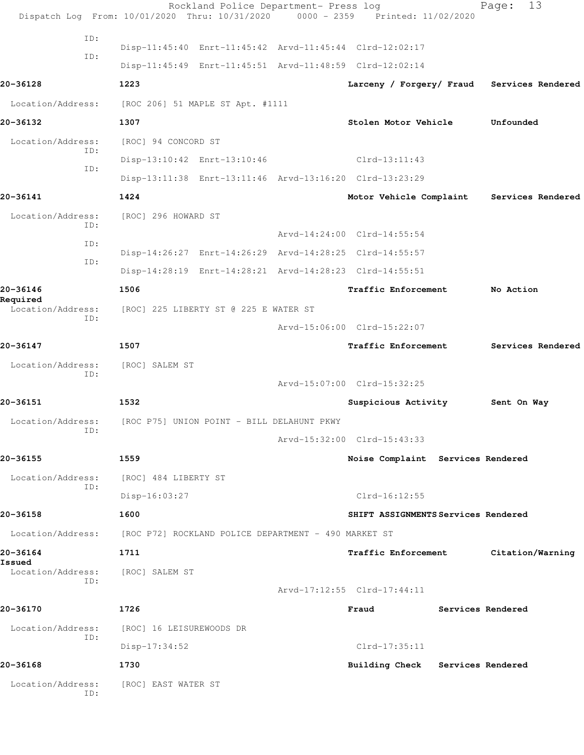|                          | Rockland Police Department- Press log<br>Dispatch Log From: 10/01/2020 Thru: 10/31/2020 0000 - 2359 Printed: 11/02/2020 |                                            | 13<br>Page:       |  |
|--------------------------|-------------------------------------------------------------------------------------------------------------------------|--------------------------------------------|-------------------|--|
| ID:<br>TD:               | Disp-11:45:40 Enrt-11:45:42 Arvd-11:45:44 Clrd-12:02:17<br>Disp-11:45:49 Enrt-11:45:51 Arvd-11:48:59 Clrd-12:02:14      |                                            |                   |  |
| 20-36128                 | 1223                                                                                                                    | Larceny / Forgery/ Fraud Services Rendered |                   |  |
| Location/Address:        | [ROC 206] 51 MAPLE ST Apt. #1111                                                                                        |                                            |                   |  |
| 20-36132                 | 1307                                                                                                                    | Stolen Motor Vehicle                       | Unfounded         |  |
| Location/Address:        | [ROC] 94 CONCORD ST                                                                                                     |                                            |                   |  |
| ID:                      | Disp-13:10:42 Enrt-13:10:46                                                                                             | $Clrd-13:11:43$                            |                   |  |
| ID:                      | Disp-13:11:38 Enrt-13:11:46 Arvd-13:16:20 Clrd-13:23:29                                                                 |                                            |                   |  |
| 20-36141                 | 1424                                                                                                                    | Motor Vehicle Complaint                    | Services Rendered |  |
| Location/Address:<br>TD: | [ROC] 296 HOWARD ST                                                                                                     |                                            |                   |  |
| ID:                      |                                                                                                                         | Arvd-14:24:00 Clrd-14:55:54                |                   |  |
| ID:                      | Disp-14:26:27 Enrt-14:26:29 Arvd-14:28:25 Clrd-14:55:57                                                                 |                                            |                   |  |
|                          | Disp-14:28:19 Enrt-14:28:21 Arvd-14:28:23 Clrd-14:55:51                                                                 |                                            |                   |  |
| 20-36146<br>Required     | 1506                                                                                                                    | Traffic Enforcement                        | No Action         |  |
| Location/Address:<br>ID: | [ROC] 225 LIBERTY ST @ 225 E WATER ST                                                                                   |                                            |                   |  |
|                          |                                                                                                                         | Arvd-15:06:00 Clrd-15:22:07                |                   |  |
| 20-36147                 | 1507                                                                                                                    | Traffic Enforcement                        | Services Rendered |  |
| Location/Address:<br>ID: | [ROC] SALEM ST                                                                                                          |                                            |                   |  |
|                          |                                                                                                                         | Arvd-15:07:00 Clrd-15:32:25                |                   |  |
| 20-36151                 | 1532                                                                                                                    | Suspicious Activity                        | Sent On Way       |  |
| Location/Address:<br>ID: | [ROC P75] UNION POINT - BILL DELAHUNT PKWY                                                                              |                                            |                   |  |
|                          |                                                                                                                         | Arvd-15:32:00 Clrd-15:43:33                |                   |  |
| 20-36155                 | 1559                                                                                                                    | Noise Complaint Services Rendered          |                   |  |
| Location/Address:<br>ID: | [ROC] 484 LIBERTY ST                                                                                                    |                                            |                   |  |
|                          | Disp-16:03:27                                                                                                           | $Clrd-16:12:55$                            |                   |  |
| 20-36158                 | 1600                                                                                                                    | SHIFT ASSIGNMENTS Services Rendered        |                   |  |
| Location/Address:        | [ROC P72] ROCKLAND POLICE DEPARTMENT - 490 MARKET ST                                                                    |                                            |                   |  |
| 20-36164<br>Issued       | 1711                                                                                                                    | Traffic Enforcement                        | Citation/Warning  |  |
| Location/Address:<br>ID: | [ROC] SALEM ST                                                                                                          |                                            |                   |  |
|                          |                                                                                                                         | Arvd-17:12:55 Clrd-17:44:11                |                   |  |
| 20-36170                 | 1726                                                                                                                    | Fraud                                      | Services Rendered |  |
| Location/Address:<br>ID: | [ROC] 16 LEISUREWOODS DR                                                                                                |                                            |                   |  |
|                          | Disp-17:34:52                                                                                                           | Clrd-17:35:11                              |                   |  |
| 20-36168                 | 1730                                                                                                                    | Building Check Services Rendered           |                   |  |
| Location/Address:<br>ID: | [ROC] EAST WATER ST                                                                                                     |                                            |                   |  |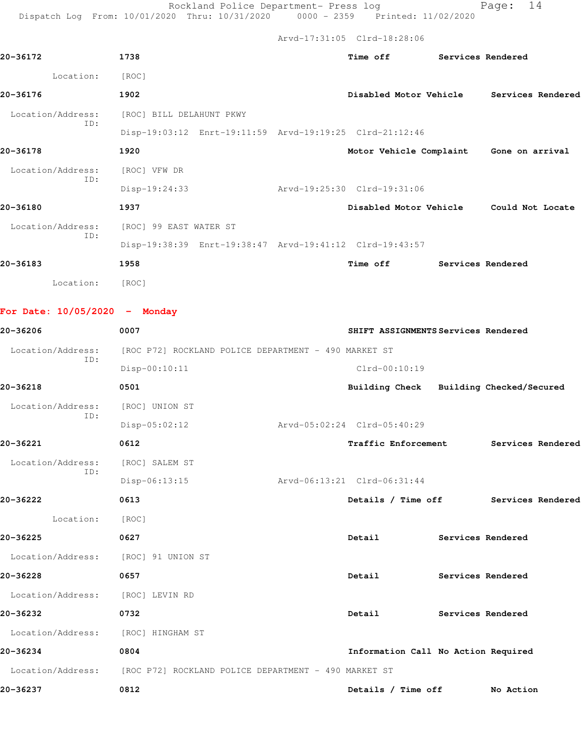Rockland Police Department- Press log Page: 14 Dispatch Log From: 10/01/2020 Thru: 10/31/2020 0000 - 2359 Printed: 11/02/2020

|                                 |                                                         | Arvd-17:31:05 Clrd-18:28:06         |                   |                                         |
|---------------------------------|---------------------------------------------------------|-------------------------------------|-------------------|-----------------------------------------|
| 20-36172                        | 1738                                                    | <b>Time off</b>                     | Services Rendered |                                         |
| Location:                       | [ROC]                                                   |                                     |                   |                                         |
| 20-36176                        | 1902                                                    | Disabled Motor Vehicle              |                   | Services Rendered                       |
| Location/Address:               | [ROC] BILL DELAHUNT PKWY                                |                                     |                   |                                         |
| ID:                             | Disp-19:03:12 Enrt-19:11:59 Arvd-19:19:25 Clrd-21:12:46 |                                     |                   |                                         |
| 20-36178                        | 1920                                                    |                                     |                   | Motor Vehicle Complaint Gone on arrival |
| Location/Address:               | [ROC] VFW DR                                            |                                     |                   |                                         |
| ID:                             | $Disp-19:24:33$                                         | Arvd-19:25:30 Clrd-19:31:06         |                   |                                         |
| 20-36180                        | 1937                                                    |                                     |                   | Disabled Motor Vehicle Could Not Locate |
| Location/Address:               | [ROC] 99 EAST WATER ST                                  |                                     |                   |                                         |
| ID:                             | Disp-19:38:39 Enrt-19:38:47 Arvd-19:41:12 Clrd-19:43:57 |                                     |                   |                                         |
| 20-36183                        | 1958                                                    | Time off                            | Services Rendered |                                         |
| Location:                       | [ROC]                                                   |                                     |                   |                                         |
|                                 |                                                         |                                     |                   |                                         |
| For Date: $10/05/2020 -$ Monday |                                                         |                                     |                   |                                         |
| 20-36206                        | 0007                                                    | SHIFT ASSIGNMENTS Services Rendered |                   |                                         |
| Location/Address:<br>ID:        | [ROC P72] ROCKLAND POLICE DEPARTMENT - 490 MARKET ST    |                                     |                   |                                         |
|                                 | Disp-00:10:11                                           | Clrd-00:10:19                       |                   |                                         |
| 20-36218                        | 0501                                                    |                                     |                   | Building Check Building Checked/Secured |
| Location/Address:<br>ID:        | [ROC] UNION ST                                          |                                     |                   |                                         |
|                                 | $Disp-05:02:12$                                         | Arvd-05:02:24 Clrd-05:40:29         |                   |                                         |
| 20-36221                        | 0612                                                    | Traffic Enforcement                 |                   | Services Rendered                       |
| Location/Address:               | [ROC] SALEM ST                                          |                                     |                   |                                         |
| ID:                             | $Disp-06:13:15$                                         | Arvd-06:13:21 Clrd-06:31:44         |                   |                                         |
| 20-36222                        | 0613                                                    | Details / Time off                  |                   | Services Rendered                       |

Location: [ROC]

**20-36225 0627 Detail Services Rendered**

 Location/Address: [ROC] 91 UNION ST **20-36228 0657 Detail Services Rendered**

 Location/Address: [ROC] LEVIN RD **20-36232 0732 Detail Services Rendered**

 Location/Address: [ROC] HINGHAM ST **20-36234 0804 Information Call No Action Required** Location/Address: [ROC P72] ROCKLAND POLICE DEPARTMENT - 490 MARKET ST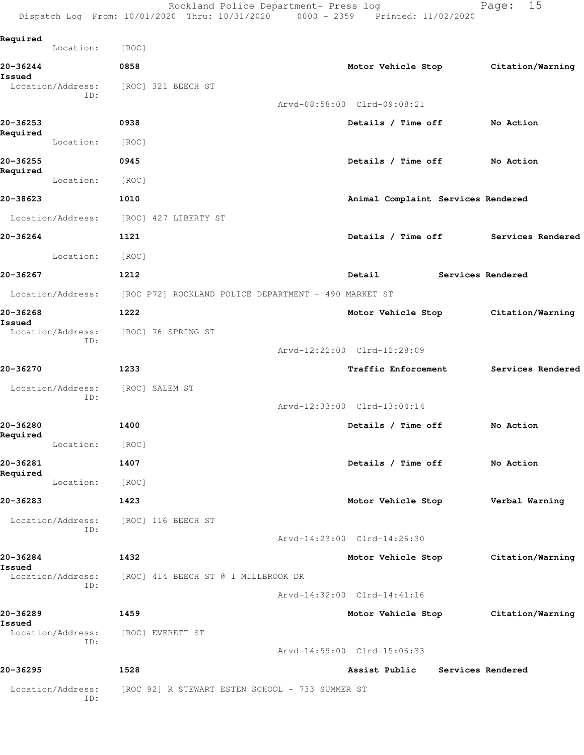Rockland Police Department- Press log entitled Page: 15 Dispatch Log From: 10/01/2020 Thru: 10/31/2020 0000 - 2359 Printed: 11/02/2020

| Required           | Location:         | [ROC]                              |                                                                        |                                    |                   |                                     |
|--------------------|-------------------|------------------------------------|------------------------------------------------------------------------|------------------------------------|-------------------|-------------------------------------|
| 20-36244           |                   | 0858                               |                                                                        |                                    |                   | Motor Vehicle Stop Citation/Warning |
| Issued             | Location/Address: | [ROC] 321 BEECH ST                 |                                                                        |                                    |                   |                                     |
|                    | ID:               |                                    |                                                                        | Arvd-08:58:00 Clrd-09:08:21        |                   |                                     |
| 20-36253           |                   | 0938                               |                                                                        | Details / Time off                 |                   | No Action                           |
| Required           | Location:         | [ROC]                              |                                                                        |                                    |                   |                                     |
| 20-36255           |                   | 0945                               |                                                                        | Details / Time off                 |                   | No Action                           |
| Required           | Location:         | [ROC]                              |                                                                        |                                    |                   |                                     |
| 20-38623           |                   | 1010                               |                                                                        | Animal Complaint Services Rendered |                   |                                     |
|                    | Location/Address: | [ROC] 427 LIBERTY ST               |                                                                        |                                    |                   |                                     |
| 20-36264           |                   | 1121                               |                                                                        | Details / Time off                 |                   | Services Rendered                   |
|                    | Location:         | [ROC]                              |                                                                        |                                    |                   |                                     |
| 20-36267           |                   | 1212                               |                                                                        | Detail                             | Services Rendered |                                     |
|                    |                   |                                    | Location/Address: [ROC P72] ROCKLAND POLICE DEPARTMENT - 490 MARKET ST |                                    |                   |                                     |
| 20-36268           |                   | 1222                               |                                                                        |                                    |                   | Motor Vehicle Stop Citation/Warning |
| Issued             | Location/Address: | [ROC] 76 SPRING ST                 |                                                                        |                                    |                   |                                     |
|                    | ID:               |                                    |                                                                        | Arvd-12:22:00 Clrd-12:28:09        |                   |                                     |
| 20-36270           |                   | 1233                               |                                                                        | Traffic Enforcement                |                   | Services Rendered                   |
|                    | Location/Address: | [ROC] SALEM ST                     |                                                                        |                                    |                   |                                     |
|                    | ID:               |                                    |                                                                        | Arvd-12:33:00 Clrd-13:04:14        |                   |                                     |
| 20-36280           |                   | 1400                               |                                                                        | Details / Time off                 |                   | No Action                           |
| Required           | Location:         | [ROC]                              |                                                                        |                                    |                   |                                     |
| 20-36281           |                   | 1407                               |                                                                        | Details / Time off                 |                   | No Action                           |
| Required           | Location:         | [ROC]                              |                                                                        |                                    |                   |                                     |
| 20-36283           |                   | 1423                               |                                                                        |                                    |                   | Motor Vehicle Stop Verbal Warning   |
|                    | Location/Address: | [ROC] 116 BEECH ST                 |                                                                        |                                    |                   |                                     |
|                    | ID:               |                                    |                                                                        | Arvd-14:23:00 Clrd-14:26:30        |                   |                                     |
| 20-36284<br>Issued |                   | 1432                               |                                                                        | Motor Vehicle Stop                 |                   | Citation/Warning                    |
|                    | ID:               |                                    | Location/Address: [ROC] 414 BEECH ST @ 1 MILLBROOK DR                  |                                    |                   |                                     |
|                    |                   |                                    |                                                                        | Arvd-14:32:00 Clrd-14:41:16        |                   |                                     |
| 20-36289<br>Issued |                   | 1459                               |                                                                        | Motor Vehicle Stop                 |                   | Citation/Warning                    |
|                    | ID:               | Location/Address: [ROC] EVERETT ST |                                                                        |                                    |                   |                                     |
|                    |                   |                                    |                                                                        | Arvd-14:59:00 Clrd-15:06:33        |                   |                                     |
| 20-36295           |                   | 1528                               |                                                                        | Assist Public Services Rendered    |                   |                                     |
|                    | ID:               |                                    | Location/Address: [ROC 92] R STEWART ESTEN SCHOOL - 733 SUMMER ST      |                                    |                   |                                     |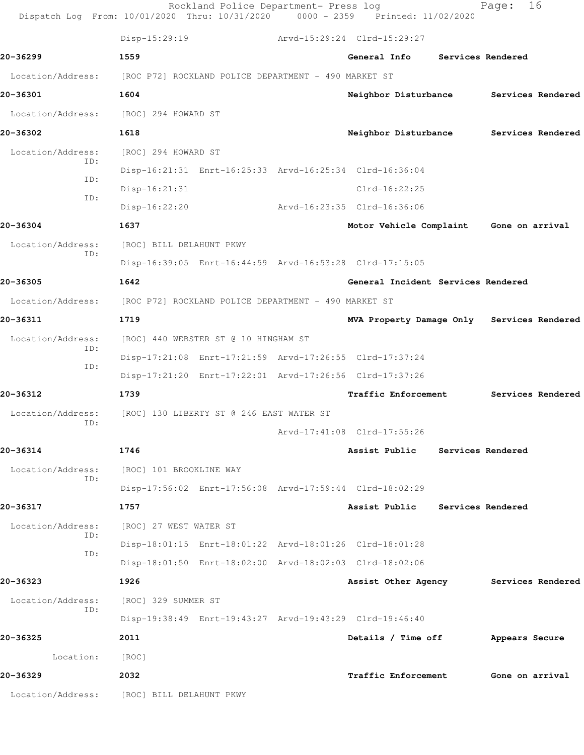|                          | $Disp-15:29:19$                                         | Arvd-15:29:24 Clrd-15:29:27 |                                            |                   |                   |
|--------------------------|---------------------------------------------------------|-----------------------------|--------------------------------------------|-------------------|-------------------|
| 20-36299                 | 1559                                                    |                             | General Info                               | Services Rendered |                   |
| Location/Address:        | [ROC P72] ROCKLAND POLICE DEPARTMENT - 490 MARKET ST    |                             |                                            |                   |                   |
| 20-36301                 | 1604                                                    |                             | Neighbor Disturbance                       |                   | Services Rendered |
| Location/Address:        | [ROC] 294 HOWARD ST                                     |                             |                                            |                   |                   |
| 20-36302                 | 1618                                                    |                             | Neighbor Disturbance                       |                   | Services Rendered |
| Location/Address:<br>ID: | [ROC] 294 HOWARD ST                                     |                             |                                            |                   |                   |
|                          | Disp-16:21:31 Enrt-16:25:33 Arvd-16:25:34 Clrd-16:36:04 |                             |                                            |                   |                   |
| ID:                      | $Disp-16:21:31$                                         |                             | $Clrd-16:22:25$                            |                   |                   |
| ID:                      | $Disp-16:22:20$                                         |                             | Arvd-16:23:35 Clrd-16:36:06                |                   |                   |
| 20-36304                 | 1637                                                    |                             | Motor Vehicle Complaint                    | Gone on arrival   |                   |
| Location/Address:        | [ROC] BILL DELAHUNT PKWY                                |                             |                                            |                   |                   |
| ID:                      | Disp-16:39:05 Enrt-16:44:59 Arvd-16:53:28 Clrd-17:15:05 |                             |                                            |                   |                   |
| 20-36305                 | 1642                                                    |                             | General Incident Services Rendered         |                   |                   |
| Location/Address:        | [ROC P72] ROCKLAND POLICE DEPARTMENT - 490 MARKET ST    |                             |                                            |                   |                   |
| 20-36311                 | 1719                                                    |                             | MVA Property Damage Only Services Rendered |                   |                   |
| Location/Address:        | [ROC] 440 WEBSTER ST @ 10 HINGHAM ST                    |                             |                                            |                   |                   |
| ID:                      | Disp-17:21:08 Enrt-17:21:59 Arvd-17:26:55 Clrd-17:37:24 |                             |                                            |                   |                   |
| ID:                      | Disp-17:21:20 Enrt-17:22:01 Arvd-17:26:56 Clrd-17:37:26 |                             |                                            |                   |                   |
| 20-36312                 | 1739                                                    |                             | Traffic Enforcement                        |                   | Services Rendered |
| Location/Address:        | [ROC] 130 LIBERTY ST @ 246 EAST WATER ST                |                             |                                            |                   |                   |
| ID:                      |                                                         |                             | Arvd-17:41:08 Clrd-17:55:26                |                   |                   |
| 20-36314                 | 1746                                                    |                             | Assist Public                              | Services Rendered |                   |
| Location/Address:        | [ROC] 101 BROOKLINE WAY                                 |                             |                                            |                   |                   |
| ID:                      | Disp-17:56:02 Enrt-17:56:08 Arvd-17:59:44 Clrd-18:02:29 |                             |                                            |                   |                   |
| 20-36317                 | 1757                                                    |                             | Assist Public                              | Services Rendered |                   |
| Location/Address:        | [ROC] 27 WEST WATER ST                                  |                             |                                            |                   |                   |
| ID:                      | Disp-18:01:15 Enrt-18:01:22 Arvd-18:01:26 Clrd-18:01:28 |                             |                                            |                   |                   |
| ID:                      | Disp-18:01:50 Enrt-18:02:00 Arvd-18:02:03 Clrd-18:02:06 |                             |                                            |                   |                   |
| 20-36323                 | 1926                                                    |                             | Assist Other Agency Services Rendered      |                   |                   |
| Location/Address:        | [ROC] 329 SUMMER ST                                     |                             |                                            |                   |                   |
| ID:                      | Disp-19:38:49 Enrt-19:43:27 Arvd-19:43:29 Clrd-19:46:40 |                             |                                            |                   |                   |
| 20-36325                 | 2011                                                    |                             | Details / Time off                         | Appears Secure    |                   |
| Location:                | [ROC]                                                   |                             |                                            |                   |                   |
| 20-36329                 | 2032                                                    |                             | Traffic Enforcement                        | Gone on arrival   |                   |
|                          |                                                         |                             |                                            |                   |                   |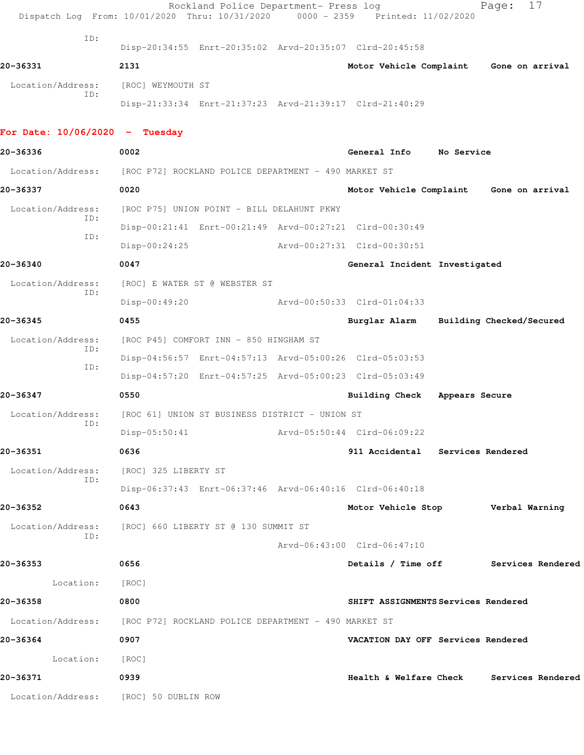|                                  | Rockland Police Department- Press log<br>Dispatch Log From: 10/01/2020 Thru: 10/31/2020 | 0000 - 2359 Printed: 11/02/2020          |                | 17<br>Page:              |  |
|----------------------------------|-----------------------------------------------------------------------------------------|------------------------------------------|----------------|--------------------------|--|
| ID:                              | Disp-20:34:55 Enrt-20:35:02 Arvd-20:35:07 Clrd-20:45:58                                 |                                          |                |                          |  |
| 20-36331                         | 2131                                                                                    | Motor Vehicle Complaint Gone on arrival  |                |                          |  |
| Location/Address:                | [ROC] WEYMOUTH ST                                                                       |                                          |                |                          |  |
| ID:                              | Disp-21:33:34 Enrt-21:37:23 Arvd-21:39:17 Clrd-21:40:29                                 |                                          |                |                          |  |
| For Date: $10/06/2020 -$ Tuesday |                                                                                         |                                          |                |                          |  |
| 20-36336                         | 0002                                                                                    | General Info No Service                  |                |                          |  |
| Location/Address:                | [ROC P72] ROCKLAND POLICE DEPARTMENT - 490 MARKET ST                                    |                                          |                |                          |  |
| 20-36337                         | 0020                                                                                    | Motor Vehicle Complaint Gone on arrival  |                |                          |  |
| Location/Address:                | [ROC P75] UNION POINT - BILL DELAHUNT PKWY                                              |                                          |                |                          |  |
| ID:                              | Disp-00:21:41 Enrt-00:21:49 Arvd-00:27:21 Clrd-00:30:49                                 |                                          |                |                          |  |
| ID:                              | $Disp-00:24:25$                                                                         | Arvd-00:27:31 Clrd-00:30:51              |                |                          |  |
| 20-36340                         | 0047                                                                                    | General Incident Investigated            |                |                          |  |
| Location/Address:                | [ROC] E WATER ST @ WEBSTER ST                                                           |                                          |                |                          |  |
| ID:                              | $Disp-00:49:20$                                                                         | Arvd-00:50:33 Clrd-01:04:33              |                |                          |  |
| 20-36345                         | 0455                                                                                    | Burglar Alarm                            |                | Building Checked/Secured |  |
| Location/Address:                | [ROC P45] COMFORT INN - 850 HINGHAM ST                                                  |                                          |                |                          |  |
| ID:                              | Disp-04:56:57 Enrt-04:57:13 Arvd-05:00:26 Clrd-05:03:53                                 |                                          |                |                          |  |
| ID:                              | Disp-04:57:20 Enrt-04:57:25 Arvd-05:00:23 Clrd-05:03:49                                 |                                          |                |                          |  |
| 20-36347                         | 0550                                                                                    | Building Check                           | Appears Secure |                          |  |
| Location/Address:                | [ROC 61] UNION ST BUSINESS DISTRICT - UNION ST                                          |                                          |                |                          |  |
| ID:                              | $Disp-05:50:41$                                                                         | Arvd-05:50:44 Clrd-06:09:22              |                |                          |  |
| 20-36351                         | 0636                                                                                    | 911 Accidental Services Rendered         |                |                          |  |
| Location/Address:                | [ROC] 325 LIBERTY ST                                                                    |                                          |                |                          |  |
| ID:                              | Disp-06:37:43 Enrt-06:37:46 Arvd-06:40:16 Clrd-06:40:18                                 |                                          |                |                          |  |
| 20-36352                         | 0643                                                                                    | Motor Vehicle Stop Verbal Warning        |                |                          |  |
| Location/Address:                | [ROC] 660 LIBERTY ST @ 130 SUMMIT ST                                                    |                                          |                |                          |  |
| ID:                              |                                                                                         | Arvd-06:43:00 Clrd-06:47:10              |                |                          |  |
| 20-36353                         | 0656                                                                                    | Details / Time off Services Rendered     |                |                          |  |
| Location:                        | [ROC]                                                                                   |                                          |                |                          |  |
| 20-36358                         | 0800                                                                                    | SHIFT ASSIGNMENTS Services Rendered      |                |                          |  |
|                                  | Location/Address: [ROC P72] ROCKLAND POLICE DEPARTMENT - 490 MARKET ST                  |                                          |                |                          |  |
| 20-36364                         | 0907                                                                                    | VACATION DAY OFF Services Rendered       |                |                          |  |
| Location:                        | [ROC]                                                                                   |                                          |                |                          |  |
| 20-36371                         | 0939                                                                                    | Health & Welfare Check Services Rendered |                |                          |  |
|                                  | Location/Address: [ROC] 50 DUBLIN ROW                                                   |                                          |                |                          |  |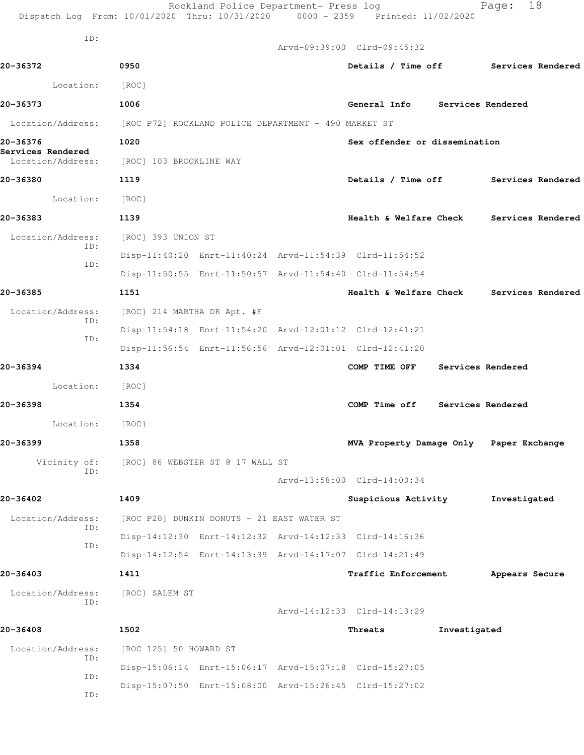|                                                    | Rockland Police Department- Press log<br>Dispatch Log From: 10/01/2020 Thru: 10/31/2020 0000 - 2359 Printed: 11/02/2020 |                                         |              | 18<br>Page:       |  |
|----------------------------------------------------|-------------------------------------------------------------------------------------------------------------------------|-----------------------------------------|--------------|-------------------|--|
| ID:                                                |                                                                                                                         |                                         |              |                   |  |
|                                                    |                                                                                                                         | Arvd-09:39:00 Clrd-09:45:32             |              |                   |  |
| 20-36372                                           | 0950                                                                                                                    | Details / Time off Services Rendered    |              |                   |  |
| Location:                                          | [ROC]                                                                                                                   |                                         |              |                   |  |
| 20-36373                                           | 1006                                                                                                                    | General Info Services Rendered          |              |                   |  |
| Location/Address:                                  | [ROC P72] ROCKLAND POLICE DEPARTMENT - 490 MARKET ST                                                                    |                                         |              |                   |  |
| 20-36376<br>Services Rendered<br>Location/Address: | 1020<br>[ROC] 103 BROOKLINE WAY                                                                                         | Sex offender or dissemination           |              |                   |  |
| 20-36380                                           | 1119                                                                                                                    | Details / Time off Services Rendered    |              |                   |  |
| Location:                                          | [ROC]                                                                                                                   |                                         |              |                   |  |
| 20-36383                                           | 1139                                                                                                                    | Health & Welfare Check                  |              | Services Rendered |  |
| Location/Address:<br>ID:                           | [ROC] 393 UNION ST                                                                                                      |                                         |              |                   |  |
| ID:                                                | Disp-11:40:20 Enrt-11:40:24 Arvd-11:54:39 Clrd-11:54:52                                                                 |                                         |              |                   |  |
|                                                    | Disp-11:50:55 Enrt-11:50:57 Arvd-11:54:40 Clrd-11:54:54                                                                 |                                         |              |                   |  |
| 20-36385                                           | 1151                                                                                                                    | Health & Welfare Check                  |              | Services Rendered |  |
| Location/Address:                                  | [ROC] 214 MARTHA DR Apt. #F                                                                                             |                                         |              |                   |  |
| ID:                                                | Disp-11:54:18 Enrt-11:54:20 Arvd-12:01:12 Clrd-12:41:21                                                                 |                                         |              |                   |  |
| ID:                                                | Disp-11:56:54 Enrt-11:56:56 Arvd-12:01:01 Clrd-12:41:20                                                                 |                                         |              |                   |  |
| 20-36394                                           | 1334                                                                                                                    | COMP TIME OFF                           |              | Services Rendered |  |
| Location:                                          | [ROC]                                                                                                                   |                                         |              |                   |  |
| 20-36398                                           | 1354                                                                                                                    | COMP Time off Services Rendered         |              |                   |  |
| Location:                                          | [ROC]                                                                                                                   |                                         |              |                   |  |
| 20-36399                                           | 1358                                                                                                                    | MVA Property Damage Only Paper Exchange |              |                   |  |
| Vicinity of:                                       | [ROC] 86 WEBSTER ST @ 17 WALL ST                                                                                        |                                         |              |                   |  |
| ID:                                                |                                                                                                                         | Arvd-13:58:00 Clrd-14:00:34             |              |                   |  |
| 20-36402                                           | 1409                                                                                                                    | Suspicious Activity                     |              | Investigated      |  |
| Location/Address:                                  | [ROC P20] DUNKIN DONUTS - 21 EAST WATER ST                                                                              |                                         |              |                   |  |
| ID:                                                | Disp-14:12:30 Enrt-14:12:32 Arvd-14:12:33 Clrd-14:16:36                                                                 |                                         |              |                   |  |
| ID:                                                | Disp-14:12:54 Enrt-14:13:39 Arvd-14:17:07 Clrd-14:21:49                                                                 |                                         |              |                   |  |
| 20-36403                                           | 1411                                                                                                                    | <b>Traffic Enforcement</b>              |              | Appears Secure    |  |
| Location/Address:                                  | [ROC] SALEM ST                                                                                                          |                                         |              |                   |  |
| ID:                                                |                                                                                                                         | Arvd-14:12:33 Clrd-14:13:29             |              |                   |  |
| 20-36408                                           | 1502                                                                                                                    | Threats                                 | Investigated |                   |  |
| Location/Address:                                  | [ROC 125] 50 HOWARD ST                                                                                                  |                                         |              |                   |  |
| ID:                                                | Disp-15:06:14 Enrt-15:06:17 Arvd-15:07:18 Clrd-15:27:05                                                                 |                                         |              |                   |  |
| ID:<br>ID:                                         | Disp-15:07:50 Enrt-15:08:00 Arvd-15:26:45 Clrd-15:27:02                                                                 |                                         |              |                   |  |
|                                                    |                                                                                                                         |                                         |              |                   |  |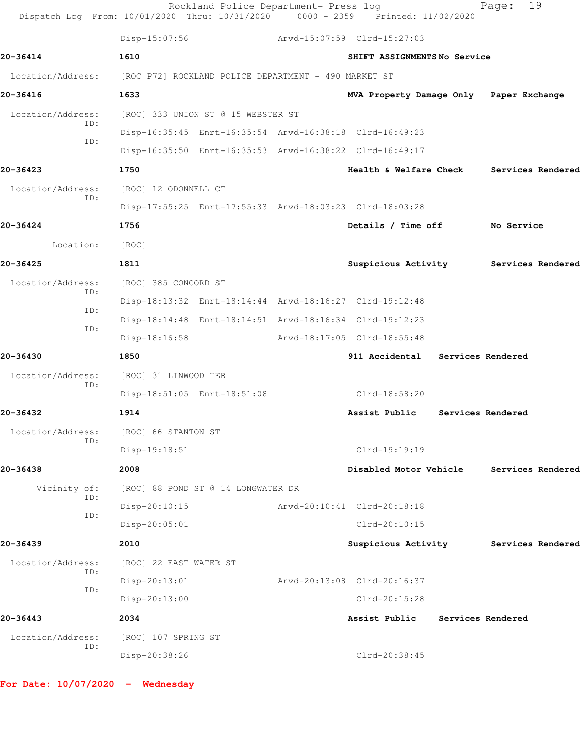|                          | Disp-15:07:56                                        |                                    | Arvd-15:07:59 Clrd-15:27:03                             |                   |  |
|--------------------------|------------------------------------------------------|------------------------------------|---------------------------------------------------------|-------------------|--|
| 20-36414                 | 1610                                                 |                                    | SHIFT ASSIGNMENTSNo Service                             |                   |  |
| Location/Address:        | [ROC P72] ROCKLAND POLICE DEPARTMENT - 490 MARKET ST |                                    |                                                         |                   |  |
| 20-36416                 | 1633                                                 |                                    | MVA Property Damage Only Paper Exchange                 |                   |  |
| Location/Address:        |                                                      | [ROC] 333 UNION ST @ 15 WEBSTER ST |                                                         |                   |  |
| ID:                      |                                                      |                                    | Disp-16:35:45 Enrt-16:35:54 Arvd-16:38:18 Clrd-16:49:23 |                   |  |
| ID:                      |                                                      |                                    | Disp-16:35:50 Enrt-16:35:53 Arvd-16:38:22 Clrd-16:49:17 |                   |  |
| 20-36423                 | 1750                                                 |                                    | Health & Welfare Check                                  | Services Rendered |  |
| Location/Address:        | [ROC] 12 ODONNELL CT                                 |                                    |                                                         |                   |  |
| ID:                      |                                                      |                                    | Disp-17:55:25 Enrt-17:55:33 Arvd-18:03:23 Clrd-18:03:28 |                   |  |
| 20-36424                 | 1756                                                 |                                    | Details / Time off                                      | No Service        |  |
| Location:                | [ROC]                                                |                                    |                                                         |                   |  |
| 20-36425                 | 1811                                                 |                                    | Suspicious Activity Services Rendered                   |                   |  |
| Location/Address:        | [ROC] 385 CONCORD ST                                 |                                    |                                                         |                   |  |
| ID:                      |                                                      |                                    | Disp-18:13:32 Enrt-18:14:44 Arvd-18:16:27 Clrd-19:12:48 |                   |  |
| ID:                      |                                                      |                                    | Disp-18:14:48 Enrt-18:14:51 Arvd-18:16:34 Clrd-19:12:23 |                   |  |
| ID:                      | Disp-18:16:58                                        |                                    | Arvd-18:17:05 Clrd-18:55:48                             |                   |  |
| 20-36430                 | 1850                                                 |                                    | 911 Accidental Services Rendered                        |                   |  |
| Location/Address:        | [ROC] 31 LINWOOD TER                                 |                                    |                                                         |                   |  |
| ID:                      |                                                      | Disp-18:51:05 Enrt-18:51:08        | Clrd-18:58:20                                           |                   |  |
| 20-36432                 | 1914                                                 |                                    | Assist Public                                           | Services Rendered |  |
| Location/Address:<br>ID: | [ROC] 66 STANTON ST                                  |                                    |                                                         |                   |  |
|                          | Disp-19:18:51                                        |                                    | Clrd-19:19:19                                           |                   |  |
| 20-36438                 | 2008                                                 |                                    | Disabled Motor Vehicle                                  | Services Rendered |  |
| Vicinity of:<br>ID:      |                                                      | [ROC] 88 POND ST @ 14 LONGWATER DR |                                                         |                   |  |
| ID:                      | Disp-20:10:15                                        |                                    | Arvd-20:10:41 Clrd-20:18:18                             |                   |  |
|                          | Disp-20:05:01                                        |                                    | Clrd-20:10:15                                           |                   |  |
| 20-36439                 | 2010                                                 |                                    | Suspicious Activity                                     | Services Rendered |  |
| Location/Address:<br>ID: | [ROC] 22 EAST WATER ST                               |                                    |                                                         |                   |  |
| ID:                      | Disp-20:13:01                                        |                                    | Arvd-20:13:08 Clrd-20:16:37                             |                   |  |
|                          | Disp-20:13:00                                        |                                    | Clrd-20:15:28                                           |                   |  |
| 20-36443                 | 2034                                                 |                                    | Assist Public                                           | Services Rendered |  |
| Location/Address:<br>ID: | [ROC] 107 SPRING ST                                  |                                    |                                                         |                   |  |
|                          | Disp-20:38:26                                        |                                    | Clrd-20:38:45                                           |                   |  |

**For Date: 10/07/2020 - Wednesday**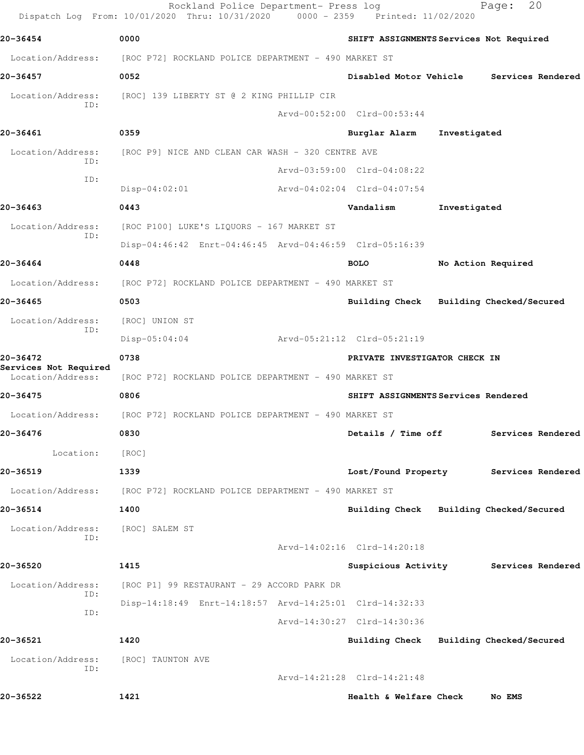|                                            | Rockland Police Department- Press log<br>Dispatch Log From: 10/01/2020 Thru: 10/31/2020 | 0000 - 2359 Printed: 11/02/2020         |              | 20<br>Page:                           |
|--------------------------------------------|-----------------------------------------------------------------------------------------|-----------------------------------------|--------------|---------------------------------------|
| 20-36454                                   | 0000                                                                                    | SHIFT ASSIGNMENTS Services Not Required |              |                                       |
| Location/Address:                          | [ROC P72] ROCKLAND POLICE DEPARTMENT - 490 MARKET ST                                    |                                         |              |                                       |
| 20-36457                                   | 0052                                                                                    | Disabled Motor Vehicle                  |              | Services Rendered                     |
| Location/Address:                          | [ROC] 139 LIBERTY ST @ 2 KING PHILLIP CIR                                               |                                         |              |                                       |
| ID:                                        |                                                                                         | Arvd-00:52:00 Clrd-00:53:44             |              |                                       |
| 20-36461                                   | 0359                                                                                    | Burglar Alarm                           | Investigated |                                       |
| Location/Address:<br>ID:                   | [ROC P9] NICE AND CLEAN CAR WASH - 320 CENTRE AVE                                       |                                         |              |                                       |
| ID:                                        |                                                                                         | Arvd-03:59:00 Clrd-04:08:22             |              |                                       |
|                                            | $Disp-04:02:01$                                                                         | Arvd-04:02:04 Clrd-04:07:54             |              |                                       |
| 20-36463                                   | 0443                                                                                    | Vandalism                               | Investigated |                                       |
| Location/Address:<br>ID:                   | [ROC P100] LUKE'S LIQUORS - 167 MARKET ST                                               |                                         |              |                                       |
|                                            | Disp-04:46:42 Enrt-04:46:45 Arvd-04:46:59 Clrd-05:16:39                                 |                                         |              |                                       |
| 20-36464                                   | 0448                                                                                    | <b>BOLO</b>                             |              | No Action Required                    |
| Location/Address:                          | [ROC P72] ROCKLAND POLICE DEPARTMENT - 490 MARKET ST                                    |                                         |              |                                       |
| 20-36465                                   | 0503                                                                                    | Building Check Building Checked/Secured |              |                                       |
| Location/Address:                          | [ROC] UNION ST                                                                          |                                         |              |                                       |
| ID:                                        | $Disp-05:04:04$                                                                         | Arvd-05:21:12 Clrd-05:21:19             |              |                                       |
| 20-36472                                   | 0738                                                                                    | PRIVATE INVESTIGATOR CHECK IN           |              |                                       |
| Services Not Required<br>Location/Address: | [ROC P72] ROCKLAND POLICE DEPARTMENT - 490 MARKET ST                                    |                                         |              |                                       |
| 20-36475                                   | 0806                                                                                    | SHIFT ASSIGNMENTS Services Rendered     |              |                                       |
| Location/Address:                          | [ROC P72] ROCKLAND POLICE DEPARTMENT - 490 MARKET ST                                    |                                         |              |                                       |
| 20-36476                                   | 0830                                                                                    | Details / Time off                      |              | Services Rendered                     |
| Location:                                  | [ROC]                                                                                   |                                         |              |                                       |
| 20-36519                                   | 1339                                                                                    |                                         |              | Lost/Found Property Services Rendered |
|                                            | Location/Address: [ROC P72] ROCKLAND POLICE DEPARTMENT - 490 MARKET ST                  |                                         |              |                                       |
| 20-36514                                   | 1400                                                                                    | Building Check Building Checked/Secured |              |                                       |
| Location/Address:                          | [ROC] SALEM ST                                                                          |                                         |              |                                       |
| ID:                                        |                                                                                         | Arvd-14:02:16 Clrd-14:20:18             |              |                                       |
| 20-36520                                   | 1415                                                                                    |                                         |              | Suspicious Activity Services Rendered |
| Location/Address:                          | [ROC P1] 99 RESTAURANT - 29 ACCORD PARK DR                                              |                                         |              |                                       |
| ID:                                        | Disp-14:18:49 Enrt-14:18:57 Arvd-14:25:01 Clrd-14:32:33                                 |                                         |              |                                       |
| ID:                                        |                                                                                         | Arvd-14:30:27 Clrd-14:30:36             |              |                                       |
| 20-36521                                   | 1420                                                                                    | Building Check Building Checked/Secured |              |                                       |
| Location/Address:                          | [ROC] TAUNTON AVE                                                                       |                                         |              |                                       |
| ID:                                        |                                                                                         | Arvd-14:21:28 Clrd-14:21:48             |              |                                       |
| 20-36522                                   | 1421                                                                                    | Health & Welfare Check                  |              | No EMS                                |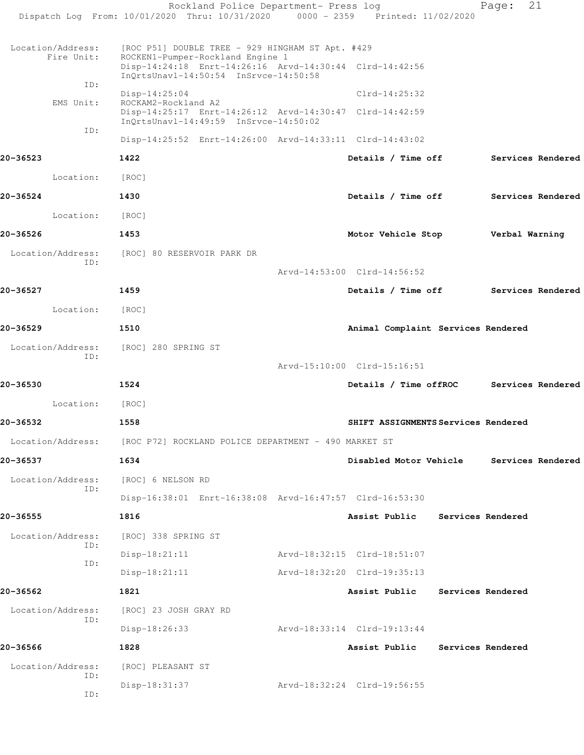|                                 | Rockland Police Department- Press log<br>Dispatch Log From: 10/01/2020 Thru: 10/31/2020 0000 - 2359 Printed: 11/02/2020                                                                  |                                      |                   | Page:             | 21 |
|---------------------------------|------------------------------------------------------------------------------------------------------------------------------------------------------------------------------------------|--------------------------------------|-------------------|-------------------|----|
| Location/Address:<br>Fire Unit: | [ROC P51] DOUBLE TREE - 929 HINGHAM ST Apt. #429<br>ROCKEN1-Pumper-Rockland Engine 1<br>Disp-14:24:18 Enrt-14:26:16 Arvd-14:30:44 Clrd-14:42:56<br>InQrtsUnavl-14:50:54 InSrvce-14:50:58 |                                      |                   |                   |    |
| ID:                             | $Disp-14:25:04$                                                                                                                                                                          | $Clrd-14:25:32$                      |                   |                   |    |
| EMS Unit:                       | ROCKAM2-Rockland A2<br>Disp-14:25:17 Enrt-14:26:12 Arvd-14:30:47 Clrd-14:42:59<br>InQrtsUnavl-14:49:59 InSrvce-14:50:02                                                                  |                                      |                   |                   |    |
| ID:                             | Disp-14:25:52 Enrt-14:26:00 Arvd-14:33:11 Clrd-14:43:02                                                                                                                                  |                                      |                   |                   |    |
| 20-36523                        | 1422                                                                                                                                                                                     | Details / Time off                   |                   | Services Rendered |    |
| Location:                       | [ROC]                                                                                                                                                                                    |                                      |                   |                   |    |
| 20-36524                        | 1430                                                                                                                                                                                     | Details / Time off                   |                   | Services Rendered |    |
| Location:                       | [ROC]                                                                                                                                                                                    |                                      |                   |                   |    |
| 20-36526                        | 1453                                                                                                                                                                                     | Motor Vehicle Stop                   |                   | Verbal Warning    |    |
| Location/Address:               | [ROC] 80 RESERVOIR PARK DR                                                                                                                                                               |                                      |                   |                   |    |
| ID:                             |                                                                                                                                                                                          | Arvd-14:53:00 Clrd-14:56:52          |                   |                   |    |
| 20-36527                        | 1459                                                                                                                                                                                     | Details / Time off Services Rendered |                   |                   |    |
| Location:                       | [ROC]                                                                                                                                                                                    |                                      |                   |                   |    |
| 20-36529                        | 1510                                                                                                                                                                                     | Animal Complaint Services Rendered   |                   |                   |    |
| Location/Address:               | [ROC] 280 SPRING ST                                                                                                                                                                      |                                      |                   |                   |    |
| ID:                             |                                                                                                                                                                                          | Arvd-15:10:00 Clrd-15:16:51          |                   |                   |    |
| 20-36530                        | 1524                                                                                                                                                                                     | Details / Time offROC                |                   | Services Rendered |    |
| Location:                       | [ROC]                                                                                                                                                                                    |                                      |                   |                   |    |
| 20-36532                        | 1558                                                                                                                                                                                     | SHIFT ASSIGNMENTS Services Rendered  |                   |                   |    |
|                                 | Location/Address: [ROC P72] ROCKLAND POLICE DEPARTMENT - 490 MARKET ST                                                                                                                   |                                      |                   |                   |    |
| 20-36537                        | 1634                                                                                                                                                                                     | Disabled Motor Vehicle               |                   | Services Rendered |    |
| Location/Address:               | [ROC] 6 NELSON RD                                                                                                                                                                        |                                      |                   |                   |    |
| ID:                             | Disp-16:38:01 Enrt-16:38:08 Arvd-16:47:57 Clrd-16:53:30                                                                                                                                  |                                      |                   |                   |    |
| 20-36555                        | 1816                                                                                                                                                                                     | Assist Public                        | Services Rendered |                   |    |
| Location/Address:               | [ROC] 338 SPRING ST                                                                                                                                                                      |                                      |                   |                   |    |
| ID:                             | $Disp-18:21:11$                                                                                                                                                                          | Arvd-18:32:15 Clrd-18:51:07          |                   |                   |    |
| ID:                             | $Disp-18:21:11$                                                                                                                                                                          | Arvd-18:32:20 Clrd-19:35:13          |                   |                   |    |
| 20-36562                        | 1821                                                                                                                                                                                     | Assist Public                        | Services Rendered |                   |    |
| Location/Address:               | [ROC] 23 JOSH GRAY RD                                                                                                                                                                    |                                      |                   |                   |    |
| ID:                             | $Disp-18:26:33$                                                                                                                                                                          | Arvd-18:33:14 Clrd-19:13:44          |                   |                   |    |
| 20-36566                        | 1828                                                                                                                                                                                     | Assist Public                        | Services Rendered |                   |    |
| Location/Address:               | [ROC] PLEASANT ST                                                                                                                                                                        |                                      |                   |                   |    |
| ID:<br>ID:                      | Disp-18:31:37                                                                                                                                                                            | Arvd-18:32:24 Clrd-19:56:55          |                   |                   |    |
|                                 |                                                                                                                                                                                          |                                      |                   |                   |    |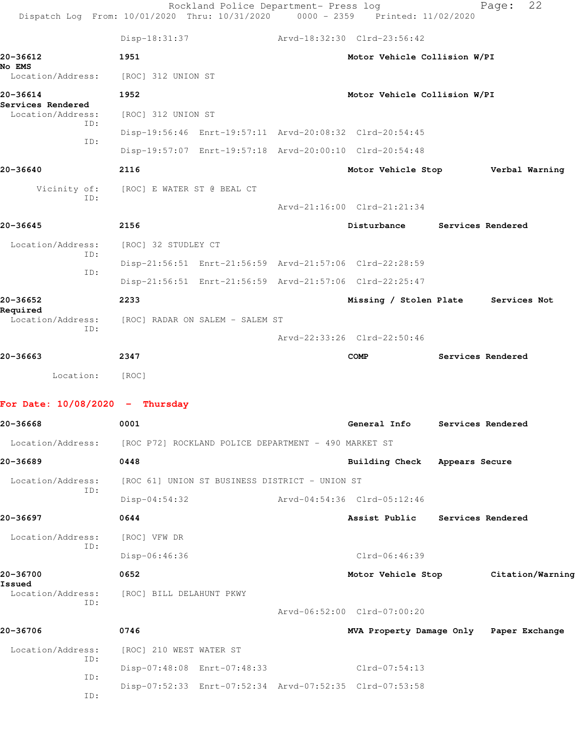| Dispatch Log From: 10/01/2020 Thru: 10/31/2020 0000 - 2359 Printed: 11/02/2020 |                                                | Rockland Police Department- Press log |                                                         | 22<br>Page:       |  |
|--------------------------------------------------------------------------------|------------------------------------------------|---------------------------------------|---------------------------------------------------------|-------------------|--|
|                                                                                | Disp-18:31:37                                  |                                       | Arvd-18:32:30 Clrd-23:56:42                             |                   |  |
| 20-36612<br><b>No EMS</b>                                                      | 1951                                           |                                       | Motor Vehicle Collision W/PI                            |                   |  |
| Location/Address:                                                              | [ROC] 312 UNION ST                             |                                       |                                                         |                   |  |
| 20-36614<br>Services Rendered                                                  | 1952                                           |                                       | Motor Vehicle Collision W/PI                            |                   |  |
| Location/Address:<br>ID:                                                       | [ROC] 312 UNION ST                             |                                       |                                                         |                   |  |
| ID:                                                                            |                                                |                                       | Disp-19:56:46 Enrt-19:57:11 Arvd-20:08:32 Clrd-20:54:45 |                   |  |
|                                                                                |                                                |                                       | Disp-19:57:07 Enrt-19:57:18 Arvd-20:00:10 Clrd-20:54:48 |                   |  |
| 20-36640                                                                       | 2116                                           |                                       | Motor Vehicle Stop                                      | Verbal Warning    |  |
| Vicinity of:<br>ID:                                                            | [ROC] E WATER ST @ BEAL CT                     |                                       | Arvd-21:16:00 Clrd-21:21:34                             |                   |  |
| 20-36645                                                                       | 2156                                           |                                       | Disturbance                                             | Services Rendered |  |
| Location/Address:                                                              | [ROC] 32 STUDLEY CT                            |                                       |                                                         |                   |  |
| ID:                                                                            |                                                |                                       |                                                         |                   |  |
| ID:                                                                            |                                                |                                       | Disp-21:56:51 Enrt-21:56:59 Arvd-21:57:06 Clrd-22:28:59 |                   |  |
| 20-36652                                                                       | 2233                                           |                                       | Disp-21:56:51 Enrt-21:56:59 Arvd-21:57:06 Clrd-22:25:47 |                   |  |
| Required                                                                       |                                                |                                       | Missing / Stolen Plate                                  | Services Not      |  |
| Location/Address:<br>ID:                                                       | [ROC] RADAR ON SALEM - SALEM ST                |                                       |                                                         |                   |  |
|                                                                                |                                                |                                       | Arvd-22:33:26 Clrd-22:50:46                             |                   |  |
| 20-36663                                                                       | 2347                                           |                                       | COMP                                                    | Services Rendered |  |
| Location:                                                                      | [ROC]                                          |                                       |                                                         |                   |  |
| For Date: $10/08/2020 -$ Thursday                                              |                                                |                                       |                                                         |                   |  |
| 20-36668                                                                       | 0001                                           |                                       | General Info                                            | Services Rendered |  |
| Location/Address: [ROC P72] ROCKLAND POLICE DEPARTMENT - 490 MARKET ST         |                                                |                                       |                                                         |                   |  |
| 20-36689                                                                       | 0448                                           |                                       | Building Check Appears Secure                           |                   |  |
| Location/Address:                                                              | [ROC 61] UNION ST BUSINESS DISTRICT - UNION ST |                                       |                                                         |                   |  |
| ID:                                                                            | $Disp-04:54:32$                                |                                       | Arvd-04:54:36 Clrd-05:12:46                             |                   |  |
| 20-36697                                                                       | 0644                                           |                                       | Assist Public                                           | Services Rendered |  |
| Location/Address:                                                              | [ROC] VFW DR                                   |                                       |                                                         |                   |  |
| ID:                                                                            | Disp-06:46:36                                  |                                       | Clrd-06:46:39                                           |                   |  |
| 20-36700                                                                       | 0652                                           |                                       | Motor Vehicle Stop                                      | Citation/Warning  |  |
| Issued<br>Location/Address:                                                    | [ROC] BILL DELAHUNT PKWY                       |                                       |                                                         |                   |  |
| ID:                                                                            |                                                |                                       | Arvd-06:52:00 Clrd-07:00:20                             |                   |  |
| 20-36706                                                                       | 0746                                           |                                       | MVA Property Damage Only Paper Exchange                 |                   |  |
| Location/Address:                                                              | [ROC] 210 WEST WATER ST                        |                                       |                                                         |                   |  |
| ID:                                                                            | Disp-07:48:08 Enrt-07:48:33                    |                                       | Clrd-07:54:13                                           |                   |  |
| ID:                                                                            |                                                |                                       | Disp-07:52:33 Enrt-07:52:34 Arvd-07:52:35 Clrd-07:53:58 |                   |  |
| ID:                                                                            |                                                |                                       |                                                         |                   |  |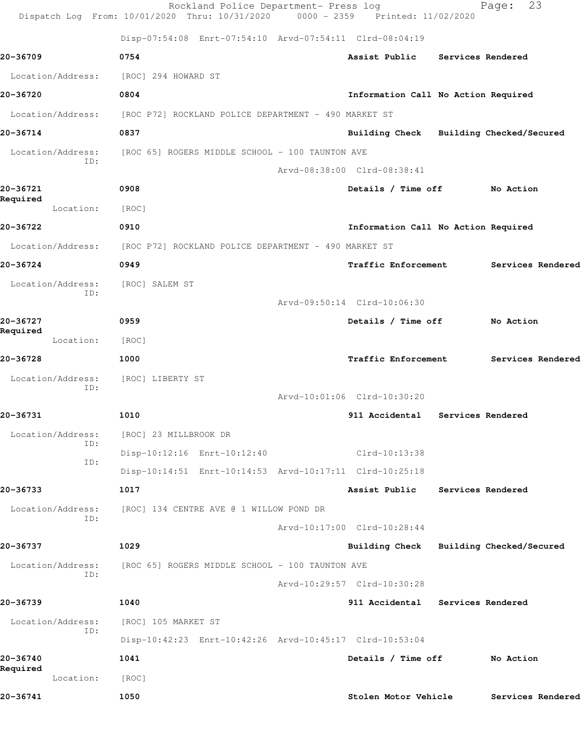|                          | Rockland Police Department- Press log<br>Dispatch Log From: 10/01/2020 Thru: 10/31/2020 0000 - 2359 Printed: 11/02/2020 |                                         | 23<br>Page:              |
|--------------------------|-------------------------------------------------------------------------------------------------------------------------|-----------------------------------------|--------------------------|
|                          | Disp-07:54:08 Enrt-07:54:10 Arvd-07:54:11 Clrd-08:04:19                                                                 |                                         |                          |
| 20-36709                 | 0754                                                                                                                    | Assist Public                           | Services Rendered        |
| Location/Address:        | [ROC] 294 HOWARD ST                                                                                                     |                                         |                          |
| 20-36720                 | 0804                                                                                                                    | Information Call No Action Required     |                          |
| Location/Address:        | [ROC P72] ROCKLAND POLICE DEPARTMENT - 490 MARKET ST                                                                    |                                         |                          |
| 20-36714                 | 0837                                                                                                                    | Building Check Building Checked/Secured |                          |
| Location/Address:        | [ROC 65] ROGERS MIDDLE SCHOOL - 100 TAUNTON AVE                                                                         |                                         |                          |
| ID:                      |                                                                                                                         | Arvd-08:38:00 Clrd-08:38:41             |                          |
| 20-36721                 | 0908                                                                                                                    | Details / Time off                      | No Action                |
| Required<br>Location:    | [ROC]                                                                                                                   |                                         |                          |
| 20-36722                 | 0910                                                                                                                    | Information Call No Action Required     |                          |
| Location/Address:        | [ROC P72] ROCKLAND POLICE DEPARTMENT - 490 MARKET ST                                                                    |                                         |                          |
| 20-36724                 | 0949                                                                                                                    | <b>Traffic Enforcement</b>              | Services Rendered        |
| Location/Address:        | [ROC] SALEM ST                                                                                                          |                                         |                          |
| ID:                      |                                                                                                                         | Arvd-09:50:14 Clrd-10:06:30             |                          |
| 20-36727<br>Required     | 0959                                                                                                                    | Details / Time off                      | No Action                |
| Location:                | [ROC]                                                                                                                   |                                         |                          |
| 20-36728                 | 1000                                                                                                                    | Traffic Enforcement                     | Services Rendered        |
| Location/Address:<br>ID: | [ROC] LIBERTY ST                                                                                                        |                                         |                          |
|                          |                                                                                                                         | Arvd-10:01:06 Clrd-10:30:20             |                          |
| 20-36731                 | 1010                                                                                                                    | 911 Accidental Services Rendered        |                          |
| Location/Address:<br>ID: | [ROC] 23 MILLBROOK DR                                                                                                   |                                         |                          |
| ID:                      | Disp-10:12:16 Enrt-10:12:40                                                                                             | Clrd-10:13:38                           |                          |
|                          | Disp-10:14:51 Enrt-10:14:53 Arvd-10:17:11 Clrd-10:25:18                                                                 |                                         |                          |
| 20-36733                 | 1017                                                                                                                    | Assist Public                           | Services Rendered        |
| Location/Address:<br>ID: | [ROC] 134 CENTRE AVE @ 1 WILLOW POND DR                                                                                 |                                         |                          |
|                          |                                                                                                                         | Arvd-10:17:00 Clrd-10:28:44             |                          |
| 20-36737                 | 1029                                                                                                                    | <b>Building Check</b>                   | Building Checked/Secured |
| Location/Address:<br>ID: | [ROC 65] ROGERS MIDDLE SCHOOL - 100 TAUNTON AVE                                                                         |                                         |                          |
|                          |                                                                                                                         | Arvd-10:29:57 Clrd-10:30:28             |                          |
| 20-36739                 | 1040                                                                                                                    | 911 Accidental                          | Services Rendered        |
| Location/Address:<br>ID: | [ROC] 105 MARKET ST                                                                                                     |                                         |                          |
|                          | Disp-10:42:23 Enrt-10:42:26 Arvd-10:45:17 Clrd-10:53:04                                                                 |                                         |                          |
| 20-36740<br>Required     | 1041                                                                                                                    | Details / Time off                      | No Action                |
| Location:                | [ROC]                                                                                                                   |                                         |                          |
| 20-36741                 | 1050                                                                                                                    | Stolen Motor Vehicle                    | Services Rendered        |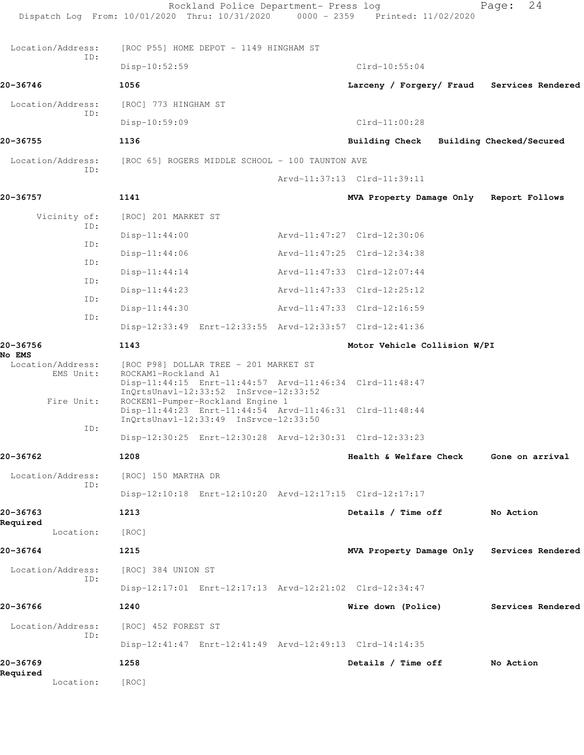|                                | Rockland Police Department- Press log<br>Dispatch Log From: 10/01/2020 Thru: 10/31/2020 0000 - 2359 Printed: 11/02/2020                                                       |                                            | 24<br>Page:              |
|--------------------------------|-------------------------------------------------------------------------------------------------------------------------------------------------------------------------------|--------------------------------------------|--------------------------|
| Location/Address:              | [ROC P55] HOME DEPOT - 1149 HINGHAM ST                                                                                                                                        |                                            |                          |
| ID:                            | Disp-10:52:59                                                                                                                                                                 | $Clrd-10:55:04$                            |                          |
| 20-36746                       | 1056                                                                                                                                                                          | Larceny / Forgery/ Fraud Services Rendered |                          |
| Location/Address:              | [ROC] 773 HINGHAM ST                                                                                                                                                          |                                            |                          |
| ID:                            | Disp-10:59:09                                                                                                                                                                 | $Clrd-11:00:28$                            |                          |
| 20-36755                       | 1136                                                                                                                                                                          | <b>Building Check</b>                      | Building Checked/Secured |
| Location/Address:              | [ROC 65] ROGERS MIDDLE SCHOOL - 100 TAUNTON AVE                                                                                                                               |                                            |                          |
| ID:                            |                                                                                                                                                                               | Arvd-11:37:13 Clrd-11:39:11                |                          |
| 20-36757                       | 1141                                                                                                                                                                          | MVA Property Damage Only                   | Report Follows           |
| Vicinity of:                   | [ROC] 201 MARKET ST                                                                                                                                                           |                                            |                          |
| ID:                            | $Disp-11:44:00$                                                                                                                                                               | Arvd-11:47:27 Clrd-12:30:06                |                          |
| ID:                            | $Disp-11:44:06$                                                                                                                                                               | Arvd-11:47:25 Clrd-12:34:38                |                          |
| ID:                            | $Disp-11:44:14$                                                                                                                                                               | Arvd-11:47:33 Clrd-12:07:44                |                          |
| ID:                            |                                                                                                                                                                               | Arvd-11:47:33 Clrd-12:25:12                |                          |
| ID:                            | $Disp-11:44:23$                                                                                                                                                               |                                            |                          |
| ID:                            | $Disp-11:44:30$                                                                                                                                                               | Arvd-11:47:33 Clrd-12:16:59                |                          |
|                                | Disp-12:33:49 Enrt-12:33:55 Arvd-12:33:57 Clrd-12:41:36                                                                                                                       |                                            |                          |
| 20-36756<br><b>No EMS</b>      | 1143                                                                                                                                                                          | Motor Vehicle Collision W/PI               |                          |
| Location/Address:<br>EMS Unit: | [ROC P98] DOLLAR TREE - 201 MARKET ST<br>ROCKAM1-Rockland A1<br>Disp-11:44:15 Enrt-11:44:57 Arvd-11:46:34 Clrd-11:48:47                                                       |                                            |                          |
| Fire Unit:                     | InOrtsUnav1-12:33:52 InSrvce-12:33:52<br>ROCKEN1-Pumper-Rockland Engine 1<br>Disp-11:44:23 Enrt-11:44:54 Arvd-11:46:31 Clrd-11:48:44<br>InQrtsUnavl-12:33:49 InSrvce-12:33:50 |                                            |                          |
| ID:                            | Disp-12:30:25 Enrt-12:30:28 Arvd-12:30:31 Clrd-12:33:23                                                                                                                       |                                            |                          |
| 20-36762                       | 1208                                                                                                                                                                          | Health & Welfare Check                     | Gone on arrival          |
|                                |                                                                                                                                                                               |                                            |                          |
| Location/Address:<br>ID:       | [ROC] 150 MARTHA DR                                                                                                                                                           |                                            |                          |
|                                | Disp-12:10:18 Enrt-12:10:20 Arvd-12:17:15 Clrd-12:17:17                                                                                                                       |                                            |                          |
| 20-36763<br>Required           | 1213                                                                                                                                                                          | Details / Time off                         | No Action                |
| Location:                      | [ROC]                                                                                                                                                                         |                                            |                          |
| 20-36764                       | 1215                                                                                                                                                                          | MVA Property Damage Only Services Rendered |                          |
| Location/Address:<br>ID:       | [ROC] 384 UNION ST                                                                                                                                                            |                                            |                          |
|                                | Disp-12:17:01 Enrt-12:17:13 Arvd-12:21:02 Clrd-12:34:47                                                                                                                       |                                            |                          |
| 20-36766                       | 1240                                                                                                                                                                          | Wire down (Police)                         | Services Rendered        |
| Location/Address:<br>ID:       | [ROC] 452 FOREST ST                                                                                                                                                           |                                            |                          |
|                                | Disp-12:41:47 Enrt-12:41:49 Arvd-12:49:13 Clrd-14:14:35                                                                                                                       |                                            |                          |
| 20-36769<br>Required           | 1258                                                                                                                                                                          | Details / Time off                         | No Action                |
| Location:                      | [ROC]                                                                                                                                                                         |                                            |                          |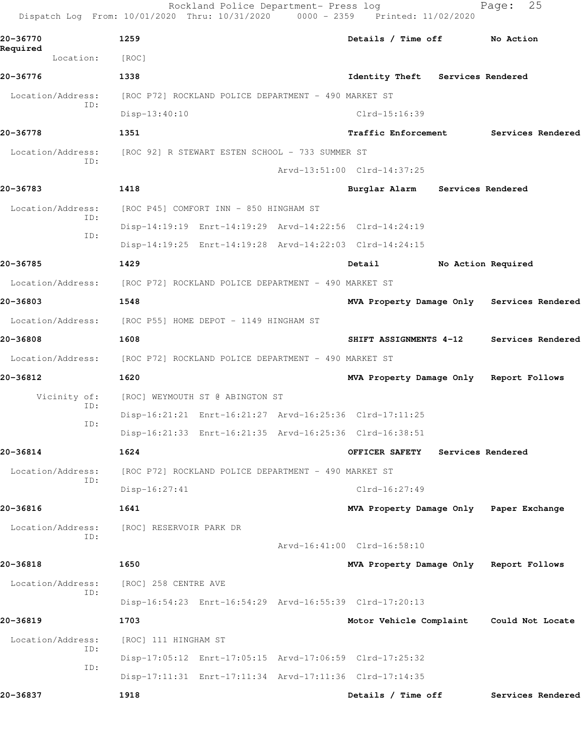| Dispatch Log From: 10/01/2020 Thru: 10/31/2020 0000 - 2359 Printed: 11/02/2020 |                                                      | Rockland Police Department- Press log                |                                                         |                   | 25<br>Page:                                |
|--------------------------------------------------------------------------------|------------------------------------------------------|------------------------------------------------------|---------------------------------------------------------|-------------------|--------------------------------------------|
| 20-36770                                                                       | 1259                                                 |                                                      | Details / Time off                                      |                   | No Action                                  |
| Required<br>Location:                                                          | [ROC]                                                |                                                      |                                                         |                   |                                            |
| 20-36776                                                                       | 1338                                                 |                                                      | Identity Theft                                          | Services Rendered |                                            |
| Location/Address:                                                              | [ROC P72] ROCKLAND POLICE DEPARTMENT - 490 MARKET ST |                                                      |                                                         |                   |                                            |
| ID:                                                                            | $Disp-13:40:10$                                      |                                                      | $Clrd-15:16:39$                                         |                   |                                            |
| 20-36778                                                                       | 1351                                                 |                                                      | <b>Traffic Enforcement</b>                              |                   | Services Rendered                          |
| Location/Address:                                                              | [ROC 92] R STEWART ESTEN SCHOOL - 733 SUMMER ST      |                                                      |                                                         |                   |                                            |
| ID:                                                                            |                                                      |                                                      | Arvd-13:51:00 Clrd-14:37:25                             |                   |                                            |
| 20-36783                                                                       | 1418                                                 |                                                      | Burglar Alarm Services Rendered                         |                   |                                            |
| Location/Address:                                                              |                                                      | [ROC P45] COMFORT INN - 850 HINGHAM ST               |                                                         |                   |                                            |
| ID:                                                                            |                                                      |                                                      | Disp-14:19:19 Enrt-14:19:29 Arvd-14:22:56 Clrd-14:24:19 |                   |                                            |
| ID:                                                                            |                                                      |                                                      | Disp-14:19:25 Enrt-14:19:28 Arvd-14:22:03 Clrd-14:24:15 |                   |                                            |
| 20-36785                                                                       | 1429                                                 |                                                      | Detail                                                  |                   | No Action Required                         |
| Location/Address:                                                              | [ROC P72] ROCKLAND POLICE DEPARTMENT - 490 MARKET ST |                                                      |                                                         |                   |                                            |
| 20-36803                                                                       | 1548                                                 |                                                      |                                                         |                   | MVA Property Damage Only Services Rendered |
| Location/Address:                                                              | [ROC P55] HOME DEPOT - 1149 HINGHAM ST               |                                                      |                                                         |                   |                                            |
| 20-36808                                                                       | 1608                                                 |                                                      | SHIFT ASSIGNMENTS 4-12                                  |                   | Services Rendered                          |
| Location/Address:                                                              | [ROC P72] ROCKLAND POLICE DEPARTMENT - 490 MARKET ST |                                                      |                                                         |                   |                                            |
| 20-36812                                                                       | 1620                                                 |                                                      | MVA Property Damage Only Report Follows                 |                   |                                            |
| Vicinity of:                                                                   |                                                      | [ROC] WEYMOUTH ST @ ABINGTON ST                      |                                                         |                   |                                            |
| ID:                                                                            |                                                      |                                                      | Disp-16:21:21 Enrt-16:21:27 Arvd-16:25:36 Clrd-17:11:25 |                   |                                            |
| ID:                                                                            |                                                      |                                                      | Disp-16:21:33 Enrt-16:21:35 Arvd-16:25:36 Clrd-16:38:51 |                   |                                            |
| 20-36814                                                                       | 1624                                                 |                                                      | OFFICER SAFETY                                          | Services Rendered |                                            |
| Location/Address:<br>ID:                                                       |                                                      | [ROC P72] ROCKLAND POLICE DEPARTMENT - 490 MARKET ST |                                                         |                   |                                            |
|                                                                                | $Disp-16:27:41$                                      |                                                      | $Clrd-16:27:49$                                         |                   |                                            |
| 20-36816                                                                       | 1641                                                 |                                                      | MVA Property Damage Only Paper Exchange                 |                   |                                            |
| Location/Address:<br>ID:                                                       | [ROC] RESERVOIR PARK DR                              |                                                      |                                                         |                   |                                            |
|                                                                                |                                                      |                                                      | Aryd-16:41:00 Clrd-16:58:10                             |                   |                                            |
| 20-36818                                                                       | 1650                                                 |                                                      | MVA Property Damage Only Report Follows                 |                   |                                            |
| Location/Address:<br>ID:                                                       | [ROC] 258 CENTRE AVE                                 |                                                      |                                                         |                   |                                            |
|                                                                                |                                                      |                                                      | Disp-16:54:23 Enrt-16:54:29 Arvd-16:55:39 Clrd-17:20:13 |                   |                                            |
| 20-36819                                                                       | 1703                                                 |                                                      | Motor Vehicle Complaint                                 |                   | Could Not Locate                           |
| Location/Address:<br>ID:                                                       | [ROC] 111 HINGHAM ST                                 |                                                      |                                                         |                   |                                            |
| ID:                                                                            |                                                      |                                                      | Disp-17:05:12 Enrt-17:05:15 Arvd-17:06:59 Clrd-17:25:32 |                   |                                            |
|                                                                                |                                                      |                                                      | Disp-17:11:31 Enrt-17:11:34 Arvd-17:11:36 Clrd-17:14:35 |                   |                                            |
| 20-36837                                                                       | 1918                                                 |                                                      | Details / Time off                                      |                   | Services Rendered                          |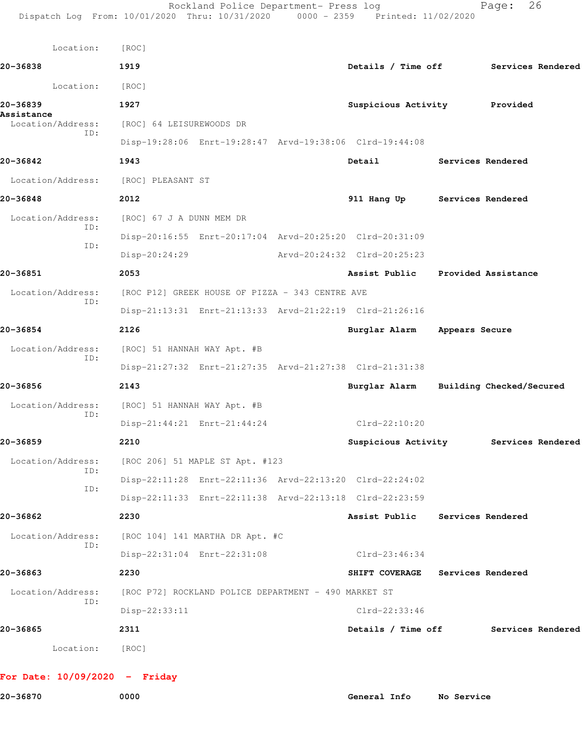| Location:                                                | [ROC]                                                |                             |                                                         |            |                                        |
|----------------------------------------------------------|------------------------------------------------------|-----------------------------|---------------------------------------------------------|------------|----------------------------------------|
| 20-36838                                                 | 1919                                                 |                             |                                                         |            | Details / Time off Services Rendered   |
| Location:                                                | [ROC]                                                |                             |                                                         |            |                                        |
| 20-36839                                                 | 1927                                                 |                             | Suspicious Activity Provided                            |            |                                        |
| Assistance<br>Location/Address:                          | [ROC] 64 LEISUREWOODS DR                             |                             |                                                         |            |                                        |
| ID:                                                      |                                                      |                             | Disp-19:28:06 Enrt-19:28:47 Arvd-19:38:06 Clrd-19:44:08 |            |                                        |
| 20-36842                                                 | 1943                                                 |                             | <b>Detail</b>                                           |            | Services Rendered                      |
| Location/Address: [ROC] PLEASANT ST                      |                                                      |                             |                                                         |            |                                        |
| 20-36848                                                 | 2012                                                 |                             | 911 Hang Up Services Rendered                           |            |                                        |
| Location/Address:<br>ID:                                 | [ROC] 67 J A DUNN MEM DR                             |                             |                                                         |            |                                        |
| ID:                                                      |                                                      |                             | Disp-20:16:55 Enrt-20:17:04 Arvd-20:25:20 Clrd-20:31:09 |            |                                        |
|                                                          | Disp-20:24:29                                        |                             | Arvd-20:24:32 Clrd-20:25:23                             |            |                                        |
| 20-36851                                                 | 2053                                                 |                             | Assist Public Provided Assistance                       |            |                                        |
| Location/Address:<br>ID:                                 | [ROC P12] GREEK HOUSE OF PIZZA - 343 CENTRE AVE      |                             |                                                         |            |                                        |
|                                                          |                                                      |                             | Disp-21:13:31 Enrt-21:13:33 Arvd-21:22:19 Clrd-21:26:16 |            |                                        |
| 20-36854                                                 | 2126                                                 |                             | Burglar Alarm Appears Secure                            |            |                                        |
| Location/Address:<br>ID:                                 | [ROC] 51 HANNAH WAY Apt. #B                          |                             |                                                         |            |                                        |
|                                                          |                                                      |                             | Disp-21:27:32 Enrt-21:27:35 Arvd-21:27:38 Clrd-21:31:38 |            |                                        |
| 20-36856                                                 | 2143                                                 |                             |                                                         |            | Burglar Alarm Building Checked/Secured |
| Location/Address:<br>ID:                                 | [ROC] 51 HANNAH WAY Apt. #B                          |                             |                                                         |            |                                        |
|                                                          |                                                      | Disp-21:44:21 Enrt-21:44:24 | $Clrd-22:10:20$                                         |            |                                        |
| 20-36859                                                 | 2210                                                 |                             |                                                         |            | Suspicious Activity Services Rendered  |
| Location/Address: [ROC 206] 51 MAPLE ST Apt. #123<br>ID: |                                                      |                             |                                                         |            |                                        |
| ID:                                                      |                                                      |                             | Disp-22:11:28 Enrt-22:11:36 Arvd-22:13:20 Clrd-22:24:02 |            |                                        |
|                                                          |                                                      |                             | Disp-22:11:33 Enrt-22:11:38 Arvd-22:13:18 Clrd-22:23:59 |            |                                        |
| 20-36862                                                 | 2230                                                 |                             | Assist Public                                           |            | Services Rendered                      |
| Location/Address:<br>ID:                                 | [ROC 104] 141 MARTHA DR Apt. #C                      |                             |                                                         |            |                                        |
|                                                          |                                                      | Disp-22:31:04 Enrt-22:31:08 | Clrd-23:46:34                                           |            |                                        |
| 20-36863                                                 | 2230                                                 |                             | SHIFT COVERAGE                                          |            | Services Rendered                      |
| Location/Address:<br>ID:                                 | [ROC P72] ROCKLAND POLICE DEPARTMENT - 490 MARKET ST |                             |                                                         |            |                                        |
|                                                          | $Disp-22:33:11$                                      |                             | Clrd-22:33:46                                           |            |                                        |
| 20-36865                                                 | 2311                                                 |                             | Details / Time off                                      |            | Services Rendered                      |
| Location:                                                | [ROC]                                                |                             |                                                         |            |                                        |
| For Date: $10/09/2020 -$ Friday                          |                                                      |                             |                                                         |            |                                        |
| 20-36870                                                 | 0000                                                 |                             | General Info                                            | No Service |                                        |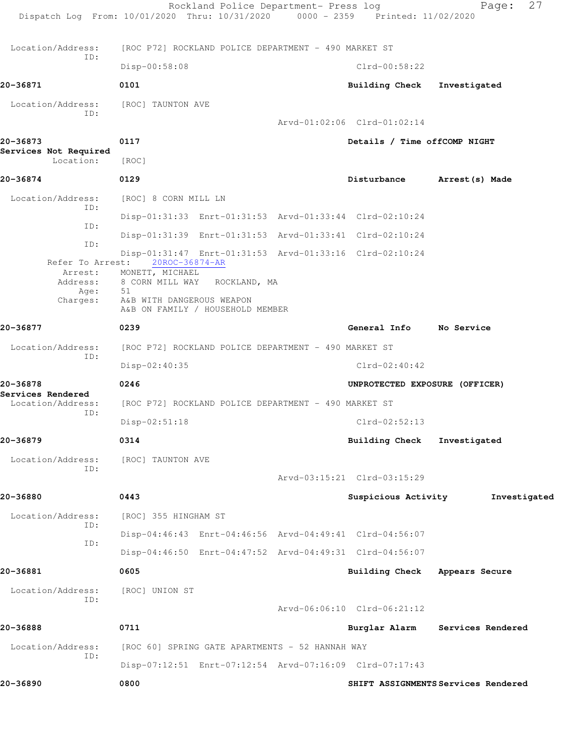|                                        | Rockland Police Department- Press log<br>Dispatch Log From: 10/01/2020 Thru: 10/31/2020 0000 - 2359 Printed: 11/02/2020 |                                | 27<br>Page:                         |
|----------------------------------------|-------------------------------------------------------------------------------------------------------------------------|--------------------------------|-------------------------------------|
| Location/Address:                      | [ROC P72] ROCKLAND POLICE DEPARTMENT - 490 MARKET ST                                                                    |                                |                                     |
| ID:                                    | Disp-00:58:08                                                                                                           | $Clrd-00:58:22$                |                                     |
| 20-36871                               | 0101                                                                                                                    | <b>Building Check</b>          | Investigated                        |
| Location/Address:<br>ID:               | [ROC] TAUNTON AVE                                                                                                       |                                |                                     |
|                                        |                                                                                                                         | Arvd-01:02:06 Clrd-01:02:14    |                                     |
| 20-36873                               | 0117                                                                                                                    | Details / Time offCOMP NIGHT   |                                     |
| Services Not Required<br>Location:     | [ROC]                                                                                                                   |                                |                                     |
| 20-36874                               | 0129                                                                                                                    | Disturbance                    | Arrest (s) Made                     |
| Location/Address:                      | [ROC] 8 CORN MILL LN                                                                                                    |                                |                                     |
| ID:                                    | Disp-01:31:33 Enrt-01:31:53 Arvd-01:33:44 Clrd-02:10:24                                                                 |                                |                                     |
| ID:                                    | Disp-01:31:39 Enrt-01:31:53 Arvd-01:33:41 Clrd-02:10:24                                                                 |                                |                                     |
| ID:                                    | Disp-01:31:47 Enrt-01:31:53 Arvd-01:33:16 Clrd-02:10:24                                                                 |                                |                                     |
| Refer To Arrest:<br>Address:           | 20ROC-36874-AR<br>Arrest: MONETT, MICHAEL<br>8 CORN MILL WAY<br>ROCKLAND, MA                                            |                                |                                     |
| Age:<br>Charges:                       | 51<br>A&B WITH DANGEROUS WEAPON<br>A&B ON FAMILY / HOUSEHOLD MEMBER                                                     |                                |                                     |
| 20-36877                               | 0239                                                                                                                    | General Info No Service        |                                     |
| Location/Address:                      | [ROC P72] ROCKLAND POLICE DEPARTMENT - 490 MARKET ST                                                                    |                                |                                     |
| ID:                                    | Disp-02:40:35                                                                                                           | $Clrd-02:40:42$                |                                     |
| 20-36878                               | 0246                                                                                                                    | UNPROTECTED EXPOSURE (OFFICER) |                                     |
| Services Rendered<br>Location/Address: | [ROC P72] ROCKLAND POLICE DEPARTMENT - 490 MARKET ST                                                                    |                                |                                     |
| ID:                                    | $Disp-02:51:18$                                                                                                         | $Clrd-02:52:13$                |                                     |
| 20-36879                               | 0314                                                                                                                    | <b>Building Check</b>          | Investigated                        |
| Location/Address:                      | [ROC] TAUNTON AVE                                                                                                       |                                |                                     |
| ID:                                    |                                                                                                                         | Arvd-03:15:21 Clrd-03:15:29    |                                     |
| 20-36880                               | 0443                                                                                                                    | Suspicious Activity            | Investigated                        |
| Location/Address:                      | [ROC] 355 HINGHAM ST                                                                                                    |                                |                                     |
| ID:                                    | Disp-04:46:43 Enrt-04:46:56 Arvd-04:49:41 Clrd-04:56:07                                                                 |                                |                                     |
| ID:                                    | Disp-04:46:50 Enrt-04:47:52 Arvd-04:49:31 Clrd-04:56:07                                                                 |                                |                                     |
| 20-36881                               | 0605                                                                                                                    | Building Check Appears Secure  |                                     |
| Location/Address:<br>ID:               | [ROC] UNION ST                                                                                                          |                                |                                     |
|                                        |                                                                                                                         | Arvd-06:06:10 Clrd-06:21:12    |                                     |
| 20-36888                               | 0711                                                                                                                    |                                | Burglar Alarm Services Rendered     |
| Location/Address:<br>ID:               | [ROC 60] SPRING GATE APARTMENTS - 52 HANNAH WAY                                                                         |                                |                                     |
|                                        | Disp-07:12:51 Enrt-07:12:54 Arvd-07:16:09 Clrd-07:17:43                                                                 |                                |                                     |
| 20-36890                               | 0800                                                                                                                    |                                | SHIFT ASSIGNMENTS Services Rendered |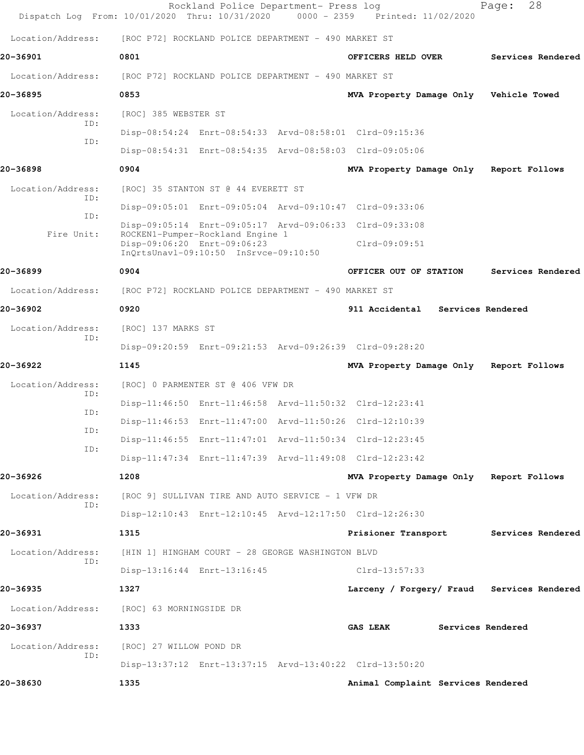| Dispatch Log From: 10/01/2020 Thru: 10/31/2020 |                                                      | Rockland Police Department- Press log                                | 0000 - 2359 Printed: 11/02/2020                         |                   | 28<br>Page:       |  |
|------------------------------------------------|------------------------------------------------------|----------------------------------------------------------------------|---------------------------------------------------------|-------------------|-------------------|--|
| Location/Address:                              | [ROC P72] ROCKLAND POLICE DEPARTMENT - 490 MARKET ST |                                                                      |                                                         |                   |                   |  |
| 20-36901                                       | 0801                                                 |                                                                      | OFFICERS HELD OVER                                      |                   | Services Rendered |  |
| Location/Address:                              |                                                      | [ROC P72] ROCKLAND POLICE DEPARTMENT - 490 MARKET ST                 |                                                         |                   |                   |  |
| 20-36895                                       | 0853                                                 |                                                                      | MVA Property Damage Only Vehicle Towed                  |                   |                   |  |
| Location/Address:                              | [ROC] 385 WEBSTER ST                                 |                                                                      |                                                         |                   |                   |  |
| ID:                                            |                                                      |                                                                      | Disp-08:54:24 Enrt-08:54:33 Arvd-08:58:01 Clrd-09:15:36 |                   |                   |  |
| ID:                                            |                                                      |                                                                      | Disp-08:54:31 Enrt-08:54:35 Arvd-08:58:03 Clrd-09:05:06 |                   |                   |  |
| 20-36898                                       | 0904                                                 |                                                                      | MVA Property Damage Only Report Follows                 |                   |                   |  |
| Location/Address:<br>TD:                       |                                                      | [ROC] 35 STANTON ST @ 44 EVERETT ST                                  |                                                         |                   |                   |  |
| ID:                                            |                                                      |                                                                      | Disp-09:05:01 Enrt-09:05:04 Arvd-09:10:47 Clrd-09:33:06 |                   |                   |  |
| Fire Unit:                                     |                                                      | ROCKEN1-Pumper-Rockland Engine 1                                     | Disp-09:05:14 Enrt-09:05:17 Arvd-09:06:33 Clrd-09:33:08 |                   |                   |  |
|                                                |                                                      | Disp-09:06:20 Enrt-09:06:23<br>InQrtsUnavl-09:10:50 InSrvce-09:10:50 | $Clrd-09:09:51$                                         |                   |                   |  |
| 20-36899                                       | 0904                                                 |                                                                      | OFFICER OUT OF STATION                                  |                   | Services Rendered |  |
| Location/Address:                              |                                                      | [ROC P72] ROCKLAND POLICE DEPARTMENT - 490 MARKET ST                 |                                                         |                   |                   |  |
| 20-36902                                       | 0920                                                 |                                                                      | 911 Accidental Services Rendered                        |                   |                   |  |
| Location/Address:<br>ID:                       | [ROC] 137 MARKS ST                                   |                                                                      |                                                         |                   |                   |  |
|                                                |                                                      |                                                                      | Disp-09:20:59 Enrt-09:21:53 Arvd-09:26:39 Clrd-09:28:20 |                   |                   |  |
| 20-36922                                       | 1145                                                 |                                                                      | MVA Property Damage Only Report Follows                 |                   |                   |  |
| Location/Address:<br>ID:                       |                                                      | [ROC] 0 PARMENTER ST @ 406 VFW DR                                    |                                                         |                   |                   |  |
| ID:                                            |                                                      |                                                                      | Disp-11:46:50 Enrt-11:46:58 Arvd-11:50:32 Clrd-12:23:41 |                   |                   |  |
| ID:                                            |                                                      |                                                                      | Disp-11:46:53 Enrt-11:47:00 Arvd-11:50:26 Clrd-12:10:39 |                   |                   |  |
| ID:                                            |                                                      |                                                                      | Disp-11:46:55 Enrt-11:47:01 Arvd-11:50:34 Clrd-12:23:45 |                   |                   |  |
|                                                |                                                      |                                                                      | Disp-11:47:34 Enrt-11:47:39 Arvd-11:49:08 Clrd-12:23:42 |                   |                   |  |
| 20-36926                                       | 1208                                                 |                                                                      | MVA Property Damage Only Report Follows                 |                   |                   |  |
| Location/Address:<br>ID:                       |                                                      | [ROC 9] SULLIVAN TIRE AND AUTO SERVICE - 1 VFW DR                    |                                                         |                   |                   |  |
|                                                |                                                      |                                                                      | Disp-12:10:43 Enrt-12:10:45 Arvd-12:17:50 Clrd-12:26:30 |                   |                   |  |
| 20-36931                                       | 1315                                                 |                                                                      | Prisioner Transport                                     |                   | Services Rendered |  |
| Location/Address:<br>ID:                       |                                                      | [HIN 1] HINGHAM COURT - 28 GEORGE WASHINGTON BLVD                    |                                                         |                   |                   |  |
|                                                |                                                      | Disp-13:16:44 Enrt-13:16:45                                          | Clrd-13:57:33                                           |                   |                   |  |
| 20-36935                                       | 1327                                                 |                                                                      | Larceny / Forgery/ Fraud Services Rendered              |                   |                   |  |
| Location/Address:                              | [ROC] 63 MORNINGSIDE DR                              |                                                                      |                                                         |                   |                   |  |
| 20-36937                                       | 1333                                                 |                                                                      | <b>GAS LEAK</b>                                         | Services Rendered |                   |  |
| Location/Address:<br>ID:                       | [ROC] 27 WILLOW POND DR                              |                                                                      |                                                         |                   |                   |  |
|                                                |                                                      |                                                                      | Disp-13:37:12 Enrt-13:37:15 Arvd-13:40:22 Clrd-13:50:20 |                   |                   |  |
| 20-38630                                       | 1335                                                 |                                                                      | Animal Complaint Services Rendered                      |                   |                   |  |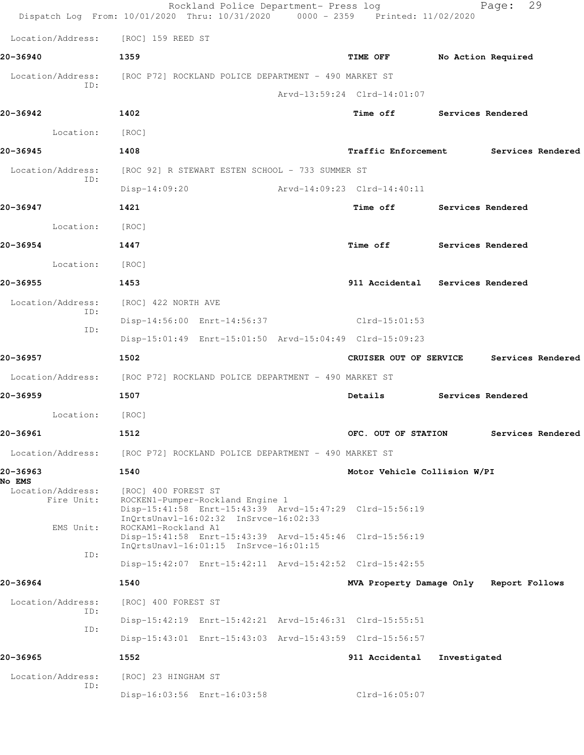| Dispatch Log From: 10/01/2020 Thru: 10/31/2020 0000 - 2359 Printed: 11/02/2020 |                                                      | Rockland Police Department- Press log                                     |                                                         |                          | 29<br>Page:        |  |
|--------------------------------------------------------------------------------|------------------------------------------------------|---------------------------------------------------------------------------|---------------------------------------------------------|--------------------------|--------------------|--|
| Location/Address: [ROC] 159 REED ST                                            |                                                      |                                                                           |                                                         |                          |                    |  |
| 20-36940                                                                       | 1359                                                 |                                                                           | TIME OFF                                                |                          | No Action Required |  |
| Location/Address:<br>ID:                                                       | [ROC P72] ROCKLAND POLICE DEPARTMENT - 490 MARKET ST |                                                                           | Arvd-13:59:24 Clrd-14:01:07                             |                          |                    |  |
| 20-36942                                                                       | 1402                                                 |                                                                           | Time off Services Rendered                              |                          |                    |  |
| Location:                                                                      | [ROC]                                                |                                                                           |                                                         |                          |                    |  |
| 20-36945                                                                       | 1408                                                 |                                                                           | Traffic Enforcement Services Rendered                   |                          |                    |  |
| Location/Address:                                                              | [ROC 92] R STEWART ESTEN SCHOOL - 733 SUMMER ST      |                                                                           |                                                         |                          |                    |  |
| ID:                                                                            | $Disp-14:09:20$                                      |                                                                           | Arvd-14:09:23 Clrd-14:40:11                             |                          |                    |  |
| 20-36947                                                                       | 1421                                                 |                                                                           | <b>Time off</b>                                         | Services Rendered        |                    |  |
| Location:                                                                      | [ROC]                                                |                                                                           |                                                         |                          |                    |  |
| 20-36954                                                                       | 1447                                                 |                                                                           | Time off Services Rendered                              |                          |                    |  |
| Location:                                                                      | [ROC]                                                |                                                                           |                                                         |                          |                    |  |
| 20-36955                                                                       | 1453                                                 |                                                                           | 911 Accidental Services Rendered                        |                          |                    |  |
| Location/Address:                                                              | [ROC] 422 NORTH AVE                                  |                                                                           |                                                         |                          |                    |  |
| ID:                                                                            |                                                      |                                                                           | Disp-14:56:00 Enrt-14:56:37 Clrd-15:01:53               |                          |                    |  |
| ID:                                                                            |                                                      |                                                                           | Disp-15:01:49 Enrt-15:01:50 Arvd-15:04:49 Clrd-15:09:23 |                          |                    |  |
| 20-36957                                                                       | 1502                                                 |                                                                           | CRUISER OUT OF SERVICE                                  |                          | Services Rendered  |  |
| Location/Address: [ROC P72] ROCKLAND POLICE DEPARTMENT - 490 MARKET ST         |                                                      |                                                                           |                                                         |                          |                    |  |
| 20-36959                                                                       | 1507                                                 |                                                                           | Details                                                 | <b>Services Rendered</b> |                    |  |
| Location:                                                                      | [ROC]                                                |                                                                           |                                                         |                          |                    |  |
| 20-36961                                                                       | 1512                                                 |                                                                           | OFC. OUT OF STATION                                     |                          | Services Rendered  |  |
| Location/Address:                                                              | [ROC P72] ROCKLAND POLICE DEPARTMENT - 490 MARKET ST |                                                                           |                                                         |                          |                    |  |
| 20-36963<br><b>No EMS</b>                                                      | 1540                                                 |                                                                           | Motor Vehicle Collision W/PI                            |                          |                    |  |
| Location/Address:<br>Fire Unit:<br>EMS Unit:                                   | [ROC] 400 FOREST ST<br>ROCKAM1-Rockland A1           | ROCKEN1-Pumper-Rockland Engine 1<br>InQrtsUnavl-16:02:32 InSrvce-16:02:33 | Disp-15:41:58 Enrt-15:43:39 Arvd-15:47:29 Clrd-15:56:19 |                          |                    |  |
| ID:                                                                            |                                                      | InQrtsUnavl-16:01:15 InSrvce-16:01:15                                     | Disp-15:41:58 Enrt-15:43:39 Arvd-15:45:46 Clrd-15:56:19 |                          |                    |  |
|                                                                                |                                                      |                                                                           | Disp-15:42:07 Enrt-15:42:11 Arvd-15:42:52 Clrd-15:42:55 |                          |                    |  |
| 20-36964                                                                       | 1540                                                 |                                                                           | MVA Property Damage Only Report Follows                 |                          |                    |  |
| Location/Address:<br>ID:                                                       | [ROC] 400 FOREST ST                                  |                                                                           |                                                         |                          |                    |  |
| ID:                                                                            |                                                      |                                                                           | Disp-15:42:19 Enrt-15:42:21 Arvd-15:46:31 Clrd-15:55:51 |                          |                    |  |
|                                                                                |                                                      |                                                                           | Disp-15:43:01 Enrt-15:43:03 Arvd-15:43:59 Clrd-15:56:57 |                          |                    |  |
| 20-36965                                                                       | 1552                                                 |                                                                           | 911 Accidental                                          | Investigated             |                    |  |
| Location/Address:<br>ID:                                                       | [ROC] 23 HINGHAM ST                                  |                                                                           |                                                         |                          |                    |  |
|                                                                                |                                                      | Disp-16:03:56 Enrt-16:03:58                                               | $Clrd-16:05:07$                                         |                          |                    |  |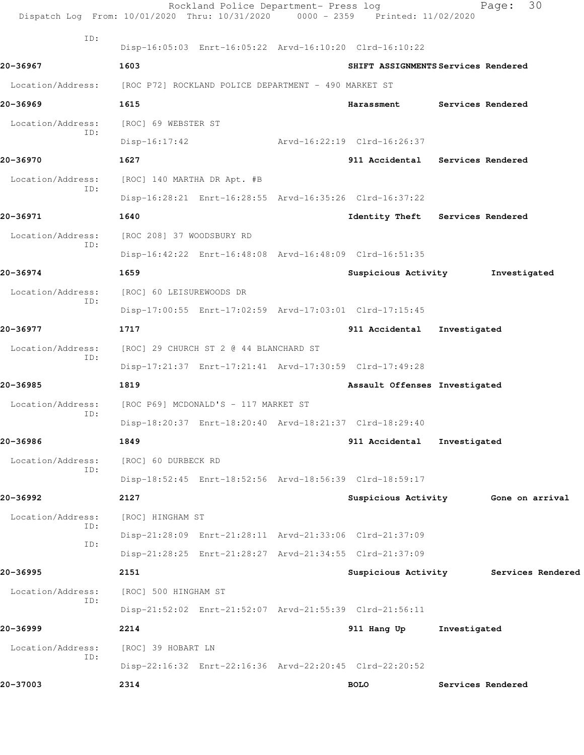|                   | Rockland Police Department- Press log<br>Dispatch Log From: 10/01/2020 Thru: 10/31/2020 0000 - 2359 Printed: 11/02/2020 |                               | 30<br>Page:                         |
|-------------------|-------------------------------------------------------------------------------------------------------------------------|-------------------------------|-------------------------------------|
| ID:               | Disp-16:05:03 Enrt-16:05:22 Arvd-16:10:20 Clrd-16:10:22                                                                 |                               |                                     |
| 20-36967          | 1603                                                                                                                    |                               | SHIFT ASSIGNMENTS Services Rendered |
| Location/Address: | [ROC P72] ROCKLAND POLICE DEPARTMENT - 490 MARKET ST                                                                    |                               |                                     |
| 20-36969          | 1615                                                                                                                    |                               | Harassment Services Rendered        |
| Location/Address: | [ROC] 69 WEBSTER ST                                                                                                     |                               |                                     |
| ID:               | $Disp-16:17:42$                                                                                                         | Arvd-16:22:19 Clrd-16:26:37   |                                     |
| 20-36970          | 1627                                                                                                                    |                               | 911 Accidental Services Rendered    |
| Location/Address: | [ROC] 140 MARTHA DR Apt. #B                                                                                             |                               |                                     |
| ID:               | Disp-16:28:21 Enrt-16:28:55 Arvd-16:35:26 Clrd-16:37:22                                                                 |                               |                                     |
| 20-36971          | 1640                                                                                                                    |                               | Identity Theft Services Rendered    |
| Location/Address: | [ROC 208] 37 WOODSBURY RD                                                                                               |                               |                                     |
| ID:               | Disp-16:42:22 Enrt-16:48:08 Arvd-16:48:09 Clrd-16:51:35                                                                 |                               |                                     |
| 20-36974          | 1659                                                                                                                    | Suspicious Activity           | Investigated                        |
| Location/Address: | [ROC] 60 LEISUREWOODS DR                                                                                                |                               |                                     |
| ID:               | Disp-17:00:55 Enrt-17:02:59 Arvd-17:03:01 Clrd-17:15:45                                                                 |                               |                                     |
| 20-36977          | 1717                                                                                                                    | 911 Accidental                | Investigated                        |
| Location/Address: | [ROC] 29 CHURCH ST 2 @ 44 BLANCHARD ST                                                                                  |                               |                                     |
| ID:               | Disp-17:21:37 Enrt-17:21:41 Arvd-17:30:59 Clrd-17:49:28                                                                 |                               |                                     |
| 20-36985          | 1819                                                                                                                    | Assault Offenses Investigated |                                     |
| Location/Address: | [ROC P69] MCDONALD'S - 117 MARKET ST                                                                                    |                               |                                     |
| ID:               | Disp-18:20:37 Enrt-18:20:40 Arvd-18:21:37 Clrd-18:29:40                                                                 |                               |                                     |
| 20-36986          | 1849                                                                                                                    | 911 Accidental                | Investigated                        |
| Location/Address: | [ROC] 60 DURBECK RD                                                                                                     |                               |                                     |
| ID:               | Disp-18:52:45 Enrt-18:52:56 Arvd-18:56:39 Clrd-18:59:17                                                                 |                               |                                     |
| 20-36992          | 2127                                                                                                                    |                               | Suspicious Activity Gone on arrival |
| Location/Address: | [ROC] HINGHAM ST                                                                                                        |                               |                                     |
| ID:               | Disp-21:28:09 Enrt-21:28:11 Arvd-21:33:06 Clrd-21:37:09                                                                 |                               |                                     |
| ID:               | Disp-21:28:25 Enrt-21:28:27 Arvd-21:34:55 Clrd-21:37:09                                                                 |                               |                                     |
| 20-36995          | 2151                                                                                                                    | Suspicious Activity           | Services Rendered                   |
| Location/Address: | [ROC] 500 HINGHAM ST                                                                                                    |                               |                                     |
| ID:               | Disp-21:52:02 Enrt-21:52:07 Arvd-21:55:39 Clrd-21:56:11                                                                 |                               |                                     |
| 20-36999          | 2214                                                                                                                    | 911 Hang Up                   | Investigated                        |
| Location/Address: | [ROC] 39 HOBART LN                                                                                                      |                               |                                     |
| ID:               | Disp-22:16:32 Enrt-22:16:36 Arvd-22:20:45 Clrd-22:20:52                                                                 |                               |                                     |
| 20-37003          | 2314                                                                                                                    | <b>BOLO</b>                   | Services Rendered                   |
|                   |                                                                                                                         |                               |                                     |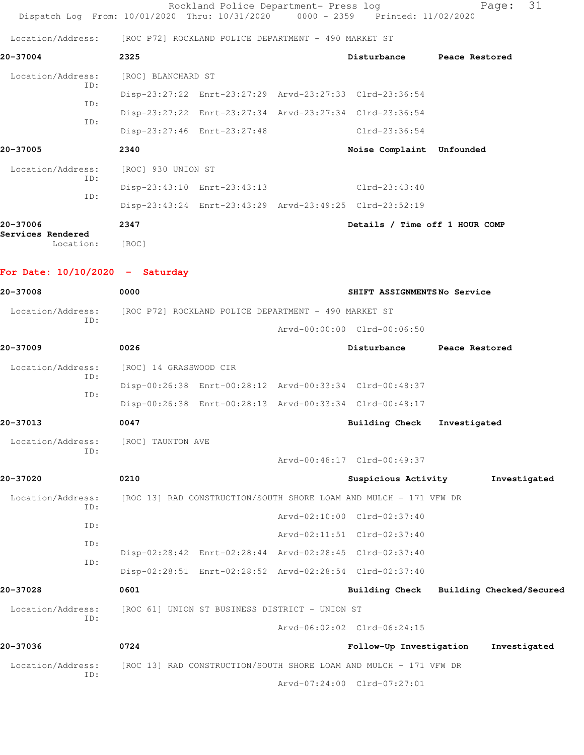| Dispatch Log From: 10/01/2020 Thru: 10/31/2020 0000 - 2359 Printed: 11/02/2020 |                                                | Rockland Police Department- Press log |                                                                   | 31<br>Page:              |
|--------------------------------------------------------------------------------|------------------------------------------------|---------------------------------------|-------------------------------------------------------------------|--------------------------|
| Location/Address: [ROC P72] ROCKLAND POLICE DEPARTMENT - 490 MARKET ST         |                                                |                                       |                                                                   |                          |
| 20-37004                                                                       | 2325                                           |                                       | Disturbance                                                       | Peace Restored           |
| Location/Address:                                                              | [ROC] BLANCHARD ST                             |                                       |                                                                   |                          |
| ID:                                                                            |                                                |                                       | Disp-23:27:22 Enrt-23:27:29 Arvd-23:27:33 Clrd-23:36:54           |                          |
| ID:                                                                            |                                                |                                       | Disp-23:27:22 Enrt-23:27:34 Arvd-23:27:34 Clrd-23:36:54           |                          |
| ID:                                                                            | Disp-23:27:46 Enrt-23:27:48                    |                                       | Clrd-23:36:54                                                     |                          |
| 20-37005                                                                       | 2340                                           |                                       | Noise Complaint Unfounded                                         |                          |
| Location/Address:                                                              | [ROC] 930 UNION ST                             |                                       |                                                                   |                          |
| ID:<br>ID:                                                                     | Disp-23:43:10 Enrt-23:43:13                    |                                       | Clrd-23:43:40                                                     |                          |
|                                                                                |                                                |                                       | Disp-23:43:24 Enrt-23:43:29 Arvd-23:49:25 Clrd-23:52:19           |                          |
| 20-37006                                                                       | 2347                                           |                                       | Details / Time off 1 HOUR COMP                                    |                          |
| Services Rendered<br>Location:                                                 | [ROC]                                          |                                       |                                                                   |                          |
| For Date: $10/10/2020 -$ Saturday                                              |                                                |                                       |                                                                   |                          |
| 20-37008                                                                       | 0000                                           |                                       | SHIFT ASSIGNMENTSNo Service                                       |                          |
| Location/Address: [ROC P72] ROCKLAND POLICE DEPARTMENT - 490 MARKET ST<br>ID:  |                                                |                                       |                                                                   |                          |
|                                                                                |                                                |                                       | Arvd-00:00:00 Clrd-00:06:50                                       |                          |
| 20-37009                                                                       | 0026                                           |                                       | Disturbance                                                       | Peace Restored           |
| Location/Address:<br>ID:                                                       | [ROC] 14 GRASSWOOD CIR                         |                                       |                                                                   |                          |
| ID:                                                                            |                                                |                                       | Disp-00:26:38 Enrt-00:28:12 Arvd-00:33:34 Clrd-00:48:37           |                          |
|                                                                                |                                                |                                       | Disp-00:26:38 Enrt-00:28:13 Arvd-00:33:34 Clrd-00:48:17           |                          |
| 20-37013                                                                       | 0047                                           |                                       | Building Check                                                    | Investigated             |
| Location/Address:<br>ID:                                                       | [ROC] TAUNTON AVE                              |                                       |                                                                   |                          |
|                                                                                |                                                |                                       | Arvd-00:48:17 Clrd-00:49:37                                       |                          |
| 20-37020                                                                       | 0210                                           |                                       | Suspicious Activity                                               | Investigated             |
| Location/Address:<br>ID:                                                       |                                                |                                       | [ROC 13] RAD CONSTRUCTION/SOUTH SHORE LOAM AND MULCH - 171 VFW DR |                          |
| ID:                                                                            |                                                |                                       | Arvd-02:10:00 Clrd-02:37:40                                       |                          |
| ID:                                                                            |                                                |                                       | Arvd-02:11:51 Clrd-02:37:40                                       |                          |
| ID:                                                                            |                                                |                                       | Disp-02:28:42 Enrt-02:28:44 Arvd-02:28:45 Clrd-02:37:40           |                          |
|                                                                                |                                                |                                       | Disp-02:28:51 Enrt-02:28:52 Arvd-02:28:54 Clrd-02:37:40           |                          |
| 20-37028                                                                       | 0601                                           |                                       | <b>Building Check</b>                                             | Building Checked/Secured |
| Location/Address:<br>ID:                                                       | [ROC 61] UNION ST BUSINESS DISTRICT - UNION ST |                                       |                                                                   |                          |
|                                                                                |                                                |                                       | Arvd-06:02:02 Clrd-06:24:15                                       |                          |
| 20-37036                                                                       | 0724                                           |                                       | Follow-Up Investigation                                           | Investigated             |
| Location/Address:<br>ID:                                                       |                                                |                                       | [ROC 13] RAD CONSTRUCTION/SOUTH SHORE LOAM AND MULCH - 171 VFW DR |                          |
|                                                                                |                                                |                                       | Arvd-07:24:00 Clrd-07:27:01                                       |                          |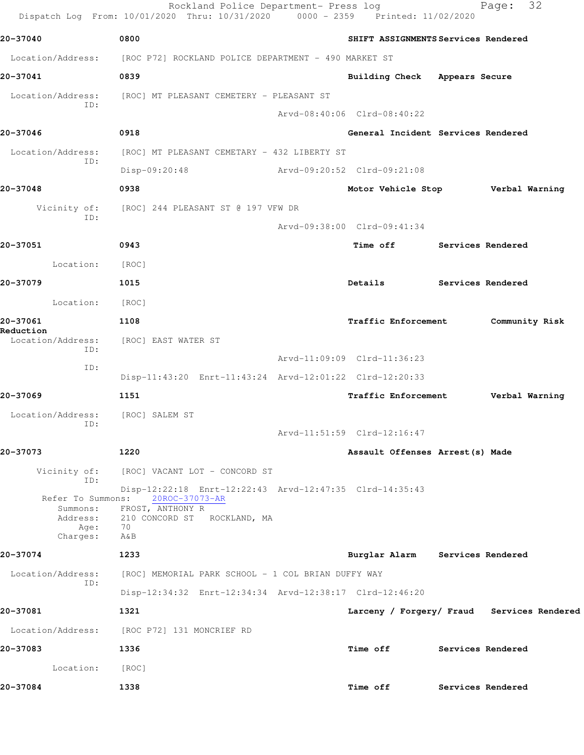|                                                                      | Rockland Police Department- Press log<br>Dispatch Log From: 10/01/2020 Thru: 10/31/2020 0000 - 2359 Printed: 11/02/2020                   |                                          | 32<br>Page:                                |
|----------------------------------------------------------------------|-------------------------------------------------------------------------------------------------------------------------------------------|------------------------------------------|--------------------------------------------|
| 20-37040                                                             | 0800                                                                                                                                      | SHIFT ASSIGNMENTS Services Rendered      |                                            |
|                                                                      | Location/Address: [ROC P72] ROCKLAND POLICE DEPARTMENT - 490 MARKET ST                                                                    |                                          |                                            |
| 20-37041                                                             | 0839                                                                                                                                      | Building Check Appears Secure            |                                            |
|                                                                      | Location/Address: [ROC] MT PLEASANT CEMETERY - PLEASANT ST                                                                                |                                          |                                            |
| ID:                                                                  |                                                                                                                                           | Arvd-08:40:06 Clrd-08:40:22              |                                            |
| 20-37046                                                             | 0918                                                                                                                                      | General Incident Services Rendered       |                                            |
| Location/Address:                                                    | [ROC] MT PLEASANT CEMETARY - 432 LIBERTY ST                                                                                               |                                          |                                            |
| ID:                                                                  | $Disp-09:20:48$                                                                                                                           | Arvd-09:20:52 Clrd-09:21:08              |                                            |
| 20-37048                                                             | 0938                                                                                                                                      | Motor Vehicle Stop <b>Werbal Warning</b> |                                            |
| Vicinity of:                                                         | [ROC] 244 PLEASANT ST @ 197 VFW DR                                                                                                        |                                          |                                            |
| ID:                                                                  |                                                                                                                                           | Arvd-09:38:00 Clrd-09:41:34              |                                            |
| 20-37051                                                             | 0943                                                                                                                                      | Time off Services Rendered               |                                            |
| Location:                                                            | [ROC]                                                                                                                                     |                                          |                                            |
| 20-37079                                                             | 1015                                                                                                                                      | Details                                  | Services Rendered                          |
| Location:                                                            | [ROC]                                                                                                                                     |                                          |                                            |
| 20-37061                                                             | 1108                                                                                                                                      | Traffic Enforcement                      | Community Risk                             |
| Reduction<br>Location/Address:                                       | [ROC] EAST WATER ST                                                                                                                       |                                          |                                            |
| ID:                                                                  |                                                                                                                                           | Arvd-11:09:09 Clrd-11:36:23              |                                            |
| ID:                                                                  | Disp-11:43:20 Enrt-11:43:24 Arvd-12:01:22 Clrd-12:20:33                                                                                   |                                          |                                            |
| 20-37069                                                             | 1151                                                                                                                                      | Traffic Enforcement                      | Verbal Warning                             |
| Location/Address:                                                    | [ROC] SALEM ST                                                                                                                            |                                          |                                            |
| ID:                                                                  |                                                                                                                                           | Arvd-11:51:59 Clrd-12:16:47              |                                            |
| 20-37073                                                             | 1220                                                                                                                                      | Assault Offenses Arrest (s) Made         |                                            |
| Vicinity of:                                                         | [ROC] VACANT LOT - CONCORD ST                                                                                                             |                                          |                                            |
| ID:<br>Refer To Summons:<br>Summons:<br>Address:<br>Age:<br>Charges: | Disp-12:22:18 Enrt-12:22:43 Arvd-12:47:35 Clrd-14:35:43<br>20ROC-37073-AR<br>FROST, ANTHONY R<br>210 CONCORD ST ROCKLAND, MA<br>70<br>A&B |                                          |                                            |
| 20-37074                                                             | 1233                                                                                                                                      | Burglar Alarm Services Rendered          |                                            |
| Location/Address:<br>ID:                                             | [ROC] MEMORIAL PARK SCHOOL - 1 COL BRIAN DUFFY WAY                                                                                        |                                          |                                            |
|                                                                      | Disp-12:34:32 Enrt-12:34:34 Arvd-12:38:17 Clrd-12:46:20                                                                                   |                                          |                                            |
| 20-37081                                                             | 1321                                                                                                                                      |                                          | Larceny / Forgery/ Fraud Services Rendered |
| Location/Address:                                                    | [ROC P72] 131 MONCRIEF RD                                                                                                                 |                                          |                                            |
| 20-37083                                                             | 1336                                                                                                                                      | <b>Time off</b>                          | Services Rendered                          |
| Location:                                                            | [ROC]                                                                                                                                     |                                          |                                            |
| 20-37084                                                             | 1338                                                                                                                                      | <b>Time off</b>                          | Services Rendered                          |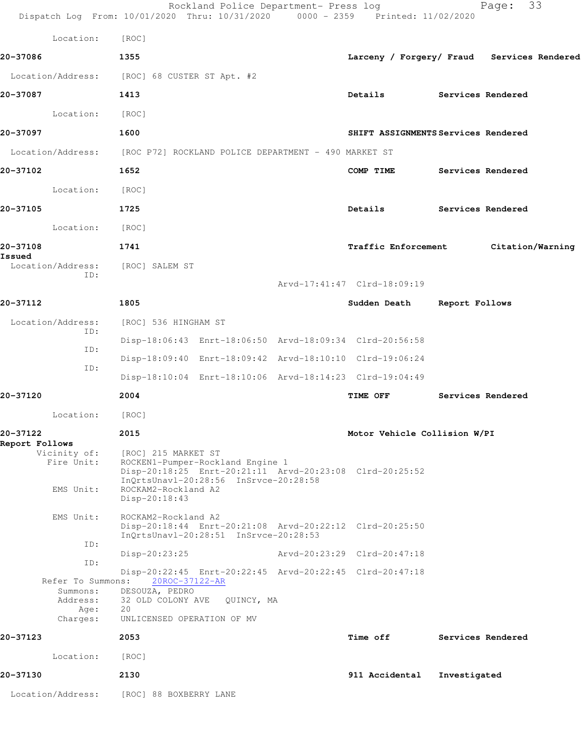|                                          | Rockland Police Department- Press log<br>Dispatch Log From: 10/01/2020 Thru: 10/31/2020 0000 - 2359 Printed: 11/02/2020                                                                             |                                            |                   | 33<br>Page:       |  |
|------------------------------------------|-----------------------------------------------------------------------------------------------------------------------------------------------------------------------------------------------------|--------------------------------------------|-------------------|-------------------|--|
| Location:                                | [ROC]                                                                                                                                                                                               |                                            |                   |                   |  |
| 20-37086                                 | 1355                                                                                                                                                                                                | Larceny / Forgery/ Fraud Services Rendered |                   |                   |  |
| Location/Address:                        | [ROC] 68 CUSTER ST Apt. #2                                                                                                                                                                          |                                            |                   |                   |  |
| 20-37087                                 | 1413                                                                                                                                                                                                | Details                                    | Services Rendered |                   |  |
| Location:                                | [ROC]                                                                                                                                                                                               |                                            |                   |                   |  |
| 20-37097                                 | 1600                                                                                                                                                                                                | SHIFT ASSIGNMENTS Services Rendered        |                   |                   |  |
|                                          | Location/Address: [ROC P72] ROCKLAND POLICE DEPARTMENT - 490 MARKET ST                                                                                                                              |                                            |                   |                   |  |
| 20-37102                                 | 1652                                                                                                                                                                                                | COMP TIME                                  |                   | Services Rendered |  |
| Location:                                | [ROC]                                                                                                                                                                                               |                                            |                   |                   |  |
| 20-37105                                 | 1725                                                                                                                                                                                                | Details                                    |                   | Services Rendered |  |
| Location:                                | [ROC]                                                                                                                                                                                               |                                            |                   |                   |  |
| 20-37108                                 | 1741                                                                                                                                                                                                | Traffic Enforcement                        |                   | Citation/Warning  |  |
| Issued<br>Location/Address:              | [ROC] SALEM ST                                                                                                                                                                                      |                                            |                   |                   |  |
| ID:                                      |                                                                                                                                                                                                     | Arvd-17:41:47 Clrd-18:09:19                |                   |                   |  |
| 20-37112                                 | 1805                                                                                                                                                                                                | Sudden Death Report Follows                |                   |                   |  |
| Location/Address:<br>ID:                 | [ROC] 536 HINGHAM ST                                                                                                                                                                                |                                            |                   |                   |  |
| ID:                                      | Disp-18:06:43 Enrt-18:06:50 Arvd-18:09:34 Clrd-20:56:58                                                                                                                                             |                                            |                   |                   |  |
| ID:                                      | Disp-18:09:40 Enrt-18:09:42 Arvd-18:10:10 Clrd-19:06:24                                                                                                                                             |                                            |                   |                   |  |
|                                          | Disp-18:10:04 Enrt-18:10:06 Arvd-18:14:23 Clrd-19:04:49                                                                                                                                             |                                            |                   |                   |  |
| 20-37120                                 | 2004                                                                                                                                                                                                | TIME OFF                                   |                   | Services Rendered |  |
| Location:                                | [ROC]                                                                                                                                                                                               |                                            |                   |                   |  |
| 20-37122<br>Report Follows               | 2015                                                                                                                                                                                                | Motor Vehicle Collision W/PI               |                   |                   |  |
| Vicinity of:<br>Fire Unit:<br>EMS Unit:  | [ROC] 215 MARKET ST<br>ROCKEN1-Pumper-Rockland Engine 1<br>Disp-20:18:25 Enrt-20:21:11 Arvd-20:23:08 Clrd-20:25:52<br>InQrtsUnavl-20:28:56 InSrvce-20:28:58<br>ROCKAM2-Rockland A2<br>Disp-20:18:43 |                                            |                   |                   |  |
| EMS Unit:                                | ROCKAM2-Rockland A2<br>Disp-20:18:44 Enrt-20:21:08 Arvd-20:22:12 Clrd-20:25:50<br>InQrtsUnavl-20:28:51 InSrvce-20:28:53                                                                             |                                            |                   |                   |  |
| ID:<br>ID:                               | $Disp-20:23:25$                                                                                                                                                                                     | Arvd-20:23:29 Clrd-20:47:18                |                   |                   |  |
| Summons:<br>Address:<br>Age:<br>Charges: | Disp-20:22:45 Enrt-20:22:45 Arvd-20:22:45 Clrd-20:47:18<br>Refer To Summons: 20ROC-37122-AR<br>DESOUZA, PEDRO<br>32 OLD COLONY AVE QUINCY, MA<br>20<br>UNLICENSED OPERATION OF MV                   |                                            |                   |                   |  |
| 20-37123                                 | 2053                                                                                                                                                                                                | <b>Time off</b>                            |                   | Services Rendered |  |
| Location:                                | [ROC]                                                                                                                                                                                               |                                            |                   |                   |  |
| 20-37130                                 | 2130                                                                                                                                                                                                | 911 Accidental                             | Investigated      |                   |  |
| Location/Address:                        | [ROC] 88 BOXBERRY LANE                                                                                                                                                                              |                                            |                   |                   |  |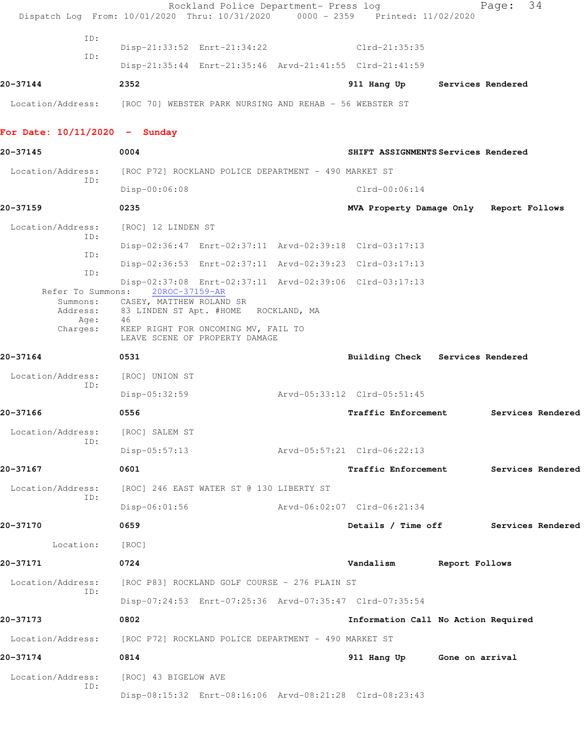|                                 | Rockland Police Department- Press log<br>Dispatch Log From: 10/01/2020 Thru: 10/31/2020 0000 - 2359 Printed: 11/02/2020 |                                         |                | Page:             | 34                |
|---------------------------------|-------------------------------------------------------------------------------------------------------------------------|-----------------------------------------|----------------|-------------------|-------------------|
| ID:                             |                                                                                                                         |                                         |                |                   |                   |
| ID:                             | Disp-21:33:52 Enrt-21:34:22                                                                                             | $Clrd-21:35:35$                         |                |                   |                   |
|                                 | Disp-21:35:44 Enrt-21:35:46 Arvd-21:41:55 Clrd-21:41:59                                                                 |                                         |                |                   |                   |
| 20-37144                        | 2352                                                                                                                    | 911 Hang Up                             |                | Services Rendered |                   |
|                                 | Location/Address: [ROC 70] WEBSTER PARK NURSING AND REHAB - 56 WEBSTER ST                                               |                                         |                |                   |                   |
| For Date: $10/11/2020 -$ Sunday |                                                                                                                         |                                         |                |                   |                   |
| 20-37145                        | 0004                                                                                                                    | SHIFT ASSIGNMENTS Services Rendered     |                |                   |                   |
| Location/Address:<br>ID:        | [ROC P72] ROCKLAND POLICE DEPARTMENT - 490 MARKET ST                                                                    |                                         |                |                   |                   |
|                                 | Disp-00:06:08                                                                                                           | $Clrd-00:06:14$                         |                |                   |                   |
| 20-37159                        | 0235                                                                                                                    | MVA Property Damage Only Report Follows |                |                   |                   |
| Location/Address:               | [ROC] 12 LINDEN ST                                                                                                      |                                         |                |                   |                   |
| ID:                             | Disp-02:36:47 Enrt-02:37:11 Arvd-02:39:18 Clrd-03:17:13                                                                 |                                         |                |                   |                   |
| ID:                             | Disp-02:36:53 Enrt-02:37:11 Arvd-02:39:23 Clrd-03:17:13                                                                 |                                         |                |                   |                   |
| ID:<br>Refer To Summons:        | Disp-02:37:08 Enrt-02:37:11 Arvd-02:39:06 Clrd-03:17:13<br>20ROC-37159-AR                                               |                                         |                |                   |                   |
| Summons:<br>Address:            | CASEY, MATTHEW ROLAND SR<br>83 LINDEN ST Apt. #HOME ROCKLAND, MA                                                        |                                         |                |                   |                   |
| Age:<br>Charges:                | 46<br>KEEP RIGHT FOR ONCOMING MV, FAIL TO<br>LEAVE SCENE OF PROPERTY DAMAGE                                             |                                         |                |                   |                   |
| 20-37164                        | 0531                                                                                                                    | Building Check Services Rendered        |                |                   |                   |
| Location/Address:               | [ROC] UNION ST                                                                                                          |                                         |                |                   |                   |
| ID:                             | Disp-05:32:59                                                                                                           | Arvd-05:33:12 Clrd-05:51:45             |                |                   |                   |
| 20-37166                        | 0556                                                                                                                    | <b>Traffic Enforcement</b>              |                |                   | Services Rendered |
| Location/Address:               | [ROC] SALEM ST                                                                                                          |                                         |                |                   |                   |
| ID:                             | $Disp-05:57:13$                                                                                                         | Arvd-05:57:21 Clrd-06:22:13             |                |                   |                   |
| 20-37167                        | 0601                                                                                                                    | <b>Traffic Enforcement</b>              |                |                   | Services Rendered |
| Location/Address:               | [ROC] 246 EAST WATER ST @ 130 LIBERTY ST                                                                                |                                         |                |                   |                   |
| ID:                             | $Disp-06:01:56$                                                                                                         | Arvd-06:02:07 Clrd-06:21:34             |                |                   |                   |
| 20-37170                        | 0659                                                                                                                    | Details / Time off                      |                |                   | Services Rendered |
| Location:                       | [ROC]                                                                                                                   |                                         |                |                   |                   |
| 20-37171                        | 0724                                                                                                                    | Vandalism                               | Report Follows |                   |                   |
| Location/Address:               | [ROC P83] ROCKLAND GOLF COURSE - 276 PLAIN ST                                                                           |                                         |                |                   |                   |
| ID:                             | Disp-07:24:53 Enrt-07:25:36 Arvd-07:35:47 Clrd-07:35:54                                                                 |                                         |                |                   |                   |
| 20-37173                        | 0802                                                                                                                    | Information Call No Action Required     |                |                   |                   |
| Location/Address:               | [ROC P72] ROCKLAND POLICE DEPARTMENT - 490 MARKET ST                                                                    |                                         |                |                   |                   |
| 20-37174                        | 0814                                                                                                                    | 911 Hang Up Gone on arrival             |                |                   |                   |
| Location/Address:               | [ROC] 43 BIGELOW AVE                                                                                                    |                                         |                |                   |                   |
| ID:                             | Disp-08:15:32 Enrt-08:16:06 Arvd-08:21:28 Clrd-08:23:43                                                                 |                                         |                |                   |                   |
|                                 |                                                                                                                         |                                         |                |                   |                   |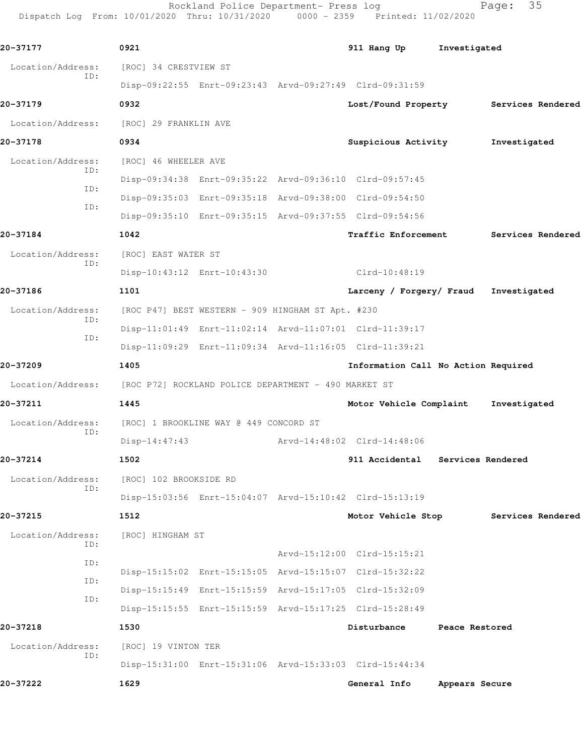Rockland Police Department- Press log Fage: 35 Dispatch Log From: 10/01/2020 Thru: 10/31/2020 0000 - 2359 Printed: 11/02/2020

**20-37177 0921 911 Hang Up Investigated** Location/Address: [ROC] 34 CRESTVIEW ST ID: Disp-09:22:55 Enrt-09:23:43 Arvd-09:27:49 Clrd-09:31:59 **20-37179 0932 Lost/Found Property Services Rendered** Location/Address: [ROC] 29 FRANKLIN AVE **20-37178 0934 Suspicious Activity Investigated** Location/Address: [ROC] 46 WHEELER AVE ID: Disp-09:34:38 Enrt-09:35:22 Arvd-09:36:10 Clrd-09:57:45 ID: Disp-09:35:03 Enrt-09:35:18 Arvd-09:38:00 Clrd-09:54:50 ID: Disp-09:35:10 Enrt-09:35:15 Arvd-09:37:55 Clrd-09:54:56 **20-37184 1042 Traffic Enforcement Services Rendered** Location/Address: [ROC] EAST WATER ST ID: Disp-10:43:12 Enrt-10:43:30 Clrd-10:48:19 **20-37186 1101 Larceny / Forgery/ Fraud Investigated** Location/Address: [ROC P47] BEST WESTERN - 909 HINGHAM ST Apt. #230 ID: Disp-11:01:49 Enrt-11:02:14 Arvd-11:07:01 Clrd-11:39:17 ID: Disp-11:09:29 Enrt-11:09:34 Arvd-11:16:05 Clrd-11:39:21 **20-37209 1405 Information Call No Action Required** Location/Address: [ROC P72] ROCKLAND POLICE DEPARTMENT - 490 MARKET ST **20-37211 1445 Motor Vehicle Complaint Investigated** Location/Address: [ROC] 1 BROOKLINE WAY @ 449 CONCORD ST ID: Disp-14:47:43 Arvd-14:48:02 Clrd-14:48:06 **20-37214 1502 911 Accidental Services Rendered** Location/Address: [ROC] 102 BROOKSIDE RD ID: Disp-15:03:56 Enrt-15:04:07 Arvd-15:10:42 Clrd-15:13:19 **20-37215 1512 Motor Vehicle Stop Services Rendered** Location/Address: [ROC] HINGHAM ST ID: Arvd-15:12:00 Clrd-15:15:21 ID: Disp-15:15:02 Enrt-15:15:05 Arvd-15:15:07 Clrd-15:32:22 ID: Disp-15:15:49 Enrt-15:15:59 Arvd-15:17:05 Clrd-15:32:09 ID: Disp-15:15:55 Enrt-15:15:59 Arvd-15:17:25 Clrd-15:28:49 **20-37218 1530 Disturbance Peace Restored** Location/Address: [ROC] 19 VINTON TER ID: Disp-15:31:00 Enrt-15:31:06 Arvd-15:33:03 Clrd-15:44:34 **20-37222 1629 General Info Appears Secure**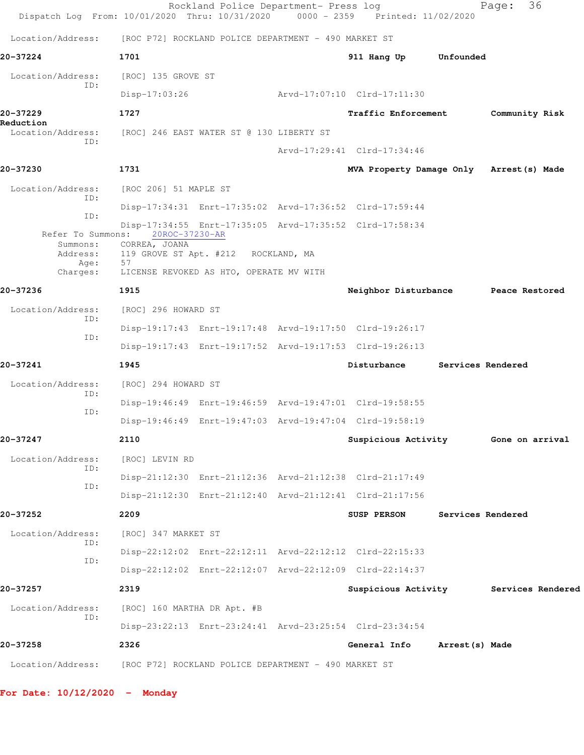|                                           | Rockland Police Department- Press log<br>Dispatch Log From: 10/01/2020 Thru: 10/31/2020                                           | 0000 - 2359 Printed: 11/02/2020          |                   | 36<br>Page:                           |
|-------------------------------------------|-----------------------------------------------------------------------------------------------------------------------------------|------------------------------------------|-------------------|---------------------------------------|
| Location/Address:                         | [ROC P72] ROCKLAND POLICE DEPARTMENT - 490 MARKET ST                                                                              |                                          |                   |                                       |
| 20-37224                                  | 1701                                                                                                                              | 911 Hang Up                              | Unfounded         |                                       |
| Location/Address:                         | [ROC] 135 GROVE ST                                                                                                                |                                          |                   |                                       |
| ID:                                       | $Disp-17:03:26$                                                                                                                   | Arvd-17:07:10 Clrd-17:11:30              |                   |                                       |
| 20-37229<br>Reduction                     | 1727                                                                                                                              | <b>Traffic Enforcement</b>               |                   | Community Risk                        |
| Location/Address:<br>ID:                  | [ROC] 246 EAST WATER ST @ 130 LIBERTY ST                                                                                          |                                          |                   |                                       |
|                                           |                                                                                                                                   | Arvd-17:29:41 Clrd-17:34:46              |                   |                                       |
| 20-37230                                  | 1731                                                                                                                              | MVA Property Damage Only Arrest (s) Made |                   |                                       |
| Location/Address:<br>ID:                  | [ROC 206] 51 MAPLE ST                                                                                                             |                                          |                   |                                       |
| ID:                                       | Disp-17:34:31 Enrt-17:35:02 Arvd-17:36:52 Clrd-17:59:44                                                                           |                                          |                   |                                       |
| Refer To Summons:<br>Summons:<br>Address: | Disp-17:34:55 Enrt-17:35:05 Arvd-17:35:52 Clrd-17:58:34<br>20ROC-37230-AR<br>CORREA, JOANA<br>119 GROVE ST Apt. #212 ROCKLAND, MA |                                          |                   |                                       |
| Age:<br>Charges:                          | 57<br>LICENSE REVOKED AS HTO, OPERATE MV WITH                                                                                     |                                          |                   |                                       |
| 20-37236                                  | 1915                                                                                                                              | Neighbor Disturbance Peace Restored      |                   |                                       |
| Location/Address:                         | [ROC] 296 HOWARD ST                                                                                                               |                                          |                   |                                       |
| ID:                                       | Disp-19:17:43 Enrt-19:17:48 Arvd-19:17:50 Clrd-19:26:17                                                                           |                                          |                   |                                       |
| ID:                                       | Disp-19:17:43 Enrt-19:17:52 Arvd-19:17:53 Clrd-19:26:13                                                                           |                                          |                   |                                       |
| 20-37241                                  | 1945                                                                                                                              | Disturbance                              | Services Rendered |                                       |
| Location/Address:                         | [ROC] 294 HOWARD ST                                                                                                               |                                          |                   |                                       |
| ID:                                       | Disp-19:46:49 Enrt-19:46:59 Arvd-19:47:01 Clrd-19:58:55                                                                           |                                          |                   |                                       |
| ID:                                       | Disp-19:46:49 Enrt-19:47:03 Arvd-19:47:04 Clrd-19:58:19                                                                           |                                          |                   |                                       |
| 20-37247                                  | 2110                                                                                                                              | Suspicious Activity Gone on arrival      |                   |                                       |
| Location/Address:                         | [ROC] LEVIN RD                                                                                                                    |                                          |                   |                                       |
| ID:                                       | Disp-21:12:30 Enrt-21:12:36 Arvd-21:12:38 Clrd-21:17:49                                                                           |                                          |                   |                                       |
| ID:                                       | Disp-21:12:30 Enrt-21:12:40 Arvd-21:12:41 Clrd-21:17:56                                                                           |                                          |                   |                                       |
| 20-37252                                  | 2209                                                                                                                              | <b>SUSP PERSON</b>                       | Services Rendered |                                       |
| Location/Address:                         | [ROC] 347 MARKET ST                                                                                                               |                                          |                   |                                       |
| ID:                                       | Disp-22:12:02 Enrt-22:12:11 Arvd-22:12:12 Clrd-22:15:33                                                                           |                                          |                   |                                       |
| ID:                                       | Disp-22:12:02 Enrt-22:12:07 Arvd-22:12:09 Clrd-22:14:37                                                                           |                                          |                   |                                       |
| 20-37257                                  | 2319                                                                                                                              |                                          |                   | Suspicious Activity Services Rendered |
| Location/Address:                         | [ROC] 160 MARTHA DR Apt. #B                                                                                                       |                                          |                   |                                       |
| ID:                                       | Disp-23:22:13 Enrt-23:24:41 Arvd-23:25:54 Clrd-23:34:54                                                                           |                                          |                   |                                       |
| 20-37258                                  | 2326                                                                                                                              | General Info                             | Arrest (s) Made   |                                       |
|                                           | Location/Address: [ROC P72] ROCKLAND POLICE DEPARTMENT - 490 MARKET ST                                                            |                                          |                   |                                       |

**For Date: 10/12/2020 - Monday**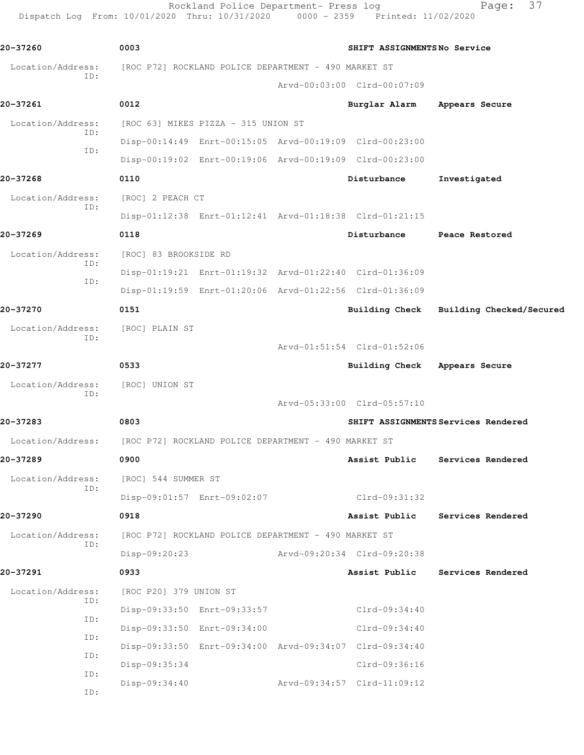Rockland Police Department- Press log entitled and Page: 37 Dispatch Log From: 10/01/2020 Thru: 10/31/2020 0000 - 2359 Printed: 11/02/2020

| 20-37260                 | 0003                                                 |                                                      | SHIFT ASSIGNMENTSNo Service                             |                                         |
|--------------------------|------------------------------------------------------|------------------------------------------------------|---------------------------------------------------------|-----------------------------------------|
| Location/Address:<br>ID: |                                                      | [ROC P72] ROCKLAND POLICE DEPARTMENT - 490 MARKET ST |                                                         |                                         |
|                          |                                                      |                                                      | Arvd-00:03:00 Clrd-00:07:09                             |                                         |
| 20-37261                 | 0012                                                 |                                                      | Burglar Alarm                                           | Appears Secure                          |
| Location/Address:        |                                                      | [ROC 63] MIKES PIZZA - 315 UNION ST                  |                                                         |                                         |
| ID:<br>ID:               |                                                      |                                                      | Disp-00:14:49 Enrt-00:15:05 Arvd-00:19:09 Clrd-00:23:00 |                                         |
|                          |                                                      |                                                      | Disp-00:19:02 Enrt-00:19:06 Arvd-00:19:09 Clrd-00:23:00 |                                         |
| 20-37268                 | 0110                                                 |                                                      | Disturbance                                             | Investigated                            |
| Location/Address:<br>ID: | [ROC] 2 PEACH CT                                     |                                                      |                                                         |                                         |
|                          |                                                      |                                                      | Disp-01:12:38 Enrt-01:12:41 Arvd-01:18:38 Clrd-01:21:15 |                                         |
| 20-37269                 | 0118                                                 |                                                      | Disturbance                                             | Peace Restored                          |
| Location/Address:        | [ROC] 83 BROOKSIDE RD                                |                                                      |                                                         |                                         |
| ID:                      |                                                      |                                                      | Disp-01:19:21 Enrt-01:19:32 Arvd-01:22:40 Clrd-01:36:09 |                                         |
| ID:                      |                                                      |                                                      | Disp-01:19:59 Enrt-01:20:06 Arvd-01:22:56 Clrd-01:36:09 |                                         |
| 20-37270                 | 0151                                                 |                                                      |                                                         | Building Check Building Checked/Secured |
| Location/Address:        | [ROC] PLAIN ST                                       |                                                      |                                                         |                                         |
| ID:                      |                                                      |                                                      | Arvd-01:51:54 Clrd-01:52:06                             |                                         |
| 20-37277                 | 0533                                                 |                                                      | <b>Building Check</b>                                   | Appears Secure                          |
| Location/Address:        | [ROC] UNION ST                                       |                                                      |                                                         |                                         |
| ID:                      |                                                      |                                                      | Arvd-05:33:00 Clrd-05:57:10                             |                                         |
| 20-37283                 | 0803                                                 |                                                      |                                                         | SHIFT ASSIGNMENTS Services Rendered     |
| Location/Address:        | [ROC P72] ROCKLAND POLICE DEPARTMENT - 490 MARKET ST |                                                      |                                                         |                                         |
| 20-37289                 | 0900                                                 |                                                      | Assist Public                                           | Services Rendered                       |
| Location/Address:        | [ROC] 544 SUMMER ST                                  |                                                      |                                                         |                                         |
| ID:                      |                                                      | Disp-09:01:57 Enrt-09:02:07                          | Clrd-09:31:32                                           |                                         |
| 20-37290                 | 0918                                                 |                                                      | Assist Public                                           | Services Rendered                       |
| Location/Address:        |                                                      | [ROC P72] ROCKLAND POLICE DEPARTMENT - 490 MARKET ST |                                                         |                                         |
| ID:                      | Disp-09:20:23                                        |                                                      | Arvd-09:20:34 Clrd-09:20:38                             |                                         |
| 20-37291                 | 0933                                                 |                                                      | Assist Public                                           | Services Rendered                       |
| Location/Address:        | [ROC P20] 379 UNION ST                               |                                                      |                                                         |                                         |
| ID:                      |                                                      | Disp-09:33:50 Enrt-09:33:57                          | Clrd-09:34:40                                           |                                         |
| ID:                      |                                                      | Disp-09:33:50 Enrt-09:34:00                          | $Clrd-09:34:40$                                         |                                         |
| ID:                      |                                                      |                                                      | Disp-09:33:50 Enrt-09:34:00 Arvd-09:34:07 Clrd-09:34:40 |                                         |
| ID:                      | Disp-09:35:34                                        |                                                      | Clrd-09:36:16                                           |                                         |
| ID:                      | $Disp-09:34:40$                                      |                                                      | Arvd-09:34:57 Clrd-11:09:12                             |                                         |
| ID:                      |                                                      |                                                      |                                                         |                                         |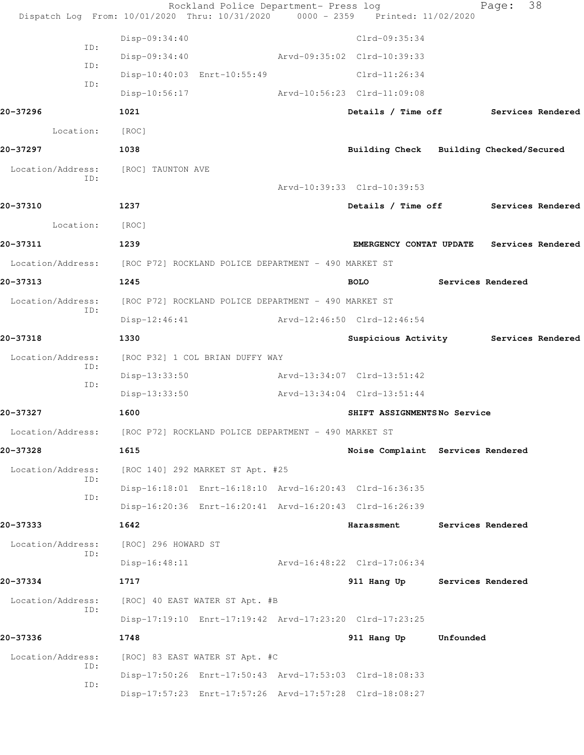|                          | Rockland Police Department- Press log<br>Dispatch Log From: 10/01/2020 Thru: 10/31/2020 0000 - 2359 Printed: 11/02/2020 |                                           |                          | Page: | 38 |
|--------------------------|-------------------------------------------------------------------------------------------------------------------------|-------------------------------------------|--------------------------|-------|----|
|                          | Disp-09:34:40                                                                                                           | Clrd-09:35:34                             |                          |       |    |
| ID:                      | $Disp-09:34:40$                                                                                                         | Arvd-09:35:02 Clrd-10:39:33               |                          |       |    |
| ID:                      | Disp-10:40:03 Enrt-10:55:49                                                                                             | $Clrd-11:26:34$                           |                          |       |    |
| ID:                      | $Disp-10:56:17$                                                                                                         | Arvd-10:56:23 Clrd-11:09:08               |                          |       |    |
| 20-37296                 | 1021                                                                                                                    | Details / Time off Services Rendered      |                          |       |    |
| Location:                | [ROC]                                                                                                                   |                                           |                          |       |    |
| 20-37297                 | 1038                                                                                                                    | Building Check Building Checked/Secured   |                          |       |    |
| Location/Address:        | [ROC] TAUNTON AVE                                                                                                       |                                           |                          |       |    |
| ID:                      |                                                                                                                         | Arvd-10:39:33 Clrd-10:39:53               |                          |       |    |
| 20-37310                 | 1237                                                                                                                    | Details / Time off Services Rendered      |                          |       |    |
| Location:                | [ROC]                                                                                                                   |                                           |                          |       |    |
| 20-37311                 | 1239                                                                                                                    | EMERGENCY CONTAT UPDATE Services Rendered |                          |       |    |
|                          | Location/Address: [ROC P72] ROCKLAND POLICE DEPARTMENT - 490 MARKET ST                                                  |                                           |                          |       |    |
| 20-37313                 | 1245                                                                                                                    | <b>BOLO</b>                               | <b>Services Rendered</b> |       |    |
| Location/Address:        | [ROC P72] ROCKLAND POLICE DEPARTMENT - 490 MARKET ST                                                                    |                                           |                          |       |    |
| ID:                      | Disp-12:46:41                                                                                                           | Arvd-12:46:50 Clrd-12:46:54               |                          |       |    |
| 20-37318                 | 1330                                                                                                                    | Suspicious Activity Services Rendered     |                          |       |    |
| Location/Address:        | [ROC P32] 1 COL BRIAN DUFFY WAY                                                                                         |                                           |                          |       |    |
| ID:                      | Disp-13:33:50                                                                                                           | Arvd-13:34:07 Clrd-13:51:42               |                          |       |    |
| ID:                      | $Disp-13:33:50$                                                                                                         | Arvd-13:34:04 Clrd-13:51:44               |                          |       |    |
| 20-37327                 | 1600                                                                                                                    | SHIFT ASSIGNMENTSNo Service               |                          |       |    |
| Location/Address:        | [ROC P72] ROCKLAND POLICE DEPARTMENT - 490 MARKET ST                                                                    |                                           |                          |       |    |
| 20-37328                 | 1615                                                                                                                    | Noise Complaint Services Rendered         |                          |       |    |
| Location/Address:        | [ROC 140] 292 MARKET ST Apt. #25                                                                                        |                                           |                          |       |    |
| ID:<br>ID:               | Disp-16:18:01 Enrt-16:18:10 Arvd-16:20:43 Clrd-16:36:35                                                                 |                                           |                          |       |    |
|                          | Disp-16:20:36 Enrt-16:20:41 Arvd-16:20:43 Clrd-16:26:39                                                                 |                                           |                          |       |    |
| 20-37333                 | 1642                                                                                                                    | <b>Harassment</b>                         | <b>Services Rendered</b> |       |    |
| Location/Address:<br>ID: | [ROC] 296 HOWARD ST                                                                                                     |                                           |                          |       |    |
|                          | $Disp-16:48:11$                                                                                                         | Arvd-16:48:22 Clrd-17:06:34               |                          |       |    |
| 20-37334                 | 1717                                                                                                                    | 911 Hang Up Services Rendered             |                          |       |    |
| Location/Address:<br>ID: | [ROC] 40 EAST WATER ST Apt. #B                                                                                          |                                           |                          |       |    |
|                          | Disp-17:19:10 Enrt-17:19:42 Arvd-17:23:20 Clrd-17:23:25                                                                 |                                           |                          |       |    |
| 20-37336                 | 1748                                                                                                                    | 911 Hang Up                               | Unfounded                |       |    |
| Location/Address:<br>ID: | [ROC] 83 EAST WATER ST Apt. #C                                                                                          |                                           |                          |       |    |
| ID:                      | Disp-17:50:26 Enrt-17:50:43 Arvd-17:53:03 Clrd-18:08:33                                                                 |                                           |                          |       |    |
|                          | Disp-17:57:23 Enrt-17:57:26 Arvd-17:57:28 Clrd-18:08:27                                                                 |                                           |                          |       |    |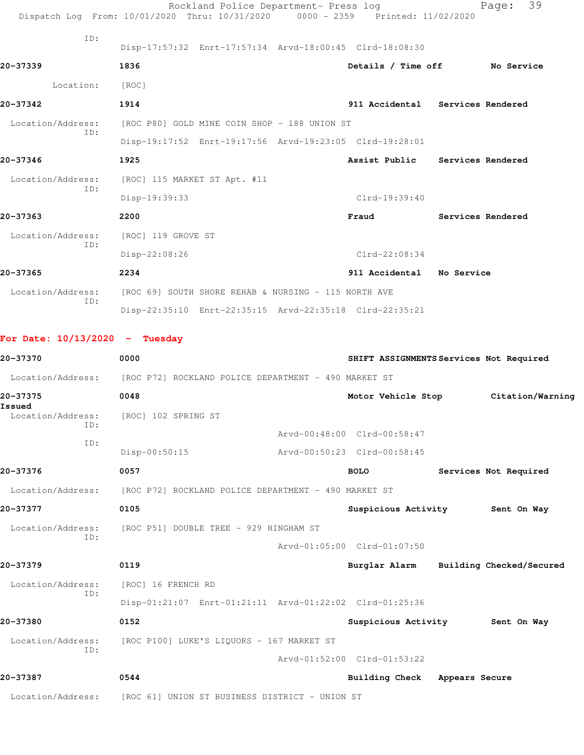|                                  | Rockland Police Department- Press log<br>Dispatch Log From: 10/01/2020 Thru: 10/31/2020 0000 - 2359 Printed: 11/02/2020 |                             |                                         | 39<br>Page:           |
|----------------------------------|-------------------------------------------------------------------------------------------------------------------------|-----------------------------|-----------------------------------------|-----------------------|
| ID:                              |                                                                                                                         |                             |                                         |                       |
|                                  | Disp-17:57:32 Enrt-17:57:34 Arvd-18:00:45 Clrd-18:08:30                                                                 |                             |                                         |                       |
| 20-37339                         | 1836                                                                                                                    |                             | Details / Time off No Service           |                       |
| Location:                        | [ROC]                                                                                                                   |                             |                                         |                       |
| 20-37342                         | 1914                                                                                                                    |                             | 911 Accidental Services Rendered        |                       |
| ID:                              | Location/Address: [ROC P80] GOLD MINE COIN SHOP - 188 UNION ST                                                          |                             |                                         |                       |
|                                  | Disp-19:17:52 Enrt-19:17:56 Arvd-19:23:05 Clrd-19:28:01                                                                 |                             |                                         |                       |
| 20-37346                         | 1925                                                                                                                    |                             | Assist Public Services Rendered         |                       |
| Location/Address:                | [ROC] 115 MARKET ST Apt. #11                                                                                            |                             |                                         |                       |
| ID:                              | Disp-19:39:33                                                                                                           |                             | Clrd-19:39:40                           |                       |
| 20-37363                         | 2200                                                                                                                    |                             | Fraud Services Rendered                 |                       |
| Location/Address:                | [ROC] 119 GROVE ST                                                                                                      |                             |                                         |                       |
| ID:                              | Disp-22:08:26                                                                                                           |                             | Clrd-22:08:34                           |                       |
| 20-37365                         | 2234                                                                                                                    |                             | 911 Accidental No Service               |                       |
| Location/Address:                | [ROC 69] SOUTH SHORE REHAB & NURSING - 115 NORTH AVE                                                                    |                             |                                         |                       |
| ID:                              | Disp-22:35:10 Enrt-22:35:15 Arvd-22:35:18 Clrd-22:35:21                                                                 |                             |                                         |                       |
|                                  |                                                                                                                         |                             |                                         |                       |
| For Date: $10/13/2020 -$ Tuesday |                                                                                                                         |                             |                                         |                       |
| 20-37370                         | 0000                                                                                                                    |                             | SHIFT ASSIGNMENTS Services Not Required |                       |
|                                  | Location/Address: [ROC P72] ROCKLAND POLICE DEPARTMENT - 490 MARKET ST                                                  |                             |                                         |                       |
| 20-37375<br>Issued               | 0048                                                                                                                    |                             | Motor Vehicle Stop                      | Citation/Warning      |
| ID:                              | Location/Address: [ROC] 102 SPRING ST                                                                                   |                             |                                         |                       |
| ID:                              |                                                                                                                         |                             | Arvd-00:48:00 Clrd-00:58:47             |                       |
|                                  | $Disp-00:50:15$                                                                                                         |                             | Arvd-00:50:23 Clrd-00:58:45             |                       |
| 20-37376                         | 0057                                                                                                                    |                             | <b>BOLO</b>                             | Services Not Required |
| Location/Address:                | [ROC P72] ROCKLAND POLICE DEPARTMENT - 490 MARKET ST                                                                    |                             |                                         |                       |
| 20-37377                         | 0105                                                                                                                    |                             | Suspicious Activity 5ent On Way         |                       |
| Location/Address:                | [ROC P51] DOUBLE TREE - 929 HINGHAM ST                                                                                  |                             |                                         |                       |
| ID:                              |                                                                                                                         |                             | Arvd-01:05:00 Clrd-01:07:50             |                       |
| 20-37379                         | 0119                                                                                                                    |                             | Burglar Alarm Building Checked/Secured  |                       |
| Location/Address:                | [ROC] 16 FRENCH RD                                                                                                      |                             |                                         |                       |
| ID:                              | Disp-01:21:07 Enrt-01:21:11 Arvd-01:22:02 Clrd-01:25:36                                                                 |                             |                                         |                       |
| 20-37380                         | 0152                                                                                                                    |                             | Suspicious Activity                     | Sent On Way           |
| Location/Address:                | [ROC P100] LUKE'S LIQUORS - 167 MARKET ST                                                                               |                             |                                         |                       |
| ID:                              |                                                                                                                         | Arvd-01:52:00 Clrd-01:53:22 |                                         |                       |
|                                  |                                                                                                                         |                             |                                         |                       |
| 20-37387                         | 0544                                                                                                                    |                             | Building Check Appears Secure           |                       |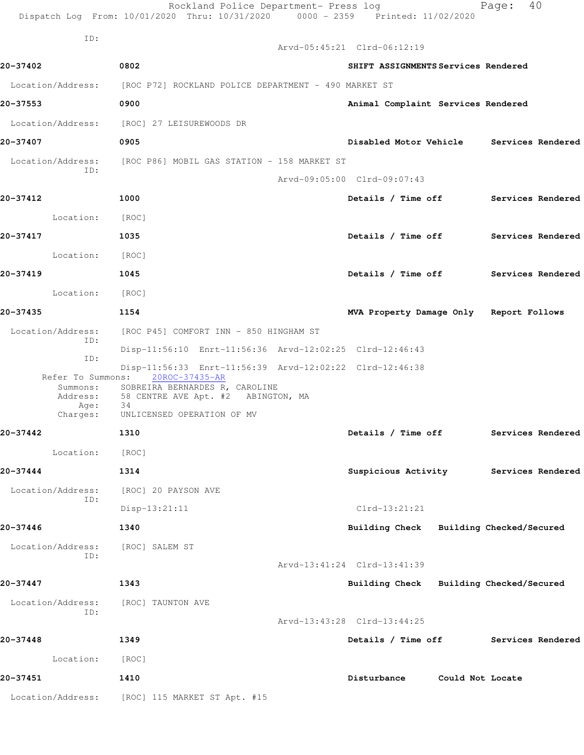|                           | Rockland Police Department- Press log<br>Dispatch Log From: 10/01/2020 Thru: 10/31/2020 0000 - 2359 Printed: 11/02/2020                                                   |                                          |                  | Page: | 40                |
|---------------------------|---------------------------------------------------------------------------------------------------------------------------------------------------------------------------|------------------------------------------|------------------|-------|-------------------|
| ID:                       |                                                                                                                                                                           | Arvd-05:45:21 Clrd-06:12:19              |                  |       |                   |
|                           |                                                                                                                                                                           |                                          |                  |       |                   |
| 20-37402                  | 0802                                                                                                                                                                      | SHIFT ASSIGNMENTS Services Rendered      |                  |       |                   |
|                           | Location/Address: [ROC P72] ROCKLAND POLICE DEPARTMENT - 490 MARKET ST                                                                                                    |                                          |                  |       |                   |
| 20-37553                  | 0900                                                                                                                                                                      | Animal Complaint Services Rendered       |                  |       |                   |
| Location/Address:         | [ROC] 27 LEISUREWOODS DR                                                                                                                                                  |                                          |                  |       |                   |
| 20-37407                  | 0905                                                                                                                                                                      | Disabled Motor Vehicle Services Rendered |                  |       |                   |
| ID:                       | Location/Address: [ROC P86] MOBIL GAS STATION - 158 MARKET ST                                                                                                             |                                          |                  |       |                   |
|                           |                                                                                                                                                                           | Arvd-09:05:00 Clrd-09:07:43              |                  |       |                   |
| 20-37412                  | 1000                                                                                                                                                                      | Details / Time off Services Rendered     |                  |       |                   |
| Location:                 | [ROC]                                                                                                                                                                     |                                          |                  |       |                   |
| 20-37417                  | 1035                                                                                                                                                                      | Details / Time off Services Rendered     |                  |       |                   |
| Location:                 | [ROC]                                                                                                                                                                     |                                          |                  |       |                   |
| 20-37419                  | 1045                                                                                                                                                                      | Details / Time off Services Rendered     |                  |       |                   |
| Location:                 | [ROC]                                                                                                                                                                     |                                          |                  |       |                   |
| 20-37435                  | 1154                                                                                                                                                                      | MVA Property Damage Only Report Follows  |                  |       |                   |
| Location/Address:<br>ID:  | [ROC P45] COMFORT INN - 850 HINGHAM ST                                                                                                                                    |                                          |                  |       |                   |
| ID:                       | Disp-11:56:10 Enrt-11:56:36 Arvd-12:02:25 Clrd-12:46:43                                                                                                                   |                                          |                  |       |                   |
| Refer To Summons:<br>Age: | Disp-11:56:33 Enrt-11:56:39 Arvd-12:02:22 Clrd-12:46:38<br>20ROC-37435-AR<br>Summons: SOBREIRA BERNARDES R, CAROLINE<br>Address: 58 CENTRE AVE Apt. #2 ABINGTON, MA<br>34 |                                          |                  |       |                   |
| Charges:                  | UNLICENSED OPERATION OF MV                                                                                                                                                |                                          |                  |       |                   |
| 20-37442                  | 1310                                                                                                                                                                      | Details / Time off                       |                  |       | Services Rendered |
| Location:                 | [ROC]                                                                                                                                                                     |                                          |                  |       |                   |
| 20-37444                  | 1314                                                                                                                                                                      | Suspicious Activity                      |                  |       | Services Rendered |
| Location/Address:<br>ID:  | [ROC] 20 PAYSON AVE                                                                                                                                                       |                                          |                  |       |                   |
|                           | Disp-13:21:11                                                                                                                                                             | $Clrd-13:21:21$                          |                  |       |                   |
| 20-37446                  | 1340                                                                                                                                                                      | Building Check Building Checked/Secured  |                  |       |                   |
| Location/Address:<br>ID:  | [ROC] SALEM ST                                                                                                                                                            |                                          |                  |       |                   |
|                           |                                                                                                                                                                           | Arvd-13:41:24 Clrd-13:41:39              |                  |       |                   |
| 20-37447                  | 1343                                                                                                                                                                      | Building Check Building Checked/Secured  |                  |       |                   |
| Location/Address:<br>ID:  | [ROC] TAUNTON AVE                                                                                                                                                         |                                          |                  |       |                   |
|                           |                                                                                                                                                                           | Arvd-13:43:28 Clrd-13:44:25              |                  |       |                   |
| 20-37448                  | 1349                                                                                                                                                                      | Details / Time off                       |                  |       | Services Rendered |
| Location:                 | [ROC]                                                                                                                                                                     |                                          |                  |       |                   |
| 20-37451                  | 1410                                                                                                                                                                      | Disturbance                              | Could Not Locate |       |                   |
| Location/Address:         | [ROC] 115 MARKET ST Apt. #15                                                                                                                                              |                                          |                  |       |                   |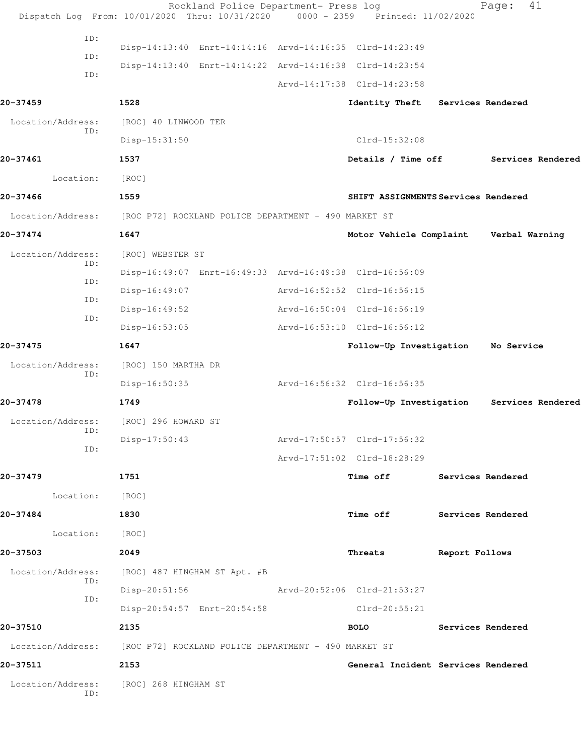| ID:<br>Disp-14:13:40 Enrt-14:14:16 Arvd-14:16:35 Clrd-14:23:49<br>ID:<br>Disp-14:13:40 Enrt-14:14:22 Arvd-14:16:38 Clrd-14:23:54<br>ID:<br>Arvd-14:17:38 Clrd-14:23:58<br>20-37459<br>1528<br>Identity Theft<br>Services Rendered<br>Location/Address:<br>[ROC] 40 LINWOOD TER<br>ID:<br>$Clrd-15:32:08$<br>Disp-15:31:50<br>20-37461<br>1537<br>Details / Time off<br>Services Rendered<br>Location:<br>[ROC]<br>20-37466<br>1559<br>SHIFT ASSIGNMENTS Services Rendered<br>Location/Address: [ROC P72] ROCKLAND POLICE DEPARTMENT - 490 MARKET ST<br>20-37474<br>1647<br>Verbal Warning<br>Motor Vehicle Complaint<br>Location/Address:<br>[ROC] WEBSTER ST<br>ID:<br>Disp-16:49:07 Enrt-16:49:33 Arvd-16:49:38 Clrd-16:56:09<br>ID:<br>$Disp-16:49:07$<br>Arvd-16:52:52 Clrd-16:56:15<br>ID:<br>Disp-16:49:52<br>Arvd-16:50:04 Clrd-16:56:19<br>ID:<br>$Disp-16:53:05$<br>Arvd-16:53:10 Clrd-16:56:12<br>20-37475<br>1647<br>No Service<br>Follow-Up Investigation<br>Location/Address:<br>[ROC] 150 MARTHA DR<br>ID:<br>Arvd-16:56:32 Clrd-16:56:35<br>$Disp-16:50:35$<br>20-37478<br>Follow-Up Investigation<br>Services Rendered<br>1749<br>Location/Address:<br>[ROC] 296 HOWARD ST<br>ID:<br>$Disp-17:50:43$<br>Arvd-17:50:57 Clrd-17:56:32<br>ID:<br>Arvd-17:51:02 Clrd-18:28:29<br>20-37479<br>1751<br>Time off<br>Services Rendered<br>Location:<br>[ROC]<br>20-37484<br>1830<br>Time off<br><b>Services Rendered</b><br>Location:<br>[ROC]<br>20-37503<br>2049<br>Report Follows<br>Threats<br>Location/Address:<br>[ROC] 487 HINGHAM ST Apt. #B<br>ID:<br>$Disp-20:51:56$<br>Arvd-20:52:06 Clrd-21:53:27<br>ID:<br>Disp-20:54:57 Enrt-20:54:58<br>$Clrd-20:55:21$<br>20-37510<br>2135<br><b>BOLO</b><br><b>Services Rendered</b><br>Location/Address: [ROC P72] ROCKLAND POLICE DEPARTMENT - 490 MARKET ST<br>20-37511<br>2153<br>General Incident Services Rendered<br>Location/Address: [ROC] 268 HINGHAM ST<br>ID: |  | Rockland Police Department- Press log | Dispatch Log From: 10/01/2020 Thru: 10/31/2020 0000 - 2359 Printed: 11/02/2020 | 41<br>Page: |  |
|------------------------------------------------------------------------------------------------------------------------------------------------------------------------------------------------------------------------------------------------------------------------------------------------------------------------------------------------------------------------------------------------------------------------------------------------------------------------------------------------------------------------------------------------------------------------------------------------------------------------------------------------------------------------------------------------------------------------------------------------------------------------------------------------------------------------------------------------------------------------------------------------------------------------------------------------------------------------------------------------------------------------------------------------------------------------------------------------------------------------------------------------------------------------------------------------------------------------------------------------------------------------------------------------------------------------------------------------------------------------------------------------------------------------------------------------------------------------------------------------------------------------------------------------------------------------------------------------------------------------------------------------------------------------------------------------------------------------------------------------------------------------------------------------------------------------------------------------------------------------------------------------------------------------------------|--|---------------------------------------|--------------------------------------------------------------------------------|-------------|--|
|                                                                                                                                                                                                                                                                                                                                                                                                                                                                                                                                                                                                                                                                                                                                                                                                                                                                                                                                                                                                                                                                                                                                                                                                                                                                                                                                                                                                                                                                                                                                                                                                                                                                                                                                                                                                                                                                                                                                    |  |                                       |                                                                                |             |  |
|                                                                                                                                                                                                                                                                                                                                                                                                                                                                                                                                                                                                                                                                                                                                                                                                                                                                                                                                                                                                                                                                                                                                                                                                                                                                                                                                                                                                                                                                                                                                                                                                                                                                                                                                                                                                                                                                                                                                    |  |                                       |                                                                                |             |  |
|                                                                                                                                                                                                                                                                                                                                                                                                                                                                                                                                                                                                                                                                                                                                                                                                                                                                                                                                                                                                                                                                                                                                                                                                                                                                                                                                                                                                                                                                                                                                                                                                                                                                                                                                                                                                                                                                                                                                    |  |                                       |                                                                                |             |  |
|                                                                                                                                                                                                                                                                                                                                                                                                                                                                                                                                                                                                                                                                                                                                                                                                                                                                                                                                                                                                                                                                                                                                                                                                                                                                                                                                                                                                                                                                                                                                                                                                                                                                                                                                                                                                                                                                                                                                    |  |                                       |                                                                                |             |  |
|                                                                                                                                                                                                                                                                                                                                                                                                                                                                                                                                                                                                                                                                                                                                                                                                                                                                                                                                                                                                                                                                                                                                                                                                                                                                                                                                                                                                                                                                                                                                                                                                                                                                                                                                                                                                                                                                                                                                    |  |                                       |                                                                                |             |  |
|                                                                                                                                                                                                                                                                                                                                                                                                                                                                                                                                                                                                                                                                                                                                                                                                                                                                                                                                                                                                                                                                                                                                                                                                                                                                                                                                                                                                                                                                                                                                                                                                                                                                                                                                                                                                                                                                                                                                    |  |                                       |                                                                                |             |  |
|                                                                                                                                                                                                                                                                                                                                                                                                                                                                                                                                                                                                                                                                                                                                                                                                                                                                                                                                                                                                                                                                                                                                                                                                                                                                                                                                                                                                                                                                                                                                                                                                                                                                                                                                                                                                                                                                                                                                    |  |                                       |                                                                                |             |  |
|                                                                                                                                                                                                                                                                                                                                                                                                                                                                                                                                                                                                                                                                                                                                                                                                                                                                                                                                                                                                                                                                                                                                                                                                                                                                                                                                                                                                                                                                                                                                                                                                                                                                                                                                                                                                                                                                                                                                    |  |                                       |                                                                                |             |  |
|                                                                                                                                                                                                                                                                                                                                                                                                                                                                                                                                                                                                                                                                                                                                                                                                                                                                                                                                                                                                                                                                                                                                                                                                                                                                                                                                                                                                                                                                                                                                                                                                                                                                                                                                                                                                                                                                                                                                    |  |                                       |                                                                                |             |  |
|                                                                                                                                                                                                                                                                                                                                                                                                                                                                                                                                                                                                                                                                                                                                                                                                                                                                                                                                                                                                                                                                                                                                                                                                                                                                                                                                                                                                                                                                                                                                                                                                                                                                                                                                                                                                                                                                                                                                    |  |                                       |                                                                                |             |  |
|                                                                                                                                                                                                                                                                                                                                                                                                                                                                                                                                                                                                                                                                                                                                                                                                                                                                                                                                                                                                                                                                                                                                                                                                                                                                                                                                                                                                                                                                                                                                                                                                                                                                                                                                                                                                                                                                                                                                    |  |                                       |                                                                                |             |  |
|                                                                                                                                                                                                                                                                                                                                                                                                                                                                                                                                                                                                                                                                                                                                                                                                                                                                                                                                                                                                                                                                                                                                                                                                                                                                                                                                                                                                                                                                                                                                                                                                                                                                                                                                                                                                                                                                                                                                    |  |                                       |                                                                                |             |  |
|                                                                                                                                                                                                                                                                                                                                                                                                                                                                                                                                                                                                                                                                                                                                                                                                                                                                                                                                                                                                                                                                                                                                                                                                                                                                                                                                                                                                                                                                                                                                                                                                                                                                                                                                                                                                                                                                                                                                    |  |                                       |                                                                                |             |  |
|                                                                                                                                                                                                                                                                                                                                                                                                                                                                                                                                                                                                                                                                                                                                                                                                                                                                                                                                                                                                                                                                                                                                                                                                                                                                                                                                                                                                                                                                                                                                                                                                                                                                                                                                                                                                                                                                                                                                    |  |                                       |                                                                                |             |  |
|                                                                                                                                                                                                                                                                                                                                                                                                                                                                                                                                                                                                                                                                                                                                                                                                                                                                                                                                                                                                                                                                                                                                                                                                                                                                                                                                                                                                                                                                                                                                                                                                                                                                                                                                                                                                                                                                                                                                    |  |                                       |                                                                                |             |  |
|                                                                                                                                                                                                                                                                                                                                                                                                                                                                                                                                                                                                                                                                                                                                                                                                                                                                                                                                                                                                                                                                                                                                                                                                                                                                                                                                                                                                                                                                                                                                                                                                                                                                                                                                                                                                                                                                                                                                    |  |                                       |                                                                                |             |  |
|                                                                                                                                                                                                                                                                                                                                                                                                                                                                                                                                                                                                                                                                                                                                                                                                                                                                                                                                                                                                                                                                                                                                                                                                                                                                                                                                                                                                                                                                                                                                                                                                                                                                                                                                                                                                                                                                                                                                    |  |                                       |                                                                                |             |  |
|                                                                                                                                                                                                                                                                                                                                                                                                                                                                                                                                                                                                                                                                                                                                                                                                                                                                                                                                                                                                                                                                                                                                                                                                                                                                                                                                                                                                                                                                                                                                                                                                                                                                                                                                                                                                                                                                                                                                    |  |                                       |                                                                                |             |  |
|                                                                                                                                                                                                                                                                                                                                                                                                                                                                                                                                                                                                                                                                                                                                                                                                                                                                                                                                                                                                                                                                                                                                                                                                                                                                                                                                                                                                                                                                                                                                                                                                                                                                                                                                                                                                                                                                                                                                    |  |                                       |                                                                                |             |  |
|                                                                                                                                                                                                                                                                                                                                                                                                                                                                                                                                                                                                                                                                                                                                                                                                                                                                                                                                                                                                                                                                                                                                                                                                                                                                                                                                                                                                                                                                                                                                                                                                                                                                                                                                                                                                                                                                                                                                    |  |                                       |                                                                                |             |  |
|                                                                                                                                                                                                                                                                                                                                                                                                                                                                                                                                                                                                                                                                                                                                                                                                                                                                                                                                                                                                                                                                                                                                                                                                                                                                                                                                                                                                                                                                                                                                                                                                                                                                                                                                                                                                                                                                                                                                    |  |                                       |                                                                                |             |  |
|                                                                                                                                                                                                                                                                                                                                                                                                                                                                                                                                                                                                                                                                                                                                                                                                                                                                                                                                                                                                                                                                                                                                                                                                                                                                                                                                                                                                                                                                                                                                                                                                                                                                                                                                                                                                                                                                                                                                    |  |                                       |                                                                                |             |  |
|                                                                                                                                                                                                                                                                                                                                                                                                                                                                                                                                                                                                                                                                                                                                                                                                                                                                                                                                                                                                                                                                                                                                                                                                                                                                                                                                                                                                                                                                                                                                                                                                                                                                                                                                                                                                                                                                                                                                    |  |                                       |                                                                                |             |  |
|                                                                                                                                                                                                                                                                                                                                                                                                                                                                                                                                                                                                                                                                                                                                                                                                                                                                                                                                                                                                                                                                                                                                                                                                                                                                                                                                                                                                                                                                                                                                                                                                                                                                                                                                                                                                                                                                                                                                    |  |                                       |                                                                                |             |  |
|                                                                                                                                                                                                                                                                                                                                                                                                                                                                                                                                                                                                                                                                                                                                                                                                                                                                                                                                                                                                                                                                                                                                                                                                                                                                                                                                                                                                                                                                                                                                                                                                                                                                                                                                                                                                                                                                                                                                    |  |                                       |                                                                                |             |  |
|                                                                                                                                                                                                                                                                                                                                                                                                                                                                                                                                                                                                                                                                                                                                                                                                                                                                                                                                                                                                                                                                                                                                                                                                                                                                                                                                                                                                                                                                                                                                                                                                                                                                                                                                                                                                                                                                                                                                    |  |                                       |                                                                                |             |  |
|                                                                                                                                                                                                                                                                                                                                                                                                                                                                                                                                                                                                                                                                                                                                                                                                                                                                                                                                                                                                                                                                                                                                                                                                                                                                                                                                                                                                                                                                                                                                                                                                                                                                                                                                                                                                                                                                                                                                    |  |                                       |                                                                                |             |  |
|                                                                                                                                                                                                                                                                                                                                                                                                                                                                                                                                                                                                                                                                                                                                                                                                                                                                                                                                                                                                                                                                                                                                                                                                                                                                                                                                                                                                                                                                                                                                                                                                                                                                                                                                                                                                                                                                                                                                    |  |                                       |                                                                                |             |  |
|                                                                                                                                                                                                                                                                                                                                                                                                                                                                                                                                                                                                                                                                                                                                                                                                                                                                                                                                                                                                                                                                                                                                                                                                                                                                                                                                                                                                                                                                                                                                                                                                                                                                                                                                                                                                                                                                                                                                    |  |                                       |                                                                                |             |  |
|                                                                                                                                                                                                                                                                                                                                                                                                                                                                                                                                                                                                                                                                                                                                                                                                                                                                                                                                                                                                                                                                                                                                                                                                                                                                                                                                                                                                                                                                                                                                                                                                                                                                                                                                                                                                                                                                                                                                    |  |                                       |                                                                                |             |  |
|                                                                                                                                                                                                                                                                                                                                                                                                                                                                                                                                                                                                                                                                                                                                                                                                                                                                                                                                                                                                                                                                                                                                                                                                                                                                                                                                                                                                                                                                                                                                                                                                                                                                                                                                                                                                                                                                                                                                    |  |                                       |                                                                                |             |  |
|                                                                                                                                                                                                                                                                                                                                                                                                                                                                                                                                                                                                                                                                                                                                                                                                                                                                                                                                                                                                                                                                                                                                                                                                                                                                                                                                                                                                                                                                                                                                                                                                                                                                                                                                                                                                                                                                                                                                    |  |                                       |                                                                                |             |  |
|                                                                                                                                                                                                                                                                                                                                                                                                                                                                                                                                                                                                                                                                                                                                                                                                                                                                                                                                                                                                                                                                                                                                                                                                                                                                                                                                                                                                                                                                                                                                                                                                                                                                                                                                                                                                                                                                                                                                    |  |                                       |                                                                                |             |  |
|                                                                                                                                                                                                                                                                                                                                                                                                                                                                                                                                                                                                                                                                                                                                                                                                                                                                                                                                                                                                                                                                                                                                                                                                                                                                                                                                                                                                                                                                                                                                                                                                                                                                                                                                                                                                                                                                                                                                    |  |                                       |                                                                                |             |  |
|                                                                                                                                                                                                                                                                                                                                                                                                                                                                                                                                                                                                                                                                                                                                                                                                                                                                                                                                                                                                                                                                                                                                                                                                                                                                                                                                                                                                                                                                                                                                                                                                                                                                                                                                                                                                                                                                                                                                    |  |                                       |                                                                                |             |  |
|                                                                                                                                                                                                                                                                                                                                                                                                                                                                                                                                                                                                                                                                                                                                                                                                                                                                                                                                                                                                                                                                                                                                                                                                                                                                                                                                                                                                                                                                                                                                                                                                                                                                                                                                                                                                                                                                                                                                    |  |                                       |                                                                                |             |  |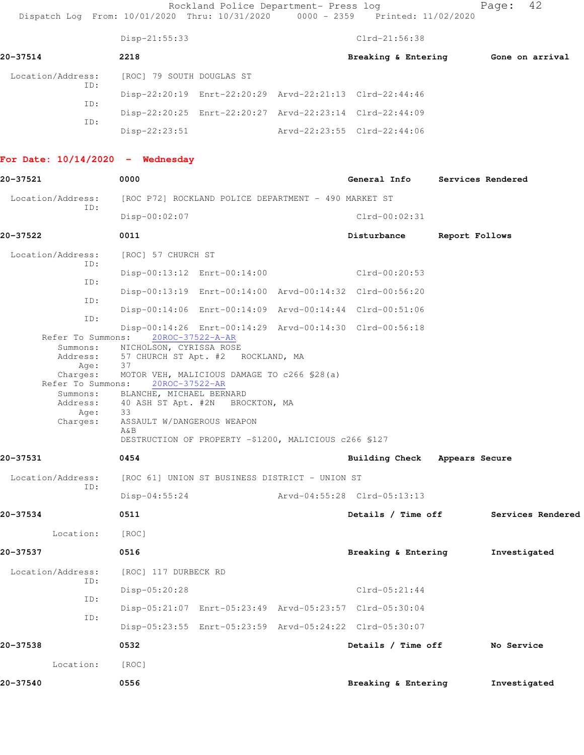Rockland Police Department- Press log entitled Page: 42 Dispatch Log From: 10/01/2020 Thru: 10/31/2020 0000 - 2359 Printed: 11/02/2020

|                          | Disp-21:55:33                                           |  | $Clrd-21:56:38$             |                 |
|--------------------------|---------------------------------------------------------|--|-----------------------------|-----------------|
| 20-37514                 | 2218                                                    |  | Breaking & Entering         | Gone on arrival |
| Location/Address:<br>ID: | [ROC] 79 SOUTH DOUGLAS ST                               |  |                             |                 |
|                          | Disp-22:20:19 Enrt-22:20:29 Arvd-22:21:13 Clrd-22:44:46 |  |                             |                 |
| ID:                      | Disp-22:20:25 Enrt-22:20:27 Arvd-22:23:14 Clrd-22:44:09 |  |                             |                 |
| ID:                      | $Disp-22:23:51$                                         |  | Arvd-22:23:55 Clrd-22:44:06 |                 |

## **For Date: 10/14/2020 - Wednesday**

| 20-37521                      | 0000                                                                        |                               | General Info Services Rendered |
|-------------------------------|-----------------------------------------------------------------------------|-------------------------------|--------------------------------|
| Location/Address:             | [ROC P72] ROCKLAND POLICE DEPARTMENT - 490 MARKET ST                        |                               |                                |
| ID:                           | Disp-00:02:07                                                               | $Clrd-00:02:31$               |                                |
| 20-37522                      | 0011                                                                        | Disturbance                   | Report Follows                 |
| Location/Address:<br>ID:      | [ROC] 57 CHURCH ST                                                          |                               |                                |
| ID:                           | Disp-00:13:12 Enrt-00:14:00                                                 | Clrd-00:20:53                 |                                |
| ID:                           | Disp-00:13:19 Enrt-00:14:00 Arvd-00:14:32 Clrd-00:56:20                     |                               |                                |
|                               | Disp-00:14:06 Enrt-00:14:09 Arvd-00:14:44 Clrd-00:51:06                     |                               |                                |
| ID:<br>Refer To Summons:      | Disp-00:14:26 Enrt-00:14:29 Arvd-00:14:30 Clrd-00:56:18<br>20ROC-37522-A-AR |                               |                                |
| Summons:<br>Address:<br>Age:  | NICHOLSON, CYRISSA ROSE<br>57 CHURCH ST Apt. #2 ROCKLAND, MA<br>37          |                               |                                |
| Charges:<br>Refer To Summons: | MOTOR VEH, MALICIOUS DAMAGE TO c266 \$28(a)<br>20ROC-37522-AR               |                               |                                |
| Summons:                      | BLANCHE, MICHAEL BERNARD                                                    |                               |                                |
| Age:                          | Address: 40 ASH ST Apt. #2N BROCKTON, MA<br>33                              |                               |                                |
| Charges:                      | ASSAULT W/DANGEROUS WEAPON                                                  |                               |                                |
|                               | A&B<br>DESTRUCTION OF PROPERTY -\$1200, MALICIOUS c266 \$127                |                               |                                |
| 20-37531                      | 0454                                                                        | Building Check Appears Secure |                                |
| Location/Address:             | [ROC 61] UNION ST BUSINESS DISTRICT - UNION ST                              |                               |                                |
| ID:                           | $Disp-04:55:24$                                                             | Arvd-04:55:28 Clrd-05:13:13   |                                |
| 20-37534                      | 0511                                                                        | Details / Time off            | Services Rendered              |
| Location:                     | [ROC]                                                                       |                               |                                |
| 20-37537                      | 0516                                                                        | Breaking & Entering           | Investigated                   |
| Location/Address:             | [ROC] 117 DURBECK RD                                                        |                               |                                |
| ID:                           | Disp-05:20:28                                                               | $Clrd-05:21:44$               |                                |
| ID:                           | Disp-05:21:07 Enrt-05:23:49 Arvd-05:23:57 Clrd-05:30:04                     |                               |                                |
| ID:                           | Disp-05:23:55 Enrt-05:23:59 Arvd-05:24:22 Clrd-05:30:07                     |                               |                                |
| 20-37538                      | 0532                                                                        | Details / Time off            | No Service                     |
| Location:                     | [ROC]                                                                       |                               |                                |
| 20-37540                      | 0556                                                                        | Breaking & Entering           | Investigated                   |
|                               |                                                                             |                               |                                |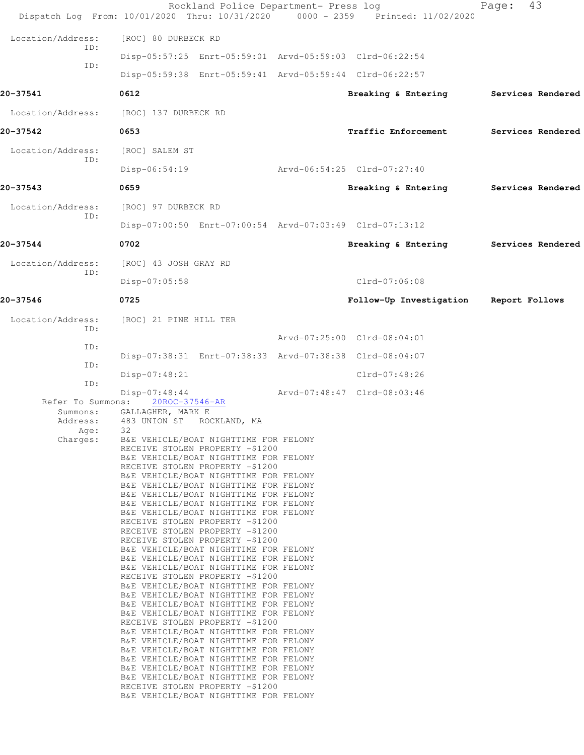|                                                               | Rockland Police Department- Press log<br>Dispatch Log From: 10/01/2020 Thru: 10/31/2020 0000 - 2359 Printed: 11/02/2020                                                                                                                                                                                                                                                                                                                                                                                                                                                                                                                                                                                                                                                                                                                                                                                                                                                                                                                                                                                                                                                                                                                                                           |                             | 43<br>Page:       |
|---------------------------------------------------------------|-----------------------------------------------------------------------------------------------------------------------------------------------------------------------------------------------------------------------------------------------------------------------------------------------------------------------------------------------------------------------------------------------------------------------------------------------------------------------------------------------------------------------------------------------------------------------------------------------------------------------------------------------------------------------------------------------------------------------------------------------------------------------------------------------------------------------------------------------------------------------------------------------------------------------------------------------------------------------------------------------------------------------------------------------------------------------------------------------------------------------------------------------------------------------------------------------------------------------------------------------------------------------------------|-----------------------------|-------------------|
| Location/Address:                                             | [ROC] 80 DURBECK RD                                                                                                                                                                                                                                                                                                                                                                                                                                                                                                                                                                                                                                                                                                                                                                                                                                                                                                                                                                                                                                                                                                                                                                                                                                                               |                             |                   |
| ID:                                                           | Disp-05:57:25 Enrt-05:59:01 Arvd-05:59:03 Clrd-06:22:54                                                                                                                                                                                                                                                                                                                                                                                                                                                                                                                                                                                                                                                                                                                                                                                                                                                                                                                                                                                                                                                                                                                                                                                                                           |                             |                   |
| ID:                                                           | Disp-05:59:38 Enrt-05:59:41 Arvd-05:59:44 Clrd-06:22:57                                                                                                                                                                                                                                                                                                                                                                                                                                                                                                                                                                                                                                                                                                                                                                                                                                                                                                                                                                                                                                                                                                                                                                                                                           |                             |                   |
| 20-37541                                                      | 0612                                                                                                                                                                                                                                                                                                                                                                                                                                                                                                                                                                                                                                                                                                                                                                                                                                                                                                                                                                                                                                                                                                                                                                                                                                                                              | Breaking & Entering         | Services Rendered |
| Location/Address:                                             | [ROC] 137 DURBECK RD                                                                                                                                                                                                                                                                                                                                                                                                                                                                                                                                                                                                                                                                                                                                                                                                                                                                                                                                                                                                                                                                                                                                                                                                                                                              |                             |                   |
| 20-37542                                                      | 0653                                                                                                                                                                                                                                                                                                                                                                                                                                                                                                                                                                                                                                                                                                                                                                                                                                                                                                                                                                                                                                                                                                                                                                                                                                                                              | Traffic Enforcement         | Services Rendered |
| Location/Address:<br>ID:                                      | [ROC] SALEM ST                                                                                                                                                                                                                                                                                                                                                                                                                                                                                                                                                                                                                                                                                                                                                                                                                                                                                                                                                                                                                                                                                                                                                                                                                                                                    |                             |                   |
|                                                               | Disp-06:54:19                                                                                                                                                                                                                                                                                                                                                                                                                                                                                                                                                                                                                                                                                                                                                                                                                                                                                                                                                                                                                                                                                                                                                                                                                                                                     | Arvd-06:54:25 Clrd-07:27:40 |                   |
| 20-37543                                                      | 0659                                                                                                                                                                                                                                                                                                                                                                                                                                                                                                                                                                                                                                                                                                                                                                                                                                                                                                                                                                                                                                                                                                                                                                                                                                                                              | Breaking & Entering         | Services Rendered |
| Location/Address:<br>ID:                                      | [ROC] 97 DURBECK RD                                                                                                                                                                                                                                                                                                                                                                                                                                                                                                                                                                                                                                                                                                                                                                                                                                                                                                                                                                                                                                                                                                                                                                                                                                                               |                             |                   |
|                                                               | Disp-07:00:50 Enrt-07:00:54 Arvd-07:03:49 Clrd-07:13:12                                                                                                                                                                                                                                                                                                                                                                                                                                                                                                                                                                                                                                                                                                                                                                                                                                                                                                                                                                                                                                                                                                                                                                                                                           |                             |                   |
| 20-37544                                                      | 0702                                                                                                                                                                                                                                                                                                                                                                                                                                                                                                                                                                                                                                                                                                                                                                                                                                                                                                                                                                                                                                                                                                                                                                                                                                                                              | Breaking & Entering         | Services Rendered |
| Location/Address:<br>ID:                                      | [ROC] 43 JOSH GRAY RD                                                                                                                                                                                                                                                                                                                                                                                                                                                                                                                                                                                                                                                                                                                                                                                                                                                                                                                                                                                                                                                                                                                                                                                                                                                             |                             |                   |
|                                                               | Disp-07:05:58                                                                                                                                                                                                                                                                                                                                                                                                                                                                                                                                                                                                                                                                                                                                                                                                                                                                                                                                                                                                                                                                                                                                                                                                                                                                     | $Clrd-07:06:08$             |                   |
| 20-37546                                                      | 0725                                                                                                                                                                                                                                                                                                                                                                                                                                                                                                                                                                                                                                                                                                                                                                                                                                                                                                                                                                                                                                                                                                                                                                                                                                                                              | Follow-Up Investigation     | Report Follows    |
| Location/Address:<br>ID:                                      | [ROC] 21 PINE HILL TER                                                                                                                                                                                                                                                                                                                                                                                                                                                                                                                                                                                                                                                                                                                                                                                                                                                                                                                                                                                                                                                                                                                                                                                                                                                            |                             |                   |
| ID:                                                           |                                                                                                                                                                                                                                                                                                                                                                                                                                                                                                                                                                                                                                                                                                                                                                                                                                                                                                                                                                                                                                                                                                                                                                                                                                                                                   | Arvd-07:25:00 Clrd-08:04:01 |                   |
| ID:                                                           | Disp-07:38:31 Enrt-07:38:33 Arvd-07:38:38 Clrd-08:04:07                                                                                                                                                                                                                                                                                                                                                                                                                                                                                                                                                                                                                                                                                                                                                                                                                                                                                                                                                                                                                                                                                                                                                                                                                           |                             |                   |
| ID:                                                           | Disp-07:48:21                                                                                                                                                                                                                                                                                                                                                                                                                                                                                                                                                                                                                                                                                                                                                                                                                                                                                                                                                                                                                                                                                                                                                                                                                                                                     | Clrd-07:48:26               |                   |
| Refer To Summons:<br>Summons:<br>Address:<br>Age:<br>Charges: | $Disp-07:48:44$<br>20ROC-37546-AR<br>GALLAGHER, MARK E<br>483 UNION ST<br>ROCKLAND, MA<br>32<br>B&E VEHICLE/BOAT NIGHTTIME FOR FELONY<br>RECEIVE STOLEN PROPERTY -\$1200<br>B&E VEHICLE/BOAT NIGHTTIME FOR FELONY<br>RECEIVE STOLEN PROPERTY -\$1200<br>B&E VEHICLE/BOAT NIGHTTIME FOR FELONY<br>B&E VEHICLE/BOAT NIGHTTIME FOR FELONY<br>B&E VEHICLE/BOAT NIGHTTIME FOR FELONY<br>B&E VEHICLE/BOAT NIGHTTIME FOR FELONY<br>B&E VEHICLE/BOAT NIGHTTIME FOR FELONY<br>RECEIVE STOLEN PROPERTY -\$1200<br>RECEIVE STOLEN PROPERTY -\$1200<br>RECEIVE STOLEN PROPERTY -\$1200<br>B&E VEHICLE/BOAT NIGHTTIME FOR FELONY<br>B&E VEHICLE/BOAT NIGHTTIME FOR FELONY<br>B&E VEHICLE/BOAT NIGHTTIME FOR FELONY<br>RECEIVE STOLEN PROPERTY -\$1200<br>B&E VEHICLE/BOAT NIGHTTIME FOR FELONY<br>B&E VEHICLE/BOAT NIGHTTIME FOR FELONY<br>B&E VEHICLE/BOAT NIGHTTIME FOR FELONY<br>B&E VEHICLE/BOAT NIGHTTIME FOR FELONY<br>RECEIVE STOLEN PROPERTY -\$1200<br>B&E VEHICLE/BOAT NIGHTTIME FOR FELONY<br>B&E VEHICLE/BOAT NIGHTTIME FOR FELONY<br>B&E VEHICLE/BOAT NIGHTTIME FOR FELONY<br>B&E VEHICLE/BOAT NIGHTTIME FOR FELONY<br>B&E VEHICLE/BOAT NIGHTTIME FOR FELONY<br>B&E VEHICLE/BOAT NIGHTTIME FOR FELONY<br>RECEIVE STOLEN PROPERTY -\$1200<br>B&E VEHICLE/BOAT NIGHTTIME FOR FELONY | Arvd-07:48:47 Clrd-08:03:46 |                   |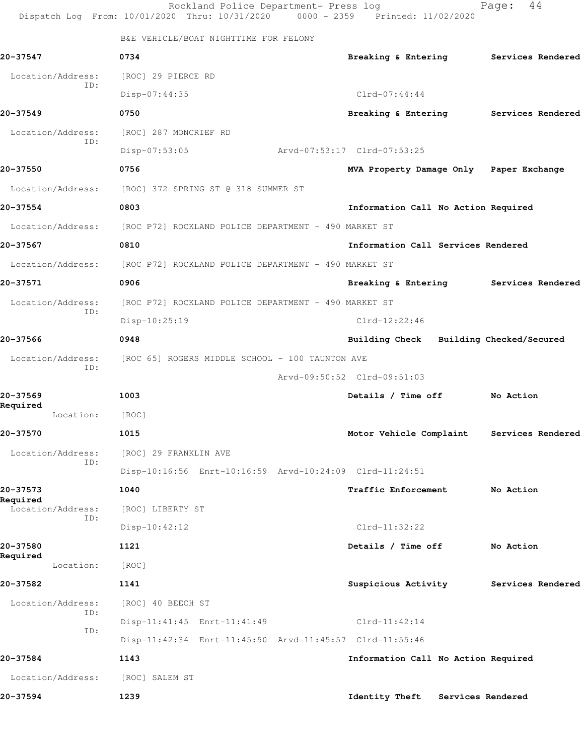|                          | Rockland Police Department- Press log<br>Dispatch Log From: 10/01/2020 Thru: 10/31/2020 0000 - 2359 Printed: 11/02/2020 |                                            | 44<br>Page:       |
|--------------------------|-------------------------------------------------------------------------------------------------------------------------|--------------------------------------------|-------------------|
|                          | B&E VEHICLE/BOAT NIGHTTIME FOR FELONY                                                                                   |                                            |                   |
| 20-37547                 | 0734                                                                                                                    | Breaking & Entering Services Rendered      |                   |
| Location/Address:        | [ROC] 29 PIERCE RD                                                                                                      |                                            |                   |
| ID:                      | Disp-07:44:35                                                                                                           | $Clrd-07:44:44$                            |                   |
| 20-37549                 | 0750                                                                                                                    | Breaking & Entering Services Rendered      |                   |
| Location/Address:        | [ROC] 287 MONCRIEF RD                                                                                                   |                                            |                   |
| ID:                      | Disp-07:53:05                                                                                                           | Arvd-07:53:17 Clrd-07:53:25                |                   |
| 20-37550                 | 0756                                                                                                                    | MVA Property Damage Only Paper Exchange    |                   |
| Location/Address:        | [ROC] 372 SPRING ST @ 318 SUMMER ST                                                                                     |                                            |                   |
| 20-37554                 | 0803                                                                                                                    | Information Call No Action Required        |                   |
| Location/Address:        | [ROC P72] ROCKLAND POLICE DEPARTMENT - 490 MARKET ST                                                                    |                                            |                   |
| 20-37567                 | 0810                                                                                                                    | Information Call Services Rendered         |                   |
| Location/Address:        | [ROC P72] ROCKLAND POLICE DEPARTMENT - 490 MARKET ST                                                                    |                                            |                   |
| 20-37571                 | 0906                                                                                                                    | Breaking & Entering                        | Services Rendered |
| Location/Address:        | [ROC P72] ROCKLAND POLICE DEPARTMENT - 490 MARKET ST                                                                    |                                            |                   |
| ID:                      | Disp-10:25:19                                                                                                           | $Clrd-12:22:46$                            |                   |
| 20-37566                 | 0948                                                                                                                    | Building Check Building Checked/Secured    |                   |
| Location/Address:<br>ID: | [ROC 65] ROGERS MIDDLE SCHOOL - 100 TAUNTON AVE                                                                         |                                            |                   |
|                          |                                                                                                                         | Arvd-09:50:52 Clrd-09:51:03                |                   |
| 20-37569<br>Required     | 1003                                                                                                                    | Details / Time off                         | No Action         |
| Location:                | [ROC]                                                                                                                   |                                            |                   |
| 20-37570                 | 1015                                                                                                                    | Motor Vehicle Complaint                    | Services Rendered |
| Location/Address:<br>ID: | [ROC] 29 FRANKLIN AVE                                                                                                   |                                            |                   |
|                          | Disp-10:16:56 Enrt-10:16:59 Arvd-10:24:09 Clrd-11:24:51                                                                 |                                            |                   |
| 20-37573<br>Required     | 1040                                                                                                                    | Traffic Enforcement                        | No Action         |
| Location/Address:<br>ID: | [ROC] LIBERTY ST                                                                                                        |                                            |                   |
|                          | Disp-10:42:12                                                                                                           | $Clrd-11:32:22$                            |                   |
| 20-37580<br>Required     | 1121                                                                                                                    | Details / Time off                         | No Action         |
| Location:                | [ROC]                                                                                                                   |                                            |                   |
| 20-37582                 | 1141                                                                                                                    | Suspicious Activity                        | Services Rendered |
| Location/Address:<br>ID: | [ROC] 40 BEECH ST                                                                                                       |                                            |                   |
| ID:                      | Disp-11:41:45 Enrt-11:41:49                                                                                             | $Clrd-11:42:14$                            |                   |
|                          | Disp-11:42:34 Enrt-11:45:50 Arvd-11:45:57 Clrd-11:55:46                                                                 |                                            |                   |
| 20-37584                 | 1143                                                                                                                    | Information Call No Action Required        |                   |
| Location/Address:        | [ROC] SALEM ST                                                                                                          |                                            |                   |
| 20-37594                 | 1239                                                                                                                    | <b>Identity Theft</b><br>Services Rendered |                   |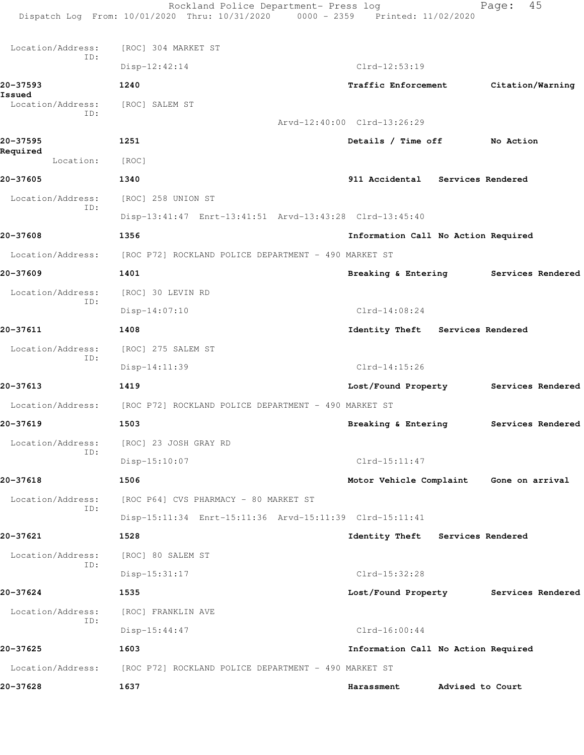|                          | Rockland Police Department- Press log<br>Dispatch Log From: 10/01/2020 Thru: 10/31/2020 0000 - 2359 Printed: 11/02/2020 |                                         | 45<br>Page:       |
|--------------------------|-------------------------------------------------------------------------------------------------------------------------|-----------------------------------------|-------------------|
| Location/Address:        | [ROC] 304 MARKET ST                                                                                                     |                                         |                   |
| ID:                      | $Disp-12:42:14$                                                                                                         | $Clrd-12:53:19$                         |                   |
| 20-37593<br>Issued       | 1240                                                                                                                    | Traffic Enforcement                     | Citation/Warning  |
| Location/Address:<br>ID: | [ROC] SALEM ST                                                                                                          |                                         |                   |
|                          |                                                                                                                         | Arvd-12:40:00 Clrd-13:26:29             |                   |
| 20-37595<br>Required     | 1251                                                                                                                    | Details / Time off                      | No Action         |
| Location:                | [ROC]                                                                                                                   |                                         |                   |
| 20-37605                 | 1340                                                                                                                    | 911 Accidental Services Rendered        |                   |
| Location/Address:        | [ROC] 258 UNION ST                                                                                                      |                                         |                   |
| ID:                      | Disp-13:41:47 Enrt-13:41:51 Arvd-13:43:28 Clrd-13:45:40                                                                 |                                         |                   |
| 20-37608                 | 1356                                                                                                                    | Information Call No Action Required     |                   |
| Location/Address:        | [ROC P72] ROCKLAND POLICE DEPARTMENT - 490 MARKET ST                                                                    |                                         |                   |
| 20-37609                 | 1401                                                                                                                    | Breaking & Entering                     | Services Rendered |
| Location/Address:        | [ROC] 30 LEVIN RD                                                                                                       |                                         |                   |
| ID:                      | $Disp-14:07:10$                                                                                                         | $Clrd-14:08:24$                         |                   |
| 20-37611                 | 1408                                                                                                                    | Identity Theft Services Rendered        |                   |
| Location/Address:        | [ROC] 275 SALEM ST                                                                                                      |                                         |                   |
| ID:                      | Disp-14:11:39                                                                                                           | $Clrd-14:15:26$                         |                   |
| 20-37613                 | 1419                                                                                                                    | Lost/Found Property                     | Services Rendered |
| Location/Address:        | [ROC P72] ROCKLAND POLICE DEPARTMENT - 490 MARKET ST                                                                    |                                         |                   |
| 20-37619                 | 1503                                                                                                                    | Breaking & Entering                     | Services Rendered |
| Location/Address:        | [ROC] 23 JOSH GRAY RD                                                                                                   |                                         |                   |
| ID:                      | Disp-15:10:07                                                                                                           | $Clrd-15:11:47$                         |                   |
| 20-37618                 | 1506                                                                                                                    | Motor Vehicle Complaint Gone on arrival |                   |
| Location/Address:        | [ROC P64] CVS PHARMACY - 80 MARKET ST                                                                                   |                                         |                   |
| ID:                      | Disp-15:11:34 Enrt-15:11:36 Arvd-15:11:39 Clrd-15:11:41                                                                 |                                         |                   |
| 20-37621                 | 1528                                                                                                                    | Identity Theft Services Rendered        |                   |
| Location/Address:        | [ROC] 80 SALEM ST                                                                                                       |                                         |                   |
| ID:                      | Disp-15:31:17                                                                                                           | $Clrd-15:32:28$                         |                   |
| 20-37624                 | 1535                                                                                                                    | Lost/Found Property                     | Services Rendered |
| Location/Address:        | [ROC] FRANKLIN AVE                                                                                                      |                                         |                   |
| ID:                      | Disp-15:44:47                                                                                                           | $Clrd-16:00:44$                         |                   |
| 20-37625                 | 1603                                                                                                                    | Information Call No Action Required     |                   |
| Location/Address:        | [ROC P72] ROCKLAND POLICE DEPARTMENT - 490 MARKET ST                                                                    |                                         |                   |
| 20-37628                 | 1637                                                                                                                    | Harassment                              | Advised to Court  |
|                          |                                                                                                                         |                                         |                   |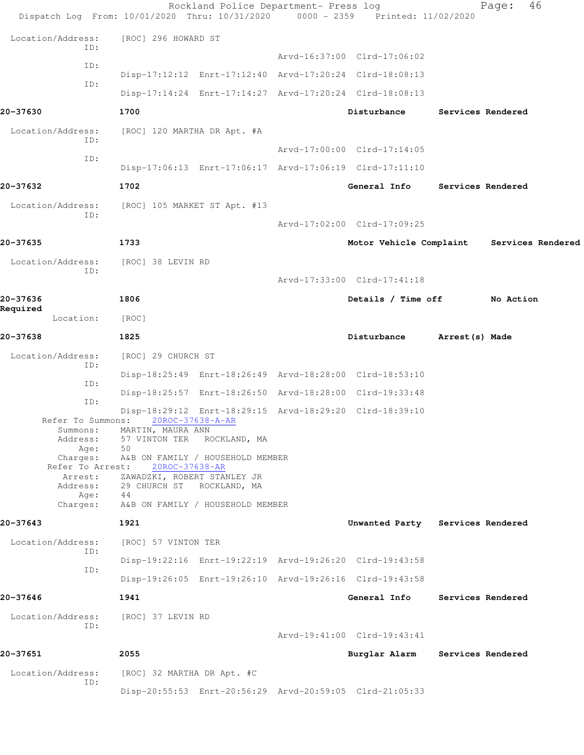|                                                                                   | Rockland Police Department- Press log<br>Dispatch Log From: 10/01/2020 Thru: 10/31/2020 0000 - 2359 Printed: 11/02/2020         |                                  |                 | 46<br>Page:                               |  |
|-----------------------------------------------------------------------------------|---------------------------------------------------------------------------------------------------------------------------------|----------------------------------|-----------------|-------------------------------------------|--|
| Location/Address:                                                                 | [ROC] 296 HOWARD ST                                                                                                             |                                  |                 |                                           |  |
| ID:                                                                               |                                                                                                                                 | Arvd-16:37:00 Clrd-17:06:02      |                 |                                           |  |
| ID:                                                                               | Disp-17:12:12 Enrt-17:12:40 Arvd-17:20:24 Clrd-18:08:13                                                                         |                                  |                 |                                           |  |
| ID:                                                                               | Disp-17:14:24 Enrt-17:14:27 Arvd-17:20:24 Clrd-18:08:13                                                                         |                                  |                 |                                           |  |
| 20-37630                                                                          | 1700                                                                                                                            | Disturbance                      |                 | Services Rendered                         |  |
| Location/Address:<br>ID:                                                          | [ROC] 120 MARTHA DR Apt. #A                                                                                                     |                                  |                 |                                           |  |
| ID:                                                                               |                                                                                                                                 | Arvd-17:00:00 Clrd-17:14:05      |                 |                                           |  |
| 20-37632                                                                          | Disp-17:06:13 Enrt-17:06:17 Arvd-17:06:19 Clrd-17:11:10                                                                         |                                  |                 |                                           |  |
|                                                                                   | 1702                                                                                                                            | General Info                     |                 | Services Rendered                         |  |
| Location/Address:<br>ID:                                                          | [ROC] 105 MARKET ST Apt. #13                                                                                                    | Arvd-17:02:00 Clrd-17:09:25      |                 |                                           |  |
| 20-37635                                                                          | 1733                                                                                                                            |                                  |                 | Motor Vehicle Complaint Services Rendered |  |
|                                                                                   |                                                                                                                                 |                                  |                 |                                           |  |
| Location/Address:<br>ID:                                                          | [ROC] 38 LEVIN RD                                                                                                               | Arvd-17:33:00 Clrd-17:41:18      |                 |                                           |  |
| 20-37636                                                                          | 1806                                                                                                                            | Details / Time off               |                 | No Action                                 |  |
| Required<br>Location:                                                             | [ROC]                                                                                                                           |                                  |                 |                                           |  |
| 20-37638                                                                          | 1825                                                                                                                            | Disturbance                      | Arrest (s) Made |                                           |  |
| Location/Address:                                                                 | [ROC] 29 CHURCH ST                                                                                                              |                                  |                 |                                           |  |
| ID:                                                                               | Disp-18:25:49 Enrt-18:26:49 Arvd-18:28:00 Clrd-18:53:10                                                                         |                                  |                 |                                           |  |
| ID:                                                                               | Disp-18:25:57 Enrt-18:26:50 Arvd-18:28:00 Clrd-19:33:48                                                                         |                                  |                 |                                           |  |
| ID:                                                                               | Disp-18:29:12 Enrt-18:29:15 Arvd-18:29:20 Clrd-18:39:10                                                                         |                                  |                 |                                           |  |
| Refer To Summons:<br>Summons:<br>Address:<br>Age:<br>Charges:<br>Refer To Arrest: | 20ROC-37638-A-AR<br>MARTIN, MAURA ANN<br>57 VINTON TER ROCKLAND, MA<br>50<br>A&B ON FAMILY / HOUSEHOLD MEMBER<br>20ROC-37638-AR |                                  |                 |                                           |  |
| Arrest:<br>Address:<br>Age:                                                       | ZAWADZKI, ROBERT STANLEY JR<br>29 CHURCH ST ROCKLAND, MA<br>44                                                                  |                                  |                 |                                           |  |
| Charges:                                                                          | A&B ON FAMILY / HOUSEHOLD MEMBER                                                                                                |                                  |                 |                                           |  |
| 20-37643                                                                          | 1921                                                                                                                            | Unwanted Party Services Rendered |                 |                                           |  |
| Location/Address:<br>ID:                                                          | [ROC] 57 VINTON TER                                                                                                             |                                  |                 |                                           |  |
| ID:                                                                               | Disp-19:22:16 Enrt-19:22:19 Arvd-19:26:20 Clrd-19:43:58                                                                         |                                  |                 |                                           |  |
|                                                                                   | Disp-19:26:05 Enrt-19:26:10 Arvd-19:26:16 Clrd-19:43:58                                                                         |                                  |                 |                                           |  |
| 20-37646                                                                          | 1941                                                                                                                            | General Info                     |                 | Services Rendered                         |  |
| Location/Address:<br>ID:                                                          | [ROC] 37 LEVIN RD                                                                                                               |                                  |                 |                                           |  |
|                                                                                   |                                                                                                                                 | Arvd-19:41:00 Clrd-19:43:41      |                 |                                           |  |
| 20-37651                                                                          | 2055                                                                                                                            | Burglar Alarm                    |                 | Services Rendered                         |  |
| Location/Address:<br>ID:                                                          | [ROC] 32 MARTHA DR Apt. #C                                                                                                      |                                  |                 |                                           |  |
|                                                                                   | Disp-20:55:53 Enrt-20:56:29 Arvd-20:59:05 Clrd-21:05:33                                                                         |                                  |                 |                                           |  |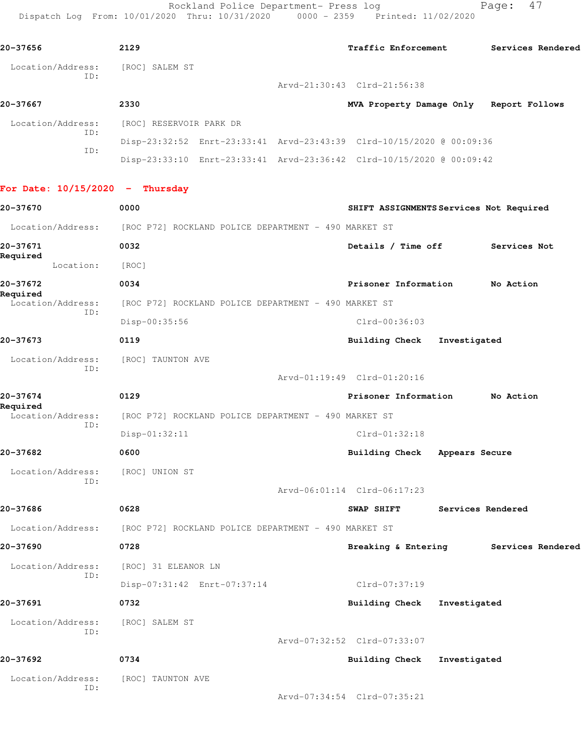Rockland Police Department- Press log Fage: 47 Dispatch Log From: 10/01/2020 Thru: 10/31/2020 0000 - 2359 Printed: 11/02/2020

**20-37656 2129 Traffic Enforcement Services Rendered** Location/Address: [ROC] SALEM ST ID: Arvd-21:30:43 Clrd-21:56:38 **20-37667 2330 MVA Property Damage Only Report Follows** Location/Address: [ROC] RESERVOIR PARK DR ID: Disp-23:32:52 Enrt-23:33:41 Arvd-23:43:39 Clrd-10/15/2020 @ 00:09:36 ID: Disp-23:33:10 Enrt-23:33:41 Arvd-23:36:42 Clrd-10/15/2020 @ 00:09:42 **For Date: 10/15/2020 - Thursday 20-37670 0000 SHIFT ASSIGNMENTS Services Not Required** Location/Address: [ROC P72] ROCKLAND POLICE DEPARTMENT - 490 MARKET ST **20-37671 0032 Details / Time off Services Not Required**  Location: [ROC] **20-37672 0034 Prisoner Information No Action Required**  Location/Address: [ROC P72] ROCKLAND POLICE DEPARTMENT - 490 MARKET ST ID: Disp-00:35:56 Clrd-00:36:03 **20-37673 0119 Building Check Investigated** Location/Address: [ROC] TAUNTON AVE ID: Arvd-01:19:49 Clrd-01:20:16 **20-37674 0129 Prisoner Information No Action Required**  Location/Address: [ROC P72] ROCKLAND POLICE DEPARTMENT - 490 MARKET ST ID: Disp-01:32:11 Clrd-01:32:18 **20-37682 0600 Building Check Appears Secure** Location/Address: [ROC] UNION ST ID: Arvd-06:01:14 Clrd-06:17:23 **20-37686 0628 SWAP SHIFT Services Rendered** Location/Address: [ROC P72] ROCKLAND POLICE DEPARTMENT - 490 MARKET ST **20-37690 0728 Breaking & Entering Services Rendered** Location/Address: [ROC] 31 ELEANOR LN ID: Disp-07:31:42 Enrt-07:37:14 Clrd-07:37:19 **20-37691 0732 Building Check Investigated** Location/Address: [ROC] SALEM ST ID: Arvd-07:32:52 Clrd-07:33:07 **20-37692 0734 Building Check Investigated** Location/Address: [ROC] TAUNTON AVE ID: Arvd-07:34:54 Clrd-07:35:21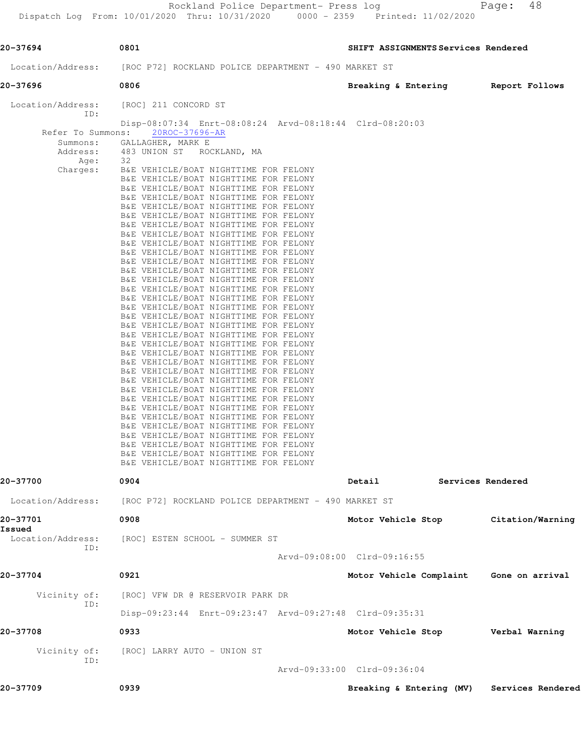Rockland Police Department- Press log entitled and Page: 48

| 20-37694                 | 0801                                                                            | SHIFT ASSIGNMENTS Services Rendered |                   |
|--------------------------|---------------------------------------------------------------------------------|-------------------------------------|-------------------|
| Location/Address:        | [ROC P72] ROCKLAND POLICE DEPARTMENT - 490 MARKET ST                            |                                     |                   |
| 20-37696                 | 0806                                                                            | Breaking & Entering                 | Report Follows    |
| Location/Address:<br>ID: | [ROC] 211 CONCORD ST<br>Disp-08:07:34 Enrt-08:08:24 Arvd-08:18:44 Clrd-08:20:03 |                                     |                   |
| Refer To Summons:        | 20ROC-37696-AR                                                                  |                                     |                   |
| Summons:<br>Address:     | GALLAGHER, MARK E<br>483 UNION ST ROCKLAND, MA                                  |                                     |                   |
| Age:                     | 32                                                                              |                                     |                   |
| Charges:                 | B&E VEHICLE/BOAT NIGHTTIME FOR FELONY<br>B&E VEHICLE/BOAT NIGHTTIME FOR FELONY  |                                     |                   |
|                          | B&E VEHICLE/BOAT NIGHTTIME FOR FELONY                                           |                                     |                   |
|                          | B&E VEHICLE/BOAT NIGHTTIME FOR FELONY<br>B&E VEHICLE/BOAT NIGHTTIME FOR FELONY  |                                     |                   |
|                          | B&E VEHICLE/BOAT NIGHTTIME FOR FELONY                                           |                                     |                   |
|                          | B&E VEHICLE/BOAT NIGHTTIME FOR FELONY<br>B&E VEHICLE/BOAT NIGHTTIME FOR FELONY  |                                     |                   |
|                          | B&E VEHICLE/BOAT NIGHTTIME FOR FELONY                                           |                                     |                   |
|                          | B&E VEHICLE/BOAT NIGHTTIME FOR FELONY                                           |                                     |                   |
|                          | B&E VEHICLE/BOAT NIGHTTIME FOR FELONY<br>B&E VEHICLE/BOAT NIGHTTIME FOR FELONY  |                                     |                   |
|                          | B&E VEHICLE/BOAT NIGHTTIME FOR FELONY                                           |                                     |                   |
|                          | B&E VEHICLE/BOAT NIGHTTIME FOR FELONY<br>B&E VEHICLE/BOAT NIGHTTIME FOR FELONY  |                                     |                   |
|                          | B&E VEHICLE/BOAT NIGHTTIME FOR FELONY                                           |                                     |                   |
|                          | B&E VEHICLE/BOAT NIGHTTIME FOR FELONY<br>B&E VEHICLE/BOAT NIGHTTIME FOR FELONY  |                                     |                   |
|                          | B&E VEHICLE/BOAT NIGHTTIME FOR FELONY                                           |                                     |                   |
|                          | B&E VEHICLE/BOAT NIGHTTIME FOR FELONY<br>B&E VEHICLE/BOAT NIGHTTIME FOR FELONY  |                                     |                   |
|                          | B&E VEHICLE/BOAT NIGHTTIME FOR FELONY                                           |                                     |                   |
|                          | B&E VEHICLE/BOAT NIGHTTIME FOR FELONY<br>B&E VEHICLE/BOAT NIGHTTIME FOR FELONY  |                                     |                   |
|                          | B&E VEHICLE/BOAT NIGHTTIME FOR FELONY                                           |                                     |                   |
|                          | B&E VEHICLE/BOAT NIGHTTIME FOR FELONY<br>B&E VEHICLE/BOAT NIGHTTIME FOR FELONY  |                                     |                   |
|                          | B&E VEHICLE/BOAT NIGHTTIME FOR FELONY                                           |                                     |                   |
|                          | B&E VEHICLE/BOAT NIGHTTIME FOR FELONY                                           |                                     |                   |
|                          | B&E VEHICLE/BOAT NIGHTTIME FOR FELONY<br>B&E VEHICLE/BOAT NIGHTTIME FOR FELONY  |                                     |                   |
|                          | B&E VEHICLE/BOAT NIGHTTIME FOR FELONY                                           |                                     |                   |
|                          | B&E VEHICLE/BOAT NIGHTTIME FOR FELONY                                           |                                     |                   |
| 20-37700                 | 0904                                                                            | Detail                              | Services Rendered |
| Location/Address:        | [ROC P72] ROCKLAND POLICE DEPARTMENT - 490 MARKET ST                            |                                     |                   |
| 20-37701<br>Issued       | 0908                                                                            | Motor Vehicle Stop                  | Citation/Warning  |
| Location/Address:<br>ID: | [ROC] ESTEN SCHOOL - SUMMER ST                                                  |                                     |                   |
|                          |                                                                                 | Arvd-09:08:00 Clrd-09:16:55         |                   |
| 20-37704                 | 0921                                                                            | Motor Vehicle Complaint             | Gone on arrival   |
| Vicinity of:<br>ID:      | [ROC] VFW DR @ RESERVOIR PARK DR                                                |                                     |                   |
|                          | Disp-09:23:44 Enrt-09:23:47 Arvd-09:27:48 Clrd-09:35:31                         |                                     |                   |
| 20-37708                 | 0933                                                                            | Motor Vehicle Stop                  | Verbal Warning    |
| Vicinity of:<br>ID:      | [ROC] LARRY AUTO - UNION ST                                                     |                                     |                   |
|                          |                                                                                 | Arvd-09:33:00 Clrd-09:36:04         |                   |
| 20-37709                 | 0939                                                                            | Breaking & Entering (MV)            | Services Rendered |
|                          |                                                                                 |                                     |                   |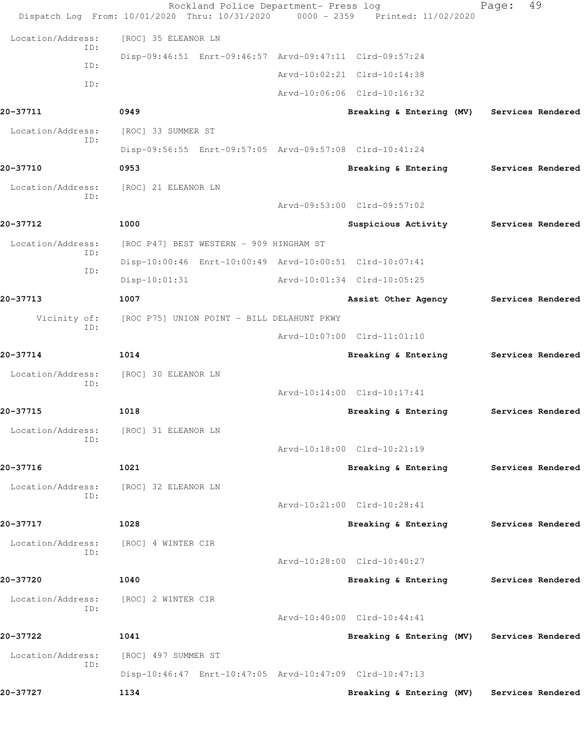|                   | Rockland Police Department- Press log<br>Dispatch Log From: 10/01/2020 Thru: 10/31/2020 0000 - 2359 Printed: 11/02/2020 |                                            | 49<br>Page:       |
|-------------------|-------------------------------------------------------------------------------------------------------------------------|--------------------------------------------|-------------------|
| Location/Address: | [ROC] 35 ELEANOR LN                                                                                                     |                                            |                   |
| ID:               | Disp-09:46:51 Enrt-09:46:57 Arvd-09:47:11 Clrd-09:57:24                                                                 |                                            |                   |
| ID:               |                                                                                                                         | Arvd-10:02:21 Clrd-10:14:38                |                   |
| ID:               |                                                                                                                         | Arvd-10:06:06 Clrd-10:16:32                |                   |
| 20-37711          | 0949                                                                                                                    | Breaking & Entering (MV)                   | Services Rendered |
| Location/Address: | [ROC] 33 SUMMER ST                                                                                                      |                                            |                   |
| ID:               | Disp-09:56:55 Enrt-09:57:05 Arvd-09:57:08 Clrd-10:41:24                                                                 |                                            |                   |
| 20-37710          | 0953                                                                                                                    | Breaking & Entering                        | Services Rendered |
| Location/Address: | [ROC] 21 ELEANOR LN                                                                                                     |                                            |                   |
| ID:               |                                                                                                                         | Arvd-09:53:00 Clrd-09:57:02                |                   |
| 20-37712          | 1000                                                                                                                    | Suspicious Activity                        | Services Rendered |
| Location/Address: | [ROC P47] BEST WESTERN - 909 HINGHAM ST                                                                                 |                                            |                   |
| ID:               | Disp-10:00:46 Enrt-10:00:49 Arvd-10:00:51 Clrd-10:07:41                                                                 |                                            |                   |
| ID:               | $Disp-10:01:31$                                                                                                         | Arvd-10:01:34 Clrd-10:05:25                |                   |
| 20-37713          | 1007                                                                                                                    | Assist Other Agency                        | Services Rendered |
| Vicinity of:      | [ROC P75] UNION POINT - BILL DELAHUNT PKWY                                                                              |                                            |                   |
| ID:               |                                                                                                                         | Arvd-10:07:00 Clrd-11:01:10                |                   |
| 20-37714          | 1014                                                                                                                    | Breaking & Entering                        | Services Rendered |
| Location/Address: | [ROC] 30 ELEANOR LN                                                                                                     |                                            |                   |
| ID:               |                                                                                                                         | Arvd-10:14:00 Clrd-10:17:41                |                   |
| 20-37715          | 1018                                                                                                                    | Breaking & Entering                        | Services Rendered |
| Location/Address: | [ROC] 31 ELEANOR LN                                                                                                     |                                            |                   |
| ID:               |                                                                                                                         | Arvd-10:18:00 Clrd-10:21:19                |                   |
| 20-37716          | 1021                                                                                                                    | Breaking & Entering                        | Services Rendered |
| Location/Address: | [ROC] 32 ELEANOR LN                                                                                                     |                                            |                   |
| ID:               |                                                                                                                         | Arvd-10:21:00 Clrd-10:28:41                |                   |
| 20-37717          | 1028                                                                                                                    | Breaking & Entering                        | Services Rendered |
| Location/Address: | [ROC] 4 WINTER CIR                                                                                                      |                                            |                   |
| ID:               |                                                                                                                         | Arvd-10:28:00 Clrd-10:40:27                |                   |
| 20-37720          | 1040                                                                                                                    | Breaking & Entering Services Rendered      |                   |
| Location/Address: | [ROC] 2 WINTER CIR                                                                                                      |                                            |                   |
| ID:               |                                                                                                                         | Arvd-10:40:00 Clrd-10:44:41                |                   |
| 20-37722          | 1041                                                                                                                    | Breaking & Entering (MV) Services Rendered |                   |
| Location/Address: | [ROC] 497 SUMMER ST                                                                                                     |                                            |                   |
| ID:               | Disp-10:46:47 Enrt-10:47:05 Arvd-10:47:09 Clrd-10:47:13                                                                 |                                            |                   |
| 20-37727          | 1134                                                                                                                    | Breaking & Entering (MV) Services Rendered |                   |
|                   |                                                                                                                         |                                            |                   |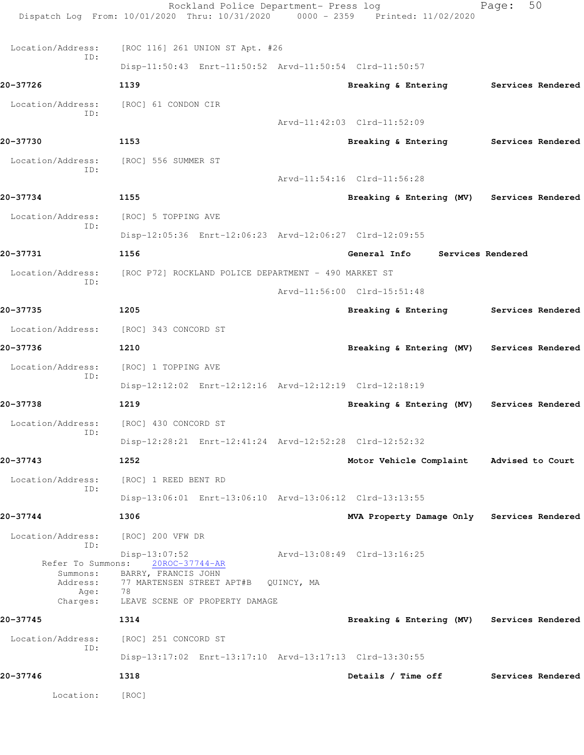|                          | Rockland Police Department- Press log<br>Dispatch Log From: 10/01/2020 Thru: 10/31/2020 0000 - 2359 Printed: 11/02/2020 |            |                                            | 50<br>Page:       |
|--------------------------|-------------------------------------------------------------------------------------------------------------------------|------------|--------------------------------------------|-------------------|
| Location/Address:        | [ROC 116] 261 UNION ST Apt. #26                                                                                         |            |                                            |                   |
| ID:                      | Disp-11:50:43 Enrt-11:50:52 Arvd-11:50:54 Clrd-11:50:57                                                                 |            |                                            |                   |
| 20-37726                 | 1139                                                                                                                    |            | Breaking & Entering Services Rendered      |                   |
| Location/Address:        | [ROC] 61 CONDON CIR                                                                                                     |            |                                            |                   |
| ID:                      |                                                                                                                         |            | Arvd-11:42:03 Clrd-11:52:09                |                   |
| 20-37730                 | 1153                                                                                                                    |            | Breaking & Entering Services Rendered      |                   |
| Location/Address:        | [ROC] 556 SUMMER ST                                                                                                     |            |                                            |                   |
| ID:                      |                                                                                                                         |            | Arvd-11:54:16 Clrd-11:56:28                |                   |
| 20-37734                 | 1155                                                                                                                    |            | Breaking & Entering (MV) Services Rendered |                   |
|                          |                                                                                                                         |            |                                            |                   |
| Location/Address:<br>ID: | [ROC] 5 TOPPING AVE                                                                                                     |            |                                            |                   |
|                          | Disp-12:05:36 Enrt-12:06:23 Arvd-12:06:27 Clrd-12:09:55                                                                 |            |                                            |                   |
| 20-37731                 | 1156                                                                                                                    |            | General Info                               | Services Rendered |
| Location/Address:<br>ID: | [ROC P72] ROCKLAND POLICE DEPARTMENT - 490 MARKET ST                                                                    |            |                                            |                   |
|                          |                                                                                                                         |            | Arvd-11:56:00 Clrd-15:51:48                |                   |
| 20-37735                 | 1205                                                                                                                    |            | Breaking & Entering Services Rendered      |                   |
| Location/Address:        | [ROC] 343 CONCORD ST                                                                                                    |            |                                            |                   |
| 20-37736                 | 1210                                                                                                                    |            | Breaking & Entering (MV) Services Rendered |                   |
| Location/Address:<br>ID: | [ROC] 1 TOPPING AVE                                                                                                     |            |                                            |                   |
|                          | Disp-12:12:02 Enrt-12:12:16 Arvd-12:12:19 Clrd-12:18:19                                                                 |            |                                            |                   |
| 20-37738                 | 1219                                                                                                                    |            | Breaking & Entering (MV) Services Rendered |                   |
| Location/Address:        | [ROC] 430 CONCORD ST                                                                                                    |            |                                            |                   |
| ID:                      | Disp-12:28:21 Enrt-12:41:24 Arvd-12:52:28 Clrd-12:52:32                                                                 |            |                                            |                   |
| 20-37743                 | 1252                                                                                                                    |            | Motor Vehicle Complaint                    | Advised to Court  |
| Location/Address:        | [ROC] 1 REED BENT RD                                                                                                    |            |                                            |                   |
| ID:                      | Disp-13:06:01 Enrt-13:06:10 Arvd-13:06:12 Clrd-13:13:55                                                                 |            |                                            |                   |
| 20-37744                 | 1306                                                                                                                    |            | MVA Property Damage Only Services Rendered |                   |
| Location/Address:        | [ROC] 200 VFW DR                                                                                                        |            |                                            |                   |
| ID:<br>Refer To Summons: | Disp-13:07:52<br>20ROC-37744-AR                                                                                         |            | Arvd-13:08:49 Clrd-13:16:25                |                   |
| Summons:<br>Address:     | BARRY, FRANCIS JOHN<br>77 MARTENSEN STREET APT#B                                                                        | QUINCY, MA |                                            |                   |
| Age:<br>Charges:         | 78<br>LEAVE SCENE OF PROPERTY DAMAGE                                                                                    |            |                                            |                   |
| 20-37745                 | 1314                                                                                                                    |            | Breaking & Entering (MV) Services Rendered |                   |
| Location/Address:        | [ROC] 251 CONCORD ST                                                                                                    |            |                                            |                   |
| ID:                      | Disp-13:17:02 Enrt-13:17:10 Arvd-13:17:13 Clrd-13:30:55                                                                 |            |                                            |                   |
| 20-37746                 | 1318                                                                                                                    |            | Details / Time off                         | Services Rendered |
| Location:                | [ROC]                                                                                                                   |            |                                            |                   |
|                          |                                                                                                                         |            |                                            |                   |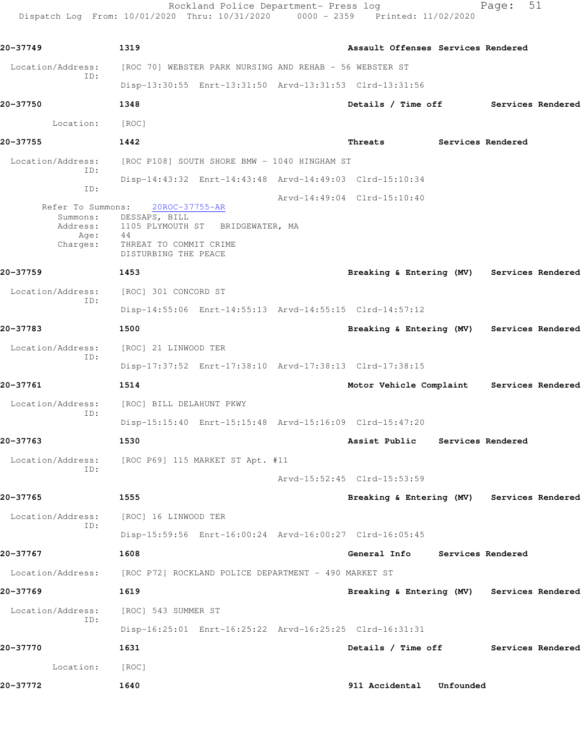Rockland Police Department- Press log entitled Page: 51 Dispatch Log From: 10/01/2020 Thru: 10/31/2020 0000 - 2359 Printed: 11/02/2020

| 20-37749                                                      | 1319                                                                                                                        | Assault Offenses Services Rendered         |           |                   |  |
|---------------------------------------------------------------|-----------------------------------------------------------------------------------------------------------------------------|--------------------------------------------|-----------|-------------------|--|
| Location/Address:<br>ID:                                      | [ROC 70] WEBSTER PARK NURSING AND REHAB - 56 WEBSTER ST                                                                     |                                            |           |                   |  |
|                                                               | Disp-13:30:55 Enrt-13:31:50 Arvd-13:31:53 Clrd-13:31:56                                                                     |                                            |           |                   |  |
| 20-37750                                                      | 1348                                                                                                                        | Details / Time off Services Rendered       |           |                   |  |
| Location:                                                     | [ROC]                                                                                                                       |                                            |           |                   |  |
| 20-37755                                                      | 1442                                                                                                                        | Threats Services Rendered                  |           |                   |  |
| Location/Address:<br>ID:                                      | [ROC P108] SOUTH SHORE BMW - 1040 HINGHAM ST                                                                                |                                            |           |                   |  |
| ID:                                                           | Disp-14:43:32 Enrt-14:43:48 Arvd-14:49:03 Clrd-15:10:34                                                                     |                                            |           |                   |  |
| Refer To Summons:<br>Summons:<br>Address:<br>Age:<br>Charges: | 20ROC-37755-AR<br>DESSAPS, BILL<br>1105 PLYMOUTH ST BRIDGEWATER, MA<br>44<br>THREAT TO COMMIT CRIME<br>DISTURBING THE PEACE | Arvd-14:49:04 Clrd-15:10:40                |           |                   |  |
| 20-37759                                                      | 1453                                                                                                                        | Breaking & Entering (MV) Services Rendered |           |                   |  |
| Location/Address:<br>ID:                                      | [ROC] 301 CONCORD ST<br>Disp-14:55:06 Enrt-14:55:13 Arvd-14:55:15 Clrd-14:57:12                                             |                                            |           |                   |  |
| 20-37783                                                      | 1500                                                                                                                        | Breaking & Entering (MV) Services Rendered |           |                   |  |
| Location/Address:                                             | [ROC] 21 LINWOOD TER                                                                                                        |                                            |           |                   |  |
| ID:                                                           | Disp-17:37:52 Enrt-17:38:10 Arvd-17:38:13 Clrd-17:38:15                                                                     |                                            |           |                   |  |
| 20-37761                                                      | 1514                                                                                                                        | Motor Vehicle Complaint Services Rendered  |           |                   |  |
| Location/Address:                                             | [ROC] BILL DELAHUNT PKWY                                                                                                    |                                            |           |                   |  |
| ID:                                                           | Disp-15:15:40 Enrt-15:15:48 Arvd-15:16:09 Clrd-15:47:20                                                                     |                                            |           |                   |  |
| 20-37763                                                      | 1530                                                                                                                        | Assist Public                              |           | Services Rendered |  |
| ID:                                                           | Location/Address: [ROC P69] 115 MARKET ST Apt. #11                                                                          |                                            |           |                   |  |
|                                                               |                                                                                                                             | Arvd-15:52:45 Clrd-15:53:59                |           |                   |  |
| 20-37765                                                      | 1555                                                                                                                        | Breaking & Entering (MV) Services Rendered |           |                   |  |
| Location/Address:<br>ID:                                      | [ROC] 16 LINWOOD TER                                                                                                        |                                            |           |                   |  |
|                                                               | Disp-15:59:56 Enrt-16:00:24 Arvd-16:00:27 Clrd-16:05:45                                                                     |                                            |           |                   |  |
| 20-37767                                                      | 1608                                                                                                                        | General Info                               |           | Services Rendered |  |
| Location/Address:                                             | [ROC P72] ROCKLAND POLICE DEPARTMENT - 490 MARKET ST                                                                        |                                            |           |                   |  |
| 20-37769                                                      | 1619                                                                                                                        | Breaking & Entering (MV) Services Rendered |           |                   |  |
| Location/Address:<br>ID:                                      | [ROC] 543 SUMMER ST                                                                                                         |                                            |           |                   |  |
|                                                               | Disp-16:25:01 Enrt-16:25:22 Arvd-16:25:25 Clrd-16:31:31                                                                     |                                            |           |                   |  |
| 20-37770                                                      | 1631                                                                                                                        | Details / Time off                         |           | Services Rendered |  |
| Location:                                                     | [ROC]                                                                                                                       |                                            |           |                   |  |
| 20-37772                                                      | 1640                                                                                                                        | 911 Accidental                             | Unfounded |                   |  |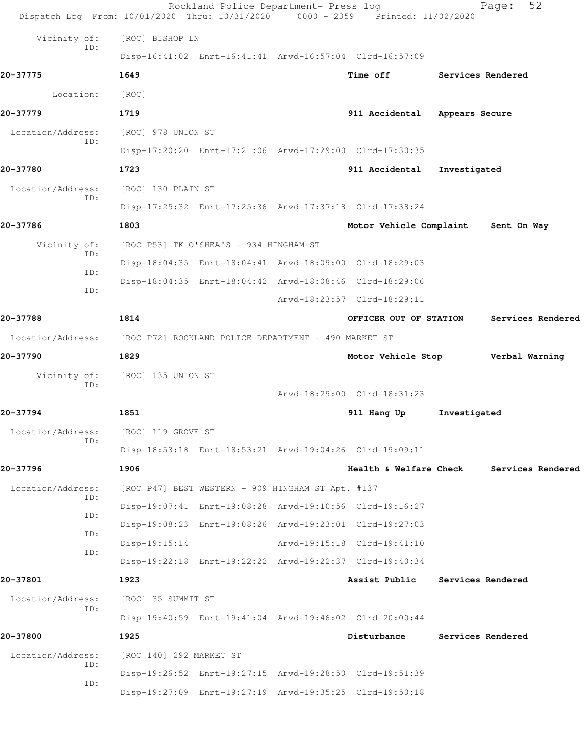|                          | Rockland Police Department- Press log<br>Dispatch Log From: 10/01/2020 Thru: 10/31/2020 0000 - 2359 Printed: 11/02/2020 |                                   |                          | 52<br>Page:              |  |
|--------------------------|-------------------------------------------------------------------------------------------------------------------------|-----------------------------------|--------------------------|--------------------------|--|
| Vicinity of:             | [ROC] BISHOP LN                                                                                                         |                                   |                          |                          |  |
| ID:                      | Disp-16:41:02 Enrt-16:41:41 Arvd-16:57:04 Clrd-16:57:09                                                                 |                                   |                          |                          |  |
| 20-37775                 | 1649                                                                                                                    | <b>Time off</b>                   | <b>Services Rendered</b> |                          |  |
| Location:                | [ROC]                                                                                                                   |                                   |                          |                          |  |
| 20-37779                 | 1719                                                                                                                    | 911 Accidental                    | Appears Secure           |                          |  |
| Location/Address:        | [ROC] 978 UNION ST                                                                                                      |                                   |                          |                          |  |
| ID:                      | Disp-17:20:20 Enrt-17:21:06 Arvd-17:29:00 Clrd-17:30:35                                                                 |                                   |                          |                          |  |
| 20-37780                 | 1723                                                                                                                    | 911 Accidental                    | Investigated             |                          |  |
| Location/Address:        | [ROC] 130 PLAIN ST                                                                                                      |                                   |                          |                          |  |
| ID:                      | Disp-17:25:32 Enrt-17:25:36 Arvd-17:37:18 Clrd-17:38:24                                                                 |                                   |                          |                          |  |
| 20-37786                 | 1803                                                                                                                    | Motor Vehicle Complaint           |                          | Sent On Way              |  |
| Vicinity of:             | [ROC P53] TK O'SHEA'S - 934 HINGHAM ST                                                                                  |                                   |                          |                          |  |
| ID:                      | Disp-18:04:35 Enrt-18:04:41 Arvd-18:09:00 Clrd-18:29:03                                                                 |                                   |                          |                          |  |
| ID:                      | Disp-18:04:35 Enrt-18:04:42 Arvd-18:08:46 Clrd-18:29:06                                                                 |                                   |                          |                          |  |
| ID:                      |                                                                                                                         | Arvd-18:23:57 Clrd-18:29:11       |                          |                          |  |
| 20-37788                 | 1814                                                                                                                    | OFFICER OUT OF STATION            |                          | Services Rendered        |  |
| Location/Address:        | [ROC P72] ROCKLAND POLICE DEPARTMENT - 490 MARKET ST                                                                    |                                   |                          |                          |  |
| 20-37790                 | 1829                                                                                                                    | Motor Vehicle Stop Verbal Warning |                          |                          |  |
| Vicinity of:             | [ROC] 135 UNION ST                                                                                                      |                                   |                          |                          |  |
| ID:                      |                                                                                                                         | Arvd-18:29:00 Clrd-18:31:23       |                          |                          |  |
| 20-37794                 | 1851                                                                                                                    | 911 Hang Up                       | Investigated             |                          |  |
| Location/Address:<br>ID: | [ROC] 119 GROVE ST                                                                                                      |                                   |                          |                          |  |
|                          | Disp-18:53:18 Enrt-18:53:21 Arvd-19:04:26 Clrd-19:09:11                                                                 |                                   |                          |                          |  |
| 20-37796                 | 1906                                                                                                                    | Health & Welfare Check            |                          | Services Rendered        |  |
| Location/Address:<br>ID: | [ROC P47] BEST WESTERN - 909 HINGHAM ST Apt. #137                                                                       |                                   |                          |                          |  |
| ID:                      | Disp-19:07:41 Enrt-19:08:28 Arvd-19:10:56 Clrd-19:16:27                                                                 |                                   |                          |                          |  |
| ID:                      | Disp-19:08:23 Enrt-19:08:26 Arvd-19:23:01 Clrd-19:27:03                                                                 |                                   |                          |                          |  |
| ID:                      | $Disp-19:15:14$                                                                                                         | Arvd-19:15:18 Clrd-19:41:10       |                          |                          |  |
|                          | Disp-19:22:18 Enrt-19:22:22 Arvd-19:22:37 Clrd-19:40:34                                                                 |                                   |                          |                          |  |
| 20-37801                 | 1923                                                                                                                    | Assist Public                     |                          | <b>Services Rendered</b> |  |
| Location/Address:<br>ID: | [ROC] 35 SUMMIT ST                                                                                                      |                                   |                          |                          |  |
|                          | Disp-19:40:59 Enrt-19:41:04 Arvd-19:46:02 Clrd-20:00:44                                                                 |                                   |                          |                          |  |
| 20-37800                 | 1925                                                                                                                    | Disturbance                       |                          | Services Rendered        |  |
| Location/Address:<br>ID: | [ROC 140] 292 MARKET ST                                                                                                 |                                   |                          |                          |  |
| ID:                      | Disp-19:26:52 Enrt-19:27:15 Arvd-19:28:50 Clrd-19:51:39                                                                 |                                   |                          |                          |  |
|                          | Disp-19:27:09 Enrt-19:27:19 Arvd-19:35:25 Clrd-19:50:18                                                                 |                                   |                          |                          |  |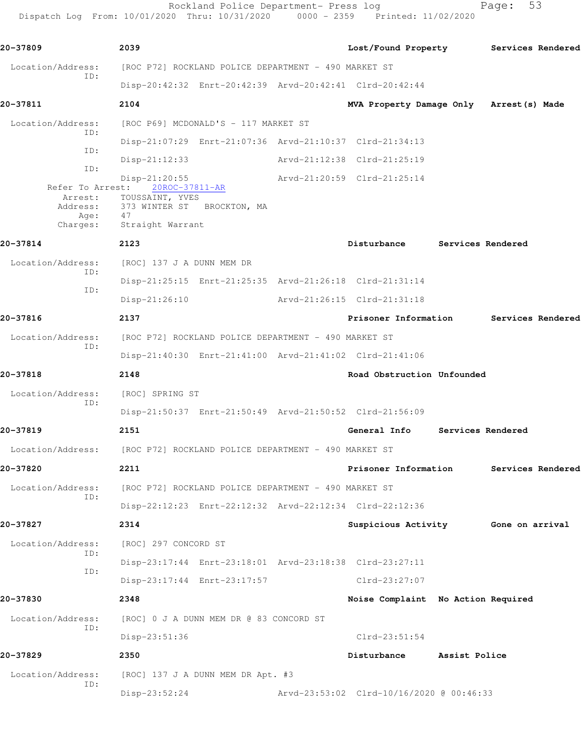Rockland Police Department- Press log entitled and Page: 53

Dispatch Log From: 10/01/2020 Thru: 10/31/2020 0000 - 2359 Printed: 11/02/2020

| 20-37809                                                    | 2039                                                                                                         |                             |                                          |               |                                       |
|-------------------------------------------------------------|--------------------------------------------------------------------------------------------------------------|-----------------------------|------------------------------------------|---------------|---------------------------------------|
|                                                             |                                                                                                              |                             |                                          |               | Lost/Found Property Services Rendered |
| Location/Address:<br>ID:                                    | [ROC P72] ROCKLAND POLICE DEPARTMENT - 490 MARKET ST                                                         |                             |                                          |               |                                       |
|                                                             | Disp-20:42:32 Enrt-20:42:39 Arvd-20:42:41 Clrd-20:42:44                                                      |                             |                                          |               |                                       |
| 20-37811                                                    | 2104                                                                                                         |                             | MVA Property Damage Only Arrest (s) Made |               |                                       |
| Location/Address:<br>ID:                                    | [ROC P69] MCDONALD'S - 117 MARKET ST                                                                         |                             |                                          |               |                                       |
| ID:                                                         | Disp-21:07:29 Enrt-21:07:36 Arvd-21:10:37 Clrd-21:34:13                                                      |                             |                                          |               |                                       |
| ID:                                                         | $Disp-21:12:33$                                                                                              |                             | Arvd-21:12:38 Clrd-21:25:19              |               |                                       |
| Refer To Arrest:<br>Arrest:<br>Address:<br>Age:<br>Charges: | $Disp-21:20:55$<br>20ROC-37811-AR<br>TOUSSAINT, YVES<br>373 WINTER ST BROCKTON, MA<br>47<br>Straight Warrant | Arvd-21:20:59 Clrd-21:25:14 |                                          |               |                                       |
| 20-37814                                                    | 2123                                                                                                         |                             | Disturbance                              |               | Services Rendered                     |
| Location/Address:                                           | [ROC] 137 J A DUNN MEM DR                                                                                    |                             |                                          |               |                                       |
| ID:                                                         | Disp-21:25:15 Enrt-21:25:35 Arvd-21:26:18 Clrd-21:31:14                                                      |                             |                                          |               |                                       |
| ID:                                                         | $Disp-21:26:10$                                                                                              |                             | Arvd-21:26:15 Clrd-21:31:18              |               |                                       |
| 20-37816                                                    | 2137                                                                                                         |                             | Prisoner Information                     |               | <b>Services Rendered</b>              |
| Location/Address:                                           | [ROC P72] ROCKLAND POLICE DEPARTMENT - 490 MARKET ST                                                         |                             |                                          |               |                                       |
| ID:                                                         | Disp-21:40:30 Enrt-21:41:00 Arvd-21:41:02 Clrd-21:41:06                                                      |                             |                                          |               |                                       |
| 20-37818                                                    | 2148                                                                                                         |                             | Road Obstruction Unfounded               |               |                                       |
| Location/Address:                                           | [ROC] SPRING ST                                                                                              |                             |                                          |               |                                       |
| ID:                                                         | Disp-21:50:37 Enrt-21:50:49 Arvd-21:50:52 Clrd-21:56:09                                                      |                             |                                          |               |                                       |
| 20-37819                                                    | 2151                                                                                                         |                             | General Info                             |               | Services Rendered                     |
| Location/Address:                                           | [ROC P72] ROCKLAND POLICE DEPARTMENT - 490 MARKET ST                                                         |                             |                                          |               |                                       |
| 20-37820                                                    | 2211                                                                                                         |                             | Prisoner Information                     |               | Services Rendered                     |
| Location/Address:                                           | [ROC P72] ROCKLAND POLICE DEPARTMENT - 490 MARKET ST                                                         |                             |                                          |               |                                       |
| ID:                                                         | Disp-22:12:23 Enrt-22:12:32 Arvd-22:12:34 Clrd-22:12:36                                                      |                             |                                          |               |                                       |
| 20-37827                                                    | 2314                                                                                                         |                             | Suspicious Activity                      |               | Gone on arrival                       |
| Location/Address:                                           | [ROC] 297 CONCORD ST                                                                                         |                             |                                          |               |                                       |
| ID:                                                         | Disp-23:17:44 Enrt-23:18:01 Arvd-23:18:38 Clrd-23:27:11                                                      |                             |                                          |               |                                       |
| ID:                                                         | Disp-23:17:44 Enrt-23:17:57                                                                                  |                             | $Clrd-23:27:07$                          |               |                                       |
| 20-37830                                                    | 2348                                                                                                         |                             | Noise Complaint No Action Required       |               |                                       |
| Location/Address:                                           | [ROC] 0 J A DUNN MEM DR @ 83 CONCORD ST                                                                      |                             |                                          |               |                                       |
| ID:                                                         | Disp-23:51:36                                                                                                |                             | $Clrd-23:51:54$                          |               |                                       |
| 20-37829                                                    | 2350                                                                                                         |                             | Disturbance                              | Assist Police |                                       |
| Location/Address:                                           | [ROC] 137 J A DUNN MEM DR Apt. #3                                                                            |                             |                                          |               |                                       |
| ID:                                                         | Disp-23:52:24                                                                                                |                             | Arvd-23:53:02 Clrd-10/16/2020 @ 00:46:33 |               |                                       |
|                                                             |                                                                                                              |                             |                                          |               |                                       |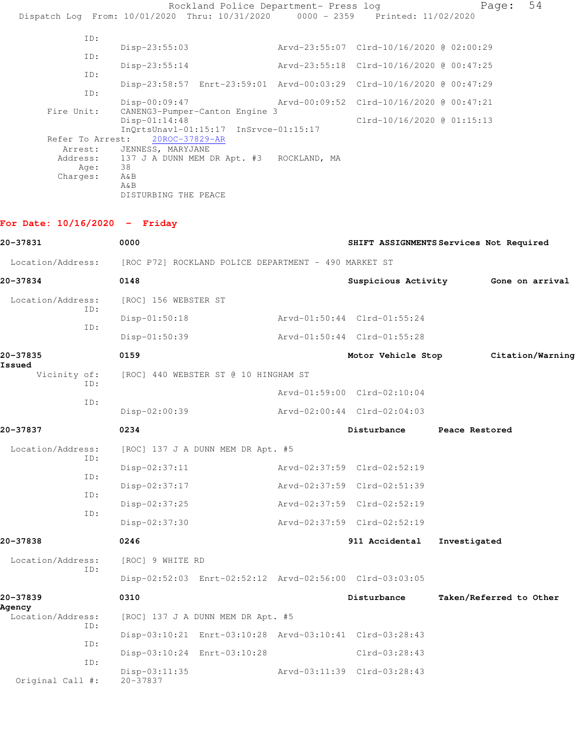Rockland Police Department- Press log Page: 54 Dispatch Log From: 10/01/2020 Thru: 10/31/2020 0000 - 2359 Printed: 11/02/2020 ID: Disp-23:55:03 Arvd-23:55:07 Clrd-10/16/2020 @ 02:00:29 ID: Disp-23:55:14 Arvd-23:55:18 Clrd-10/16/2020 @ 00:47:25 ID: Disp-23:58:57 Enrt-23:59:01 Arvd-00:03:29 Clrd-10/16/2020 @ 00:47:29 ID: Disp-00:09:47 Arvd-00:09:52 Clrd-10/16/2020 @ 00:47:21 Fire Unit: CANENG3-Pumper-Canton Engine 3 Disp-01:14:48 Clrd-10/16/2020 @ 01:15:13 InQrtsUnavl-01:15:17 InSrvce-01:15:17 Refer To Arrest: 20ROC-37829-AR Arrest: JENNESS, MARYJANE Address: 137 J A DUNN MEM DR Apt. #3 ROCKLAND, MA Age: 38 Charges: A&B A&B DISTURBING THE PEACE

## **For Date: 10/16/2020 - Friday**

| 20-37831                           | 0000                            |                                                         | SHIFT ASSIGNMENTS Services Not Required                 |                |                         |
|------------------------------------|---------------------------------|---------------------------------------------------------|---------------------------------------------------------|----------------|-------------------------|
| Location/Address:                  |                                 | [ROC P72] ROCKLAND POLICE DEPARTMENT - 490 MARKET ST    |                                                         |                |                         |
| 20-37834                           | 0148                            |                                                         | Suspicious Activity                                     |                | Gone on arrival         |
| Location/Address:<br>ID:           | [ROC] 156 WEBSTER ST            |                                                         |                                                         |                |                         |
| ID:                                | $Disp-01:50:18$                 |                                                         | Arvd-01:50:44 Clrd-01:55:24                             |                |                         |
|                                    | Disp-01:50:39                   |                                                         | Arvd-01:50:44 Clrd-01:55:28                             |                |                         |
| 20-37835<br>Issued                 | 0159                            |                                                         | Motor Vehicle Stop                                      |                | Citation/Warning        |
| Vicinity of:<br>ID:                |                                 | [ROC] 440 WEBSTER ST @ 10 HINGHAM ST                    |                                                         |                |                         |
| TD:                                |                                 |                                                         | Arvd-01:59:00 Clrd-02:10:04                             |                |                         |
|                                    | Disp-02:00:39                   |                                                         | Arvd-02:00:44 Clrd-02:04:03                             |                |                         |
| 20-37837                           | 0234                            |                                                         | Disturbance                                             | Peace Restored |                         |
| Location/Address:                  |                                 | [ROC] 137 J A DUNN MEM DR Apt. #5                       |                                                         |                |                         |
| ID:                                | $Disp-02:37:11$                 |                                                         | Arvd-02:37:59 Clrd-02:52:19                             |                |                         |
| ID:                                | Disp-02:37:17                   |                                                         | Arvd-02:37:59 Clrd-02:51:39                             |                |                         |
| ID:                                | $Disp-02:37:25$                 |                                                         | Arvd-02:37:59 Clrd-02:52:19                             |                |                         |
| TD:                                | $Disp-02:37:30$                 |                                                         | Arvd-02:37:59 Clrd-02:52:19                             |                |                         |
| 20-37838                           | 0246                            |                                                         | 911 Accidental                                          | Investigated   |                         |
| Location/Address:                  | [ROC] 9 WHITE RD                |                                                         |                                                         |                |                         |
| ID:                                |                                 |                                                         | Disp-02:52:03 Enrt-02:52:12 Arvd-02:56:00 Clrd-03:03:05 |                |                         |
| 20-37839                           | 0310                            |                                                         | Disturbance                                             |                | Taken/Referred to Other |
| Agency<br>Location/Address:<br>TD: |                                 | [ROC] 137 J A DUNN MEM DR Apt. #5                       |                                                         |                |                         |
|                                    |                                 | Disp-03:10:21 Enrt-03:10:28 Arvd-03:10:41 Clrd-03:28:43 |                                                         |                |                         |
| ID:                                |                                 | Disp-03:10:24 Enrt-03:10:28                             | Clrd-03:28:43                                           |                |                         |
| ID:<br>Original Call #:            | $Disp-03:11:35$<br>$20 - 37837$ |                                                         | Arvd-03:11:39 Clrd-03:28:43                             |                |                         |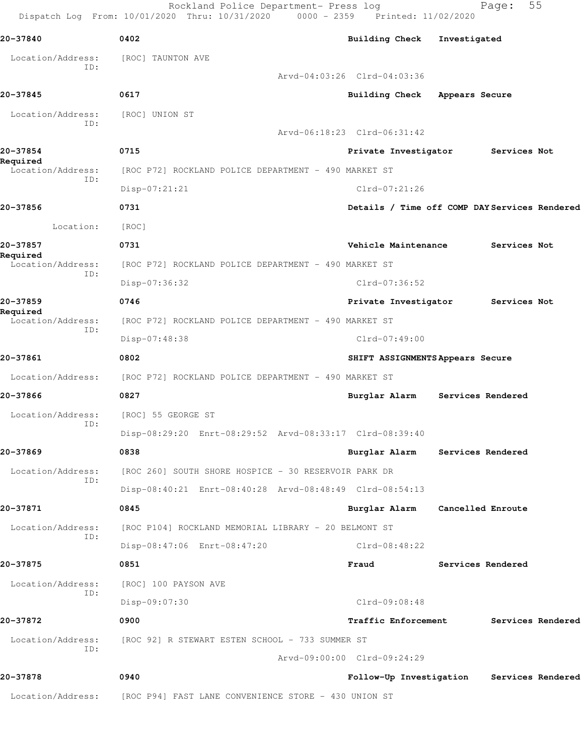|                               | Rockland Police Department- Press log<br>Dispatch Log From: 10/01/2020 Thru: 10/31/2020 0000 - 2359 Printed: 11/02/2020 |                                               |                   | Page:             | 55 |
|-------------------------------|-------------------------------------------------------------------------------------------------------------------------|-----------------------------------------------|-------------------|-------------------|----|
| 20-37840                      | 0402                                                                                                                    | <b>Building Check</b>                         | Investigated      |                   |    |
| Location/Address:             | [ROC] TAUNTON AVE                                                                                                       |                                               |                   |                   |    |
| ID:                           |                                                                                                                         | Arvd-04:03:26 Clrd-04:03:36                   |                   |                   |    |
| 20-37845                      | 0617                                                                                                                    | <b>Building Check</b>                         | Appears Secure    |                   |    |
| Location/Address:             | [ROC] UNION ST                                                                                                          |                                               |                   |                   |    |
| ID:                           |                                                                                                                         | Arvd-06:18:23 Clrd-06:31:42                   |                   |                   |    |
| 20-37854                      | 0715                                                                                                                    | Private Investigator                          |                   | Services Not      |    |
| Required<br>Location/Address: | [ROC P72] ROCKLAND POLICE DEPARTMENT - 490 MARKET ST                                                                    |                                               |                   |                   |    |
| ID:                           | Disp-07:21:21                                                                                                           | $Clrd-07:21:26$                               |                   |                   |    |
| 20-37856                      | 0731                                                                                                                    | Details / Time off COMP DAY Services Rendered |                   |                   |    |
| Location:                     | [ROC]                                                                                                                   |                                               |                   |                   |    |
| 20-37857                      | 0731                                                                                                                    | Vehicle Maintenance                           |                   | Services Not      |    |
| Required<br>Location/Address: | [ROC P72] ROCKLAND POLICE DEPARTMENT - 490 MARKET ST                                                                    |                                               |                   |                   |    |
| ID:                           | Disp-07:36:32                                                                                                           | Clrd-07:36:52                                 |                   |                   |    |
| 20-37859                      | 0746                                                                                                                    | Private Investigator                          |                   | Services Not      |    |
| Required<br>Location/Address: | [ROC P72] ROCKLAND POLICE DEPARTMENT - 490 MARKET ST                                                                    |                                               |                   |                   |    |
| ID:                           | Disp-07:48:38                                                                                                           | $Clrd-07:49:00$                               |                   |                   |    |
| 20-37861                      | 0802                                                                                                                    | SHIFT ASSIGNMENTS Appears Secure              |                   |                   |    |
| Location/Address:             | [ROC P72] ROCKLAND POLICE DEPARTMENT - 490 MARKET ST                                                                    |                                               |                   |                   |    |
| 20-37866                      | 0827                                                                                                                    | Burglar Alarm                                 |                   | Services Rendered |    |
| Location/Address:             | [ROC] 55 GEORGE ST                                                                                                      |                                               |                   |                   |    |
| ID:                           | Disp-08:29:20 Enrt-08:29:52 Arvd-08:33:17 Clrd-08:39:40                                                                 |                                               |                   |                   |    |
| 20-37869                      | 0838                                                                                                                    | Burglar Alarm                                 | Services Rendered |                   |    |
| Location/Address:             | [ROC 260] SOUTH SHORE HOSPICE - 30 RESERVOIR PARK DR                                                                    |                                               |                   |                   |    |
| ID:                           | Disp-08:40:21 Enrt-08:40:28 Arvd-08:48:49 Clrd-08:54:13                                                                 |                                               |                   |                   |    |
| 20-37871                      | 0845                                                                                                                    | Burglar Alarm                                 | Cancelled Enroute |                   |    |
| Location/Address:             | [ROC P104] ROCKLAND MEMORIAL LIBRARY - 20 BELMONT ST                                                                    |                                               |                   |                   |    |
| ID:                           | Disp-08:47:06 Enrt-08:47:20                                                                                             | $Clrd-08:48:22$                               |                   |                   |    |
| 20-37875                      | 0851                                                                                                                    | Fraud                                         |                   | Services Rendered |    |
| Location/Address:             | [ROC] 100 PAYSON AVE                                                                                                    |                                               |                   |                   |    |
| ID:                           | Disp-09:07:30                                                                                                           | Clrd-09:08:48                                 |                   |                   |    |
| 20-37872                      | 0900                                                                                                                    | <b>Traffic Enforcement</b>                    |                   | Services Rendered |    |
| Location/Address:             | [ROC 92] R STEWART ESTEN SCHOOL - 733 SUMMER ST                                                                         |                                               |                   |                   |    |
| ID:                           |                                                                                                                         | Arvd-09:00:00 Clrd-09:24:29                   |                   |                   |    |
| 20-37878                      | 0940                                                                                                                    | Follow-Up Investigation                       |                   | Services Rendered |    |
| Location/Address:             | [ROC P94] FAST LANE CONVENIENCE STORE - 430 UNION ST                                                                    |                                               |                   |                   |    |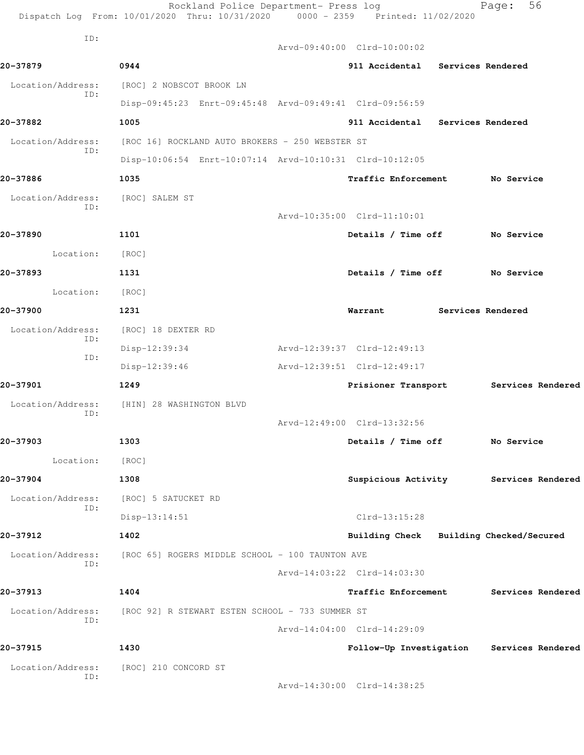|                          | Rockland Police Department- Press log<br>Dispatch Log From: 10/01/2020 Thru: 10/31/2020 0000 - 2359 Printed: 11/02/2020 |                                           | 56<br>Page:       |
|--------------------------|-------------------------------------------------------------------------------------------------------------------------|-------------------------------------------|-------------------|
| ID:                      |                                                                                                                         | Arvd-09:40:00 Clrd-10:00:02               |                   |
| 20-37879                 | 0944                                                                                                                    | 911 Accidental Services Rendered          |                   |
| Location/Address:        | [ROC] 2 NOBSCOT BROOK LN                                                                                                |                                           |                   |
| ID:                      | Disp-09:45:23 Enrt-09:45:48 Arvd-09:49:41 Clrd-09:56:59                                                                 |                                           |                   |
| 20-37882                 | 1005                                                                                                                    | 911 Accidental Services Rendered          |                   |
| Location/Address:        | [ROC 16] ROCKLAND AUTO BROKERS - 250 WEBSTER ST                                                                         |                                           |                   |
| ID:                      | Disp-10:06:54 Enrt-10:07:14 Arvd-10:10:31 Clrd-10:12:05                                                                 |                                           |                   |
| 20-37886                 | 1035                                                                                                                    | Traffic Enforcement No Service            |                   |
| Location/Address:        | [ROC] SALEM ST                                                                                                          |                                           |                   |
| ID:                      |                                                                                                                         | Arvd-10:35:00 Clrd-11:10:01               |                   |
| 20-37890                 | 1101                                                                                                                    | Details / Time off No Service             |                   |
| Location: [ROC]          |                                                                                                                         |                                           |                   |
| 20-37893                 | 1131                                                                                                                    | Details / Time off No Service             |                   |
| Location:                | [ROC]                                                                                                                   |                                           |                   |
| 20-37900                 | 1231                                                                                                                    | Warrant<br><b>Services Rendered</b>       |                   |
| Location/Address:        | [ROC] 18 DEXTER RD                                                                                                      |                                           |                   |
| ID:                      | Disp-12:39:34                                                                                                           | Arvd-12:39:37 Clrd-12:49:13               |                   |
| ID:                      | Disp-12:39:46                                                                                                           | Arvd-12:39:51 Clrd-12:49:17               |                   |
| 20-37901                 | 1249                                                                                                                    | Prisioner Transport Services Rendered     |                   |
| Location/Address:        | [HIN] 28 WASHINGTON BLVD                                                                                                |                                           |                   |
| ID:                      |                                                                                                                         | Arvd-12:49:00 Clrd-13:32:56               |                   |
| 20-37903                 | 1303                                                                                                                    | Details / Time off                        | No Service        |
| Location:                | [ROC]                                                                                                                   |                                           |                   |
| 20-37904                 | 1308                                                                                                                    | Suspicious Activity Services Rendered     |                   |
| Location/Address:        | [ROC] 5 SATUCKET RD                                                                                                     |                                           |                   |
| ID:                      | $Disp-13:14:51$                                                                                                         | Clrd-13:15:28                             |                   |
| 20-37912                 | 1402                                                                                                                    | Building Check Building Checked/Secured   |                   |
| Location/Address:        | [ROC 65] ROGERS MIDDLE SCHOOL - 100 TAUNTON AVE                                                                         |                                           |                   |
| ID:                      |                                                                                                                         | Arvd-14:03:22 Clrd-14:03:30               |                   |
| 20-37913                 | 1404                                                                                                                    | <b>Traffic Enforcement</b>                | Services Rendered |
| Location/Address:        | [ROC 92] R STEWART ESTEN SCHOOL - 733 SUMMER ST                                                                         |                                           |                   |
| ID:                      |                                                                                                                         | Arvd-14:04:00 Clrd-14:29:09               |                   |
| 20-37915                 | 1430                                                                                                                    | Follow-Up Investigation Services Rendered |                   |
| Location/Address:<br>ID: | [ROC] 210 CONCORD ST                                                                                                    |                                           |                   |
|                          |                                                                                                                         | Arvd-14:30:00 Clrd-14:38:25               |                   |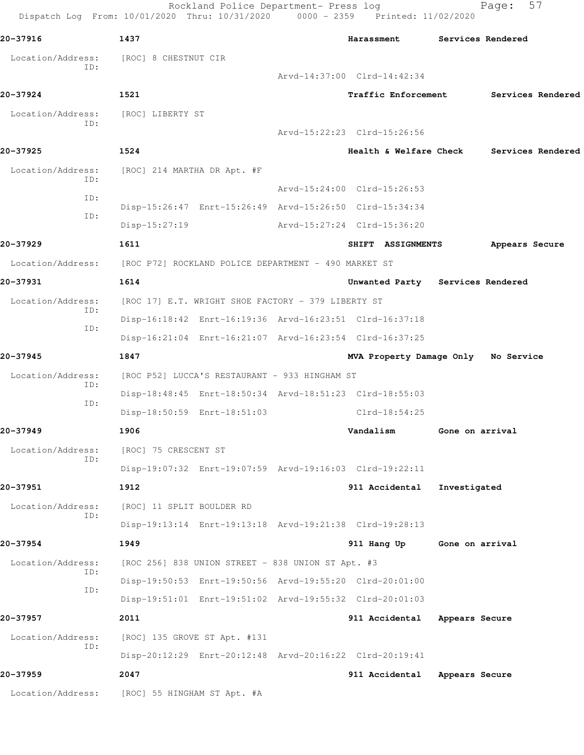Rockland Police Department- Press log Fage: 57 Dispatch Log From: 10/01/2020 Thru: 10/31/2020 0000 - 2359 Printed: 11/02/2020 **20-37916 1437 Harassment Services Rendered** Location/Address: [ROC] 8 CHESTNUT CIR ID: Arvd-14:37:00 Clrd-14:42:34 **20-37924 1521 Traffic Enforcement Services Rendered** Location/Address: [ROC] LIBERTY ST ID: Arvd-15:22:23 Clrd-15:26:56 **20-37925 1524 Health & Welfare Check Services Rendered** Location/Address: [ROC] 214 MARTHA DR Apt. #F ID: Arvd-15:24:00 Clrd-15:26:53 ID: Disp-15:26:47 Enrt-15:26:49 Arvd-15:26:50 Clrd-15:34:34 ID: Disp-15:27:19 Arvd-15:27:24 Clrd-15:36:20 **20-37929 1611 SHIFT ASSIGNMENTS Appears Secure** Location/Address: [ROC P72] ROCKLAND POLICE DEPARTMENT - 490 MARKET ST **20-37931 1614 Unwanted Party Services Rendered** Location/Address: [ROC 17] E.T. WRIGHT SHOE FACTORY - 379 LIBERTY ST ID: Disp-16:18:42 Enrt-16:19:36 Arvd-16:23:51 Clrd-16:37:18 ID: Disp-16:21:04 Enrt-16:21:07 Arvd-16:23:54 Clrd-16:37:25 **20-37945 1847 MVA Property Damage Only No Service** Location/Address: [ROC P52] LUCCA'S RESTAURANT - 933 HINGHAM ST ID: Disp-18:48:45 Enrt-18:50:34 Arvd-18:51:23 Clrd-18:55:03 ID: Disp-18:50:59 Enrt-18:51:03 Clrd-18:54:25 **20-37949 1906 Vandalism Gone on arrival** Location/Address: [ROC] 75 CRESCENT ST ID: Disp-19:07:32 Enrt-19:07:59 Arvd-19:16:03 Clrd-19:22:11 **20-37951 1912 911 Accidental Investigated** Location/Address: [ROC] 11 SPLIT BOULDER RD ID: Disp-19:13:14 Enrt-19:13:18 Arvd-19:21:38 Clrd-19:28:13 **20-37954 1949 911 Hang Up Gone on arrival** Location/Address: [ROC 256] 838 UNION STREET - 838 UNION ST Apt. #3 ID: Disp-19:50:53 Enrt-19:50:56 Arvd-19:55:20 Clrd-20:01:00 ID: Disp-19:51:01 Enrt-19:51:02 Arvd-19:55:32 Clrd-20:01:03 **20-37957 2011 911 Accidental Appears Secure** Location/Address: [ROC] 135 GROVE ST Apt. #131 ID: Disp-20:12:29 Enrt-20:12:48 Arvd-20:16:22 Clrd-20:19:41 **20-37959 2047 911 Accidental Appears Secure** Location/Address: [ROC] 55 HINGHAM ST Apt. #A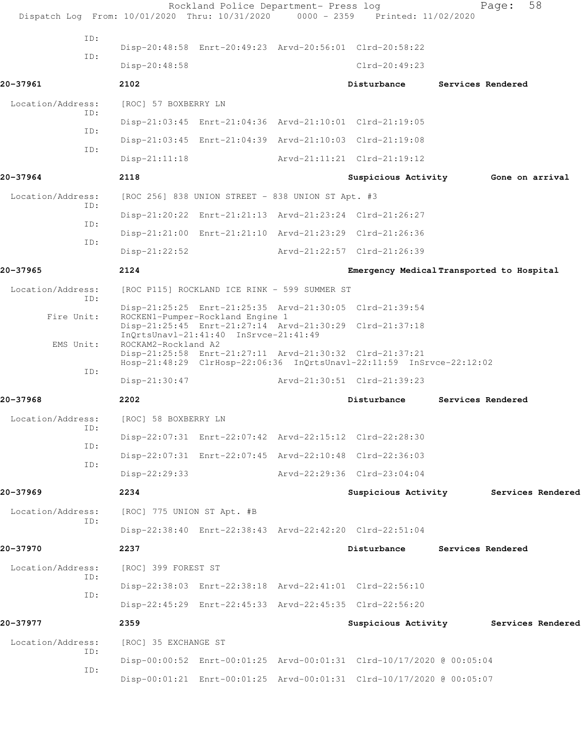| Dispatch Log From: 10/01/2020 Thru: 10/31/2020 0000 - 2359 Printed: 11/02/2020 |                            | Rockland Police Department- Press log                                                            |                                                                      |                   | 58<br>Page:       |  |
|--------------------------------------------------------------------------------|----------------------------|--------------------------------------------------------------------------------------------------|----------------------------------------------------------------------|-------------------|-------------------|--|
| TD:                                                                            |                            |                                                                                                  |                                                                      |                   |                   |  |
| ID:                                                                            |                            | Disp-20:48:58 Enrt-20:49:23 Arvd-20:56:01 Clrd-20:58:22                                          |                                                                      |                   |                   |  |
|                                                                                | Disp-20:48:58              |                                                                                                  | $Clrd-20:49:23$                                                      |                   |                   |  |
| 20-37961                                                                       | 2102                       |                                                                                                  | Disturbance                                                          | Services Rendered |                   |  |
| Location/Address:<br>TD:                                                       | [ROC] 57 BOXBERRY LN       |                                                                                                  |                                                                      |                   |                   |  |
| ID:                                                                            |                            | Disp-21:03:45 Enrt-21:04:36 Arvd-21:10:01 Clrd-21:19:05                                          |                                                                      |                   |                   |  |
| ID:                                                                            |                            | Disp-21:03:45 Enrt-21:04:39 Arvd-21:10:03 Clrd-21:19:08                                          |                                                                      |                   |                   |  |
|                                                                                | $Disp-21:11:18$            |                                                                                                  | Arvd-21:11:21 Clrd-21:19:12                                          |                   |                   |  |
| 20-37964                                                                       | 2118                       |                                                                                                  | Suspicious Activity                                                  |                   | Gone on arrival   |  |
| Location/Address:<br>ID:                                                       |                            | [ROC 256] 838 UNION STREET - 838 UNION ST Apt. #3                                                |                                                                      |                   |                   |  |
| ID:                                                                            |                            | Disp-21:20:22 Enrt-21:21:13 Arvd-21:23:24 Clrd-21:26:27                                          |                                                                      |                   |                   |  |
| ID:                                                                            |                            | Disp-21:21:00 Enrt-21:21:10 Arvd-21:23:29 Clrd-21:26:36                                          |                                                                      |                   |                   |  |
|                                                                                | $Disp-21:22:52$            |                                                                                                  | Arvd-21:22:57 Clrd-21:26:39                                          |                   |                   |  |
| 20-37965                                                                       | 2124                       |                                                                                                  | Emergency Medical Transported to Hospital                            |                   |                   |  |
| Location/Address:<br>ID:                                                       |                            | [ROC P115] ROCKLAND ICE RINK - 599 SUMMER ST                                                     |                                                                      |                   |                   |  |
| Fire Unit:                                                                     |                            | Disp-21:25:25 Enrt-21:25:35 Arvd-21:30:05 Clrd-21:39:54<br>ROCKEN1-Pumper-Rockland Engine 1      |                                                                      |                   |                   |  |
|                                                                                |                            | Disp-21:25:45 Enrt-21:27:14 Arvd-21:30:29 Clrd-21:37:18<br>InQrtsUnavl-21:41:40 InSrvce-21:41:49 |                                                                      |                   |                   |  |
| EMS Unit:                                                                      | ROCKAM2-Rockland A2        | Disp-21:25:58 Enrt-21:27:11 Arvd-21:30:32 Clrd-21:37:21                                          | Hosp-21:48:29 ClrHosp-22:06:36 InQrtsUnavl-22:11:59 InSrvce-22:12:02 |                   |                   |  |
| ID:                                                                            | $Disp-21:30:47$            |                                                                                                  | Arvd-21:30:51 Clrd-21:39:23                                          |                   |                   |  |
| 20-37968                                                                       | 2202                       |                                                                                                  | Disturbance                                                          | Services Rendered |                   |  |
| Location/Address:                                                              | [ROC] 58 BOXBERRY LN       |                                                                                                  |                                                                      |                   |                   |  |
| ID:                                                                            |                            | Disp-22:07:31 Enrt-22:07:42 Arvd-22:15:12 Clrd-22:28:30                                          |                                                                      |                   |                   |  |
| ID:                                                                            |                            | Disp-22:07:31 Enrt-22:07:45 Arvd-22:10:48 Clrd-22:36:03                                          |                                                                      |                   |                   |  |
| ID:                                                                            | Disp-22:29:33              |                                                                                                  | Arvd-22:29:36 Clrd-23:04:04                                          |                   |                   |  |
| 20-37969                                                                       | 2234                       |                                                                                                  | Suspicious Activity                                                  |                   | Services Rendered |  |
| Location/Address:                                                              | [ROC] 775 UNION ST Apt. #B |                                                                                                  |                                                                      |                   |                   |  |
| ID:                                                                            |                            | Disp-22:38:40 Enrt-22:38:43 Arvd-22:42:20 Clrd-22:51:04                                          |                                                                      |                   |                   |  |
| 20-37970                                                                       | 2237                       |                                                                                                  | Disturbance                                                          | Services Rendered |                   |  |
| Location/Address:                                                              | [ROC] 399 FOREST ST        |                                                                                                  |                                                                      |                   |                   |  |
| ID:                                                                            |                            | Disp-22:38:03 Enrt-22:38:18 Arvd-22:41:01 Clrd-22:56:10                                          |                                                                      |                   |                   |  |
| ID:                                                                            |                            | Disp-22:45:29 Enrt-22:45:33 Arvd-22:45:35 Clrd-22:56:20                                          |                                                                      |                   |                   |  |
| 20-37977                                                                       | 2359                       |                                                                                                  | Suspicious Activity Services Rendered                                |                   |                   |  |
| Location/Address:                                                              | [ROC] 35 EXCHANGE ST       |                                                                                                  |                                                                      |                   |                   |  |
| ID:                                                                            |                            |                                                                                                  | Disp-00:00:52 Enrt-00:01:25 Arvd-00:01:31 Clrd-10/17/2020 @ 00:05:04 |                   |                   |  |
| ID:                                                                            |                            |                                                                                                  | Disp-00:01:21 Enrt-00:01:25 Arvd-00:01:31 Clrd-10/17/2020 @ 00:05:07 |                   |                   |  |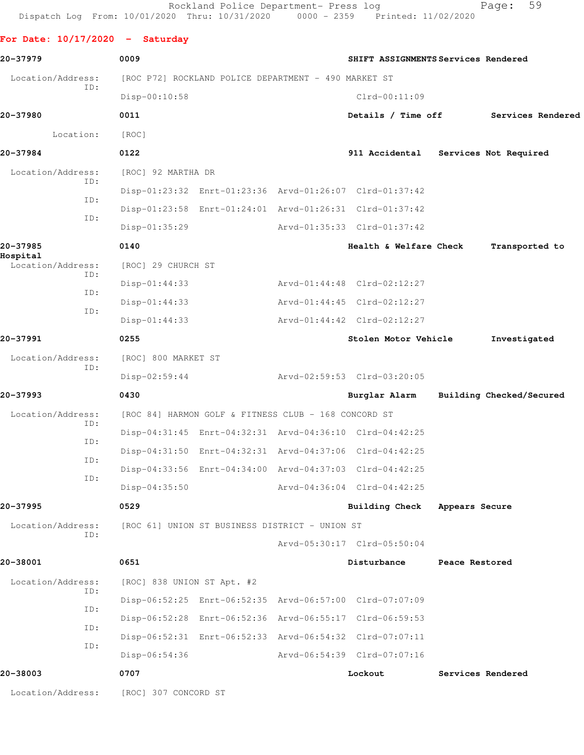Rockland Police Department- Press log Fage: 59 Dispatch Log From: 10/01/2020 Thru: 10/31/2020 0000 - 2359 Printed: 11/02/2020

**For Date: 10/17/2020 - Saturday 20-37979 0009 SHIFT ASSIGNMENTS Services Rendered** Location/Address: [ROC P72] ROCKLAND POLICE DEPARTMENT - 490 MARKET ST ID: Disp-00:10:58 Clrd-00:11:09 **20-37980 0011 Details / Time off Services Rendered** Location: [ROC] **20-37984 0122 911 Accidental Services Not Required** Location/Address: [ROC] 92 MARTHA DR ID: Disp-01:23:32 Enrt-01:23:36 Arvd-01:26:07 Clrd-01:37:42 ID: Disp-01:23:58 Enrt-01:24:01 Arvd-01:26:31 Clrd-01:37:42 ID: Disp-01:35:29 Arvd-01:35:33 Clrd-01:37:42 **20-37985 0140 Health & Welfare Check Transported to Hospital**  Location/Address: [ROC] 29 CHURCH ST ID: Disp-01:44:33 Arvd-01:44:48 Clrd-02:12:27 ID: Disp-01:44:33 Arvd-01:44:45 Clrd-02:12:27 ID: Disp-01:44:33 Arvd-01:44:42 Clrd-02:12:27 **20-37991 0255 Stolen Motor Vehicle Investigated** Location/Address: [ROC] 800 MARKET ST ID: Disp-02:59:44 Arvd-02:59:53 Clrd-03:20:05 **20-37993 0430 Burglar Alarm Building Checked/Secured** Location/Address: [ROC 84] HARMON GOLF & FITNESS CLUB - 168 CONCORD ST ID: Disp-04:31:45 Enrt-04:32:31 Arvd-04:36:10 Clrd-04:42:25 ID: Disp-04:31:50 Enrt-04:32:31 Arvd-04:37:06 Clrd-04:42:25 ID: Disp-04:33:56 Enrt-04:34:00 Arvd-04:37:03 Clrd-04:42:25 ID: Disp-04:35:50 Arvd-04:36:04 Clrd-04:42:25 **20-37995 0529 Building Check Appears Secure** Location/Address: [ROC 61] UNION ST BUSINESS DISTRICT - UNION ST ID: Arvd-05:30:17 Clrd-05:50:04 **20-38001 0651 Disturbance Peace Restored** Location/Address: [ROC] 838 UNION ST Apt. #2 ID: Disp-06:52:25 Enrt-06:52:35 Arvd-06:57:00 Clrd-07:07:09 ID: Disp-06:52:28 Enrt-06:52:36 Arvd-06:55:17 Clrd-06:59:53 ID: Disp-06:52:31 Enrt-06:52:33 Arvd-06:54:32 Clrd-07:07:11 ID: Disp-06:54:36 Arvd-06:54:39 Clrd-07:07:16 **20-38003 0707 Lockout Services Rendered**

Location/Address: [ROC] 307 CONCORD ST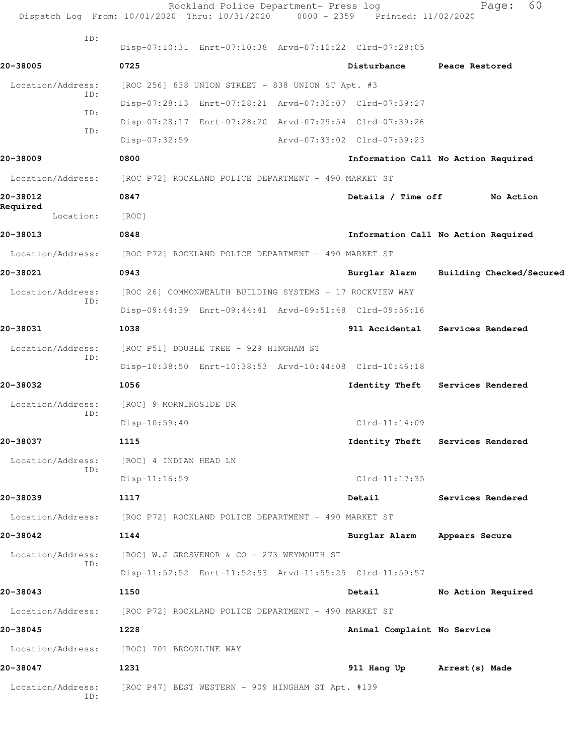|                          | Rockland Police Department- Press log<br>Dispatch Log From: 10/01/2020 Thru: 10/31/2020 0000 - 2359 Printed: 11/02/2020 |                             | 60<br>Page:                            |
|--------------------------|-------------------------------------------------------------------------------------------------------------------------|-----------------------------|----------------------------------------|
| ID:                      | Disp-07:10:31 Enrt-07:10:38 Arvd-07:12:22 Clrd-07:28:05                                                                 |                             |                                        |
|                          | 0725                                                                                                                    |                             |                                        |
| 20-38005                 |                                                                                                                         | Disturbance                 | Peace Restored                         |
| Location/Address:<br>ID: | [ROC 256] 838 UNION STREET - 838 UNION ST Apt. #3                                                                       |                             |                                        |
| ID:                      | Disp-07:28:13 Enrt-07:28:21 Arvd-07:32:07 Clrd-07:39:27                                                                 |                             |                                        |
| ID:                      | Disp-07:28:17 Enrt-07:28:20 Arvd-07:29:54 Clrd-07:39:26                                                                 |                             |                                        |
|                          | Disp-07:32:59                                                                                                           | Arvd-07:33:02 Clrd-07:39:23 |                                        |
| 20-38009                 | 0800                                                                                                                    |                             | Information Call No Action Required    |
| Location/Address:        | [ROC P72] ROCKLAND POLICE DEPARTMENT - 490 MARKET ST                                                                    |                             |                                        |
| 20-38012<br>Required     | 0847                                                                                                                    | Details / Time off          | No Action                              |
| Location:                | [ROC]                                                                                                                   |                             |                                        |
| 20-38013                 | 0848                                                                                                                    |                             | Information Call No Action Required    |
| Location/Address:        | [ROC P72] ROCKLAND POLICE DEPARTMENT - 490 MARKET ST                                                                    |                             |                                        |
| 20-38021                 | 0943                                                                                                                    |                             | Burglar Alarm Building Checked/Secured |
| Location/Address:<br>ID: | [ROC 26] COMMONWEALTH BUILDING SYSTEMS - 17 ROCKVIEW WAY                                                                |                             |                                        |
|                          | Disp-09:44:39 Enrt-09:44:41 Arvd-09:51:48 Clrd-09:56:16                                                                 |                             |                                        |
| 20-38031                 | 1038                                                                                                                    | 911 Accidental              | Services Rendered                      |
| Location/Address:        | [ROC P51] DOUBLE TREE - 929 HINGHAM ST                                                                                  |                             |                                        |
| ID:                      | Disp-10:38:50 Enrt-10:38:53 Arvd-10:44:08 Clrd-10:46:18                                                                 |                             |                                        |
| 20-38032                 | 1056                                                                                                                    | Identity Theft              | Services Rendered                      |
| Location/Address:        | [ROC] 9 MORNINGSIDE DR                                                                                                  |                             |                                        |
| ID:                      | $Disp-10:59:40$                                                                                                         | $Clrd-11:14:09$             |                                        |
| 20-38037                 | 1115                                                                                                                    |                             | Identity Theft Services Rendered       |
| Location/Address:        | [ROC] 4 INDIAN HEAD LN                                                                                                  |                             |                                        |
| ID:                      | Disp-11:16:59                                                                                                           | $Clrd-11:17:35$             |                                        |
| 20-38039                 | 1117                                                                                                                    | Detail                      | Services Rendered                      |
| Location/Address:        | [ROC P72] ROCKLAND POLICE DEPARTMENT - 490 MARKET ST                                                                    |                             |                                        |
| 20-38042                 | 1144                                                                                                                    | Burglar Alarm               | Appears Secure                         |
| Location/Address:        | [ROC] W.J GROSVENOR & CO - 273 WEYMOUTH ST                                                                              |                             |                                        |
| ID:                      | Disp-11:52:52 Enrt-11:52:53 Arvd-11:55:25 Clrd-11:59:57                                                                 |                             |                                        |
| 20-38043                 | 1150                                                                                                                    | Detail                      | No Action Required                     |
| Location/Address:        | [ROC P72] ROCKLAND POLICE DEPARTMENT - 490 MARKET ST                                                                    |                             |                                        |
| 20-38045                 | 1228                                                                                                                    | Animal Complaint No Service |                                        |
| Location/Address:        | [ROC] 701 BROOKLINE WAY                                                                                                 |                             |                                        |
|                          |                                                                                                                         |                             |                                        |
| 20-38047                 | 1231                                                                                                                    | 911 Hang Up Arrest (s) Made |                                        |
| Location/Address:<br>ID: | [ROC P47] BEST WESTERN - 909 HINGHAM ST Apt. #139                                                                       |                             |                                        |
|                          |                                                                                                                         |                             |                                        |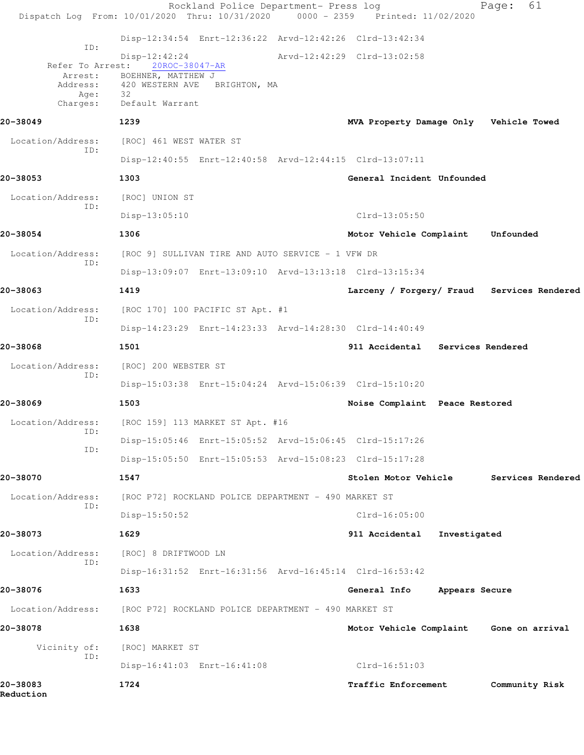|                                                                    | Rockland Police Department- Press log<br>Dispatch Log From: 10/01/2020 Thru: 10/31/2020 0000 - 2359 Printed: 11/02/2020 |                                         |                | 61<br>Page:                                |
|--------------------------------------------------------------------|-------------------------------------------------------------------------------------------------------------------------|-----------------------------------------|----------------|--------------------------------------------|
|                                                                    | Disp-12:34:54 Enrt-12:36:22 Arvd-12:42:26 Clrd-13:42:34                                                                 |                                         |                |                                            |
| ID:<br>Refer To Arrest:<br>Arrest:<br>Address:<br>Age:<br>Charges: | Disp-12:42:24<br>20ROC-38047-AR<br>BOEHNER, MATTHEW J<br>420 WESTERN AVE<br>BRIGHTON, MA<br>32<br>Default Warrant       | Arvd-12:42:29 Clrd-13:02:58             |                |                                            |
| 20-38049                                                           | 1239                                                                                                                    | MVA Property Damage Only Vehicle Towed  |                |                                            |
| Location/Address:                                                  | [ROC] 461 WEST WATER ST                                                                                                 |                                         |                |                                            |
| ID:                                                                | Disp-12:40:55 Enrt-12:40:58 Arvd-12:44:15 Clrd-13:07:11                                                                 |                                         |                |                                            |
| 20-38053                                                           | 1303                                                                                                                    | General Incident Unfounded              |                |                                            |
| Location/Address:                                                  | [ROC] UNION ST                                                                                                          |                                         |                |                                            |
| ID:                                                                | Disp-13:05:10                                                                                                           | $Clrd-13:05:50$                         |                |                                            |
| 20-38054                                                           | 1306                                                                                                                    | Motor Vehicle Complaint                 |                | Unfounded                                  |
| Location/Address:                                                  | [ROC 9] SULLIVAN TIRE AND AUTO SERVICE - 1 VFW DR                                                                       |                                         |                |                                            |
| ID:                                                                | Disp-13:09:07 Enrt-13:09:10 Arvd-13:13:18 Clrd-13:15:34                                                                 |                                         |                |                                            |
| 20-38063                                                           | 1419                                                                                                                    |                                         |                | Larceny / Forgery/ Fraud Services Rendered |
| Location/Address:                                                  | [ROC 170] 100 PACIFIC ST Apt. #1                                                                                        |                                         |                |                                            |
| ID:                                                                | Disp-14:23:29 Enrt-14:23:33 Arvd-14:28:30 Clrd-14:40:49                                                                 |                                         |                |                                            |
| 20-38068                                                           | 1501                                                                                                                    | 911 Accidental Services Rendered        |                |                                            |
| Location/Address:<br>ID:                                           | [ROC] 200 WEBSTER ST                                                                                                    |                                         |                |                                            |
|                                                                    | Disp-15:03:38 Enrt-15:04:24 Arvd-15:06:39 Clrd-15:10:20                                                                 |                                         |                |                                            |
| 20-38069                                                           | 1503                                                                                                                    | Noise Complaint Peace Restored          |                |                                            |
| Location/Address:<br>ID:                                           | [ROC 159] 113 MARKET ST Apt. #16                                                                                        |                                         |                |                                            |
| ID:                                                                | Disp-15:05:46 Enrt-15:05:52 Arvd-15:06:45 Clrd-15:17:26                                                                 |                                         |                |                                            |
|                                                                    | Disp-15:05:50 Enrt-15:05:53 Arvd-15:08:23 Clrd-15:17:28                                                                 |                                         |                |                                            |
| 20-38070                                                           | 1547                                                                                                                    | Stolen Motor Vehicle                    |                | Services Rendered                          |
| Location/Address:<br>ID:                                           | [ROC P72] ROCKLAND POLICE DEPARTMENT - 490 MARKET ST                                                                    |                                         |                |                                            |
|                                                                    | Disp-15:50:52                                                                                                           | $Clrd-16:05:00$                         |                |                                            |
| 20-38073                                                           | 1629                                                                                                                    | 911 Accidental                          | Investigated   |                                            |
| Location/Address:<br>ID:                                           | [ROC] 8 DRIFTWOOD LN                                                                                                    |                                         |                |                                            |
|                                                                    | Disp-16:31:52 Enrt-16:31:56 Arvd-16:45:14 Clrd-16:53:42                                                                 |                                         |                |                                            |
| 20-38076                                                           | 1633                                                                                                                    | General Info                            | Appears Secure |                                            |
| Location/Address:                                                  | [ROC P72] ROCKLAND POLICE DEPARTMENT - 490 MARKET ST                                                                    |                                         |                |                                            |
| 20-38078                                                           | 1638                                                                                                                    | Motor Vehicle Complaint Gone on arrival |                |                                            |
| Vicinity of:<br>ID:                                                | [ROC] MARKET ST                                                                                                         |                                         |                |                                            |
|                                                                    | Disp-16:41:03 Enrt-16:41:08                                                                                             | $Clrd-16:51:03$                         |                |                                            |
| 20-38083<br>Reduction                                              | 1724                                                                                                                    | Traffic Enforcement                     |                | Community Risk                             |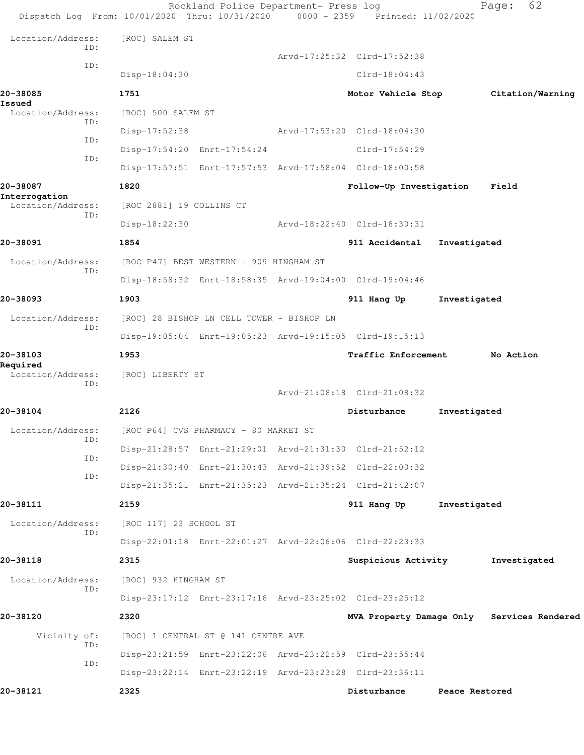| Dispatch Log From: 10/01/2020 Thru: 10/31/2020 0000 - 2359 Printed: 11/02/2020 |                                           | Rockland Police Department- Press log |                                                         |                | 62<br>Page:                                |  |
|--------------------------------------------------------------------------------|-------------------------------------------|---------------------------------------|---------------------------------------------------------|----------------|--------------------------------------------|--|
| Location/Address:                                                              | [ROC] SALEM ST                            |                                       |                                                         |                |                                            |  |
| ID:                                                                            |                                           |                                       | Arvd-17:25:32 Clrd-17:52:38                             |                |                                            |  |
| ID:                                                                            | $Disp-18:04:30$                           |                                       | $Clrd-18:04:43$                                         |                |                                            |  |
| 20-38085                                                                       | 1751                                      |                                       | Motor Vehicle Stop                                      |                | Citation/Warning                           |  |
| Issued<br>Location/Address:                                                    | [ROC] 500 SALEM ST                        |                                       |                                                         |                |                                            |  |
| ID:                                                                            | Disp-17:52:38                             |                                       | Arvd-17:53:20 Clrd-18:04:30                             |                |                                            |  |
| ID:                                                                            | Disp-17:54:20 Enrt-17:54:24               |                                       | Clrd-17:54:29                                           |                |                                            |  |
| ID:                                                                            |                                           |                                       | Disp-17:57:51 Enrt-17:57:53 Arvd-17:58:04 Clrd-18:00:58 |                |                                            |  |
| 20-38087                                                                       | 1820                                      |                                       | Follow-Up Investigation                                 |                | Field                                      |  |
| Interrogation<br>Location/Address:                                             | [ROC 2881] 19 COLLINS CT                  |                                       |                                                         |                |                                            |  |
| ID:                                                                            | Disp-18:22:30                             |                                       | Arvd-18:22:40 Clrd-18:30:31                             |                |                                            |  |
| 20-38091                                                                       | 1854                                      |                                       | 911 Accidental                                          | Investigated   |                                            |  |
| Location/Address:<br>ID:                                                       | [ROC P47] BEST WESTERN - 909 HINGHAM ST   |                                       |                                                         |                |                                            |  |
|                                                                                |                                           |                                       | Disp-18:58:32 Enrt-18:58:35 Arvd-19:04:00 Clrd-19:04:46 |                |                                            |  |
| 20-38093                                                                       | 1903                                      |                                       | 911 Hang Up                                             | Investigated   |                                            |  |
| Location/Address:<br>ID:                                                       | [ROC] 28 BISHOP LN CELL TOWER - BISHOP LN |                                       |                                                         |                |                                            |  |
|                                                                                |                                           |                                       | Disp-19:05:04 Enrt-19:05:23 Arvd-19:15:05 Clrd-19:15:13 |                |                                            |  |
| 20-38103<br>Required                                                           | 1953                                      |                                       | <b>Traffic Enforcement</b>                              |                | No Action                                  |  |
| Location/Address:<br>ID:                                                       | [ROC] LIBERTY ST                          |                                       |                                                         |                |                                            |  |
|                                                                                |                                           |                                       | Arvd-21:08:18 Clrd-21:08:32                             |                |                                            |  |
| 20-38104                                                                       | 2126                                      |                                       | Disturbance                                             | Investigated   |                                            |  |
| Location/Address:<br>ID:                                                       | [ROC P64] CVS PHARMACY - 80 MARKET ST     |                                       |                                                         |                |                                            |  |
| ID:                                                                            |                                           |                                       | Disp-21:28:57 Enrt-21:29:01 Arvd-21:31:30 Clrd-21:52:12 |                |                                            |  |
| ID:                                                                            |                                           |                                       | Disp-21:30:40 Enrt-21:30:43 Arvd-21:39:52 Clrd-22:00:32 |                |                                            |  |
|                                                                                |                                           |                                       | Disp-21:35:21 Enrt-21:35:23 Arvd-21:35:24 Clrd-21:42:07 |                |                                            |  |
| 20-38111                                                                       | 2159                                      |                                       | 911 Hang Up                                             | Investigated   |                                            |  |
| Location/Address:<br>ID:                                                       | [ROC 117] 23 SCHOOL ST                    |                                       |                                                         |                |                                            |  |
|                                                                                |                                           |                                       | Disp-22:01:18 Enrt-22:01:27 Arvd-22:06:06 Clrd-22:23:33 |                |                                            |  |
| 20-38118                                                                       | 2315                                      |                                       | Suspicious Activity                                     |                | Investigated                               |  |
| Location/Address:<br>ID:                                                       | [ROC] 932 HINGHAM ST                      |                                       |                                                         |                |                                            |  |
|                                                                                |                                           |                                       | Disp-23:17:12 Enrt-23:17:16 Arvd-23:25:02 Clrd-23:25:12 |                |                                            |  |
| 20-38120                                                                       | 2320                                      |                                       |                                                         |                | MVA Property Damage Only Services Rendered |  |
| Vicinity of:<br>ID:                                                            | [ROC] 1 CENTRAL ST @ 141 CENTRE AVE       |                                       |                                                         |                |                                            |  |
| ID:                                                                            |                                           |                                       | Disp-23:21:59 Enrt-23:22:06 Arvd-23:22:59 Clrd-23:55:44 |                |                                            |  |
|                                                                                |                                           |                                       | Disp-23:22:14 Enrt-23:22:19 Arvd-23:23:28 Clrd-23:36:11 |                |                                            |  |
| 20-38121                                                                       | 2325                                      |                                       | Disturbance                                             | Peace Restored |                                            |  |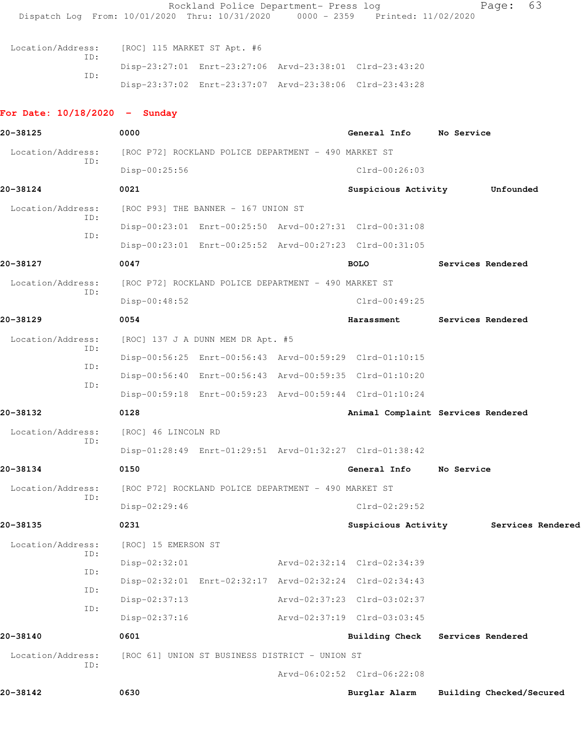| Dispatch Log From: 10/01/2020 Thru: 10/31/2020 |                                                      | Rockland Police Department- Press log | $0000 - 2359$ | Printed: 11/02/2020                                     |            | 63<br>Page:              |
|------------------------------------------------|------------------------------------------------------|---------------------------------------|---------------|---------------------------------------------------------|------------|--------------------------|
| Location/Address:<br>TD:<br>ID:                | [ROC] 115 MARKET ST Apt. #6                          |                                       |               | Disp-23:27:01 Enrt-23:27:06 Arvd-23:38:01 Clrd-23:43:20 |            |                          |
|                                                |                                                      |                                       |               | Disp-23:37:02 Enrt-23:37:07 Arvd-23:38:06 Clrd-23:43:28 |            |                          |
| For Date: $10/18/2020 -$ Sunday                |                                                      |                                       |               |                                                         |            |                          |
| 20-38125                                       | 0000                                                 |                                       |               | General Info No Service                                 |            |                          |
| Location/Address:                              | [ROC P72] ROCKLAND POLICE DEPARTMENT - 490 MARKET ST |                                       |               |                                                         |            |                          |
| ID:                                            | $Disp-00:25:56$                                      |                                       |               | $Clrd-00:26:03$                                         |            |                          |
| 20-38124                                       | 0021                                                 |                                       |               | Suspicious Activity                                     |            | Unfounded                |
| Location/Address:                              | [ROC P93] THE BANNER - 167 UNION ST                  |                                       |               |                                                         |            |                          |
| ID:                                            |                                                      |                                       |               | Disp-00:23:01 Enrt-00:25:50 Arvd-00:27:31 Clrd-00:31:08 |            |                          |
| ID:                                            |                                                      |                                       |               | Disp-00:23:01 Enrt-00:25:52 Arvd-00:27:23 Clrd-00:31:05 |            |                          |
| 20-38127                                       | 0047                                                 |                                       |               | <b>BOLO</b>                                             |            | Services Rendered        |
| Location/Address:                              | [ROC P72] ROCKLAND POLICE DEPARTMENT - 490 MARKET ST |                                       |               |                                                         |            |                          |
| ID:                                            | Disp-00:48:52                                        |                                       |               | $Clrd-00:49:25$                                         |            |                          |
| 20-38129                                       | 0054                                                 |                                       |               | Harassment                                              |            | Services Rendered        |
| Location/Address:                              | [ROC] 137 J A DUNN MEM DR Apt. #5                    |                                       |               |                                                         |            |                          |
| ID:                                            |                                                      |                                       |               | Disp-00:56:25 Enrt-00:56:43 Arvd-00:59:29 Clrd-01:10:15 |            |                          |
| ID:                                            |                                                      |                                       |               | Disp-00:56:40 Enrt-00:56:43 Arvd-00:59:35 Clrd-01:10:20 |            |                          |
| ID:                                            |                                                      |                                       |               | Disp-00:59:18 Enrt-00:59:23 Arvd-00:59:44 Clrd-01:10:24 |            |                          |
| 20-38132                                       | 0128                                                 |                                       |               | Animal Complaint Services Rendered                      |            |                          |
| Location/Address:                              | [ROC] 46 LINCOLN RD                                  |                                       |               |                                                         |            |                          |
| ID:                                            |                                                      |                                       |               | Disp-01:28:49 Enrt-01:29:51 Arvd-01:32:27 Clrd-01:38:42 |            |                          |
| 20-38134                                       | 0150                                                 |                                       |               | General Info                                            | No Service |                          |
| Location/Address:                              | [ROC P72] ROCKLAND POLICE DEPARTMENT - 490 MARKET ST |                                       |               |                                                         |            |                          |
| ID:                                            | Disp-02:29:46                                        |                                       |               | $Clrd-02:29:52$                                         |            |                          |
| 20-38135                                       | 0231                                                 |                                       |               | Suspicious Activity                                     |            | Services Rendered        |
| Location/Address:                              | [ROC] 15 EMERSON ST                                  |                                       |               |                                                         |            |                          |
| ID:                                            | $Disp-02:32:01$                                      |                                       |               | Arvd-02:32:14 Clrd-02:34:39                             |            |                          |
| ID:                                            |                                                      |                                       |               | Disp-02:32:01 Enrt-02:32:17 Arvd-02:32:24 Clrd-02:34:43 |            |                          |
| ID:                                            | $Disp-02:37:13$                                      |                                       |               | Arvd-02:37:23 Clrd-03:02:37                             |            |                          |
| ID:                                            | $Disp-02:37:16$                                      |                                       |               | Arvd-02:37:19 Clrd-03:03:45                             |            |                          |
| 20-38140                                       | 0601                                                 |                                       |               | Building Check Services Rendered                        |            |                          |
| Location/Address:                              | [ROC 61] UNION ST BUSINESS DISTRICT - UNION ST       |                                       |               |                                                         |            |                          |
| ID:                                            |                                                      |                                       |               | Arvd-06:02:52 Clrd-06:22:08                             |            |                          |
| 20-38142                                       | 0630                                                 |                                       |               | Burglar Alarm                                           |            | Building Checked/Secured |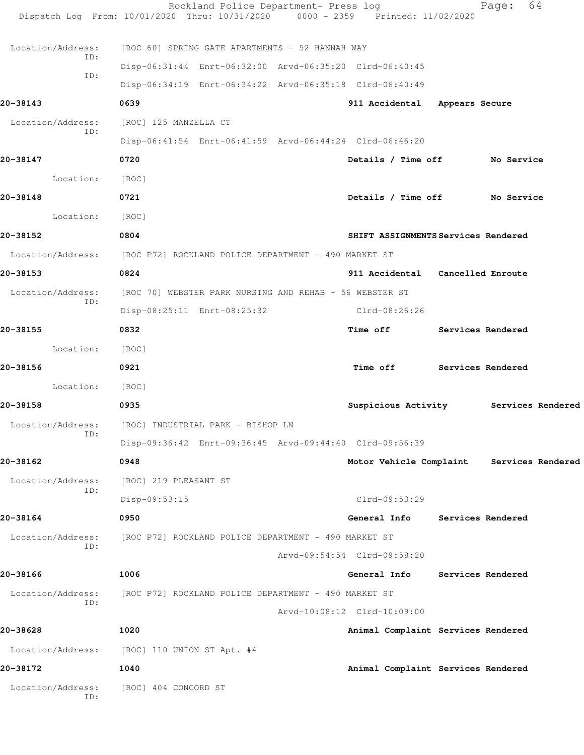|                          | Rockland Police Department- Press log<br>Dispatch Log From: 10/01/2020 Thru: 10/31/2020 0000 - 2359 Printed: 11/02/2020 |                                           | 64<br>Page: |  |
|--------------------------|-------------------------------------------------------------------------------------------------------------------------|-------------------------------------------|-------------|--|
| Location/Address:        | [ROC 60] SPRING GATE APARTMENTS - 52 HANNAH WAY                                                                         |                                           |             |  |
| ID:                      | Disp-06:31:44 Enrt-06:32:00 Arvd-06:35:20 Clrd-06:40:45                                                                 |                                           |             |  |
| ID:                      | Disp-06:34:19 Enrt-06:34:22 Arvd-06:35:18 Clrd-06:40:49                                                                 |                                           |             |  |
| 20-38143                 | 0639                                                                                                                    | 911 Accidental Appears Secure             |             |  |
| Location/Address:        | [ROC] 125 MANZELLA CT                                                                                                   |                                           |             |  |
| ID:                      | Disp-06:41:54 Enrt-06:41:59 Arvd-06:44:24 Clrd-06:46:20                                                                 |                                           |             |  |
| 20-38147                 | 0720                                                                                                                    | Details / Time off No Service             |             |  |
| Location:                | [ROC]                                                                                                                   |                                           |             |  |
| 20-38148                 | 0721                                                                                                                    | Details / Time off No Service             |             |  |
| Location:                | [ROC]                                                                                                                   |                                           |             |  |
| 20-38152                 | 0804                                                                                                                    | SHIFT ASSIGNMENTS Services Rendered       |             |  |
|                          | Location/Address: [ROC P72] ROCKLAND POLICE DEPARTMENT - 490 MARKET ST                                                  |                                           |             |  |
| 20-38153                 | 0824                                                                                                                    | 911 Accidental Cancelled Enroute          |             |  |
| Location/Address:        | [ROC 70] WEBSTER PARK NURSING AND REHAB - 56 WEBSTER ST                                                                 |                                           |             |  |
| ID:                      | Disp-08:25:11 Enrt-08:25:32                                                                                             | $Clrd-08:26:26$                           |             |  |
| 20-38155                 | 0832                                                                                                                    | Time off Services Rendered                |             |  |
| Location:                | [ROC]                                                                                                                   |                                           |             |  |
| 20-38156                 | 0921                                                                                                                    | Time off Services Rendered                |             |  |
| Location: [ROC]          |                                                                                                                         |                                           |             |  |
| 20-38158                 | 0935                                                                                                                    | Suspicious Activity Services Rendered     |             |  |
|                          | Location/Address: [ROC] INDUSTRIAL PARK - BISHOP LN                                                                     |                                           |             |  |
| ID:                      | Disp-09:36:42 Enrt-09:36:45 Arvd-09:44:40 Clrd-09:56:39                                                                 |                                           |             |  |
| 20-38162                 | 0948                                                                                                                    | Motor Vehicle Complaint Services Rendered |             |  |
| Location/Address:        | [ROC] 219 PLEASANT ST                                                                                                   |                                           |             |  |
| ID:                      | Disp-09:53:15                                                                                                           | Clrd-09:53:29                             |             |  |
| 20-38164                 | 0950                                                                                                                    | General Info Services Rendered            |             |  |
| Location/Address:        | [ROC P72] ROCKLAND POLICE DEPARTMENT - 490 MARKET ST                                                                    |                                           |             |  |
| ID:                      |                                                                                                                         | Arvd-09:54:54 Clrd-09:58:20               |             |  |
| 20-38166                 | 1006                                                                                                                    | General Info Services Rendered            |             |  |
| Location/Address:        | [ROC P72] ROCKLAND POLICE DEPARTMENT - 490 MARKET ST                                                                    |                                           |             |  |
| ID:                      |                                                                                                                         | Arvd-10:08:12 Clrd-10:09:00               |             |  |
| 20-38628                 | 1020                                                                                                                    | Animal Complaint Services Rendered        |             |  |
|                          | Location/Address: [ROC] 110 UNION ST Apt. #4                                                                            |                                           |             |  |
| 20-38172                 | 1040                                                                                                                    | Animal Complaint Services Rendered        |             |  |
| Location/Address:<br>ID: | [ROC] 404 CONCORD ST                                                                                                    |                                           |             |  |
|                          |                                                                                                                         |                                           |             |  |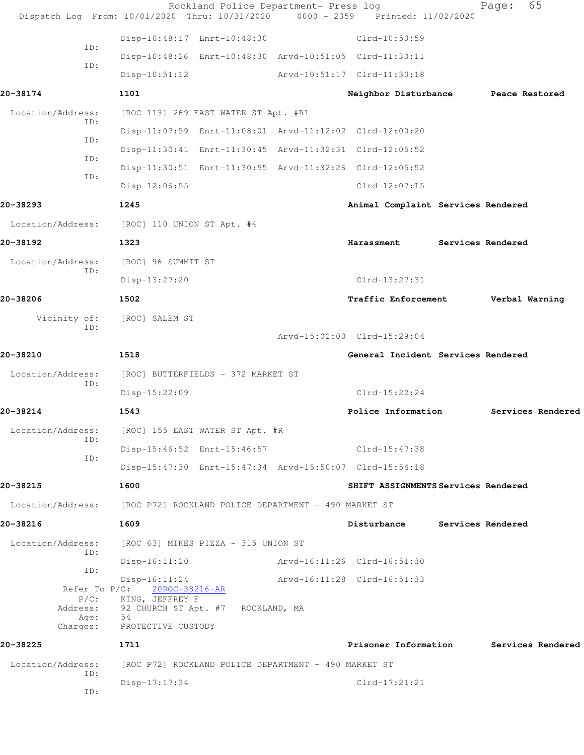|                          | Rockland Police Department- Press log<br>Dispatch Log From: 10/01/2020 Thru: 10/31/2020 | 0000 - 2359 Printed: 11/02/2020     |                          | Page:             | 65                |
|--------------------------|-----------------------------------------------------------------------------------------|-------------------------------------|--------------------------|-------------------|-------------------|
|                          | Disp-10:48:17 Enrt-10:48:30                                                             | Clrd-10:50:59                       |                          |                   |                   |
| ID:                      | Disp-10:48:26 Enrt-10:48:30 Arvd-10:51:05 Clrd-11:30:11                                 |                                     |                          |                   |                   |
| ID:                      | $Disp-10:51:12$                                                                         | Arvd-10:51:17 Clrd-11:30:18         |                          |                   |                   |
| 20-38174                 | 1101                                                                                    | Neighbor Disturbance                |                          |                   | Peace Restored    |
| Location/Address:        | [ROC 113] 269 EAST WATER ST Apt. #R1                                                    |                                     |                          |                   |                   |
| ID:                      | Disp-11:07:59 Enrt-11:08:01 Arvd-11:12:02 Clrd-12:00:20                                 |                                     |                          |                   |                   |
| ID:                      | Disp-11:30:41 Enrt-11:30:45 Arvd-11:32:31 Clrd-12:05:52                                 |                                     |                          |                   |                   |
| ID:                      | Disp-11:30:51 Enrt-11:30:55 Arvd-11:32:26 Clrd-12:05:52                                 |                                     |                          |                   |                   |
| ID:                      | Disp-12:06:55                                                                           | $Clrd-12:07:15$                     |                          |                   |                   |
| 20-38293                 | 1245                                                                                    | Animal Complaint Services Rendered  |                          |                   |                   |
| Location/Address:        | [ROC] 110 UNION ST Apt. #4                                                              |                                     |                          |                   |                   |
| 20-38192                 | 1323                                                                                    | Harassment                          |                          | Services Rendered |                   |
| Location/Address:<br>ID: | [ROC] 96 SUMMIT ST                                                                      |                                     |                          |                   |                   |
|                          | Disp-13:27:20                                                                           | $Clrd-13:27:31$                     |                          |                   |                   |
| 20-38206                 | 1502                                                                                    | Traffic Enforcement                 |                          |                   | Verbal Warning    |
| Vicinity of:<br>ID:      | [ROC] SALEM ST                                                                          |                                     |                          |                   |                   |
|                          |                                                                                         | Arvd-15:02:00 Clrd-15:29:04         |                          |                   |                   |
| 20-38210                 | 1518                                                                                    | General Incident Services Rendered  |                          |                   |                   |
| Location/Address:<br>ID: | [ROC] BUTTERFIELDS - 372 MARKET ST                                                      |                                     |                          |                   |                   |
|                          | Disp-15:22:09                                                                           | $Clrd-15:22:24$                     |                          |                   |                   |
| 20-38214                 | 1543                                                                                    | Police Information                  |                          |                   | Services Rendered |
| Location/Address:<br>ID: | [ROC] 155 EAST WATER ST Apt. #R                                                         |                                     |                          |                   |                   |
| ID:                      | Disp-15:46:52 Enrt-15:46:57                                                             | Clrd-15:47:38                       |                          |                   |                   |
|                          | Disp-15:47:30 Enrt-15:47:34 Arvd-15:50:07 Clrd-15:54:18                                 |                                     |                          |                   |                   |
| 20-38215                 | 1600                                                                                    | SHIFT ASSIGNMENTS Services Rendered |                          |                   |                   |
| Location/Address:        | [ROC P72] ROCKLAND POLICE DEPARTMENT - 490 MARKET ST                                    |                                     |                          |                   |                   |
| 20-38216                 | 1609                                                                                    | Disturbance                         | <b>Services Rendered</b> |                   |                   |
| Location/Address:<br>ID: | [ROC 63] MIKES PIZZA - 315 UNION ST                                                     |                                     |                          |                   |                   |
| ID:                      | $Disp-16:11:20$                                                                         | Arvd-16:11:26 Clrd-16:51:30         |                          |                   |                   |
|                          | $Disp-16:11:24$<br>Refer To P/C: 20ROC-38216-AR                                         | Arvd-16:11:28 Clrd-16:51:33         |                          |                   |                   |
| $P/C$ :<br>Address:      | KING, JEFFREY F<br>92 CHURCH ST Apt. #7 ROCKLAND, MA                                    |                                     |                          |                   |                   |
| Age:<br>Charges:         | 54<br>PROTECTIVE CUSTODY                                                                |                                     |                          |                   |                   |
| 20-38225                 | 1711                                                                                    | Prisoner Information                |                          |                   | Services Rendered |
| Location/Address:        | [ROC P72] ROCKLAND POLICE DEPARTMENT - 490 MARKET ST                                    |                                     |                          |                   |                   |
| ID:                      | $Disp-17:17:34$                                                                         | $Clrd-17:21:21$                     |                          |                   |                   |
| ID:                      |                                                                                         |                                     |                          |                   |                   |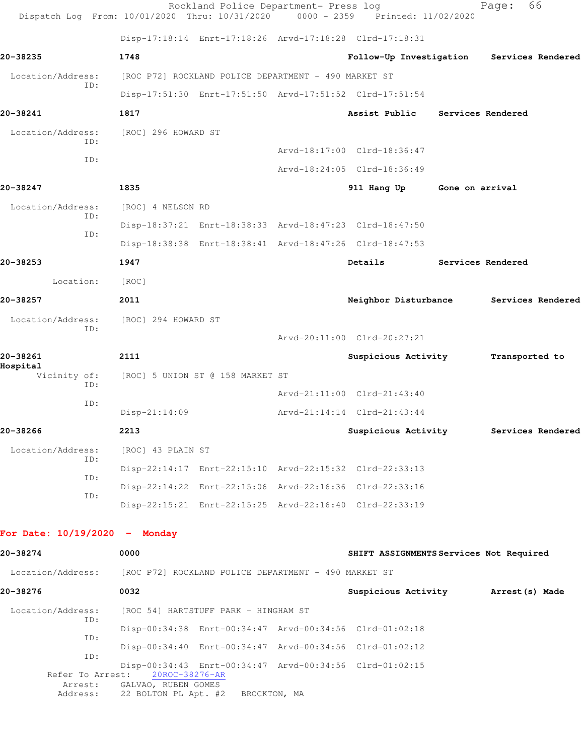|                                 |            | Dispatch Log From: 10/01/2020 Thru: 10/31/2020       | Rockland Police Department- Press log | $0000 - 2359$ | Printed: 11/02/2020                                     |                 | 66<br>Page:       |
|---------------------------------|------------|------------------------------------------------------|---------------------------------------|---------------|---------------------------------------------------------|-----------------|-------------------|
|                                 |            |                                                      |                                       |               | Disp-17:18:14 Enrt-17:18:26 Arvd-17:18:28 Clrd-17:18:31 |                 |                   |
| 20-38235                        |            | 1748                                                 |                                       |               | Follow-Up Investigation                                 |                 | Services Rendered |
| Location/Address:               |            | [ROC P72] ROCKLAND POLICE DEPARTMENT - 490 MARKET ST |                                       |               |                                                         |                 |                   |
|                                 | ID:        |                                                      |                                       |               | Disp-17:51:30 Enrt-17:51:50 Arvd-17:51:52 Clrd-17:51:54 |                 |                   |
| 20-38241                        |            | 1817                                                 |                                       |               | Assist Public                                           |                 | Services Rendered |
| Location/Address:               | ID:        | [ROC] 296 HOWARD ST                                  |                                       |               |                                                         |                 |                   |
|                                 | ID:        |                                                      |                                       |               | Arvd-18:17:00 Clrd-18:36:47                             |                 |                   |
|                                 |            |                                                      |                                       |               | Arvd-18:24:05 Clrd-18:36:49                             |                 |                   |
| 20-38247                        |            | 1835                                                 |                                       |               | 911 Hang Up                                             | Gone on arrival |                   |
| Location/Address:               | ID:        | [ROC] 4 NELSON RD                                    |                                       |               |                                                         |                 |                   |
|                                 | ID:        |                                                      |                                       |               | Disp-18:37:21 Enrt-18:38:33 Arvd-18:47:23 Clrd-18:47:50 |                 |                   |
|                                 |            |                                                      |                                       |               | Disp-18:38:38 Enrt-18:38:41 Arvd-18:47:26 Clrd-18:47:53 |                 |                   |
| 20-38253                        |            | 1947                                                 |                                       |               | Details                                                 |                 | Services Rendered |
| Location:                       |            | [ROC]                                                |                                       |               |                                                         |                 |                   |
| 20-38257                        |            | 2011                                                 |                                       |               | Neighbor Disturbance                                    |                 | Services Rendered |
| Location/Address:               | ID:        | [ROC] 294 HOWARD ST                                  |                                       |               |                                                         |                 |                   |
|                                 |            |                                                      |                                       |               | Arvd-20:11:00 Clrd-20:27:21                             |                 |                   |
| 20-38261<br>Hospital            |            | 2111                                                 |                                       |               | Suspicious Activity                                     |                 | Transported to    |
| Vicinity of:                    | ID:        | [ROC] 5 UNION ST @ 158 MARKET ST                     |                                       |               |                                                         |                 |                   |
|                                 | ID:        |                                                      |                                       |               | Arvd-21:11:00 Clrd-21:43:40                             |                 |                   |
|                                 |            | $Disp-21:14:09$                                      |                                       |               | Arvd-21:14:14 Clrd-21:43:44                             |                 |                   |
| 20-38266                        |            | 2213                                                 |                                       |               | Suspicious Activity                                     |                 | Services Rendered |
| Location/Address:               |            | [ROC] 43 PLAIN ST                                    |                                       |               |                                                         |                 |                   |
|                                 | ID:        |                                                      |                                       |               | Disp-22:14:17 Enrt-22:15:10 Arvd-22:15:32 Clrd-22:33:13 |                 |                   |
|                                 | ID:        |                                                      |                                       |               | Disp-22:14:22 Enrt-22:15:06 Arvd-22:16:36 Clrd-22:33:16 |                 |                   |
|                                 | ID:        |                                                      |                                       |               | Disp-22:15:21 Enrt-22:15:25 Arvd-22:16:40 Clrd-22:33:19 |                 |                   |
| For Date: $10/19/2020 -$ Monday |            |                                                      |                                       |               |                                                         |                 |                   |
| 20-38274                        |            | 0000                                                 |                                       |               | SHIFT ASSIGNMENTS Services Not Required                 |                 |                   |
| Location/Address:               |            | [ROC P72] ROCKLAND POLICE DEPARTMENT - 490 MARKET ST |                                       |               |                                                         |                 |                   |
| 20-38276                        |            | 0032                                                 |                                       |               | Suspicious Activity                                     |                 | Arrest(s) Made    |
| Location/Address:               |            |                                                      | [ROC 54] HARTSTUFF PARK - HINGHAM ST  |               |                                                         |                 |                   |
|                                 | ID:        |                                                      |                                       |               | Disp-00:34:38 Enrt-00:34:47 Arvd-00:34:56 Clrd-01:02:18 |                 |                   |
|                                 | ID:<br>ID: |                                                      |                                       |               | Disp-00:34:40 Enrt-00:34:47 Arvd-00:34:56 Clrd-01:02:12 |                 |                   |
|                                 |            |                                                      |                                       |               |                                                         |                 |                   |

 Disp-00:34:43 Enrt-00:34:47 Arvd-00:34:56 Clrd-01:02:15 Refer To Arrest: 20ROC-38276-AR

Arrest: GALVAO, RUBEN GOMES

Address: 22 BOLTON PL Apt. #2 BROCKTON, MA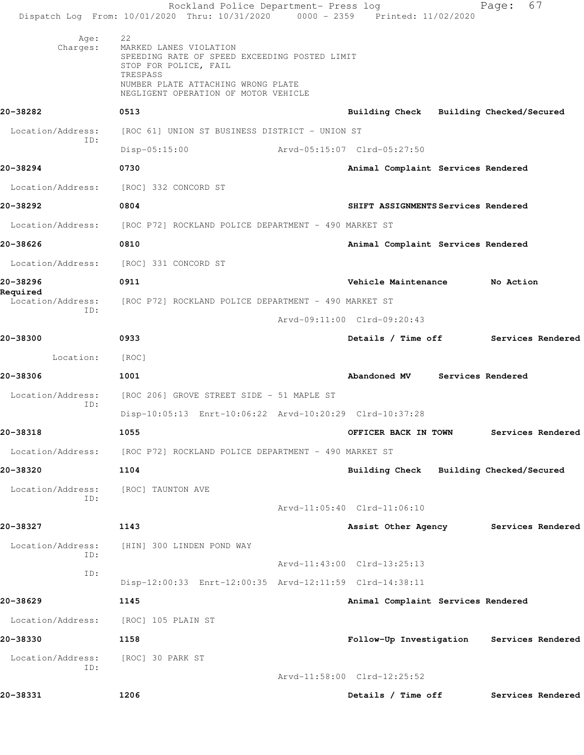|                          | Rockland Police Department- Press log<br>Dispatch Log From: 10/01/2020 Thru: 10/31/2020 0000 - 2359 Printed: 11/02/2020                                                                          |                                           | 67<br>Page:       |  |
|--------------------------|--------------------------------------------------------------------------------------------------------------------------------------------------------------------------------------------------|-------------------------------------------|-------------------|--|
| Age:<br>Charges:         | 22<br>MARKED LANES VIOLATION<br>SPEEDING RATE OF SPEED EXCEEDING POSTED LIMIT<br>STOP FOR POLICE, FAIL<br>TRESPASS<br>NUMBER PLATE ATTACHING WRONG PLATE<br>NEGLIGENT OPERATION OF MOTOR VEHICLE |                                           |                   |  |
| 20-38282                 | 0513                                                                                                                                                                                             | Building Check Building Checked/Secured   |                   |  |
| Location/Address:<br>TD: | [ROC 61] UNION ST BUSINESS DISTRICT - UNION ST<br>$Disp-05:15:00$                                                                                                                                | Arvd-05:15:07 Clrd-05:27:50               |                   |  |
| 20-38294                 | 0730                                                                                                                                                                                             | Animal Complaint Services Rendered        |                   |  |
| Location/Address:        | [ROC] 332 CONCORD ST                                                                                                                                                                             |                                           |                   |  |
| 20-38292                 | 0804                                                                                                                                                                                             | SHIFT ASSIGNMENTS Services Rendered       |                   |  |
|                          | Location/Address: [ROC P72] ROCKLAND POLICE DEPARTMENT - 490 MARKET ST                                                                                                                           |                                           |                   |  |
| 20-38626                 | 0810                                                                                                                                                                                             | Animal Complaint Services Rendered        |                   |  |
|                          | Location/Address: [ROC] 331 CONCORD ST                                                                                                                                                           |                                           |                   |  |
| 20-38296                 | 0911                                                                                                                                                                                             | Vehicle Maintenance                       | No Action         |  |
| Required                 | Location/Address: [ROC P72] ROCKLAND POLICE DEPARTMENT - 490 MARKET ST                                                                                                                           |                                           |                   |  |
| ID:                      |                                                                                                                                                                                                  | Arvd-09:11:00 Clrd-09:20:43               |                   |  |
| 20-38300                 | 0933                                                                                                                                                                                             | Details / Time off                        | Services Rendered |  |
| Location:                | [ROC]                                                                                                                                                                                            |                                           |                   |  |
| 20-38306                 | 1001                                                                                                                                                                                             | Abandoned MV Services Rendered            |                   |  |
| Location/Address:<br>ID: | [ROC 206] GROVE STREET SIDE - 51 MAPLE ST                                                                                                                                                        |                                           |                   |  |
|                          | Disp-10:05:13 Enrt-10:06:22 Arvd-10:20:29 Clrd-10:37:28                                                                                                                                          |                                           |                   |  |
| 20-38318                 | 1055                                                                                                                                                                                             | OFFICER BACK IN TOWN                      | Services Rendered |  |
| Location/Address:        | [ROC P72] ROCKLAND POLICE DEPARTMENT - 490 MARKET ST                                                                                                                                             |                                           |                   |  |
| 20-38320                 | 1104                                                                                                                                                                                             | Building Check Building Checked/Secured   |                   |  |
| Location/Address:<br>ID: | [ROC] TAUNTON AVE                                                                                                                                                                                |                                           |                   |  |
|                          |                                                                                                                                                                                                  | Arvd-11:05:40 Clrd-11:06:10               |                   |  |
| 20-38327                 | 1143                                                                                                                                                                                             | Assist Other Agency                       | Services Rendered |  |
| Location/Address:<br>ID: | [HIN] 300 LINDEN POND WAY                                                                                                                                                                        |                                           |                   |  |
| ID:                      |                                                                                                                                                                                                  | Arvd-11:43:00 Clrd-13:25:13               |                   |  |
|                          | Disp-12:00:33 Enrt-12:00:35 Arvd-12:11:59 Clrd-14:38:11                                                                                                                                          |                                           |                   |  |
| 20-38629                 | 1145                                                                                                                                                                                             | Animal Complaint Services Rendered        |                   |  |
| Location/Address:        | [ROC] 105 PLAIN ST                                                                                                                                                                               |                                           |                   |  |
| 20-38330                 | 1158                                                                                                                                                                                             | Follow-Up Investigation Services Rendered |                   |  |
| Location/Address:<br>ID: | [ROC] 30 PARK ST                                                                                                                                                                                 |                                           |                   |  |
|                          |                                                                                                                                                                                                  | Arvd-11:58:00 Clrd-12:25:52               |                   |  |
| 20-38331                 | 1206                                                                                                                                                                                             | Details / Time off                        | Services Rendered |  |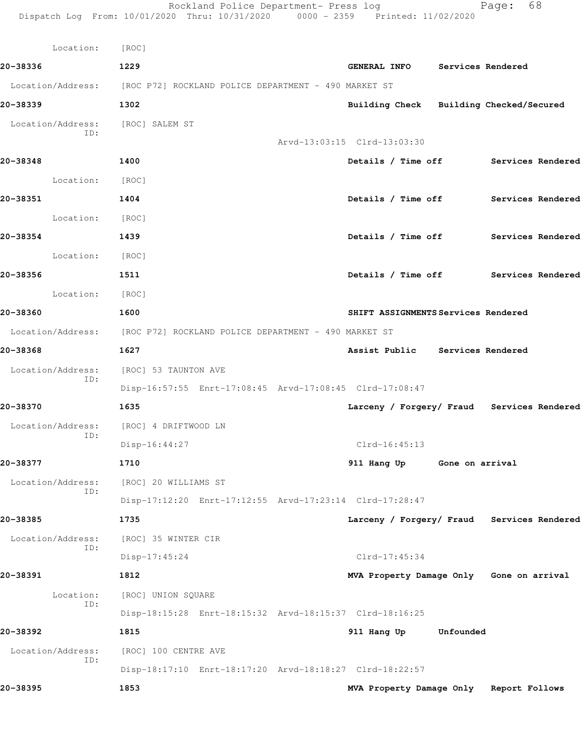| Location:                | [ROC]                                                                  |                                            |
|--------------------------|------------------------------------------------------------------------|--------------------------------------------|
| 20-38336                 | 1229                                                                   | GENERAL INFO Services Rendered             |
|                          | Location/Address: [ROC P72] ROCKLAND POLICE DEPARTMENT - 490 MARKET ST |                                            |
| 20-38339                 | 1302                                                                   | Building Check Building Checked/Secured    |
| Location/Address:        | [ROC] SALEM ST                                                         |                                            |
| ID:                      |                                                                        | Arvd-13:03:15 Clrd-13:03:30                |
| 20-38348                 | 1400                                                                   | Details / Time off Services Rendered       |
| Location:                | [ROC]                                                                  |                                            |
| 20-38351<br>1404         |                                                                        | Details / Time off Services Rendered       |
| Location: [ROC]          |                                                                        |                                            |
| 20-38354<br>1439         |                                                                        | Details / Time off Services Rendered       |
| Location: [ROC]          |                                                                        |                                            |
| 20-38356                 | 1511                                                                   | Details / Time off Services Rendered       |
| Location: [ROC]          |                                                                        |                                            |
| 20-38360<br>1600         |                                                                        | SHIFT ASSIGNMENTS Services Rendered        |
|                          | Location/Address: [ROC P72] ROCKLAND POLICE DEPARTMENT - 490 MARKET ST |                                            |
| 20-38368                 | 1627                                                                   | Assist Public Services Rendered            |
| ID:                      | Location/Address: [ROC] 53 TAUNTON AVE                                 |                                            |
|                          | Disp-16:57:55 Enrt-17:08:45 Arvd-17:08:45 Clrd-17:08:47                |                                            |
| 20-38370                 | 1635                                                                   | Larceny / Forgery/ Fraud Services Rendered |
| ID:                      | Location/Address: [ROC] 4 DRIFTWOOD LN                                 |                                            |
|                          | Disp-16:44:27                                                          | $Clrd-16:45:13$                            |
| 20-38377                 | 1710                                                                   | 911 Hang Up Gone on arrival                |
| Location/Address:<br>ID: | [ROC] 20 WILLIAMS ST                                                   |                                            |
|                          | Disp-17:12:20 Enrt-17:12:55 Arvd-17:23:14 Clrd-17:28:47                |                                            |
| 20-38385                 | 1735                                                                   | Larceny / Forgery/ Fraud Services Rendered |
| Location/Address:<br>ID: | [ROC] 35 WINTER CIR                                                    |                                            |
|                          | Disp-17:45:24                                                          | $Clrd-17:45:34$                            |
| 20-38391                 | 1812                                                                   | MVA Property Damage Only Gone on arrival   |
| Location:<br>ID:         | [ROC] UNION SQUARE                                                     |                                            |
|                          | Disp-18:15:28 Enrt-18:15:32 Arvd-18:15:37 Clrd-18:16:25                |                                            |
| 20-38392                 | 1815                                                                   | 911 Hang Up<br>Unfounded                   |
| Location/Address:<br>ID: | [ROC] 100 CENTRE AVE                                                   |                                            |
|                          | Disp-18:17:10 Enrt-18:17:20 Arvd-18:18:27 Clrd-18:22:57                |                                            |
| 20-38395                 | 1853                                                                   | MVA Property Damage Only Report Follows    |

Rockland Police Department- Press log entitled Page: 68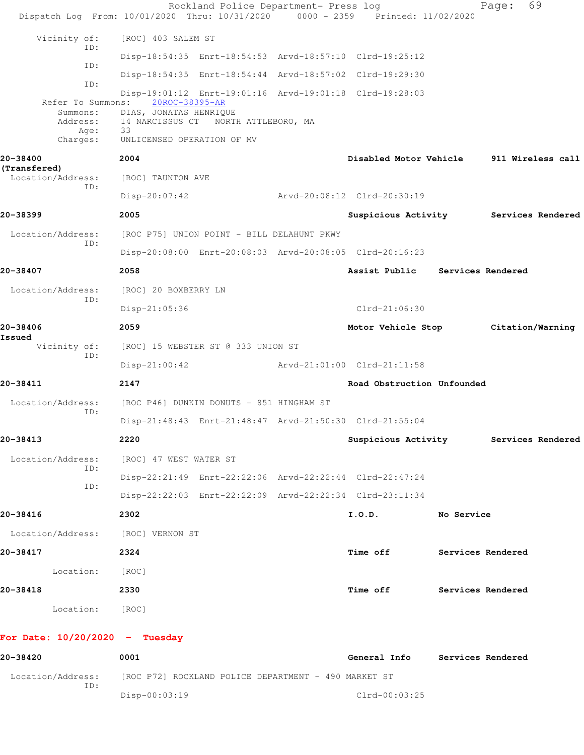|                                          | Rockland Police Department- Press log<br>Dispatch Log From: 10/01/2020 Thru: 10/31/2020 0000 - 2359 Printed: 11/02/2020 |  |                                 |                   | 69<br>Page:                           |
|------------------------------------------|-------------------------------------------------------------------------------------------------------------------------|--|---------------------------------|-------------------|---------------------------------------|
| Vicinity of:                             | [ROC] 403 SALEM ST                                                                                                      |  |                                 |                   |                                       |
| ID:                                      | Disp-18:54:35 Enrt-18:54:53 Arvd-18:57:10 Clrd-19:25:12                                                                 |  |                                 |                   |                                       |
| ID:                                      | Disp-18:54:35 Enrt-18:54:44 Arvd-18:57:02 Clrd-19:29:30                                                                 |  |                                 |                   |                                       |
| ID:<br>Refer To Summons:<br>Summons:     | Disp-19:01:12 Enrt-19:01:16 Arvd-19:01:18 Clrd-19:28:03<br>20ROC-38395-AR<br>DIAS, JONATAS HENRIQUE                     |  |                                 |                   |                                       |
| Address:<br>Age:<br>Charges:             | 14 NARCISSUS CT NORTH ATTLEBORO, MA<br>33<br>UNLICENSED OPERATION OF MV                                                 |  |                                 |                   |                                       |
| 20-38400                                 | 2004                                                                                                                    |  | Disabled Motor Vehicle          |                   | 911 Wireless call                     |
| (Transfered)<br>Location/Address:<br>ID: | [ROC] TAUNTON AVE                                                                                                       |  |                                 |                   |                                       |
|                                          | Disp-20:07:42                                                                                                           |  | Arvd-20:08:12 Clrd-20:30:19     |                   |                                       |
| 20-38399                                 | 2005                                                                                                                    |  |                                 |                   | Suspicious Activity Services Rendered |
| Location/Address:<br>ID:                 | [ROC P75] UNION POINT - BILL DELAHUNT PKWY                                                                              |  |                                 |                   |                                       |
|                                          | Disp-20:08:00 Enrt-20:08:03 Arvd-20:08:05 Clrd-20:16:23                                                                 |  |                                 |                   |                                       |
| 20-38407                                 | 2058                                                                                                                    |  | Assist Public Services Rendered |                   |                                       |
| Location/Address:                        | [ROC] 20 BOXBERRY LN                                                                                                    |  |                                 |                   |                                       |
| ID:                                      | Disp-21:05:36                                                                                                           |  | $Clrd-21:06:30$                 |                   |                                       |
| 20-38406                                 | 2059                                                                                                                    |  |                                 |                   | Motor Vehicle Stop Citation/Warning   |
| Issued<br>Vicinity of:                   | [ROC] 15 WEBSTER ST @ 333 UNION ST                                                                                      |  |                                 |                   |                                       |
| ID:                                      | $Disp-21:00:42$                                                                                                         |  | Arvd-21:01:00 Clrd-21:11:58     |                   |                                       |
| 20-38411                                 | 2147                                                                                                                    |  | Road Obstruction Unfounded      |                   |                                       |
| Location/Address:                        | [ROC P46] DUNKIN DONUTS - 851 HINGHAM ST                                                                                |  |                                 |                   |                                       |
| ID:                                      | Disp-21:48:43 Enrt-21:48:47 Arvd-21:50:30 Clrd-21:55:04                                                                 |  |                                 |                   |                                       |
| 20-38413                                 | 2220                                                                                                                    |  |                                 |                   | Suspicious Activity Services Rendered |
| Location/Address:                        | [ROC] 47 WEST WATER ST                                                                                                  |  |                                 |                   |                                       |
| ID:                                      | Disp-22:21:49 Enrt-22:22:06 Arvd-22:22:44 Clrd-22:47:24                                                                 |  |                                 |                   |                                       |
| ID:                                      | Disp-22:22:03 Enrt-22:22:09 Arvd-22:22:34 Clrd-23:11:34                                                                 |  |                                 |                   |                                       |
| 20-38416                                 | 2302                                                                                                                    |  | I.0.D.                          | No Service        |                                       |
| Location/Address: [ROC] VERNON ST        |                                                                                                                         |  |                                 |                   |                                       |
| 20-38417                                 | 2324                                                                                                                    |  | Time off Services Rendered      |                   |                                       |
| Location: [ROC]                          |                                                                                                                         |  |                                 |                   |                                       |
| 20-38418                                 | 2330                                                                                                                    |  | Time off                        | Services Rendered |                                       |
| Location: [ROC]                          |                                                                                                                         |  |                                 |                   |                                       |
| For Date: $10/20/2020 -$ Tuesday         |                                                                                                                         |  |                                 |                   |                                       |
| 20-38420                                 | 0001                                                                                                                    |  | General Info Services Rendered  |                   |                                       |
| Location/Address:                        | [ROC P72] ROCKLAND POLICE DEPARTMENT - 490 MARKET ST                                                                    |  |                                 |                   |                                       |
| ID:                                      | $Disp-00:03:19$                                                                                                         |  | $Clrd-00:03:25$                 |                   |                                       |
|                                          |                                                                                                                         |  |                                 |                   |                                       |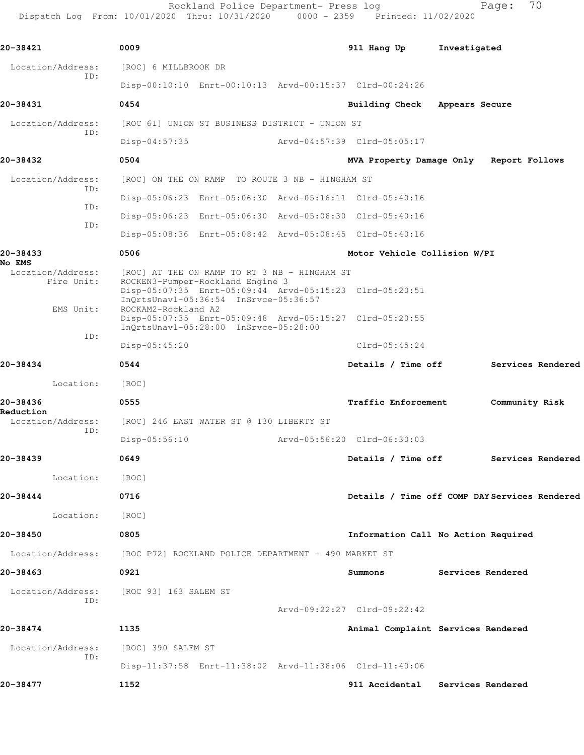Rockland Police Department- Press log entitled and Page: 70

Dispatch Log From: 10/01/2020 Thru: 10/31/2020 0000 - 2359 Printed: 11/02/2020

| 20-38421                                  | 0009                                                                                                                                                                                 |                                          | 911 Hang Up                         | Investigated      |                                               |  |
|-------------------------------------------|--------------------------------------------------------------------------------------------------------------------------------------------------------------------------------------|------------------------------------------|-------------------------------------|-------------------|-----------------------------------------------|--|
| Location/Address:                         | [ROC] 6 MILLBROOK DR                                                                                                                                                                 |                                          |                                     |                   |                                               |  |
| ID:                                       | Disp-00:10:10 Enrt-00:10:13 Arvd-00:15:37 Clrd-00:24:26                                                                                                                              |                                          |                                     |                   |                                               |  |
| 20-38431                                  | 0454                                                                                                                                                                                 |                                          | <b>Building Check</b>               | Appears Secure    |                                               |  |
| Location/Address:                         | [ROC 61] UNION ST BUSINESS DISTRICT - UNION ST                                                                                                                                       |                                          |                                     |                   |                                               |  |
| ID:                                       | $Disp-04:57:35$                                                                                                                                                                      |                                          | Arvd-04:57:39 Clrd-05:05:17         |                   |                                               |  |
| 20-38432                                  | 0504                                                                                                                                                                                 |                                          | MVA Property Damage Only            |                   | Report Follows                                |  |
| Location/Address:<br>ID:                  | [ROC] ON THE ON RAMP TO ROUTE 3 NB - HINGHAM ST                                                                                                                                      |                                          |                                     |                   |                                               |  |
| ID:                                       | Disp-05:06:23 Enrt-05:06:30 Arvd-05:16:11 Clrd-05:40:16                                                                                                                              |                                          |                                     |                   |                                               |  |
| ID:                                       | Disp-05:06:23 Enrt-05:06:30 Arvd-05:08:30 Clrd-05:40:16                                                                                                                              |                                          |                                     |                   |                                               |  |
|                                           | Disp-05:08:36 Enrt-05:08:42 Arvd-05:08:45 Clrd-05:40:16                                                                                                                              |                                          |                                     |                   |                                               |  |
| 20-38433                                  | 0506                                                                                                                                                                                 |                                          | Motor Vehicle Collision W/PI        |                   |                                               |  |
| No EMS<br>Location/Address:<br>Fire Unit: | [ROC] AT THE ON RAMP TO RT 3 NB - HINGHAM ST<br>ROCKEN3-Pumper-Rockland Engine 3<br>Disp-05:07:35 Enrt-05:09:44 Arvd-05:15:23 Clrd-05:20:51<br>InQrtsUnavl-05:36:54 InSrvce-05:36:57 |                                          |                                     |                   |                                               |  |
| EMS Unit:                                 | ROCKAM2-Rockland A2<br>Disp-05:07:35 Enrt-05:09:48 Arvd-05:15:27 Clrd-05:20:55<br>InQrtsUnavl-05:28:00 InSrvce-05:28:00                                                              |                                          |                                     |                   |                                               |  |
| ID:                                       | $Disp-05:45:20$                                                                                                                                                                      |                                          | $Clrd-05:45:24$                     |                   |                                               |  |
| 20-38434                                  | 0544                                                                                                                                                                                 |                                          | Details / Time off                  |                   | Services Rendered                             |  |
| Location:                                 | [ROC]                                                                                                                                                                                |                                          |                                     |                   |                                               |  |
| 20-38436                                  | 0555                                                                                                                                                                                 |                                          | Traffic Enforcement                 |                   | Community Risk                                |  |
| Reduction<br>Location/Address:            |                                                                                                                                                                                      | [ROC] 246 EAST WATER ST @ 130 LIBERTY ST |                                     |                   |                                               |  |
| ID:                                       | $Disp-05:56:10$                                                                                                                                                                      |                                          | Arvd-05:56:20 Clrd-06:30:03         |                   |                                               |  |
| 20-38439                                  | 0649                                                                                                                                                                                 |                                          | Details / Time off                  |                   | Services Rendered                             |  |
| Location:                                 | [ROC]                                                                                                                                                                                |                                          |                                     |                   |                                               |  |
| 20-38444                                  | 0716                                                                                                                                                                                 |                                          |                                     |                   | Details / Time off COMP DAY Services Rendered |  |
| Location:                                 | [ROC]                                                                                                                                                                                |                                          |                                     |                   |                                               |  |
| 20-38450                                  | 0805                                                                                                                                                                                 |                                          | Information Call No Action Required |                   |                                               |  |
|                                           | Location/Address: [ROC P72] ROCKLAND POLICE DEPARTMENT - 490 MARKET ST                                                                                                               |                                          |                                     |                   |                                               |  |
| 20-38463                                  | 0921                                                                                                                                                                                 |                                          | Summons                             | Services Rendered |                                               |  |
|                                           | Location/Address: [ROC 93] 163 SALEM ST                                                                                                                                              |                                          |                                     |                   |                                               |  |
| ID:                                       |                                                                                                                                                                                      |                                          | Arvd-09:22:27 Clrd-09:22:42         |                   |                                               |  |
| 20-38474                                  | 1135                                                                                                                                                                                 |                                          | Animal Complaint Services Rendered  |                   |                                               |  |
| Location/Address:                         | [ROC] 390 SALEM ST                                                                                                                                                                   |                                          |                                     |                   |                                               |  |
| ID:                                       | Disp-11:37:58 Enrt-11:38:02 Arvd-11:38:06 Clrd-11:40:06                                                                                                                              |                                          |                                     |                   |                                               |  |
| 20-38477                                  | 1152                                                                                                                                                                                 |                                          | 911 Accidental Services Rendered    |                   |                                               |  |
|                                           |                                                                                                                                                                                      |                                          |                                     |                   |                                               |  |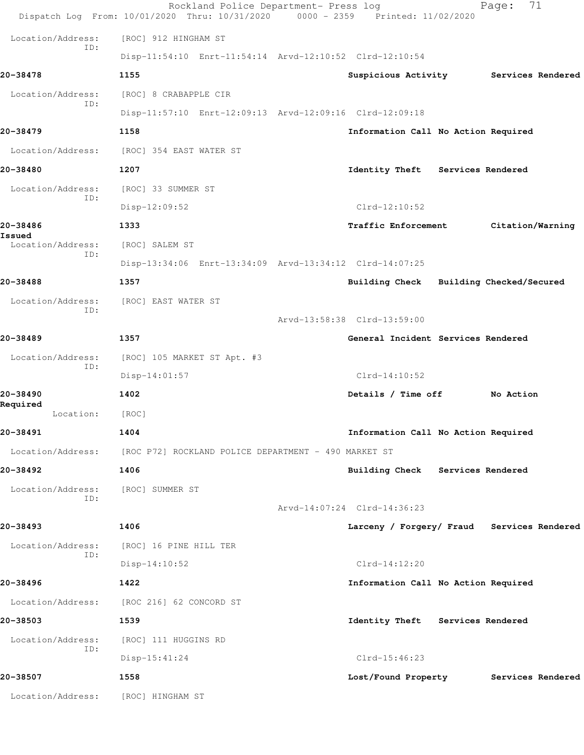|                          | Rockland Police Department- Press log<br>Dispatch Log From: 10/01/2020 Thru: 10/31/2020 0000 - 2359 Printed: 11/02/2020 |                                            | 71<br>Page:              |
|--------------------------|-------------------------------------------------------------------------------------------------------------------------|--------------------------------------------|--------------------------|
| Location/Address:        | [ROC] 912 HINGHAM ST                                                                                                    |                                            |                          |
| ID:                      | Disp-11:54:10 Enrt-11:54:14 Arvd-12:10:52 Clrd-12:10:54                                                                 |                                            |                          |
| 20-38478                 | 1155                                                                                                                    | Suspicious Activity                        | Services Rendered        |
| Location/Address:        | [ROC] 8 CRABAPPLE CIR                                                                                                   |                                            |                          |
| ID:                      | Disp-11:57:10 Enrt-12:09:13 Arvd-12:09:16 Clrd-12:09:18                                                                 |                                            |                          |
| 20-38479                 | 1158                                                                                                                    | Information Call No Action Required        |                          |
| Location/Address:        | [ROC] 354 EAST WATER ST                                                                                                 |                                            |                          |
| 20-38480                 | 1207                                                                                                                    | Identity Theft Services Rendered           |                          |
| Location/Address:<br>ID: | [ROC] 33 SUMMER ST                                                                                                      |                                            |                          |
|                          | Disp-12:09:52                                                                                                           | $Clrd-12:10:52$                            |                          |
| 20-38486<br>Issued       | 1333                                                                                                                    | Traffic Enforcement                        | Citation/Warning         |
| Location/Address:<br>ID: | [ROC] SALEM ST                                                                                                          |                                            |                          |
|                          | Disp-13:34:06 Enrt-13:34:09 Arvd-13:34:12 Clrd-14:07:25                                                                 |                                            |                          |
| 20-38488                 | 1357                                                                                                                    | <b>Building Check</b>                      | Building Checked/Secured |
| Location/Address:<br>ID: | [ROC] EAST WATER ST                                                                                                     |                                            |                          |
|                          |                                                                                                                         | Arvd-13:58:38 Clrd-13:59:00                |                          |
| 20-38489                 | 1357                                                                                                                    | General Incident Services Rendered         |                          |
| Location/Address:<br>ID: | [ROC] 105 MARKET ST Apt. #3                                                                                             |                                            |                          |
|                          | $Disp-14:01:57$                                                                                                         | $Clrd-14:10:52$                            |                          |
| 20-38490<br>Required     | 1402                                                                                                                    | Details / Time off                         | No Action                |
| Location:                | [ROC]                                                                                                                   |                                            |                          |
| 20-38491                 | 1404                                                                                                                    | Information Call No Action Required        |                          |
| Location/Address:        | [ROC P72] ROCKLAND POLICE DEPARTMENT - 490 MARKET ST                                                                    |                                            |                          |
| 20-38492                 | 1406                                                                                                                    | Building Check Services Rendered           |                          |
| Location/Address:<br>ID: | [ROC] SUMMER ST                                                                                                         |                                            |                          |
|                          |                                                                                                                         | Arvd-14:07:24 Clrd-14:36:23                |                          |
| 20-38493                 | 1406                                                                                                                    | Larceny / Forgery/ Fraud Services Rendered |                          |
| Location/Address:<br>ID: | [ROC] 16 PINE HILL TER                                                                                                  |                                            |                          |
|                          | $Disp-14:10:52$                                                                                                         | $Clrd-14:12:20$                            |                          |
| 20-38496                 | 1422                                                                                                                    | Information Call No Action Required        |                          |
| Location/Address:        | [ROC 216] 62 CONCORD ST                                                                                                 |                                            |                          |
| 20-38503                 | 1539                                                                                                                    | Identity Theft Services Rendered           |                          |
| Location/Address:<br>ID: | [ROC] 111 HUGGINS RD                                                                                                    |                                            |                          |
|                          | $Disp-15:41:24$                                                                                                         | $Clrd-15:46:23$                            |                          |
| 20-38507                 | 1558                                                                                                                    | Lost/Found Property                        | Services Rendered        |
| Location/Address:        | [ROC] HINGHAM ST                                                                                                        |                                            |                          |
|                          |                                                                                                                         |                                            |                          |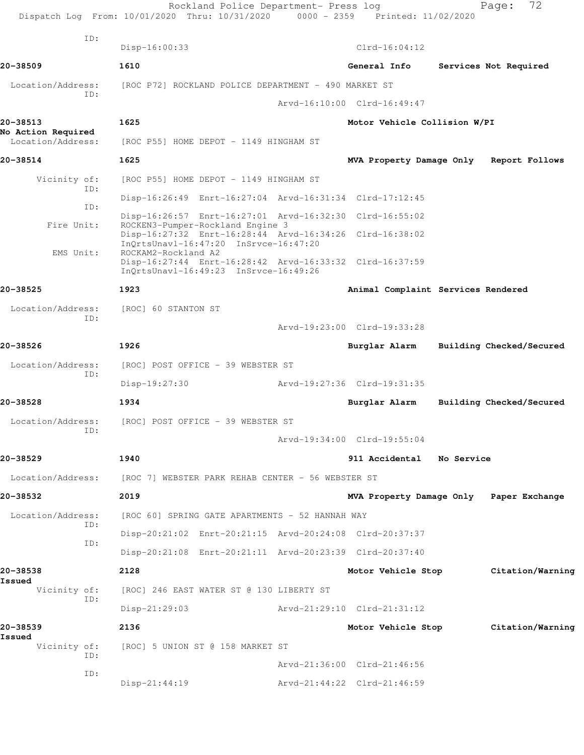|                                         | Rockland Police Department- Press log<br>Dispatch Log From: 10/01/2020 Thru: 10/31/2020 0000 - 2359 Printed: 11/02/2020 |                                         | 72<br>Page:              |
|-----------------------------------------|-------------------------------------------------------------------------------------------------------------------------|-----------------------------------------|--------------------------|
| TD:                                     | Disp-16:00:33                                                                                                           | $Clrd-16:04:12$                         |                          |
| 20-38509                                | 1610                                                                                                                    | General Info                            | Services Not Required    |
| Location/Address:                       | [ROC P72] ROCKLAND POLICE DEPARTMENT - 490 MARKET ST                                                                    |                                         |                          |
| TD:                                     |                                                                                                                         | Arvd-16:10:00 Clrd-16:49:47             |                          |
| 20-38513                                | 1625                                                                                                                    | Motor Vehicle Collision W/PI            |                          |
| No Action Required<br>Location/Address: | [ROC P55] HOME DEPOT - 1149 HINGHAM ST                                                                                  |                                         |                          |
| 20-38514                                | 1625                                                                                                                    | MVA Property Damage Only                | Report Follows           |
| Vicinity of:                            | [ROC P55] HOME DEPOT - 1149 HINGHAM ST                                                                                  |                                         |                          |
| ID:                                     | Disp-16:26:49 Enrt-16:27:04 Arvd-16:31:34 Clrd-17:12:45                                                                 |                                         |                          |
| ID:                                     | Disp-16:26:57 Enrt-16:27:01 Arvd-16:32:30 Clrd-16:55:02                                                                 |                                         |                          |
| Fire Unit:                              | ROCKEN3-Pumper-Rockland Engine 3<br>Disp-16:27:32 Enrt-16:28:44 Arvd-16:34:26 Clrd-16:38:02                             |                                         |                          |
| EMS Unit:                               | InQrtsUnavl-16:47:20 InSrvce-16:47:20<br>ROCKAM2-Rockland A2                                                            |                                         |                          |
|                                         | Disp-16:27:44 Enrt-16:28:42 Arvd-16:33:32 Clrd-16:37:59<br>InQrtsUnavl-16:49:23 InSrvce-16:49:26                        |                                         |                          |
| 20-38525                                | 1923                                                                                                                    | Animal Complaint Services Rendered      |                          |
| Location/Address:                       | [ROC] 60 STANTON ST                                                                                                     |                                         |                          |
| ID:                                     |                                                                                                                         | Arvd-19:23:00 Clrd-19:33:28             |                          |
| 20-38526                                | 1926                                                                                                                    | Burglar Alarm                           | Building Checked/Secured |
| Location/Address:                       | [ROC] POST OFFICE - 39 WEBSTER ST                                                                                       |                                         |                          |
| ID:                                     | Disp-19:27:30                                                                                                           | Arvd-19:27:36 Clrd-19:31:35             |                          |
| 20-38528                                | 1934                                                                                                                    | Burglar Alarm                           | Building Checked/Secured |
| Location/Address:                       | [ROC] POST OFFICE - 39 WEBSTER ST                                                                                       |                                         |                          |
| ID:                                     |                                                                                                                         | Arvd-19:34:00 Clrd-19:55:04             |                          |
| 20-38529                                | 1940                                                                                                                    | 911 Accidental No Service               |                          |
| Location/Address:                       | [ROC 7] WEBSTER PARK REHAB CENTER - 56 WEBSTER ST                                                                       |                                         |                          |
| 20-38532                                | 2019                                                                                                                    | MVA Property Damage Only Paper Exchange |                          |
| Location/Address:<br>ID:                | [ROC 60] SPRING GATE APARTMENTS - 52 HANNAH WAY                                                                         |                                         |                          |
| ID:                                     | Disp-20:21:02 Enrt-20:21:15 Arvd-20:24:08 Clrd-20:37:37                                                                 |                                         |                          |
|                                         | Disp-20:21:08 Enrt-20:21:11 Arvd-20:23:39 Clrd-20:37:40                                                                 |                                         |                          |
| 20-38538                                | 2128                                                                                                                    | Motor Vehicle Stop                      | Citation/Warning         |
| Issued<br>Vicinity of:                  | [ROC] 246 EAST WATER ST @ 130 LIBERTY ST                                                                                |                                         |                          |
| ID:                                     | $Disp-21:29:03$                                                                                                         | Arvd-21:29:10 Clrd-21:31:12             |                          |
| 20-38539<br>Issued                      | 2136                                                                                                                    | Motor Vehicle Stop                      | Citation/Warning         |
| Vicinity of:<br>ID:                     | [ROC] 5 UNION ST @ 158 MARKET ST                                                                                        |                                         |                          |
| ID:                                     |                                                                                                                         | Arvd-21:36:00 Clrd-21:46:56             |                          |
|                                         | $Disp-21:44:19$                                                                                                         | Arvd-21:44:22 Clrd-21:46:59             |                          |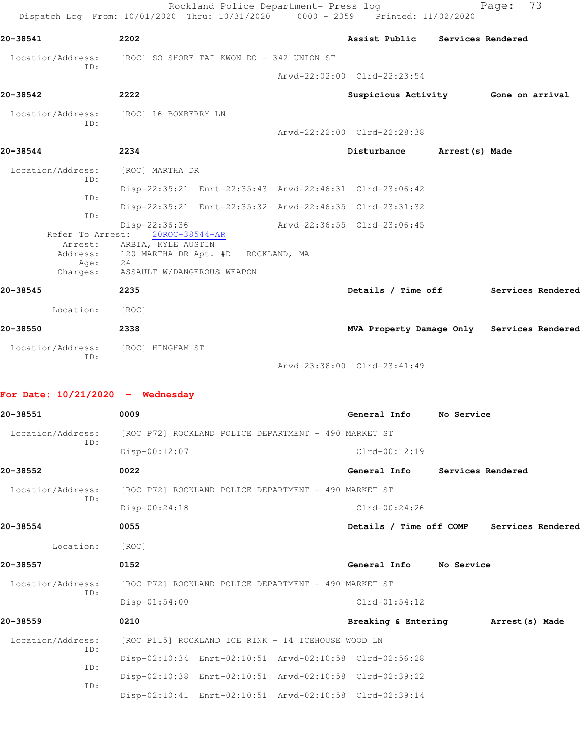|                                                                    | Rockland Police Department- Press log<br>Dispatch Log From: 10/01/2020 Thru: 10/31/2020                                         | $0000 - 2359$ | Printed: 11/02/2020                        |                   | Page: | 73                |
|--------------------------------------------------------------------|---------------------------------------------------------------------------------------------------------------------------------|---------------|--------------------------------------------|-------------------|-------|-------------------|
| 20-38541                                                           | 2202                                                                                                                            |               | Assist Public                              | Services Rendered |       |                   |
| Location/Address:                                                  | [ROC] SO SHORE TAI KWON DO - 342 UNION ST                                                                                       |               |                                            |                   |       |                   |
| ID:                                                                |                                                                                                                                 |               | Arvd-22:02:00 Clrd-22:23:54                |                   |       |                   |
| 20-38542                                                           | 2222                                                                                                                            |               | Suspicious Activity 6one on arrival        |                   |       |                   |
| Location/Address:<br>ID:                                           | [ROC] 16 BOXBERRY LN                                                                                                            |               | Arvd-22:22:00 Clrd-22:28:38                |                   |       |                   |
| 20-38544                                                           | 2234                                                                                                                            |               | Disturbance                                | Arrest (s) Made   |       |                   |
| Location/Address:                                                  | [ROC] MARTHA DR                                                                                                                 |               |                                            |                   |       |                   |
| ID:                                                                | Disp-22:35:21 Enrt-22:35:43 Arvd-22:46:31 Clrd-23:06:42                                                                         |               |                                            |                   |       |                   |
| ID:                                                                | Disp-22:35:21 Enrt-22:35:32 Arvd-22:46:35 Clrd-23:31:32                                                                         |               |                                            |                   |       |                   |
| ID:<br>Refer To Arrest:<br>Arrest:<br>Address:<br>Age:<br>Charges: | Disp-22:36:36<br>20ROC-38544-AR<br>ARBIA, KYLE AUSTIN<br>120 MARTHA DR Apt. #D ROCKLAND, MA<br>24<br>ASSAULT W/DANGEROUS WEAPON |               | Arvd-22:36:55 Clrd-23:06:45                |                   |       |                   |
| 20-38545                                                           | 2235                                                                                                                            |               | Details / Time off                         |                   |       | Services Rendered |
| Location:                                                          | [ROC]                                                                                                                           |               |                                            |                   |       |                   |
| 20-38550                                                           | 2338                                                                                                                            |               | MVA Property Damage Only Services Rendered |                   |       |                   |
| Location/Address:                                                  | [ROC] HINGHAM ST                                                                                                                |               |                                            |                   |       |                   |
| ID:                                                                |                                                                                                                                 |               | Arvd-23:38:00 Clrd-23:41:49                |                   |       |                   |
| For Date: $10/21/2020 -$ Wednesday                                 |                                                                                                                                 |               |                                            |                   |       |                   |
| 20-38551                                                           | 0009                                                                                                                            |               | General Info No Service                    |                   |       |                   |
| Location/Address:                                                  | [ROC P72] ROCKLAND POLICE DEPARTMENT - 490 MARKET ST                                                                            |               |                                            |                   |       |                   |
| ID:                                                                | Disp-00:12:07                                                                                                                   |               | Clrd-00:12:19                              |                   |       |                   |
| 20-38552                                                           | 0022                                                                                                                            |               | General Info                               | Services Rendered |       |                   |
| Location/Address:                                                  | [ROC P72] ROCKLAND POLICE DEPARTMENT - 490 MARKET ST                                                                            |               |                                            |                   |       |                   |
| ID:                                                                | Disp-00:24:18                                                                                                                   |               | $Clrd-00:24:26$                            |                   |       |                   |
| 20-38554                                                           | 0055                                                                                                                            |               | Details / Time off COMP Services Rendered  |                   |       |                   |

Location: [ROC]

**20-38557 0152 General Info No Service** Location/Address: [ROC P72] ROCKLAND POLICE DEPARTMENT - 490 MARKET ST ID: Disp-01:54:00 Clrd-01:54:12 **20-38559 0210 Breaking & Entering Arrest(s) Made**

Location/Address: [ROC P115] ROCKLAND ICE RINK - 14 ICEHOUSE WOOD LN ID: Disp-02:10:34 Enrt-02:10:51 Arvd-02:10:58 Clrd-02:56:28 ID: Disp-02:10:38 Enrt-02:10:51 Arvd-02:10:58 Clrd-02:39:22 ID: Disp-02:10:41 Enrt-02:10:51 Arvd-02:10:58 Clrd-02:39:14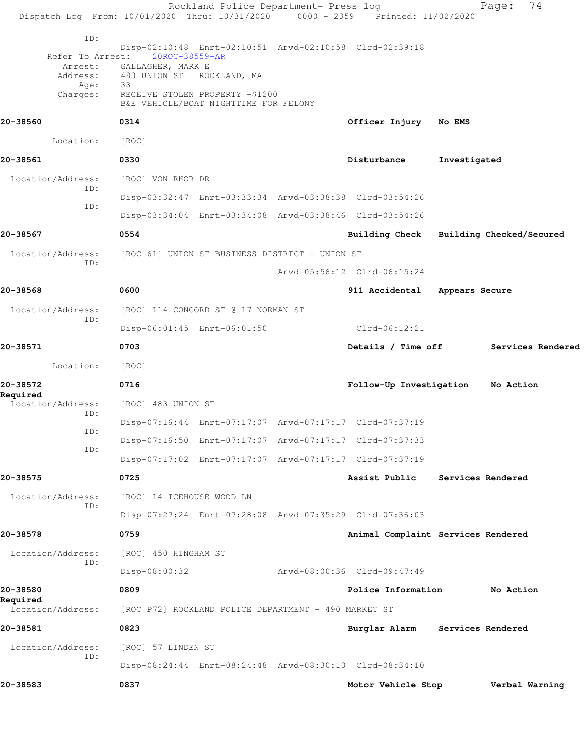| Dispatch Log From: 10/01/2020 Thru: 10/31/2020 0000 - 2359 Printed: 11/02/2020 |                                                | Rockland Police Department- Press log                |                                                         |                   | 74<br>Page:                             |
|--------------------------------------------------------------------------------|------------------------------------------------|------------------------------------------------------|---------------------------------------------------------|-------------------|-----------------------------------------|
| ID:                                                                            |                                                |                                                      |                                                         |                   |                                         |
| Refer To Arrest:                                                               | 20ROC-38559-AR                                 |                                                      | Disp-02:10:48 Enrt-02:10:51 Arvd-02:10:58 Clrd-02:39:18 |                   |                                         |
| Arrest:<br>Address:<br>Age:                                                    | GALLAGHER, MARK E<br>483 UNION ST<br>33        | ROCKLAND, MA                                         |                                                         |                   |                                         |
| Charges:                                                                       | RECEIVE STOLEN PROPERTY -\$1200                | B&E VEHICLE/BOAT NIGHTTIME FOR FELONY                |                                                         |                   |                                         |
| 20-38560                                                                       | 0314                                           |                                                      | Officer Injury                                          | <b>No EMS</b>     |                                         |
| Location:                                                                      | [ROC]                                          |                                                      |                                                         |                   |                                         |
| 20-38561                                                                       | 0330                                           |                                                      | Disturbance                                             | Investigated      |                                         |
| Location/Address:<br>ID:                                                       | [ROC] VON RHOR DR                              |                                                      |                                                         |                   |                                         |
| ID:                                                                            |                                                |                                                      | Disp-03:32:47 Enrt-03:33:34 Arvd-03:38:38 Clrd-03:54:26 |                   |                                         |
|                                                                                |                                                |                                                      | Disp-03:34:04 Enrt-03:34:08 Arvd-03:38:46 Clrd-03:54:26 |                   |                                         |
| 20-38567                                                                       | 0554                                           |                                                      |                                                         |                   | Building Check Building Checked/Secured |
| Location/Address:<br>ID:                                                       | [ROC 61] UNION ST BUSINESS DISTRICT - UNION ST |                                                      |                                                         |                   |                                         |
|                                                                                |                                                |                                                      | Arvd-05:56:12 Clrd-06:15:24                             |                   |                                         |
| 20-38568                                                                       | 0600                                           |                                                      | 911 Accidental                                          | Appears Secure    |                                         |
| Location/Address:<br>ID:                                                       |                                                | [ROC] 114 CONCORD ST @ 17 NORMAN ST                  |                                                         |                   |                                         |
|                                                                                |                                                | Disp-06:01:45 Enrt-06:01:50                          | $Clrd-06:12:21$                                         |                   |                                         |
| 20-38571                                                                       | 0703                                           |                                                      | Details / Time off                                      |                   | Services Rendered                       |
| Location:                                                                      | [ROC]                                          |                                                      |                                                         |                   |                                         |
| 20-38572                                                                       | 0716                                           |                                                      | Follow-Up Investigation                                 |                   | No Action                               |
| Required<br>Location/Address:                                                  | [ROC] 483 UNION ST                             |                                                      |                                                         |                   |                                         |
| ID:<br>ID:                                                                     |                                                |                                                      | Disp-07:16:44 Enrt-07:17:07 Arvd-07:17:17 Clrd-07:37:19 |                   |                                         |
| ID:                                                                            |                                                |                                                      | Disp-07:16:50 Enrt-07:17:07 Arvd-07:17:17 Clrd-07:37:33 |                   |                                         |
|                                                                                |                                                |                                                      | Disp-07:17:02 Enrt-07:17:07 Arvd-07:17:17 Clrd-07:37:19 |                   |                                         |
| 20-38575                                                                       | 0725                                           |                                                      | Assist Public                                           |                   | Services Rendered                       |
| Location/Address:<br>ID:                                                       | [ROC] 14 ICEHOUSE WOOD LN                      |                                                      |                                                         |                   |                                         |
|                                                                                |                                                |                                                      | Disp-07:27:24 Enrt-07:28:08 Arvd-07:35:29 Clrd-07:36:03 |                   |                                         |
| 20-38578                                                                       | 0759                                           |                                                      | Animal Complaint Services Rendered                      |                   |                                         |
| Location/Address:<br>ID:                                                       | [ROC] 450 HINGHAM ST                           |                                                      |                                                         |                   |                                         |
|                                                                                | Disp-08:00:32                                  |                                                      | Arvd-08:00:36 Clrd-09:47:49                             |                   |                                         |
| 20-38580<br>Required                                                           | 0809                                           |                                                      | Police Information                                      |                   | No Action                               |
| Location/Address:                                                              |                                                | [ROC P72] ROCKLAND POLICE DEPARTMENT - 490 MARKET ST |                                                         |                   |                                         |
| 20-38581                                                                       | 0823                                           |                                                      | Burglar Alarm                                           | Services Rendered |                                         |
| Location/Address:                                                              | [ROC] 57 LINDEN ST                             |                                                      |                                                         |                   |                                         |
| ID:                                                                            |                                                |                                                      | Disp-08:24:44 Enrt-08:24:48 Arvd-08:30:10 Clrd-08:34:10 |                   |                                         |
| 20-38583                                                                       | 0837                                           |                                                      | Motor Vehicle Stop                                      |                   | Verbal Warning                          |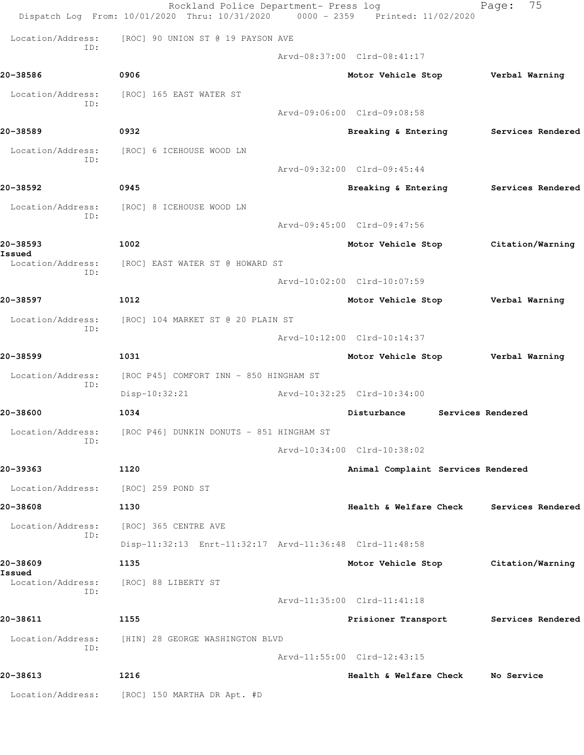|                             | Rockland Police Department- Press log<br>Dispatch Log From: 10/01/2020 Thru: 10/31/2020 0000 - 2359 Printed: 11/02/2020 |                                    |                   | 75<br>Page:       |
|-----------------------------|-------------------------------------------------------------------------------------------------------------------------|------------------------------------|-------------------|-------------------|
| Location/Address:           | [ROC] 90 UNION ST @ 19 PAYSON AVE                                                                                       |                                    |                   |                   |
| ID:                         |                                                                                                                         | Arvd-08:37:00 Clrd-08:41:17        |                   |                   |
| 20-38586                    | 0906                                                                                                                    | Motor Vehicle Stop                 |                   | Verbal Warning    |
| Location/Address:<br>ID:    | [ROC] 165 EAST WATER ST                                                                                                 |                                    |                   |                   |
|                             |                                                                                                                         | Arvd-09:06:00 Clrd-09:08:58        |                   |                   |
| 20-38589                    | 0932                                                                                                                    | Breaking & Entering                |                   | Services Rendered |
| Location/Address:<br>ID:    | [ROC] 6 ICEHOUSE WOOD LN                                                                                                |                                    |                   |                   |
|                             |                                                                                                                         | Arvd-09:32:00 Clrd-09:45:44        |                   |                   |
| 20-38592                    | 0945                                                                                                                    | Breaking & Entering                |                   | Services Rendered |
| Location/Address:<br>ID:    | [ROC] 8 ICEHOUSE WOOD LN                                                                                                |                                    |                   |                   |
|                             |                                                                                                                         | Arvd-09:45:00 Clrd-09:47:56        |                   |                   |
| 20-38593<br>Issued          | 1002                                                                                                                    | Motor Vehicle Stop                 |                   | Citation/Warning  |
| Location/Address:<br>ID:    | [ROC] EAST WATER ST @ HOWARD ST                                                                                         |                                    |                   |                   |
|                             |                                                                                                                         | Arvd-10:02:00 Clrd-10:07:59        |                   |                   |
| 20-38597                    | 1012                                                                                                                    | Motor Vehicle Stop                 |                   | Verbal Warning    |
| Location/Address:<br>ID:    | [ROC] 104 MARKET ST @ 20 PLAIN ST                                                                                       |                                    |                   |                   |
|                             |                                                                                                                         | Arvd-10:12:00 Clrd-10:14:37        |                   |                   |
| 20-38599                    | 1031                                                                                                                    | Motor Vehicle Stop                 |                   | Verbal Warning    |
| Location/Address:<br>ID:    | [ROC P45] COMFORT INN - 850 HINGHAM ST<br>Disp-10:32:21                                                                 | Arvd-10:32:25 Clrd-10:34:00        |                   |                   |
| 20-38600                    | 1034                                                                                                                    | Disturbance                        | Services Rendered |                   |
| Location/Address:           | [ROC P46] DUNKIN DONUTS - 851 HINGHAM ST                                                                                |                                    |                   |                   |
| ID:                         |                                                                                                                         | Arvd-10:34:00 Clrd-10:38:02        |                   |                   |
| 20-39363                    | 1120                                                                                                                    | Animal Complaint Services Rendered |                   |                   |
| Location/Address:           | [ROC] 259 POND ST                                                                                                       |                                    |                   |                   |
| 20-38608                    | 1130                                                                                                                    | Health & Welfare Check             |                   | Services Rendered |
| Location/Address:           | [ROC] 365 CENTRE AVE                                                                                                    |                                    |                   |                   |
| ID:                         | Disp-11:32:13 Enrt-11:32:17 Arvd-11:36:48 Clrd-11:48:58                                                                 |                                    |                   |                   |
| 20-38609                    | 1135                                                                                                                    | Motor Vehicle Stop                 |                   | Citation/Warning  |
| Issued<br>Location/Address: | [ROC] 88 LIBERTY ST                                                                                                     |                                    |                   |                   |
| ID:                         |                                                                                                                         | Arvd-11:35:00 Clrd-11:41:18        |                   |                   |
| 20-38611                    | 1155                                                                                                                    | Prisioner Transport                |                   | Services Rendered |
| Location/Address:           | [HIN] 28 GEORGE WASHINGTON BLVD                                                                                         |                                    |                   |                   |
| ID:                         |                                                                                                                         | Arvd-11:55:00 Clrd-12:43:15        |                   |                   |
| 20-38613                    | 1216                                                                                                                    | Health & Welfare Check             |                   | No Service        |
| Location/Address:           | [ROC] 150 MARTHA DR Apt. #D                                                                                             |                                    |                   |                   |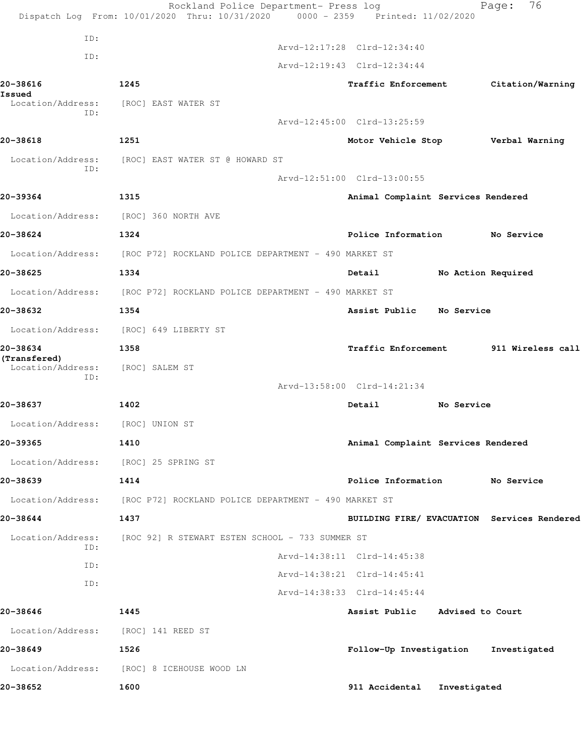|                                   | Rockland Police Department- Press log<br>Dispatch Log From: 10/01/2020 Thru: 10/31/2020 0000 - 2359 Printed: 11/02/2020 |                                             |              | 76<br>Page:        |  |
|-----------------------------------|-------------------------------------------------------------------------------------------------------------------------|---------------------------------------------|--------------|--------------------|--|
| ID:                               |                                                                                                                         |                                             |              |                    |  |
|                                   |                                                                                                                         | Arvd-12:17:28 Clrd-12:34:40                 |              |                    |  |
| ID:                               |                                                                                                                         | Arvd-12:19:43 Clrd-12:34:44                 |              |                    |  |
| 20-38616<br>Issued                | 1245                                                                                                                    | Traffic Enforcement                         |              | Citation/Warning   |  |
| Location/Address:<br>ID:          | [ROC] EAST WATER ST                                                                                                     |                                             |              |                    |  |
|                                   |                                                                                                                         | Arvd-12:45:00 Clrd-13:25:59                 |              |                    |  |
| 20-38618                          | 1251                                                                                                                    | Motor Vehicle Stop                          |              | Verbal Warning     |  |
| Location/Address:<br>ID:          | [ROC] EAST WATER ST @ HOWARD ST                                                                                         |                                             |              |                    |  |
|                                   |                                                                                                                         | Arvd-12:51:00 Clrd-13:00:55                 |              |                    |  |
| 20-39364                          | 1315                                                                                                                    | Animal Complaint Services Rendered          |              |                    |  |
|                                   | Location/Address: [ROC] 360 NORTH AVE                                                                                   |                                             |              |                    |  |
| 20-38624                          | 1324                                                                                                                    | Police Information                          |              | No Service         |  |
|                                   | Location/Address: [ROC P72] ROCKLAND POLICE DEPARTMENT - 490 MARKET ST                                                  |                                             |              |                    |  |
| 20-38625                          | 1334                                                                                                                    | Detail                                      |              | No Action Required |  |
| Location/Address:                 | [ROC P72] ROCKLAND POLICE DEPARTMENT - 490 MARKET ST                                                                    |                                             |              |                    |  |
| 20-38632                          | 1354                                                                                                                    | Assist Public                               | No Service   |                    |  |
|                                   | Location/Address: [ROC] 649 LIBERTY ST                                                                                  |                                             |              |                    |  |
| 20-38634                          | 1358                                                                                                                    | Traffic Enforcement 511 Wireless call       |              |                    |  |
| (Transfered)<br>Location/Address: | [ROC] SALEM ST                                                                                                          |                                             |              |                    |  |
| ID:                               |                                                                                                                         | Arvd-13:58:00 Clrd-14:21:34                 |              |                    |  |
| 20-38637                          | 1402                                                                                                                    | Detail                                      | No Service   |                    |  |
| Location/Address:                 | [ROC] UNION ST                                                                                                          |                                             |              |                    |  |
| 20-39365                          | 1410                                                                                                                    | Animal Complaint Services Rendered          |              |                    |  |
|                                   | Location/Address: [ROC] 25 SPRING ST                                                                                    |                                             |              |                    |  |
| 20-38639                          | 1414                                                                                                                    | Police Information No Service               |              |                    |  |
| Location/Address:                 | [ROC P72] ROCKLAND POLICE DEPARTMENT - 490 MARKET ST                                                                    |                                             |              |                    |  |
| 20-38644                          | 1437                                                                                                                    | BUILDING FIRE/ EVACUATION Services Rendered |              |                    |  |
| Location/Address:                 | [ROC 92] R STEWART ESTEN SCHOOL - 733 SUMMER ST                                                                         |                                             |              |                    |  |
| ID:                               |                                                                                                                         | Arvd-14:38:11 Clrd-14:45:38                 |              |                    |  |
| ID:                               |                                                                                                                         | Arvd-14:38:21 Clrd-14:45:41                 |              |                    |  |
| ID:                               |                                                                                                                         | Arvd-14:38:33 Clrd-14:45:44                 |              |                    |  |
| 20-38646                          | 1445                                                                                                                    | Assist Public Advised to Court              |              |                    |  |
| Location/Address:                 | [ROC] 141 REED ST                                                                                                       |                                             |              |                    |  |
| 20-38649                          | 1526                                                                                                                    | Follow-Up Investigation                     |              | Investigated       |  |
| Location/Address:                 | [ROC] 8 ICEHOUSE WOOD LN                                                                                                |                                             |              |                    |  |
| 20-38652                          | 1600                                                                                                                    | 911 Accidental                              | Investigated |                    |  |
|                                   |                                                                                                                         |                                             |              |                    |  |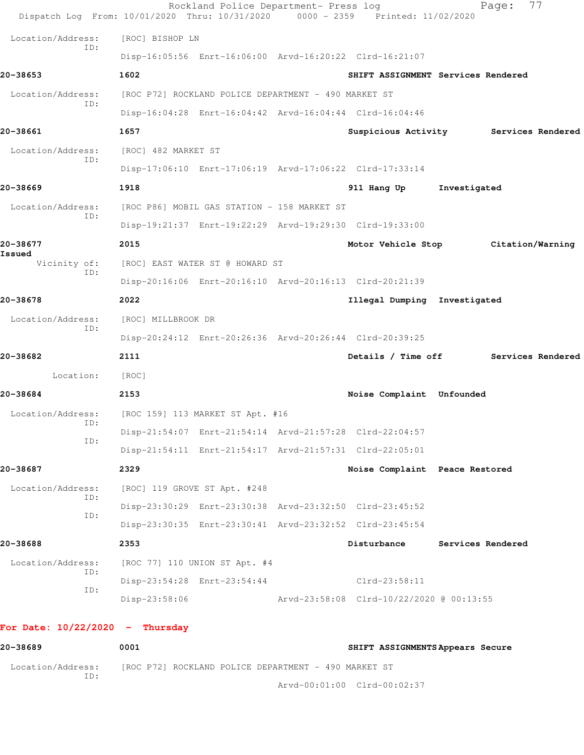| Dispatch Log From: 10/01/2020 Thru: 10/31/2020 0000 - 2359 Printed: 11/02/2020 |                     | Rockland Police Department- Press log                   |                                                         | 77<br>Page:                        |
|--------------------------------------------------------------------------------|---------------------|---------------------------------------------------------|---------------------------------------------------------|------------------------------------|
| Location/Address:                                                              | [ROC] BISHOP LN     |                                                         |                                                         |                                    |
| ID:                                                                            |                     | Disp-16:05:56 Enrt-16:06:00 Arvd-16:20:22 Clrd-16:21:07 |                                                         |                                    |
| 20-38653                                                                       | 1602                |                                                         |                                                         | SHIFT ASSIGNMENT Services Rendered |
| Location/Address:                                                              |                     | [ROC P72] ROCKLAND POLICE DEPARTMENT - 490 MARKET ST    |                                                         |                                    |
| ID:                                                                            |                     |                                                         | Disp-16:04:28 Enrt-16:04:42 Arvd-16:04:44 Clrd-16:04:46 |                                    |
| 20-38661                                                                       | 1657                |                                                         | Suspicious Activity                                     | Services Rendered                  |
| Location/Address:                                                              | [ROC] 482 MARKET ST |                                                         |                                                         |                                    |
| ID:                                                                            |                     | Disp-17:06:10 Enrt-17:06:19 Arvd-17:06:22 Clrd-17:33:14 |                                                         |                                    |
| 20-38669                                                                       | 1918                |                                                         | 911 Hang Up                                             | Investigated                       |
| Location/Address:                                                              |                     | [ROC P86] MOBIL GAS STATION - 158 MARKET ST             |                                                         |                                    |
| ID:                                                                            |                     | Disp-19:21:37 Enrt-19:22:29 Arvd-19:29:30 Clrd-19:33:00 |                                                         |                                    |
| 20-38677                                                                       | 2015                |                                                         | Motor Vehicle Stop                                      | Citation/Warning                   |
| Issued<br>Vicinity of:                                                         |                     | [ROC] EAST WATER ST @ HOWARD ST                         |                                                         |                                    |
| ID:                                                                            |                     | Disp-20:16:06 Enrt-20:16:10 Arvd-20:16:13 Clrd-20:21:39 |                                                         |                                    |
| 20-38678                                                                       | 2022                |                                                         | Illegal Dumping Investigated                            |                                    |
| Location/Address:                                                              | [ROC] MILLBROOK DR  |                                                         |                                                         |                                    |
| ID:                                                                            |                     | Disp-20:24:12 Enrt-20:26:36 Arvd-20:26:44 Clrd-20:39:25 |                                                         |                                    |
| 20-38682                                                                       | 2111                |                                                         | Details / Time off                                      | Services Rendered                  |
| Location:                                                                      | [ROC]               |                                                         |                                                         |                                    |
| 20-38684                                                                       | 2153                |                                                         | Noise Complaint Unfounded                               |                                    |
| Location/Address:                                                              |                     | [ROC 159] 113 MARKET ST Apt. #16                        |                                                         |                                    |
| ID:                                                                            |                     |                                                         | Disp-21:54:07 Enrt-21:54:14 Arvd-21:57:28 Clrd-22:04:57 |                                    |
| ID:                                                                            |                     |                                                         | Disp-21:54:11 Enrt-21:54:17 Arvd-21:57:31 Clrd-22:05:01 |                                    |
| 20-38687                                                                       | 2329                |                                                         | Noise Complaint Peace Restored                          |                                    |
| Location/Address:                                                              |                     | [ROC] 119 GROVE ST Apt. #248                            |                                                         |                                    |
| ID:                                                                            |                     |                                                         | Disp-23:30:29 Enrt-23:30:38 Arvd-23:32:50 Clrd-23:45:52 |                                    |
| ID:                                                                            |                     |                                                         | Disp-23:30:35 Enrt-23:30:41 Arvd-23:32:52 Clrd-23:45:54 |                                    |
| 20-38688                                                                       | 2353                |                                                         | Disturbance                                             | Services Rendered                  |
| Location/Address:                                                              |                     | [ROC 77] 110 UNION ST Apt. #4                           |                                                         |                                    |
| ID:                                                                            |                     | Disp-23:54:28 Enrt-23:54:44                             | Clrd-23:58:11                                           |                                    |
| ID:                                                                            | $Disp-23:58:06$     |                                                         | Arvd-23:58:08 Clrd-10/22/2020 @ 00:13:55                |                                    |
| For Date: $10/22/2020 -$ Thursday                                              |                     |                                                         |                                                         |                                    |

| 20-38689                 | 0001<br>SHIFT ASSIGNMENTS Appears Secure             |  |
|--------------------------|------------------------------------------------------|--|
| Location/Address:<br>ID: | [ROC P72] ROCKLAND POLICE DEPARTMENT - 490 MARKET ST |  |
|                          | Aryd-00:01:00 Clrd-00:02:37                          |  |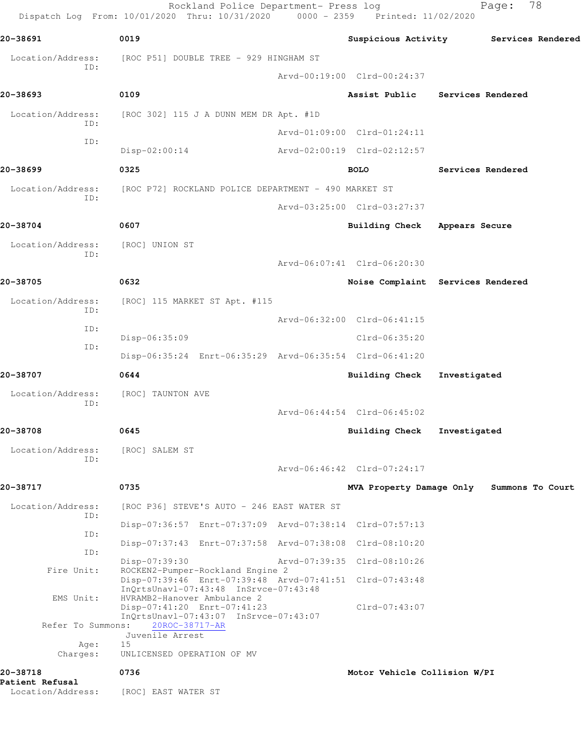|                                    | Rockland Police Department- Press log<br>Dispatch Log From: 10/01/2020 Thru: 10/31/2020 0000 - 2359 Printed: 11/02/2020 |                                       |                          | 78<br>Page:      |  |
|------------------------------------|-------------------------------------------------------------------------------------------------------------------------|---------------------------------------|--------------------------|------------------|--|
| 20-38691                           | 0019                                                                                                                    | Suspicious Activity Services Rendered |                          |                  |  |
| Location/Address:                  | [ROC P51] DOUBLE TREE - 929 HINGHAM ST                                                                                  |                                       |                          |                  |  |
| ID:                                |                                                                                                                         | Arvd-00:19:00 Clrd-00:24:37           |                          |                  |  |
| 20-38693                           | 0109                                                                                                                    | Assist Public                         | <b>Services Rendered</b> |                  |  |
| Location/Address:                  | [ROC 302] 115 J A DUNN MEM DR Apt. #1D                                                                                  |                                       |                          |                  |  |
| ID:                                |                                                                                                                         | Arvd-01:09:00 Clrd-01:24:11           |                          |                  |  |
| ID:                                | $Disp-02:00:14$                                                                                                         | Arvd-02:00:19 Clrd-02:12:57           |                          |                  |  |
| 20-38699                           | 0325                                                                                                                    | <b>BOLO</b>                           | Services Rendered        |                  |  |
| Location/Address:<br>ID:           | [ROC P72] ROCKLAND POLICE DEPARTMENT - 490 MARKET ST                                                                    |                                       |                          |                  |  |
|                                    |                                                                                                                         | Arvd-03:25:00 Clrd-03:27:37           |                          |                  |  |
| 20-38704                           | 0607                                                                                                                    | <b>Building Check</b>                 | Appears Secure           |                  |  |
| Location/Address:                  | [ROC] UNION ST                                                                                                          |                                       |                          |                  |  |
| ID:                                |                                                                                                                         | Arvd-06:07:41 Clrd-06:20:30           |                          |                  |  |
| 20-38705                           | 0632                                                                                                                    | Noise Complaint Services Rendered     |                          |                  |  |
| Location/Address:                  | [ROC] 115 MARKET ST Apt. #115                                                                                           |                                       |                          |                  |  |
| ID:<br>ID:                         |                                                                                                                         | Arvd-06:32:00 Clrd-06:41:15           |                          |                  |  |
| ID:                                | Disp-06:35:09                                                                                                           | Clrd-06:35:20                         |                          |                  |  |
|                                    | Disp-06:35:24 Enrt-06:35:29 Arvd-06:35:54 Clrd-06:41:20                                                                 |                                       |                          |                  |  |
| 20-38707                           | 0644                                                                                                                    | Building Check                        | Investigated             |                  |  |
| Location/Address:<br>ID:           | [ROC] TAUNTON AVE                                                                                                       |                                       |                          |                  |  |
|                                    |                                                                                                                         | Arvd-06:44:54 Clrd-06:45:02           |                          |                  |  |
| 20-38708                           | 0645                                                                                                                    | <b>Building Check</b>                 | Investigated             |                  |  |
| Location/Address:<br>ID:           | [ROC] SALEM ST                                                                                                          |                                       |                          |                  |  |
|                                    |                                                                                                                         | Arvd-06:46:42 Clrd-07:24:17           |                          |                  |  |
| 20-38717                           | 0735                                                                                                                    | MVA Property Damage Only              |                          | Summons To Court |  |
| Location/Address:<br>ID:           | [ROC P36] STEVE'S AUTO - 246 EAST WATER ST                                                                              |                                       |                          |                  |  |
| ID:                                | Disp-07:36:57 Enrt-07:37:09 Arvd-07:38:14 Clrd-07:57:13                                                                 |                                       |                          |                  |  |
| ID:                                | Disp-07:37:43 Enrt-07:37:58 Arvd-07:38:08 Clrd-08:10:20                                                                 |                                       |                          |                  |  |
| Fire Unit:                         | Disp-07:39:30<br>ROCKEN2-Pumper-Rockland Engine 2                                                                       | Arvd-07:39:35 Clrd-08:10:26           |                          |                  |  |
|                                    | Disp-07:39:46 Enrt-07:39:48 Arvd-07:41:51 Clrd-07:43:48<br>InQrtsUnavl-07:43:48 InSrvce-07:43:48                        |                                       |                          |                  |  |
| EMS Unit:                          | HVRAMB2-Hanover Ambulance 2<br>Disp-07:41:20 Enrt-07:41:23                                                              | $Clrd-07:43:07$                       |                          |                  |  |
| Refer To Summons:                  | InQrtsUnavl-07:43:07 InSrvce-07:43:07<br>20ROC-38717-AR                                                                 |                                       |                          |                  |  |
| Age:                               | Juvenile Arrest<br>15                                                                                                   |                                       |                          |                  |  |
| Charges:                           | UNLICENSED OPERATION OF MV                                                                                              |                                       |                          |                  |  |
| 20-38718<br><b>Patient Refusal</b> | 0736                                                                                                                    | Motor Vehicle Collision W/PI          |                          |                  |  |
| Location/Address:                  | [ROC] EAST WATER ST                                                                                                     |                                       |                          |                  |  |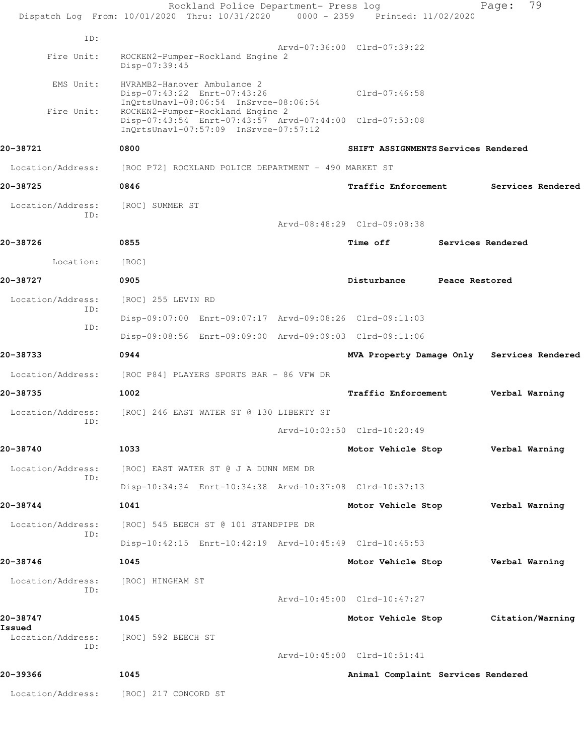|                             | Rockland Police Department- Press log<br>Dispatch Log From: 10/01/2020 Thru: 10/31/2020 0000 - 2359 Printed: 11/02/2020              |                                     |                   | Page:          | 79                |
|-----------------------------|--------------------------------------------------------------------------------------------------------------------------------------|-------------------------------------|-------------------|----------------|-------------------|
| ID:                         |                                                                                                                                      |                                     |                   |                |                   |
| Fire Unit:                  | ROCKEN2-Pumper-Rockland Engine 2<br>Disp-07:39:45                                                                                    | Arvd-07:36:00 Clrd-07:39:22         |                   |                |                   |
| EMS Unit:                   | HVRAMB2-Hanover Ambulance 2<br>Disp-07:43:22 Enrt-07:43:26<br>InQrtsUnavl-08:06:54 InSrvce-08:06:54                                  | $Clrd-07:46:58$                     |                   |                |                   |
| Fire Unit:                  | ROCKEN2-Pumper-Rockland Engine 2<br>Disp-07:43:54 Enrt-07:43:57 Arvd-07:44:00 Clrd-07:53:08<br>InQrtsUnavl-07:57:09 InSrvce-07:57:12 |                                     |                   |                |                   |
| 20-38721                    | 0800                                                                                                                                 | SHIFT ASSIGNMENTS Services Rendered |                   |                |                   |
| Location/Address:           | [ROC P72] ROCKLAND POLICE DEPARTMENT - 490 MARKET ST                                                                                 |                                     |                   |                |                   |
| 20-38725                    | 0846                                                                                                                                 | Traffic Enforcement                 |                   |                | Services Rendered |
| Location/Address:<br>ID:    | [ROC] SUMMER ST                                                                                                                      |                                     |                   |                |                   |
|                             |                                                                                                                                      | Arvd-08:48:29 Clrd-09:08:38         |                   |                |                   |
| 20-38726                    | 0855                                                                                                                                 | Time off                            | Services Rendered |                |                   |
| Location:                   | [ROC]                                                                                                                                |                                     |                   |                |                   |
| 20-38727                    | 0905                                                                                                                                 | Disturbance                         | Peace Restored    |                |                   |
| Location/Address:           | [ROC] 255 LEVIN RD                                                                                                                   |                                     |                   |                |                   |
| ID:                         | Disp-09:07:00 Enrt-09:07:17 Arvd-09:08:26 Clrd-09:11:03                                                                              |                                     |                   |                |                   |
| ID:                         | Disp-09:08:56 Enrt-09:09:00 Arvd-09:09:03 Clrd-09:11:06                                                                              |                                     |                   |                |                   |
| 20-38733                    | 0944                                                                                                                                 | MVA Property Damage Only            |                   |                | Services Rendered |
| Location/Address:           | [ROC P84] PLAYERS SPORTS BAR - 86 VFW DR                                                                                             |                                     |                   |                |                   |
| 20-38735                    | 1002                                                                                                                                 | Traffic Enforcement                 |                   |                | Verbal Warning    |
| Location/Address:           | [ROC] 246 EAST WATER ST @ 130 LIBERTY ST                                                                                             |                                     |                   |                |                   |
| ID:                         |                                                                                                                                      | Arvd-10:03:50 Clrd-10:20:49         |                   |                |                   |
| 20-38740                    | 1033                                                                                                                                 | Motor Vehicle Stop                  |                   | Verbal Warning |                   |
| Location/Address:           | [ROC] EAST WATER ST @ J A DUNN MEM DR                                                                                                |                                     |                   |                |                   |
| ID:                         | Disp-10:34:34 Enrt-10:34:38 Arvd-10:37:08 Clrd-10:37:13                                                                              |                                     |                   |                |                   |
| 20-38744                    | 1041                                                                                                                                 | Motor Vehicle Stop                  |                   | Verbal Warning |                   |
| Location/Address:           | [ROC] 545 BEECH ST @ 101 STANDPIPE DR                                                                                                |                                     |                   |                |                   |
| ID:                         | Disp-10:42:15 Enrt-10:42:19 Arvd-10:45:49 Clrd-10:45:53                                                                              |                                     |                   |                |                   |
| 20-38746                    | 1045                                                                                                                                 | Motor Vehicle Stop                  |                   | Verbal Warning |                   |
| Location/Address:           | [ROC] HINGHAM ST                                                                                                                     |                                     |                   |                |                   |
| ID:                         |                                                                                                                                      | Arvd-10:45:00 Clrd-10:47:27         |                   |                |                   |
| 20-38747                    | 1045                                                                                                                                 | Motor Vehicle Stop                  |                   |                | Citation/Warning  |
| Issued<br>Location/Address: | [ROC] 592 BEECH ST                                                                                                                   |                                     |                   |                |                   |
| ID:                         |                                                                                                                                      | Arvd-10:45:00 Clrd-10:51:41         |                   |                |                   |
| 20-39366                    | 1045                                                                                                                                 | Animal Complaint Services Rendered  |                   |                |                   |
| Location/Address:           | [ROC] 217 CONCORD ST                                                                                                                 |                                     |                   |                |                   |
|                             |                                                                                                                                      |                                     |                   |                |                   |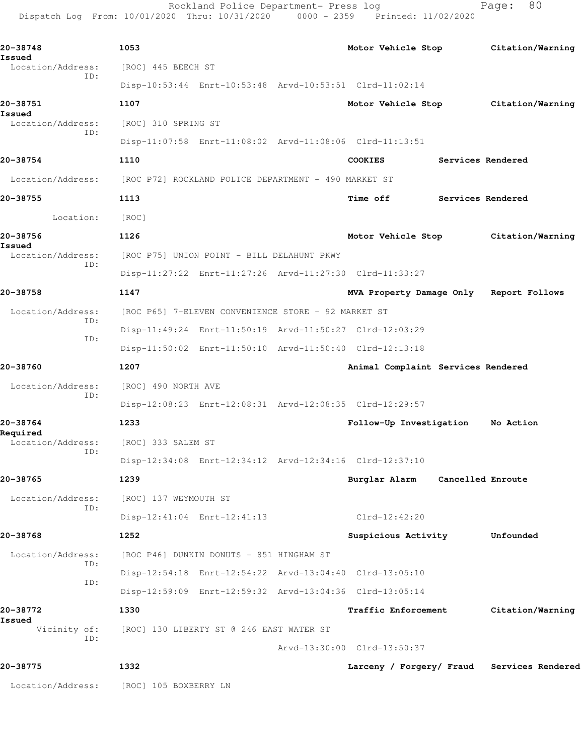Rockland Police Department- Press log Fage: 80 Dispatch Log From: 10/01/2020 Thru: 10/31/2020 0000 - 2359 Printed: 11/02/2020

**20-38748 1053 Motor Vehicle Stop Citation/Warning Issued**<br>Location/Address: [ROC] 445 BEECH ST ID: Disp-10:53:44 Enrt-10:53:48 Arvd-10:53:51 Clrd-11:02:14 **20-38751 1107 Motor Vehicle Stop Citation/Warning Issued**  Location/Address: [ROC] 310 SPRING ST ID: Disp-11:07:58 Enrt-11:08:02 Arvd-11:08:06 Clrd-11:13:51 **20-38754 1110 COOKIES Services Rendered** Location/Address: [ROC P72] ROCKLAND POLICE DEPARTMENT - 490 MARKET ST **20-38755 1113 Time off Services Rendered** Location: [ROC] **20-38756 1126 Motor Vehicle Stop Citation/Warning Issued**  Location/Address: [ROC P75] UNION POINT - BILL DELAHUNT PKWY ID: Disp-11:27:22 Enrt-11:27:26 Arvd-11:27:30 Clrd-11:33:27 **20-38758 1147 MVA Property Damage Only Report Follows** Location/Address: [ROC P65] 7-ELEVEN CONVENIENCE STORE - 92 MARKET ST ID: Disp-11:49:24 Enrt-11:50:19 Arvd-11:50:27 Clrd-12:03:29 ID: Disp-11:50:02 Enrt-11:50:10 Arvd-11:50:40 Clrd-12:13:18 **20-38760 1207 Animal Complaint Services Rendered** Location/Address: [ROC] 490 NORTH AVE ID: Disp-12:08:23 Enrt-12:08:31 Arvd-12:08:35 Clrd-12:29:57 **20-38764 1233 Follow-Up Investigation No Action Required**  Location/Address: [ROC] 333 SALEM ST ID: Disp-12:34:08 Enrt-12:34:12 Arvd-12:34:16 Clrd-12:37:10 **20-38765 1239 Burglar Alarm Cancelled Enroute** Location/Address: [ROC] 137 WEYMOUTH ST ID: Disp-12:41:04 Enrt-12:41:13 Clrd-12:42:20 **20-38768 1252 Suspicious Activity Unfounded** Location/Address: [ROC P46] DUNKIN DONUTS - 851 HINGHAM ST ID: Disp-12:54:18 Enrt-12:54:22 Arvd-13:04:40 Clrd-13:05:10 ID: Disp-12:59:09 Enrt-12:59:32 Arvd-13:04:36 Clrd-13:05:14 **20-38772 1330 Traffic Enforcement Citation/Warning Issued**  Vicinity of: [ROC] 130 LIBERTY ST @ 246 EAST WATER ST ID: Arvd-13:30:00 Clrd-13:50:37 **20-38775 1332 Larceny / Forgery/ Fraud Services Rendered** Location/Address: [ROC] 105 BOXBERRY LN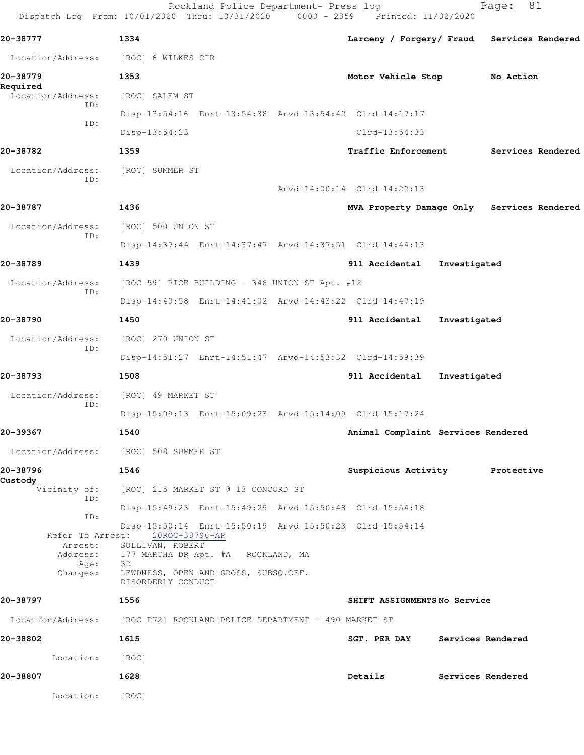|                          | 1334                                                                                               |                                            |                   |                   |  |
|--------------------------|----------------------------------------------------------------------------------------------------|--------------------------------------------|-------------------|-------------------|--|
| 20-38777                 | Location/Address: [ROC] 6 WILKES CIR                                                               | Larceny / Forgery/ Fraud Services Rendered |                   |                   |  |
|                          |                                                                                                    |                                            |                   |                   |  |
| 20-38779<br>Required     | 1353                                                                                               | Motor Vehicle Stop                         |                   | No Action         |  |
| Location/Address:<br>ID: | [ROC] SALEM ST                                                                                     |                                            |                   |                   |  |
| ID:                      | Disp-13:54:16 Enrt-13:54:38 Arvd-13:54:42 Clrd-14:17:17                                            |                                            |                   |                   |  |
|                          | Disp-13:54:23                                                                                      | $Clrd-13:54:33$                            |                   |                   |  |
| 20-38782                 | 1359                                                                                               | <b>Traffic Enforcement</b>                 |                   | Services Rendered |  |
| Location/Address:<br>ID: | [ROC] SUMMER ST                                                                                    |                                            |                   |                   |  |
|                          |                                                                                                    | Arvd-14:00:14 Clrd-14:22:13                |                   |                   |  |
| 20-38787                 | 1436                                                                                               | MVA Property Damage Only Services Rendered |                   |                   |  |
| Location/Address:<br>ID: | [ROC] 500 UNION ST                                                                                 |                                            |                   |                   |  |
|                          | Disp-14:37:44 Enrt-14:37:47 Arvd-14:37:51 Clrd-14:44:13                                            |                                            |                   |                   |  |
| 20-38789                 | 1439                                                                                               | 911 Accidental                             | Investigated      |                   |  |
| Location/Address:        | [ROC 59] RICE BUILDING - 346 UNION ST Apt. #12                                                     |                                            |                   |                   |  |
| ID:                      | Disp-14:40:58 Enrt-14:41:02 Arvd-14:43:22 Clrd-14:47:19                                            |                                            |                   |                   |  |
| 20-38790                 | 1450                                                                                               | 911 Accidental Investigated                |                   |                   |  |
| Location/Address:        | [ROC] 270 UNION ST                                                                                 |                                            |                   |                   |  |
| ID:                      | Disp-14:51:27 Enrt-14:51:47 Arvd-14:53:32 Clrd-14:59:39                                            |                                            |                   |                   |  |
| 20-38793                 | 1508                                                                                               | 911 Accidental Investigated                |                   |                   |  |
| Location/Address:        | [ROC] 49 MARKET ST                                                                                 |                                            |                   |                   |  |
| ID:                      | Disp-15:09:13 Enrt-15:09:23 Arvd-15:14:09 Clrd-15:17:24                                            |                                            |                   |                   |  |
| 20-39367                 | 1540                                                                                               | Animal Complaint Services Rendered         |                   |                   |  |
|                          | Location/Address: [ROC] 508 SUMMER ST                                                              |                                            |                   |                   |  |
| 20-38796                 | 1546                                                                                               | Suspicious Activity Protective             |                   |                   |  |
| Custody                  | Vicinity of: [ROC] 215 MARKET ST @ 13 CONCORD ST                                                   |                                            |                   |                   |  |
| ID:                      | Disp-15:49:23 Enrt-15:49:29 Arvd-15:50:48 Clrd-15:54:18                                            |                                            |                   |                   |  |
| ID:                      | Disp-15:50:14 Enrt-15:50:19 Arvd-15:50:23 Clrd-15:54:14                                            |                                            |                   |                   |  |
| Arrest:                  | Refer To Arrest: 20ROC-38796-AR<br>SULLIVAN, ROBERT<br>Address: 177 MARTHA DR Apt. #A ROCKLAND, MA |                                            |                   |                   |  |
| Age:<br>Charges:         | 32<br>LEWDNESS, OPEN AND GROSS, SUBSQ.OFF.<br>DISORDERLY CONDUCT                                   |                                            |                   |                   |  |
| 20-38797                 | 1556                                                                                               | SHIFT ASSIGNMENTSNo Service                |                   |                   |  |
|                          | Location/Address: [ROC P72] ROCKLAND POLICE DEPARTMENT - 490 MARKET ST                             |                                            |                   |                   |  |
| 20-38802                 | 1615                                                                                               | SGT. PER DAY Services Rendered             |                   |                   |  |
| Location:                | [ROC]                                                                                              |                                            |                   |                   |  |
| 20-38807                 | 1628                                                                                               | Details                                    | Services Rendered |                   |  |
| Location:                | [ROC]                                                                                              |                                            |                   |                   |  |
|                          |                                                                                                    |                                            |                   |                   |  |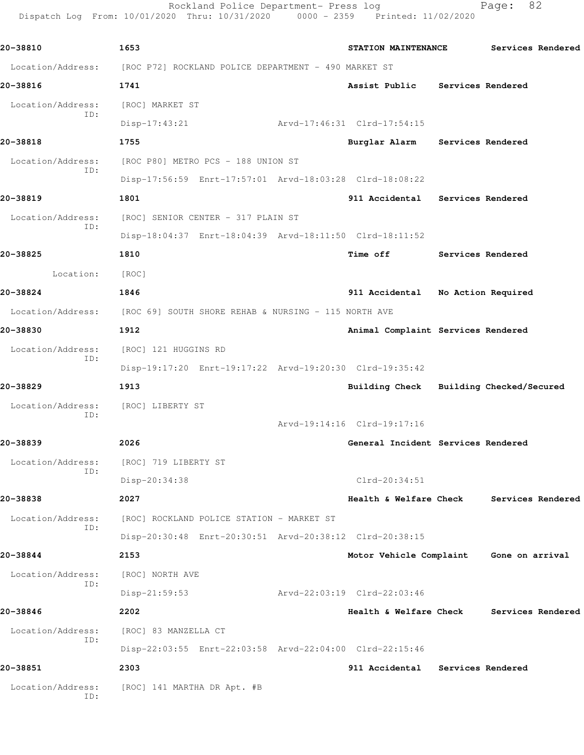Rockland Police Department- Press log Fage: 82 Dispatch Log From: 10/01/2020 Thru: 10/31/2020 0000 - 2359 Printed: 11/02/2020

**20-38810 1653 STATION MAINTENANCE Services Rendered** Location/Address: [ROC P72] ROCKLAND POLICE DEPARTMENT - 490 MARKET ST **20-38816 1741 Assist Public Services Rendered** Location/Address: [ROC] MARKET ST ID: Disp-17:43:21 Arvd-17:46:31 Clrd-17:54:15 **20-38818 1755 Burglar Alarm Services Rendered** Location/Address: [ROC P80] METRO PCS - 188 UNION ST ID: Disp-17:56:59 Enrt-17:57:01 Arvd-18:03:28 Clrd-18:08:22 **20-38819 1801 911 Accidental Services Rendered** Location/Address: [ROC] SENIOR CENTER - 317 PLAIN ST ID: Disp-18:04:37 Enrt-18:04:39 Arvd-18:11:50 Clrd-18:11:52 **20-38825 1810 Time off Services Rendered** Location: [ROC] **20-38824 1846 911 Accidental No Action Required** Location/Address: [ROC 69] SOUTH SHORE REHAB & NURSING - 115 NORTH AVE **20-38830 1912 Animal Complaint Services Rendered** Location/Address: [ROC] 121 HUGGINS RD ID: Disp-19:17:20 Enrt-19:17:22 Arvd-19:20:30 Clrd-19:35:42 **20-38829 1913 Building Check Building Checked/Secured** Location/Address: [ROC] LIBERTY ST ID: Arvd-19:14:16 Clrd-19:17:16 **20-38839 2026 General Incident Services Rendered** Location/Address: [ROC] 719 LIBERTY ST ID: Disp-20:34:38 Clrd-20:34:51 **20-38838 2027 Health & Welfare Check Services Rendered** Location/Address: [ROC] ROCKLAND POLICE STATION - MARKET ST ID: Disp-20:30:48 Enrt-20:30:51 Arvd-20:38:12 Clrd-20:38:15 **20-38844 2153 Motor Vehicle Complaint Gone on arrival** Location/Address: [ROC] NORTH AVE ID: Disp-21:59:53 Arvd-22:03:19 Clrd-22:03:46 **20-38846 2202 Health & Welfare Check Services Rendered** Location/Address: [ROC] 83 MANZELLA CT ID: Disp-22:03:55 Enrt-22:03:58 Arvd-22:04:00 Clrd-22:15:46 **20-38851 2303 911 Accidental Services Rendered** Location/Address: [ROC] 141 MARTHA DR Apt. #B ID: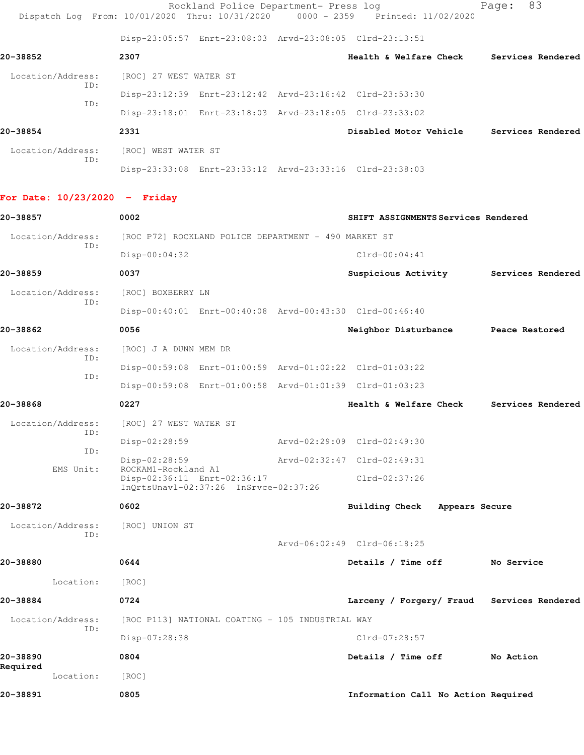|                          |                        | Rockland Police Department- Press log                                          | -83<br>Page:      |
|--------------------------|------------------------|--------------------------------------------------------------------------------|-------------------|
|                          |                        | Dispatch Log From: 10/01/2020 Thru: 10/31/2020 0000 - 2359 Printed: 11/02/2020 |                   |
|                          |                        | Disp-23:05:57 Enrt-23:08:03 Arvd-23:08:05 Clrd-23:13:51                        |                   |
| 20-38852                 | 2307                   | Health & Welfare Check                                                         | Services Rendered |
| Location/Address:<br>ID: | [ROC] 27 WEST WATER ST |                                                                                |                   |
| ID:                      |                        | Disp-23:12:39 Enrt-23:12:42 Arvd-23:16:42 Clrd-23:53:30                        |                   |
|                          |                        | Disp-23:18:01 Enrt-23:18:03 Arvd-23:18:05 Clrd-23:33:02                        |                   |
| 20-38854                 | 2331                   | Disabled Motor Vehicle                                                         | Services Rendered |
| Location/Address:        | [ROC] WEST WATER ST    |                                                                                |                   |

Disp-23:33:08 Enrt-23:33:12 Arvd-23:33:16 Clrd-23:38:03

## **For Date: 10/23/2020 - Friday**

ID:

| 20-38857                 | 0002                                                                 | SHIFT ASSIGNMENTS Services Rendered |                |                   |
|--------------------------|----------------------------------------------------------------------|-------------------------------------|----------------|-------------------|
| Location/Address:<br>TD: | [ROC P72] ROCKLAND POLICE DEPARTMENT - 490 MARKET ST                 |                                     |                |                   |
|                          | $Disp-00:04:32$                                                      | $Clrd-00:04:41$                     |                |                   |
| 20-38859                 | 0037                                                                 | Suspicious Activity                 |                | Services Rendered |
| Location/Address:        | [ROC] BOXBERRY LN                                                    |                                     |                |                   |
| TD:                      | Disp-00:40:01 Enrt-00:40:08 Arvd-00:43:30 Clrd-00:46:40              |                                     |                |                   |
| 20-38862                 | 0056                                                                 | Neighbor Disturbance                |                | Peace Restored    |
| Location/Address:        | [ROC] J A DUNN MEM DR                                                |                                     |                |                   |
| ID:                      | Disp-00:59:08 Enrt-01:00:59 Arvd-01:02:22 Clrd-01:03:22              |                                     |                |                   |
| ID:                      | Disp-00:59:08 Enrt-01:00:58 Arvd-01:01:39 Clrd-01:03:23              |                                     |                |                   |
| 20-38868                 | 0227                                                                 | Health & Welfare Check              |                | Services Rendered |
| Location/Address:        | [ROC] 27 WEST WATER ST                                               |                                     |                |                   |
| ID:<br>ID:               | Disp-02:28:59                                                        | Arvd-02:29:09 Clrd-02:49:30         |                |                   |
| EMS Unit:                | $Disp-02:28:59$<br>ROCKAM1-Rockland A1                               | Arvd-02:32:47 Clrd-02:49:31         |                |                   |
|                          | Disp-02:36:11 Enrt-02:36:17<br>InQrtsUnavl-02:37:26 InSrvce-02:37:26 | Clrd-02:37:26                       |                |                   |
| 20-38872                 | 0602                                                                 | <b>Building Check</b>               | Appears Secure |                   |
| Location/Address:        | [ROC] UNION ST                                                       |                                     |                |                   |
| ID:                      |                                                                      | Arvd-06:02:49 Clrd-06:18:25         |                |                   |
| 20-38880                 | 0644                                                                 | Details / Time off                  |                | No Service        |
| Location:                | [ROC]                                                                |                                     |                |                   |
| 20-38884                 | 0724                                                                 | Larceny / Forgery/ Fraud            |                | Services Rendered |
| Location/Address:        | [ROC P113] NATIONAL COATING - 105 INDUSTRIAL WAY                     |                                     |                |                   |
| ID:                      | Disp-07:28:38                                                        | Clrd-07:28:57                       |                |                   |
| 20-38890                 | 0804                                                                 | Details / Time off                  |                | No Action         |
| Required<br>Location:    | [ROC]                                                                |                                     |                |                   |
| 20-38891                 | 0805                                                                 | Information Call No Action Required |                |                   |
|                          |                                                                      |                                     |                |                   |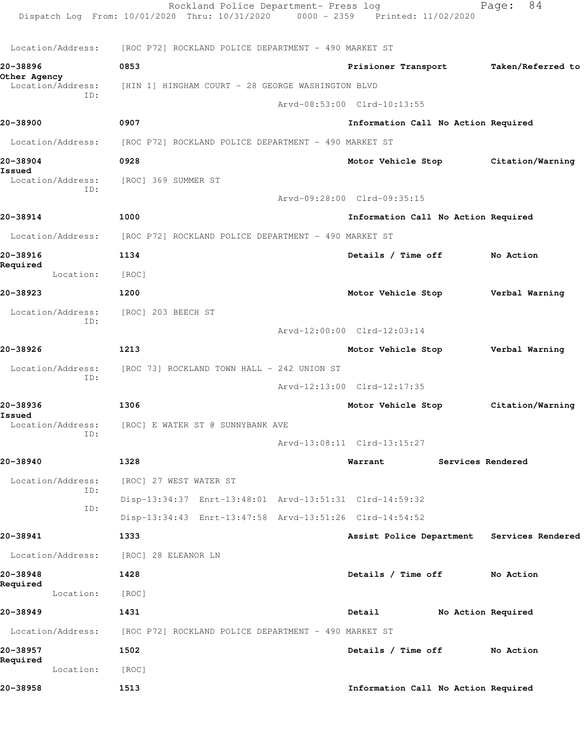|                                   | Rockland Police Department- Press log<br>Dispatch Log From: 10/01/2020 Thru: 10/31/2020 0000 - 2359 Printed: 11/02/2020 |                                            | 84<br>Page:        |
|-----------------------------------|-------------------------------------------------------------------------------------------------------------------------|--------------------------------------------|--------------------|
| Location/Address:                 | [ROC P72] ROCKLAND POLICE DEPARTMENT - 490 MARKET ST                                                                    |                                            |                    |
| 20-38896                          | 0853                                                                                                                    | Prisioner Transport                        | Taken/Referred to  |
| Other Agency<br>Location/Address: | [HIN 1] HINGHAM COURT - 28 GEORGE WASHINGTON BLVD                                                                       |                                            |                    |
| ID:                               |                                                                                                                         | Arvd-08:53:00 Clrd-10:13:55                |                    |
| 20-38900                          | 0907                                                                                                                    | Information Call No Action Required        |                    |
| Location/Address:                 | [ROC P72] ROCKLAND POLICE DEPARTMENT - 490 MARKET ST                                                                    |                                            |                    |
| 20-38904                          | 0928                                                                                                                    | Motor Vehicle Stop Citation/Warning        |                    |
| Issued<br>Location/Address:       | [ROC] 369 SUMMER ST                                                                                                     |                                            |                    |
| ID:                               |                                                                                                                         | Arvd-09:28:00 Clrd-09:35:15                |                    |
| 20-38914                          | 1000                                                                                                                    | Information Call No Action Required        |                    |
| Location/Address:                 | [ROC P72] ROCKLAND POLICE DEPARTMENT - 490 MARKET ST                                                                    |                                            |                    |
| 20-38916                          | 1134                                                                                                                    | Details / Time off                         | No Action          |
| Required<br>Location:             | [ROC]                                                                                                                   |                                            |                    |
| 20-38923                          | 1200                                                                                                                    | Motor Vehicle Stop                         | Verbal Warning     |
| Location/Address:                 | [ROC] 203 BEECH ST                                                                                                      |                                            |                    |
| ID:                               |                                                                                                                         | Arvd-12:00:00 Clrd-12:03:14                |                    |
| 20-38926                          | 1213                                                                                                                    | Motor Vehicle Stop                         | Verbal Warning     |
| Location/Address:                 | [ROC 73] ROCKLAND TOWN HALL - 242 UNION ST                                                                              |                                            |                    |
| ID:                               |                                                                                                                         | Arvd-12:13:00 Clrd-12:17:35                |                    |
| 20-38936                          | 1306                                                                                                                    | Motor Vehicle Stop                         | Citation/Warning   |
| Issued<br>Location/Address:       | [ROC] E WATER ST @ SUNNYBANK AVE                                                                                        |                                            |                    |
| ID:                               |                                                                                                                         | Arvd-13:08:11 Clrd-13:15:27                |                    |
| 20-38940                          | 1328                                                                                                                    | Warrant                                    | Services Rendered  |
| Location/Address:                 | [ROC] 27 WEST WATER ST                                                                                                  |                                            |                    |
| ID:                               | Disp-13:34:37 Enrt-13:48:01 Arvd-13:51:31 Clrd-14:59:32                                                                 |                                            |                    |
| ID:                               | Disp-13:34:43 Enrt-13:47:58 Arvd-13:51:26 Clrd-14:54:52                                                                 |                                            |                    |
| 20-38941                          | 1333                                                                                                                    | Assist Police Department Services Rendered |                    |
| Location/Address:                 | [ROC] 28 ELEANOR LN                                                                                                     |                                            |                    |
| 20-38948                          | 1428                                                                                                                    | Details / Time off                         | No Action          |
| Required<br>Location:             | [ROC]                                                                                                                   |                                            |                    |
| 20-38949                          | 1431                                                                                                                    | Detail                                     | No Action Required |
| Location/Address:                 | [ROC P72] ROCKLAND POLICE DEPARTMENT - 490 MARKET ST                                                                    |                                            |                    |
| 20-38957                          | 1502                                                                                                                    | Details / Time off                         | No Action          |
| Required<br>Location:             | [ROC]                                                                                                                   |                                            |                    |
| 20-38958                          | 1513                                                                                                                    | Information Call No Action Required        |                    |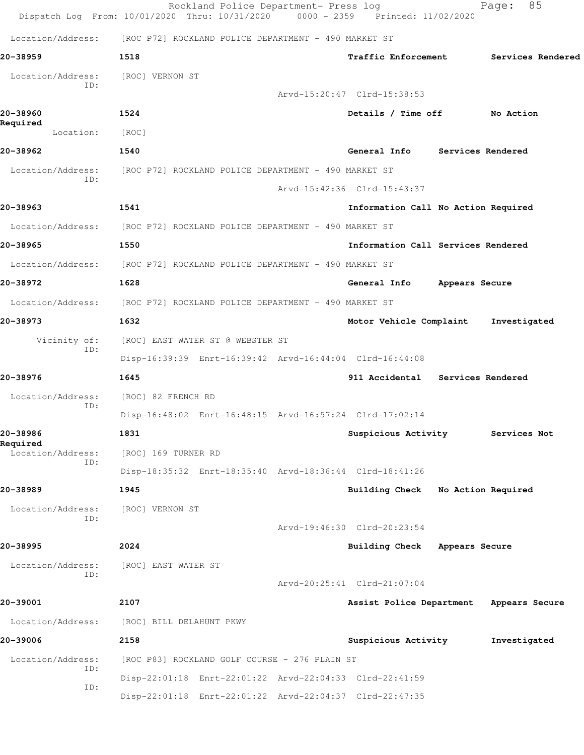|                                   | Rockland Police Department- Press log<br>Dispatch Log From: 10/01/2020 Thru: 10/31/2020 0000 - 2359 Printed: 11/02/2020 |                                     |                | 85<br>Page:       |
|-----------------------------------|-------------------------------------------------------------------------------------------------------------------------|-------------------------------------|----------------|-------------------|
|                                   | Location/Address: [ROC P72] ROCKLAND POLICE DEPARTMENT - 490 MARKET ST                                                  |                                     |                |                   |
| 20-38959                          | 1518                                                                                                                    | <b>Traffic Enforcement</b>          |                | Services Rendered |
| Location/Address:<br>ID:          | [ROC] VERNON ST                                                                                                         | Arvd-15:20:47 Clrd-15:38:53         |                |                   |
| 20-38960<br>Required<br>Location: | 1524<br>[ROC]                                                                                                           | Details / Time off No Action        |                |                   |
| 20-38962                          | 1540                                                                                                                    | General Info Services Rendered      |                |                   |
| Location/Address:                 | [ROC P72] ROCKLAND POLICE DEPARTMENT - 490 MARKET ST                                                                    |                                     |                |                   |
| ID:                               |                                                                                                                         | Arvd-15:42:36 Clrd-15:43:37         |                |                   |
| 20-38963                          | 1541                                                                                                                    | Information Call No Action Required |                |                   |
|                                   | Location/Address: [ROC P72] ROCKLAND POLICE DEPARTMENT - 490 MARKET ST                                                  |                                     |                |                   |
| 20-38965                          | 1550                                                                                                                    | Information Call Services Rendered  |                |                   |
|                                   | Location/Address: [ROC P72] ROCKLAND POLICE DEPARTMENT - 490 MARKET ST                                                  |                                     |                |                   |
| 20-38972                          | 1628                                                                                                                    | General Info Appears Secure         |                |                   |
|                                   | Location/Address: [ROC P72] ROCKLAND POLICE DEPARTMENT - 490 MARKET ST                                                  |                                     |                |                   |
| 20-38973                          | 1632                                                                                                                    | Motor Vehicle Complaint             |                | Investigated      |
| Vicinity of:<br>ID:               | [ROC] EAST WATER ST @ WEBSTER ST<br>Disp-16:39:39 Enrt-16:39:42 Arvd-16:44:04 Clrd-16:44:08                             |                                     |                |                   |
| 20-38976                          | 1645                                                                                                                    | 911 Accidental Services Rendered    |                |                   |
| Location/Address:                 | [ROC] 82 FRENCH RD                                                                                                      |                                     |                |                   |
| ID:                               | Disp-16:48:02 Enrt-16:48:15 Arvd-16:57:24 Clrd-17:02:14                                                                 |                                     |                |                   |
| 20-38986                          | 1831                                                                                                                    | Suspicious Activity                 |                | Services Not      |
| Required<br>Location/Address:     | [ROC] 169 TURNER RD                                                                                                     |                                     |                |                   |
| ID:                               | Disp-18:35:32 Enrt-18:35:40 Arvd-18:36:44 Clrd-18:41:26                                                                 |                                     |                |                   |
| 20-38989                          | 1945                                                                                                                    | Building Check No Action Required   |                |                   |
| Location/Address:<br>ID:          | [ROC] VERNON ST                                                                                                         |                                     |                |                   |
|                                   |                                                                                                                         | Arvd-19:46:30 Clrd-20:23:54         |                |                   |
| 20-38995                          | 2024                                                                                                                    | <b>Building Check</b>               | Appears Secure |                   |
| Location/Address:<br>ID:          | [ROC] EAST WATER ST                                                                                                     |                                     |                |                   |
|                                   |                                                                                                                         | Arvd-20:25:41 Clrd-21:07:04         |                |                   |
| 20-39001                          | 2107                                                                                                                    | Assist Police Department            |                | Appears Secure    |
| Location/Address:                 | [ROC] BILL DELAHUNT PKWY                                                                                                |                                     |                |                   |
| 20-39006                          | 2158                                                                                                                    | Suspicious Activity                 |                | Investigated      |
| Location/Address:<br>ID:          | [ROC P83] ROCKLAND GOLF COURSE - 276 PLAIN ST                                                                           |                                     |                |                   |
| ID:                               | Disp-22:01:18 Enrt-22:01:22 Arvd-22:04:33 Clrd-22:41:59                                                                 |                                     |                |                   |
|                                   | Disp-22:01:18 Enrt-22:01:22 Arvd-22:04:37 Clrd-22:47:35                                                                 |                                     |                |                   |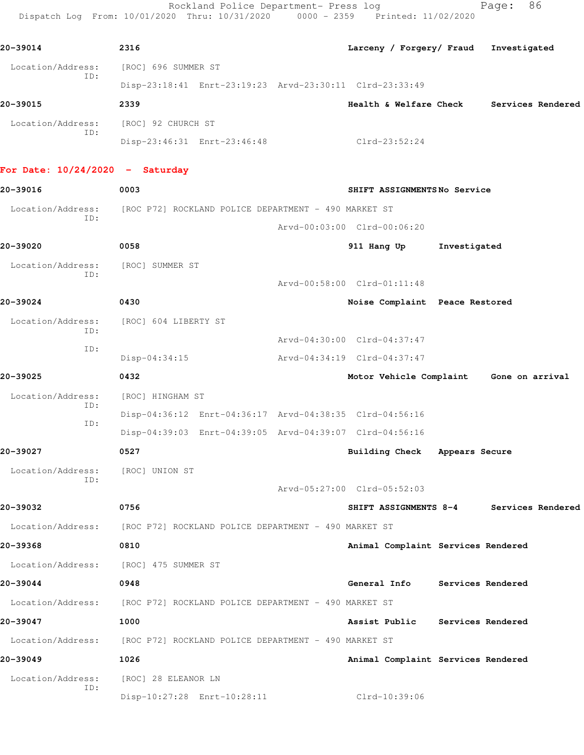Rockland Police Department- Press log Fage: 86 Dispatch Log From: 10/01/2020 Thru: 10/31/2020 0000 - 2359 Printed: 11/02/2020

**20-39014 2316 Larceny / Forgery/ Fraud Investigated** Location/Address: [ROC] 696 SUMMER ST ID: Disp-23:18:41 Enrt-23:19:23 Arvd-23:30:11 Clrd-23:33:49 **20-39015 2339 Health & Welfare Check Services Rendered** Location/Address: [ROC] 92 CHURCH ST ID: Disp-23:46:31 Enrt-23:46:48 Clrd-23:52:24 **For Date: 10/24/2020 - Saturday 20-39016 0003 SHIFT ASSIGNMENTS No Service** Location/Address: [ROC P72] ROCKLAND POLICE DEPARTMENT - 490 MARKET ST ID: Arvd-00:03:00 Clrd-00:06:20 **20-39020 0058 911 Hang Up Investigated** Location/Address: [ROC] SUMMER ST ID: Arvd-00:58:00 Clrd-01:11:48 **20-39024 0430 Noise Complaint Peace Restored** Location/Address: [ROC] 604 LIBERTY ST ID: Arvd-04:30:00 Clrd-04:37:47 ID: Disp-04:34:15 Arvd-04:34:19 Clrd-04:37:47 **20-39025 0432 Motor Vehicle Complaint Gone on arrival** Location/Address: [ROC] HINGHAM ST ID: Disp-04:36:12 Enrt-04:36:17 Arvd-04:38:35 Clrd-04:56:16 ID: Disp-04:39:03 Enrt-04:39:05 Arvd-04:39:07 Clrd-04:56:16 **20-39027 0527 Building Check Appears Secure** Location/Address: [ROC] UNION ST ID: Arvd-05:27:00 Clrd-05:52:03 **20-39032 0756 SHIFT ASSIGNMENTS 8-4 Services Rendered** Location/Address: [ROC P72] ROCKLAND POLICE DEPARTMENT - 490 MARKET ST **20-39368 0810 Animal Complaint Services Rendered** Location/Address: [ROC] 475 SUMMER ST **20-39044 0948 General Info Services Rendered** Location/Address: [ROC P72] ROCKLAND POLICE DEPARTMENT - 490 MARKET ST **20-39047 1000 Assist Public Services Rendered** Location/Address: [ROC P72] ROCKLAND POLICE DEPARTMENT - 490 MARKET ST **20-39049 1026 Animal Complaint Services Rendered** Location/Address: [ROC] 28 ELEANOR LN ID: Disp-10:27:28 Enrt-10:28:11 Clrd-10:39:06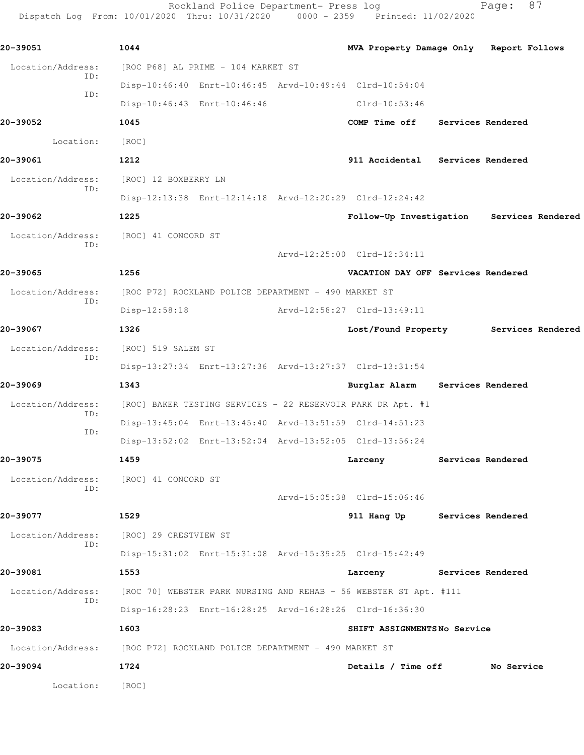Rockland Police Department- Press log entitled and Page: 87 Dispatch Log From: 10/01/2020 Thru: 10/31/2020 0000 - 2359 Printed: 11/02/2020

| 20-39051                 | 1044                                                                   | MVA Property Damage Only Report Follows   |                   |  |
|--------------------------|------------------------------------------------------------------------|-------------------------------------------|-------------------|--|
| Location/Address:        | [ROC P68] AL PRIME - 104 MARKET ST                                     |                                           |                   |  |
| ID:                      | Disp-10:46:40 Enrt-10:46:45 Arvd-10:49:44 Clrd-10:54:04                |                                           |                   |  |
| ID:                      | Disp-10:46:43 Enrt-10:46:46                                            | Clrd-10:53:46                             |                   |  |
| 20-39052                 | 1045                                                                   | COMP Time off Services Rendered           |                   |  |
| Location:                | [ROC]                                                                  |                                           |                   |  |
| 20-39061                 | 1212                                                                   | 911 Accidental Services Rendered          |                   |  |
| Location/Address:        | [ROC] 12 BOXBERRY LN                                                   |                                           |                   |  |
| ID:                      | Disp-12:13:38 Enrt-12:14:18 Arvd-12:20:29 Clrd-12:24:42                |                                           |                   |  |
| 20-39062                 | 1225                                                                   | Follow-Up Investigation Services Rendered |                   |  |
| Location/Address:        | [ROC] 41 CONCORD ST                                                    |                                           |                   |  |
| ID:                      |                                                                        | Arvd-12:25:00 Clrd-12:34:11               |                   |  |
| 20-39065                 | 1256                                                                   | VACATION DAY OFF Services Rendered        |                   |  |
| Location/Address:        | [ROC P72] ROCKLAND POLICE DEPARTMENT - 490 MARKET ST                   |                                           |                   |  |
| ID:                      | Disp-12:58:18                                                          | Arvd-12:58:27 Clrd-13:49:11               |                   |  |
| 20-39067                 | 1326                                                                   | Lost/Found Property Services Rendered     |                   |  |
| Location/Address:<br>ID: | [ROC] 519 SALEM ST                                                     |                                           |                   |  |
|                          | Disp-13:27:34 Enrt-13:27:36 Arvd-13:27:37 Clrd-13:31:54                |                                           |                   |  |
| 20-39069                 | 1343                                                                   | Burglar Alarm Services Rendered           |                   |  |
| Location/Address:<br>ID: | [ROC] BAKER TESTING SERVICES - 22 RESERVOIR PARK DR Apt. #1            |                                           |                   |  |
| ID:                      | Disp-13:45:04 Enrt-13:45:40 Arvd-13:51:59 Clrd-14:51:23                |                                           |                   |  |
|                          | Disp-13:52:02 Enrt-13:52:04 Arvd-13:52:05 Clrd-13:56:24                |                                           |                   |  |
| 20-39075                 | 1459                                                                   | Larceny                                   | Services Rendered |  |
| Location/Address:<br>ID: | [ROC] 41 CONCORD ST                                                    |                                           |                   |  |
|                          |                                                                        | Arvd-15:05:38 Clrd-15:06:46               |                   |  |
| 20-39077                 | 1529                                                                   | 911 Hang Up Services Rendered             |                   |  |
| Location/Address:        | [ROC] 29 CRESTVIEW ST                                                  |                                           |                   |  |
| ID:                      | Disp-15:31:02 Enrt-15:31:08 Arvd-15:39:25 Clrd-15:42:49                |                                           |                   |  |
| 20-39081                 | 1553                                                                   | Larceny Services Rendered                 |                   |  |
| Location/Address:        | [ROC 70] WEBSTER PARK NURSING AND REHAB - 56 WEBSTER ST Apt. #111      |                                           |                   |  |
| ID:                      | Disp-16:28:23 Enrt-16:28:25 Arvd-16:28:26 Clrd-16:36:30                |                                           |                   |  |
| 20-39083                 | 1603                                                                   | SHIFT ASSIGNMENTS No Service              |                   |  |
|                          | Location/Address: [ROC P72] ROCKLAND POLICE DEPARTMENT - 490 MARKET ST |                                           |                   |  |
| 20-39094                 | 1724                                                                   | Details / Time off No Service             |                   |  |
| Location:                | [ROC]                                                                  |                                           |                   |  |
|                          |                                                                        |                                           |                   |  |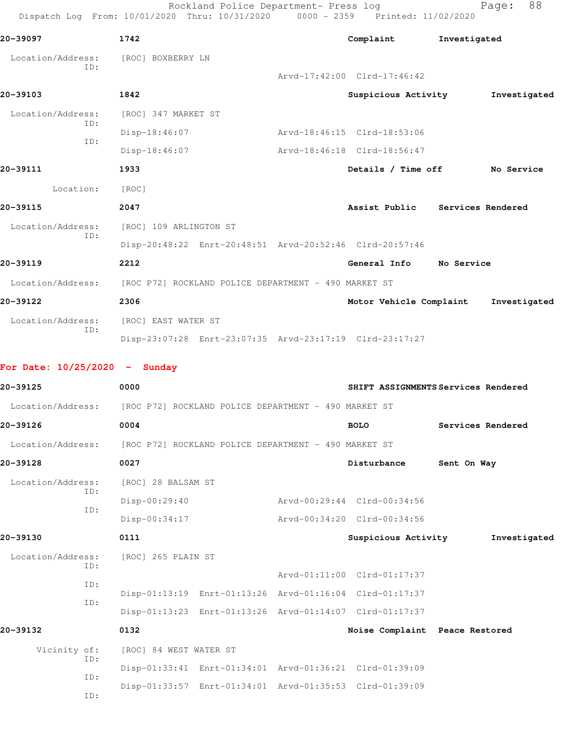Rockland Police Department- Press log entitled and Page: 88 Dispatch Log From: 10/01/2020 Thru: 10/31/2020 0000 - 2359 Printed: 11/02/2020

| 20-39097                        |            | 1742                   |                                                                        | Complaint                                               | Investigated                        |
|---------------------------------|------------|------------------------|------------------------------------------------------------------------|---------------------------------------------------------|-------------------------------------|
| Location/Address:               |            | [ROC] BOXBERRY LN      |                                                                        |                                                         |                                     |
|                                 | ID:        |                        |                                                                        | Arvd-17:42:00 Clrd-17:46:42                             |                                     |
| 20-39103                        |            | 1842                   |                                                                        | Suspicious Activity                                     | Investigated                        |
| Location/Address:               |            | [ROC] 347 MARKET ST    |                                                                        |                                                         |                                     |
|                                 | ID:<br>ID: | Disp-18:46:07          |                                                                        | Arvd-18:46:15 Clrd-18:53:06                             |                                     |
|                                 |            | Disp-18:46:07          |                                                                        | Arvd-18:46:18 Clrd-18:56:47                             |                                     |
| 20-39111                        |            | 1933                   |                                                                        |                                                         | Details / Time off No Service       |
|                                 | Location:  | [ROC]                  |                                                                        |                                                         |                                     |
| 20-39115                        |            | 2047                   |                                                                        |                                                         | Assist Public Services Rendered     |
| Location/Address:               |            | [ROC] 109 ARLINGTON ST |                                                                        |                                                         |                                     |
|                                 | ID:        |                        |                                                                        | Disp-20:48:22 Enrt-20:48:51 Arvd-20:52:46 Clrd-20:57:46 |                                     |
| 20-39119                        |            | 2212                   |                                                                        | General Info No Service                                 |                                     |
|                                 |            |                        | Location/Address: [ROC P72] ROCKLAND POLICE DEPARTMENT - 490 MARKET ST |                                                         |                                     |
| 20-39122                        |            | 2306                   |                                                                        | Motor Vehicle Complaint                                 | Investigated                        |
| Location/Address:               |            | [ROC] EAST WATER ST    |                                                                        |                                                         |                                     |
|                                 | ID:        |                        |                                                                        | Disp-23:07:28 Enrt-23:07:35 Arvd-23:17:19 Clrd-23:17:27 |                                     |
|                                 |            |                        |                                                                        |                                                         |                                     |
| For Date: $10/25/2020 -$ Sunday |            |                        |                                                                        |                                                         |                                     |
| 20-39125                        |            | 0000                   |                                                                        |                                                         | SHIFT ASSIGNMENTS Services Rendered |
|                                 |            |                        | Location/Address: [ROC P72] ROCKLAND POLICE DEPARTMENT - 490 MARKET ST |                                                         |                                     |
| 20-39126                        |            | 0004                   |                                                                        | <b>BOLO</b>                                             | Services Rendered                   |
|                                 |            |                        | Location/Address: [ROC P72] ROCKLAND POLICE DEPARTMENT - 490 MARKET ST |                                                         |                                     |
| 20-39128                        |            | 0027                   |                                                                        | Disturbance                                             | Sent On Way                         |
| Location/Address:               | ID:        | [ROC] 28 BALSAM ST     |                                                                        |                                                         |                                     |
|                                 | ID:        | Disp-00:29:40          |                                                                        | Arvd-00:29:44 Clrd-00:34:56                             |                                     |
|                                 |            | Disp-00:34:17          |                                                                        | Arvd-00:34:20 Clrd-00:34:56                             |                                     |
| 20-39130                        |            | 0111                   |                                                                        | Suspicious Activity                                     | Investigated                        |
| Location/Address:               | ID:        | [ROC] 265 PLAIN ST     |                                                                        |                                                         |                                     |
|                                 | ID:        |                        |                                                                        | Arvd-01:11:00 Clrd-01:17:37                             |                                     |
|                                 | ID:        |                        |                                                                        | Disp-01:13:19 Enrt-01:13:26 Arvd-01:16:04 Clrd-01:17:37 |                                     |
|                                 |            |                        |                                                                        | Disp-01:13:23 Enrt-01:13:26 Arvd-01:14:07 Clrd-01:17:37 |                                     |
| 20-39132                        |            | 0132                   |                                                                        | Noise Complaint Peace Restored                          |                                     |
| Vicinity of:                    |            | [ROC] 84 WEST WATER ST |                                                                        |                                                         |                                     |
|                                 | ID:        |                        | Disp-01:33:41 Enrt-01:34:01 Arvd-01:36:21 Clrd-01:39:09                |                                                         |                                     |
|                                 | ID:<br>ID: |                        | Disp-01:33:57 Enrt-01:34:01 Arvd-01:35:53 Clrd-01:39:09                |                                                         |                                     |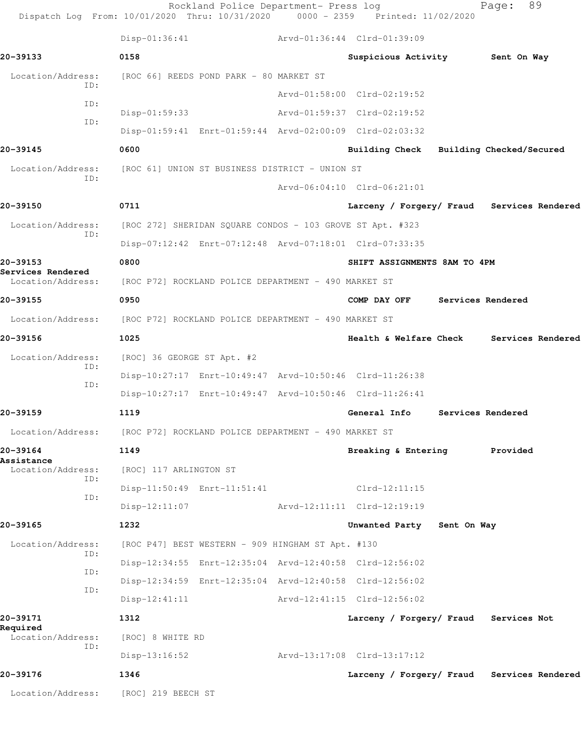|                                        | Rockland Police Department- Press log<br>Dispatch Log From: 10/01/2020 Thru: 10/31/2020 0000 - 2359 Printed: 11/02/2020 |                                            | 89<br>Page:       |  |
|----------------------------------------|-------------------------------------------------------------------------------------------------------------------------|--------------------------------------------|-------------------|--|
|                                        | $Disp-01:36:41$                                                                                                         | Arvd-01:36:44 Clrd-01:39:09                |                   |  |
| 20-39133                               | 0158                                                                                                                    | Suspicious Activity 5ent On Way            |                   |  |
| Location/Address:                      | [ROC 66] REEDS POND PARK - 80 MARKET ST                                                                                 |                                            |                   |  |
| TD:<br>ID:                             |                                                                                                                         | Arvd-01:58:00 Clrd-02:19:52                |                   |  |
| ID:                                    | $Disp-01:59:33$                                                                                                         | Arvd-01:59:37 Clrd-02:19:52                |                   |  |
|                                        | Disp-01:59:41 Enrt-01:59:44 Arvd-02:00:09 Clrd-02:03:32                                                                 |                                            |                   |  |
| 20-39145                               | 0600                                                                                                                    | Building Check Building Checked/Secured    |                   |  |
| Location/Address:<br>ID:               | [ROC 61] UNION ST BUSINESS DISTRICT - UNION ST                                                                          |                                            |                   |  |
|                                        |                                                                                                                         | Arvd-06:04:10 Clrd-06:21:01                |                   |  |
| 20-39150                               | 0711                                                                                                                    | Larceny / Forgery/ Fraud Services Rendered |                   |  |
| Location/Address:                      | [ROC 272] SHERIDAN SQUARE CONDOS - 103 GROVE ST Apt. #323                                                               |                                            |                   |  |
| ID:                                    | Disp-07:12:42 Enrt-07:12:48 Arvd-07:18:01 Clrd-07:33:35                                                                 |                                            |                   |  |
| 20-39153                               | 0800                                                                                                                    | SHIFT ASSIGNMENTS 8AM TO 4PM               |                   |  |
| Services Rendered<br>Location/Address: | [ROC P72] ROCKLAND POLICE DEPARTMENT - 490 MARKET ST                                                                    |                                            |                   |  |
| 20-39155                               | 0950                                                                                                                    | COMP DAY OFF                               | Services Rendered |  |
|                                        | Location/Address: [ROC P72] ROCKLAND POLICE DEPARTMENT - 490 MARKET ST                                                  |                                            |                   |  |
| 20-39156                               | 1025                                                                                                                    | Health & Welfare Check                     | Services Rendered |  |
| Location/Address:                      | [ROC] 36 GEORGE ST Apt. #2                                                                                              |                                            |                   |  |
| ID:                                    | Disp-10:27:17 Enrt-10:49:47 Arvd-10:50:46 Clrd-11:26:38                                                                 |                                            |                   |  |
| ID:                                    | Disp-10:27:17 Enrt-10:49:47 Arvd-10:50:46 Clrd-11:26:41                                                                 |                                            |                   |  |
| 20-39159                               | 1119                                                                                                                    | General Info                               | Services Rendered |  |
| Location/Address:                      | [ROC P72] ROCKLAND POLICE DEPARTMENT - 490 MARKET ST                                                                    |                                            |                   |  |
| 20-39164                               | 1149                                                                                                                    | Breaking & Entering                        | Provided          |  |
| Assistance<br>Location/Address:        | [ROC] 117 ARLINGTON ST                                                                                                  |                                            |                   |  |
| ID:                                    | Disp-11:50:49 Enrt-11:51:41                                                                                             | $Clrd-12:11:15$                            |                   |  |
| ID:                                    | $Disp-12:11:07$                                                                                                         | Arvd-12:11:11 Clrd-12:19:19                |                   |  |
| 20-39165                               | 1232                                                                                                                    | Unwanted Party Sent On Way                 |                   |  |
| Location/Address:                      | [ROC P47] BEST WESTERN - 909 HINGHAM ST Apt. #130                                                                       |                                            |                   |  |
| ID:                                    | Disp-12:34:55 Enrt-12:35:04 Arvd-12:40:58 Clrd-12:56:02                                                                 |                                            |                   |  |
| ID:                                    | Disp-12:34:59 Enrt-12:35:04 Arvd-12:40:58 Clrd-12:56:02                                                                 |                                            |                   |  |
| ID:                                    | $Disp-12:41:11$                                                                                                         | Arvd-12:41:15 Clrd-12:56:02                |                   |  |
| 20-39171                               | 1312                                                                                                                    | Larceny / Forgery/ Fraud Services Not      |                   |  |
| Required<br>Location/Address:          | [ROC] 8 WHITE RD                                                                                                        |                                            |                   |  |
| ID:                                    | $Disp-13:16:52$                                                                                                         | Arvd-13:17:08 Clrd-13:17:12                |                   |  |
| 20-39176                               | 1346                                                                                                                    | Larceny / Forgery/ Fraud Services Rendered |                   |  |
|                                        | Location/Address: [ROC] 219 BEECH ST                                                                                    |                                            |                   |  |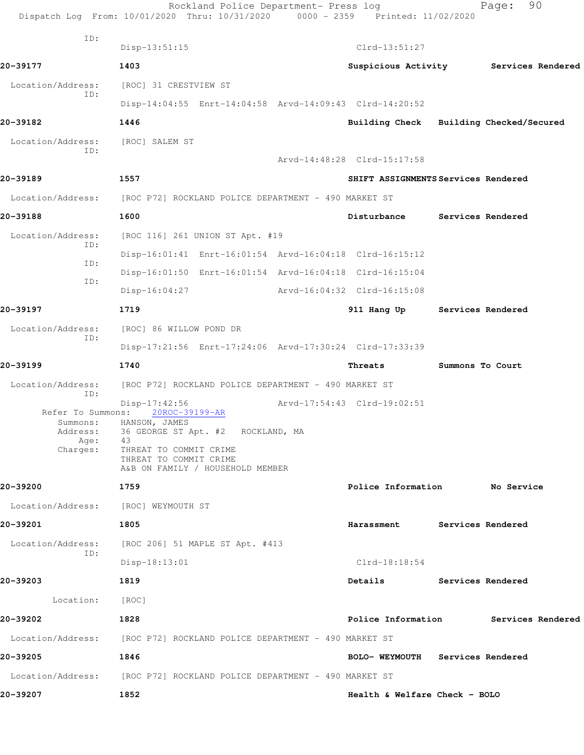|                                     | Rockland Police Department- Press log<br>Dispatch Log From: 10/01/2020 Thru: 10/31/2020 0000 - 2359 Printed: 11/02/2020 |                                         |                   | 90<br>Page:       |  |
|-------------------------------------|-------------------------------------------------------------------------------------------------------------------------|-----------------------------------------|-------------------|-------------------|--|
| ID:                                 | $Disp-13:51:15$                                                                                                         | $Clrd-13:51:27$                         |                   |                   |  |
| 20-39177                            | 1403                                                                                                                    | Suspicious Activity Services Rendered   |                   |                   |  |
| Location/Address:                   | [ROC] 31 CRESTVIEW ST                                                                                                   |                                         |                   |                   |  |
| ID:                                 | Disp-14:04:55 Enrt-14:04:58 Arvd-14:09:43 Clrd-14:20:52                                                                 |                                         |                   |                   |  |
| 20-39182                            | 1446                                                                                                                    | Building Check Building Checked/Secured |                   |                   |  |
| Location/Address:                   | [ROC] SALEM ST                                                                                                          |                                         |                   |                   |  |
| ID:                                 |                                                                                                                         | Arvd-14:48:28 Clrd-15:17:58             |                   |                   |  |
| 20-39189                            | 1557                                                                                                                    | SHIFT ASSIGNMENTS Services Rendered     |                   |                   |  |
|                                     | Location/Address: [ROC P72] ROCKLAND POLICE DEPARTMENT - 490 MARKET ST                                                  |                                         |                   |                   |  |
| 20-39188                            | 1600                                                                                                                    | Disturbance                             |                   | Services Rendered |  |
| Location/Address:                   | [ROC 116] 261 UNION ST Apt. #19                                                                                         |                                         |                   |                   |  |
| ID:                                 | Disp-16:01:41 Enrt-16:01:54 Arvd-16:04:18 Clrd-16:15:12                                                                 |                                         |                   |                   |  |
| ID:                                 | Disp-16:01:50 Enrt-16:01:54 Arvd-16:04:18 Clrd-16:15:04                                                                 |                                         |                   |                   |  |
| ID:                                 | $Disp-16:04:27$                                                                                                         | Arvd-16:04:32 Clrd-16:15:08             |                   |                   |  |
| 20-39197                            | 1719                                                                                                                    | 911 Hang Up                             | Services Rendered |                   |  |
| Location/Address:                   | [ROC] 86 WILLOW POND DR                                                                                                 |                                         |                   |                   |  |
| ID:                                 | Disp-17:21:56 Enrt-17:24:06 Arvd-17:30:24 Clrd-17:33:39                                                                 |                                         |                   |                   |  |
| 20-39199                            | 1740                                                                                                                    | Threats                                 | Summons To Court  |                   |  |
| Location/Address:                   | [ROC P72] ROCKLAND POLICE DEPARTMENT - 490 MARKET ST                                                                    |                                         |                   |                   |  |
| ID:<br>Refer To Summons:            | $Disp-17:42:56$<br>20ROC-39199-AR                                                                                       | Arvd-17:54:43 Clrd-19:02:51             |                   |                   |  |
| Summons:<br>Address:<br>Age:        | HANSON, JAMES<br>36 GEORGE ST Apt. #2 ROCKLAND, MA<br>43                                                                |                                         |                   |                   |  |
| Charges:                            | THREAT TO COMMIT CRIME<br>THREAT TO COMMIT CRIME<br>A&B ON FAMILY / HOUSEHOLD MEMBER                                    |                                         |                   |                   |  |
| 20-39200                            | 1759                                                                                                                    | Police Information No Service           |                   |                   |  |
| Location/Address: [ROC] WEYMOUTH ST |                                                                                                                         |                                         |                   |                   |  |
| 20-39201                            | 1805                                                                                                                    | Harassment Services Rendered            |                   |                   |  |
| Location/Address:                   | [ROC 206] 51 MAPLE ST Apt. #413                                                                                         |                                         |                   |                   |  |
| ID:                                 | $Disp-18:13:01$                                                                                                         | $Clrd-18:18:54$                         |                   |                   |  |
| 20-39203                            | 1819                                                                                                                    | Details Services Rendered               |                   |                   |  |
| Location:                           | [ROC]                                                                                                                   |                                         |                   |                   |  |
| 20-39202                            | 1828                                                                                                                    | Police Information 5ervices Rendered    |                   |                   |  |
|                                     | Location/Address: [ROC P72] ROCKLAND POLICE DEPARTMENT - 490 MARKET ST                                                  |                                         |                   |                   |  |
| 20-39205                            | 1846                                                                                                                    | BOLO- WEYMOUTH Services Rendered        |                   |                   |  |
|                                     | Location/Address: [ROC P72] ROCKLAND POLICE DEPARTMENT - 490 MARKET ST                                                  |                                         |                   |                   |  |
| 20-39207                            | 1852                                                                                                                    | Health & Welfare Check - BOLO           |                   |                   |  |
|                                     |                                                                                                                         |                                         |                   |                   |  |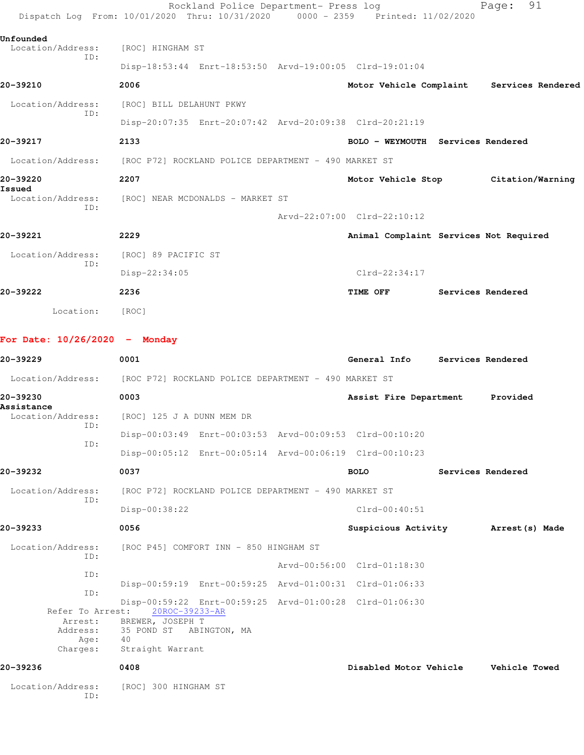|                                         | Rockland Police Department- Press log<br>Dispatch Log From: 10/01/2020 Thru: 10/31/2020 | 0000 - 2359 | Printed: 11/02/2020                    | 91<br>Page:                               |
|-----------------------------------------|-----------------------------------------------------------------------------------------|-------------|----------------------------------------|-------------------------------------------|
| Unfounded                               |                                                                                         |             |                                        |                                           |
| Location/Address:<br>ID:                | [ROC] HINGHAM ST                                                                        |             |                                        |                                           |
|                                         | Disp-18:53:44 Enrt-18:53:50 Arvd-19:00:05 Clrd-19:01:04                                 |             |                                        |                                           |
| 20-39210                                | 2006                                                                                    |             |                                        | Motor Vehicle Complaint Services Rendered |
| Location/Address:<br>ID:                | [ROC] BILL DELAHUNT PKWY                                                                |             |                                        |                                           |
|                                         | Disp-20:07:35 Enrt-20:07:42 Arvd-20:09:38 Clrd-20:21:19                                 |             |                                        |                                           |
| 20-39217                                | 2133                                                                                    |             | BOLO - WEYMOUTH Services Rendered      |                                           |
|                                         | Location/Address: [ROC P72] ROCKLAND POLICE DEPARTMENT - 490 MARKET ST                  |             |                                        |                                           |
| 20-39220<br>Issued                      | 2207                                                                                    |             | Motor Vehicle Stop                     | Citation/Warning                          |
| Location/Address:                       | [ROC] NEAR MCDONALDS - MARKET ST                                                        |             |                                        |                                           |
| ID:                                     |                                                                                         |             | Arvd-22:07:00 Clrd-22:10:12            |                                           |
| 20-39221                                | 2229                                                                                    |             | Animal Complaint Services Not Required |                                           |
| Location/Address:                       | [ROC] 89 PACIFIC ST                                                                     |             |                                        |                                           |
| ID:                                     | $Disp-22:34:05$                                                                         |             | $Clrd-22:34:17$                        |                                           |
| 20-39222                                | 2236                                                                                    |             | TIME OFF                               | Services Rendered                         |
| Location:                               | [ROC]                                                                                   |             |                                        |                                           |
| For Date: $10/26/2020 -$ Monday         |                                                                                         |             |                                        |                                           |
| 20-39229                                | 0001                                                                                    |             | General Info                           | Services Rendered                         |
|                                         | Location/Address: [ROC P72] ROCKLAND POLICE DEPARTMENT - 490 MARKET ST                  |             |                                        |                                           |
| 20-39230<br>Assistance                  | 0003                                                                                    |             | Assist Fire Department                 | Provided                                  |
| ID:                                     | Location/Address: [ROC] 125 J A DUNN MEM DR                                             |             |                                        |                                           |
| ID:                                     | Disp-00:03:49 Enrt-00:03:53 Arvd-00:09:53 Clrd-00:10:20                                 |             |                                        |                                           |
|                                         | Disp-00:05:12 Enrt-00:05:14 Arvd-00:06:19 Clrd-00:10:23                                 |             |                                        |                                           |
| 20-39232                                | 0037                                                                                    |             | <b>BOLO</b>                            | Services Rendered                         |
| Location/Address:                       | [ROC P72] ROCKLAND POLICE DEPARTMENT - 490 MARKET ST                                    |             |                                        |                                           |
| ID:                                     | Disp-00:38:22                                                                           |             | $Clrd-00:40:51$                        |                                           |
| 20-39233                                | 0056                                                                                    |             | Suspicious Activity                    | Arrest (s) Made                           |
| Location/Address:                       | [ROC P45] COMFORT INN - 850 HINGHAM ST                                                  |             |                                        |                                           |
| ID:                                     |                                                                                         |             | Arvd-00:56:00 Clrd-01:18:30            |                                           |
| ID:                                     | Disp-00:59:19 Enrt-00:59:25 Arvd-01:00:31 Clrd-01:06:33                                 |             |                                        |                                           |
| ID:                                     | Disp-00:59:22 Enrt-00:59:25 Arvd-01:00:28 Clrd-01:06:30                                 |             |                                        |                                           |
| Refer To Arrest:<br>Arrest:<br>Address: | 20ROC-39233-AR<br>BREWER, JOSEPH T<br>35 POND ST ABINGTON, MA                           |             |                                        |                                           |
| Age:<br>Charges:                        | 40<br>Straight Warrant                                                                  |             |                                        |                                           |
| 20-39236                                | 0408                                                                                    |             | Disabled Motor Vehicle                 | <b>Vehicle Towed</b>                      |
| Location/Address:<br>ID:                | [ROC] 300 HINGHAM ST                                                                    |             |                                        |                                           |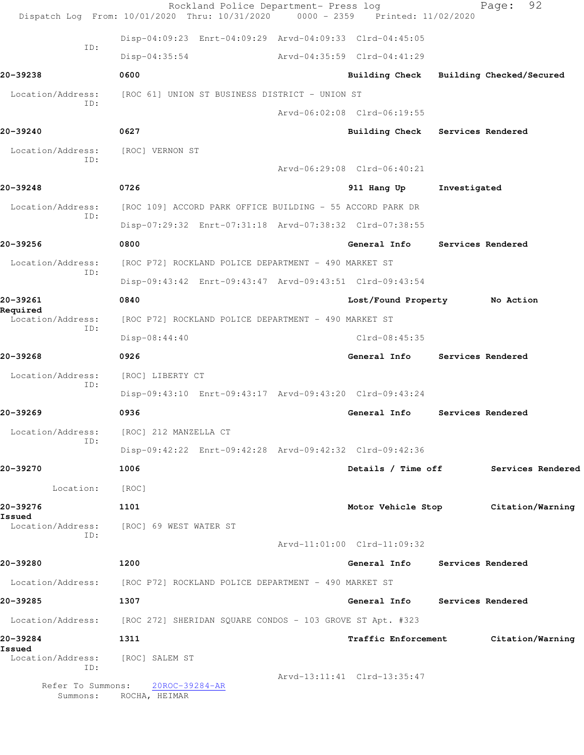|                               | Rockland Police Department- Press log<br>Dispatch Log From: 10/01/2020 Thru: 10/31/2020 | $0000 - 2359$ | Printed: 11/02/2020            |              | 92<br>Page:              |
|-------------------------------|-----------------------------------------------------------------------------------------|---------------|--------------------------------|--------------|--------------------------|
|                               | Disp-04:09:23 Enrt-04:09:29 Arvd-04:09:33 Clrd-04:45:05                                 |               |                                |              |                          |
| ID:                           | $Disp-04:35:54$                                                                         |               | Arvd-04:35:59 Clrd-04:41:29    |              |                          |
| 20-39238                      | 0600                                                                                    |               | <b>Building Check</b>          |              | Building Checked/Secured |
| Location/Address:             | [ROC 61] UNION ST BUSINESS DISTRICT - UNION ST                                          |               |                                |              |                          |
| ID:                           |                                                                                         |               | Arvd-06:02:08 Clrd-06:19:55    |              |                          |
| 20-39240                      | 0627                                                                                    |               | <b>Building Check</b>          |              | Services Rendered        |
| Location/Address:<br>ID:      | [ROC] VERNON ST                                                                         |               |                                |              |                          |
|                               |                                                                                         |               | Arvd-06:29:08 Clrd-06:40:21    |              |                          |
| 20-39248                      | 0726                                                                                    |               | 911 Hang Up                    | Investigated |                          |
| Location/Address:<br>ID:      | [ROC 109] ACCORD PARK OFFICE BUILDING - 55 ACCORD PARK DR                               |               |                                |              |                          |
|                               | Disp-07:29:32 Enrt-07:31:18 Arvd-07:38:32 Clrd-07:38:55                                 |               |                                |              |                          |
| 20-39256                      | 0800                                                                                    |               | General Info                   |              | Services Rendered        |
| Location/Address:<br>ID:      | [ROC P72] ROCKLAND POLICE DEPARTMENT - 490 MARKET ST                                    |               |                                |              |                          |
|                               | Disp-09:43:42 Enrt-09:43:47 Arvd-09:43:51 Clrd-09:43:54                                 |               |                                |              |                          |
| 20-39261<br>Required          | 0840                                                                                    |               | Lost/Found Property            |              | No Action                |
| Location/Address:<br>ID:      | [ROC P72] ROCKLAND POLICE DEPARTMENT - 490 MARKET ST                                    |               |                                |              |                          |
|                               | Disp-08:44:40                                                                           |               | $Clrd-08:45:35$                |              |                          |
| 20-39268                      | 0926                                                                                    |               | General Info                   |              | Services Rendered        |
| Location/Address:<br>ID:      | [ROC] LIBERTY CT                                                                        |               |                                |              |                          |
|                               | Disp-09:43:10 Enrt-09:43:17 Arvd-09:43:20 Clrd-09:43:24                                 |               |                                |              |                          |
| 20-39269                      | 0936                                                                                    |               | General Info                   |              | Services Rendered        |
| Location/Address:<br>ID:      | [ROC] 212 MANZELLA CT                                                                   |               |                                |              |                          |
|                               | Disp-09:42:22 Enrt-09:42:28 Arvd-09:42:32 Clrd-09:42:36                                 |               |                                |              |                          |
| 20-39270                      | 1006                                                                                    |               | Details / Time off             |              | Services Rendered        |
| Location:                     | [ROC]                                                                                   |               |                                |              |                          |
| 20-39276<br>Issued            | 1101                                                                                    |               | Motor Vehicle Stop             |              | Citation/Warning         |
| Location/Address:<br>ID:      | [ROC] 69 WEST WATER ST                                                                  |               |                                |              |                          |
|                               |                                                                                         |               | Arvd-11:01:00 Clrd-11:09:32    |              |                          |
| 20-39280                      | 1200                                                                                    |               | General Info Services Rendered |              |                          |
|                               | Location/Address: [ROC P72] ROCKLAND POLICE DEPARTMENT - 490 MARKET ST                  |               |                                |              |                          |
| 20-39285                      | 1307                                                                                    |               | General Info Services Rendered |              |                          |
|                               | Location/Address: [ROC 272] SHERIDAN SQUARE CONDOS - 103 GROVE ST Apt. #323             |               |                                |              |                          |
| 20-39284<br>Issued            | 1311                                                                                    |               | Traffic Enforcement            |              | Citation/Warning         |
| Location/Address:<br>ID:      | [ROC] SALEM ST                                                                          |               |                                |              |                          |
| Refer To Summons:<br>Summons: | 20ROC-39284-AR<br>ROCHA, HEIMAR                                                         |               | Arvd-13:11:41 Clrd-13:35:47    |              |                          |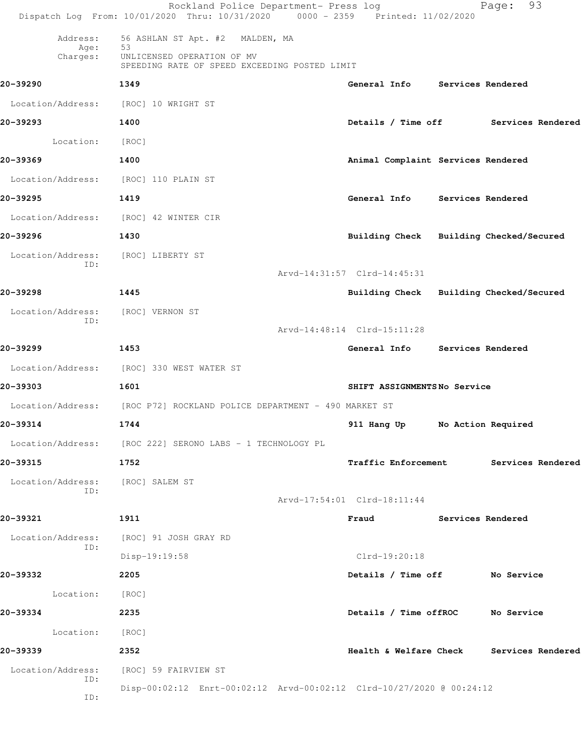|                                      | Rockland Police Department- Press log<br>Dispatch Log From: 10/01/2020 Thru: 10/31/2020 0000 - 2359 Printed: 11/02/2020 |                                         |                   | 93<br>Page:                              |
|--------------------------------------|-------------------------------------------------------------------------------------------------------------------------|-----------------------------------------|-------------------|------------------------------------------|
| Address:                             | 56 ASHLAN ST Apt. #2 MALDEN, MA                                                                                         |                                         |                   |                                          |
| Age:<br>Charges:                     | 53<br>UNLICENSED OPERATION OF MV<br>SPEEDING RATE OF SPEED EXCEEDING POSTED LIMIT                                       |                                         |                   |                                          |
| 20-39290                             | 1349                                                                                                                    | General Info Services Rendered          |                   |                                          |
| Location/Address: [ROC] 10 WRIGHT ST |                                                                                                                         |                                         |                   |                                          |
| 20-39293                             | 1400                                                                                                                    |                                         |                   | Details / Time off Services Rendered     |
| Location:                            | [ROC]                                                                                                                   |                                         |                   |                                          |
| 20-39369                             | 1400                                                                                                                    | Animal Complaint Services Rendered      |                   |                                          |
| Location/Address:                    | [ROC] 110 PLAIN ST                                                                                                      |                                         |                   |                                          |
| 20-39295                             | 1419                                                                                                                    | General Info Services Rendered          |                   |                                          |
| Location/Address:                    | [ROC] 42 WINTER CIR                                                                                                     |                                         |                   |                                          |
| 20-39296                             | 1430                                                                                                                    | Building Check Building Checked/Secured |                   |                                          |
| Location/Address:                    | [ROC] LIBERTY ST                                                                                                        |                                         |                   |                                          |
| ID:                                  |                                                                                                                         | Arvd-14:31:57 Clrd-14:45:31             |                   |                                          |
| 20-39298                             | 1445                                                                                                                    | Building Check Building Checked/Secured |                   |                                          |
| Location/Address:                    | [ROC] VERNON ST                                                                                                         |                                         |                   |                                          |
| ID:                                  |                                                                                                                         | Arvd-14:48:14 Clrd-15:11:28             |                   |                                          |
| 20-39299                             | 1453                                                                                                                    | General Info                            | Services Rendered |                                          |
|                                      | Location/Address: [ROC] 330 WEST WATER ST                                                                               |                                         |                   |                                          |
| 20-39303                             | 1601                                                                                                                    | SHIFT ASSIGNMENTSNo Service             |                   |                                          |
|                                      | Location/Address: [ROC P72] ROCKLAND POLICE DEPARTMENT - 490 MARKET ST                                                  |                                         |                   |                                          |
| 20-39314                             | 1744                                                                                                                    | 911 Hang Up                             |                   | No Action Required                       |
|                                      | Location/Address: [ROC 222] SERONO LABS - 1 TECHNOLOGY PL                                                               |                                         |                   |                                          |
| 20-39315                             | 1752                                                                                                                    | <b>Traffic Enforcement</b>              |                   | Services Rendered                        |
| Location/Address:                    | [ROC] SALEM ST                                                                                                          |                                         |                   |                                          |
| ID:                                  |                                                                                                                         | Arvd-17:54:01 Clrd-18:11:44             |                   |                                          |
| 20-39321                             | 1911                                                                                                                    | Fraud                                   | Services Rendered |                                          |
| Location/Address:                    | [ROC] 91 JOSH GRAY RD                                                                                                   |                                         |                   |                                          |
| ID:                                  | Disp-19:19:58                                                                                                           | Clrd-19:20:18                           |                   |                                          |
| 20-39332                             | 2205                                                                                                                    | Details / Time off No Service           |                   |                                          |
| Location: [ROC]                      |                                                                                                                         |                                         |                   |                                          |
| 20-39334                             | 2235                                                                                                                    | Details / Time offROC No Service        |                   |                                          |
| Location:                            | [ROC]                                                                                                                   |                                         |                   |                                          |
| 20-39339                             | 2352                                                                                                                    |                                         |                   | Health & Welfare Check Services Rendered |
| Location/Address:                    | [ROC] 59 FAIRVIEW ST                                                                                                    |                                         |                   |                                          |
| ID:<br>ID:                           | Disp-00:02:12 Enrt-00:02:12 Arvd-00:02:12 Clrd-10/27/2020 @ 00:24:12                                                    |                                         |                   |                                          |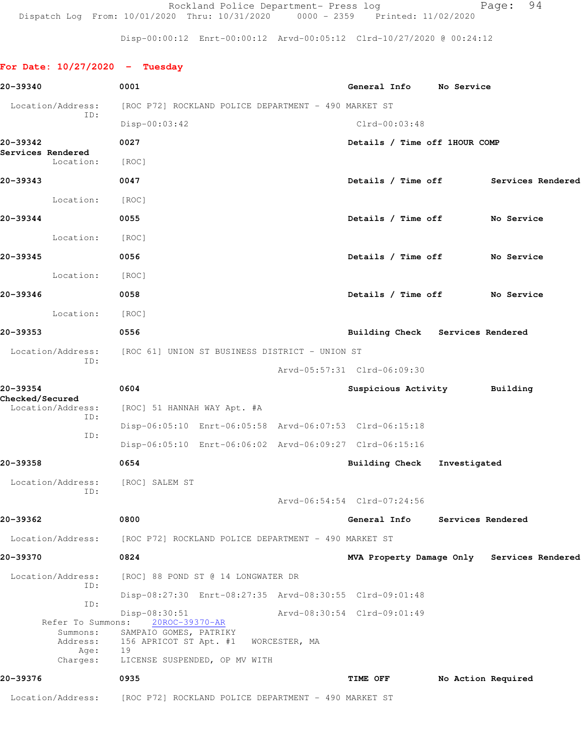Rockland Police Department- Press log entitled Page: 94 Dispatch Log From: 10/01/2020 Thru: 10/31/2020 0000 - 2359 Printed: 11/02/2020

Disp-00:00:12 Enrt-00:00:12 Arvd-00:05:12 Clrd-10/27/2020 @ 00:24:12

## **For Date: 10/27/2020 - Tuesday**

| 20-39340                                  | 0001                                                                                |               | General Info No Service          |                    |                                            |
|-------------------------------------------|-------------------------------------------------------------------------------------|---------------|----------------------------------|--------------------|--------------------------------------------|
| Location/Address:                         | [ROC P72] ROCKLAND POLICE DEPARTMENT - 490 MARKET ST                                |               |                                  |                    |                                            |
| ID:                                       | $Disp-00:03:42$                                                                     |               | $Clrd-00:03:48$                  |                    |                                            |
| 20-39342                                  | 0027                                                                                |               | Details / Time off 1HOUR COMP    |                    |                                            |
| Services Rendered<br>Location:            | [ROC]                                                                               |               |                                  |                    |                                            |
| 20-39343                                  | 0047                                                                                |               |                                  |                    | Details / Time off Services Rendered       |
| Location:                                 | [ROC]                                                                               |               |                                  |                    |                                            |
| 20-39344                                  | 0055                                                                                |               | Details / Time off No Service    |                    |                                            |
| Location:                                 | [ROC]                                                                               |               |                                  |                    |                                            |
| 20-39345                                  | 0056                                                                                |               | Details / Time off No Service    |                    |                                            |
| Location:                                 | [ROC]                                                                               |               |                                  |                    |                                            |
| 20-39346                                  | 0058                                                                                |               | Details / Time off No Service    |                    |                                            |
| Location:                                 | [ROC]                                                                               |               |                                  |                    |                                            |
| 20-39353                                  | 0556                                                                                |               | Building Check Services Rendered |                    |                                            |
| Location/Address:<br>ID:                  | [ROC 61] UNION ST BUSINESS DISTRICT - UNION ST                                      |               |                                  |                    |                                            |
|                                           |                                                                                     |               | Arvd-05:57:31 Clrd-06:09:30      |                    |                                            |
| 20-39354<br><b>Checked/Secured</b>        | 0604                                                                                |               | Suspicious Activity              |                    | Building                                   |
| Location/Address:<br>ID:                  | [ROC] 51 HANNAH WAY Apt. #A                                                         |               |                                  |                    |                                            |
| ID:                                       | Disp-06:05:10 Enrt-06:05:58 Arvd-06:07:53 Clrd-06:15:18                             |               |                                  |                    |                                            |
|                                           | Disp-06:05:10 Enrt-06:06:02 Arvd-06:09:27 Clrd-06:15:16                             |               |                                  |                    |                                            |
| 20-39358                                  | 0654                                                                                |               | Building Check Investigated      |                    |                                            |
| Location/Address:<br>ID:                  | [ROC] SALEM ST                                                                      |               |                                  |                    |                                            |
|                                           |                                                                                     |               | Arvd-06:54:54 Clrd-07:24:56      |                    |                                            |
| 20-39362                                  | 0800                                                                                |               | General Info                     | Services Rendered  |                                            |
| Location/Address:                         | [ROC P72] ROCKLAND POLICE DEPARTMENT - 490 MARKET ST                                |               |                                  |                    |                                            |
| 20-39370                                  | 0824                                                                                |               |                                  |                    | MVA Property Damage Only Services Rendered |
| Location/Address:<br>ID:                  | [ROC] 88 POND ST @ 14 LONGWATER DR                                                  |               |                                  |                    |                                            |
| ID:                                       | Disp-08:27:30 Enrt-08:27:35 Arvd-08:30:55 Clrd-09:01:48                             |               |                                  |                    |                                            |
| Refer To Summons:<br>Summons:<br>Address: | Disp-08:30:51<br>20ROC-39370-AR<br>SAMPAIO GOMES, PATRIKY<br>156 APRICOT ST Apt. #1 | WORCESTER, MA | Arvd-08:30:54 Clrd-09:01:49      |                    |                                            |
| Age:<br>Charges:                          | 19<br>LICENSE SUSPENDED, OP MV WITH                                                 |               |                                  |                    |                                            |
| 20-39376                                  | 0935                                                                                |               | TIME OFF                         | No Action Required |                                            |
| Location/Address:                         | [ROC P72] ROCKLAND POLICE DEPARTMENT - 490 MARKET ST                                |               |                                  |                    |                                            |
|                                           |                                                                                     |               |                                  |                    |                                            |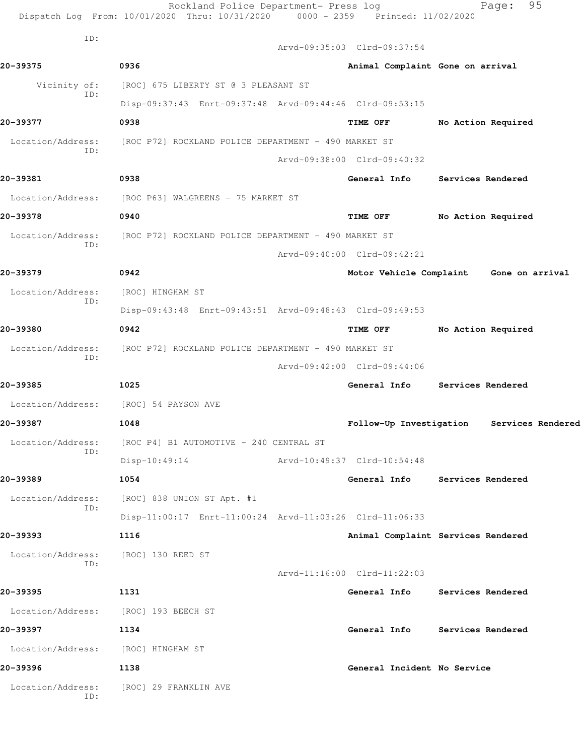|                                      | Rockland Police Department- Press log<br>Dispatch Log From: 10/01/2020 Thru: 10/31/2020 | 0000 - 2359 Printed: 11/02/2020  | 95<br>Page:                             |
|--------------------------------------|-----------------------------------------------------------------------------------------|----------------------------------|-----------------------------------------|
| ID:                                  |                                                                                         | Arvd-09:35:03 Clrd-09:37:54      |                                         |
| 20-39375                             | 0936                                                                                    | Animal Complaint Gone on arrival |                                         |
| Vicinity of:                         | [ROC] 675 LIBERTY ST @ 3 PLEASANT ST                                                    |                                  |                                         |
| ID:                                  | Disp-09:37:43 Enrt-09:37:48 Arvd-09:44:46 Clrd-09:53:15                                 |                                  |                                         |
| 20-39377                             | 0938                                                                                    | <b>TIME OFF</b>                  | No Action Required                      |
| Location/Address:                    | [ROC P72] ROCKLAND POLICE DEPARTMENT - 490 MARKET ST                                    |                                  |                                         |
| ID:                                  |                                                                                         | Arvd-09:38:00 Clrd-09:40:32      |                                         |
| 20-39381                             | 0938                                                                                    | General Info                     | Services Rendered                       |
| Location/Address:                    | [ROC P63] WALGREENS - 75 MARKET ST                                                      |                                  |                                         |
| 20-39378                             | 0940                                                                                    | <b>TIME OFF</b>                  | No Action Required                      |
| Location/Address:                    | [ROC P72] ROCKLAND POLICE DEPARTMENT - 490 MARKET ST                                    |                                  |                                         |
| ID:                                  |                                                                                         | Arvd-09:40:00 Clrd-09:42:21      |                                         |
| 20-39379                             | 0942                                                                                    |                                  | Motor Vehicle Complaint Gone on arrival |
| Location/Address:                    | [ROC] HINGHAM ST                                                                        |                                  |                                         |
| ID:                                  | Disp-09:43:48 Enrt-09:43:51 Arvd-09:48:43 Clrd-09:49:53                                 |                                  |                                         |
| 20-39380                             | 0942                                                                                    | TIME OFF                         | No Action Required                      |
| Location/Address:                    | [ROC P72] ROCKLAND POLICE DEPARTMENT - 490 MARKET ST                                    |                                  |                                         |
| ID:                                  |                                                                                         | Arvd-09:42:00 Clrd-09:44:06      |                                         |
| 20-39385                             | 1025                                                                                    |                                  | General Info Services Rendered          |
| Location/Address:                    | [ROC] 54 PAYSON AVE                                                                     |                                  |                                         |
| 20-39387                             | 1048                                                                                    | Follow-Up Investigation          | Services Rendered                       |
|                                      | Location/Address: [ROC P4] B1 AUTOMOTIVE - 240 CENTRAL ST                               |                                  |                                         |
| ID:                                  | $Disp-10:49:14$                                                                         | Arvd-10:49:37 Clrd-10:54:48      |                                         |
| 20-39389                             | 1054                                                                                    |                                  | General Info Services Rendered          |
| Location/Address:                    | [ROC] 838 UNION ST Apt. #1                                                              |                                  |                                         |
| ID:                                  | Disp-11:00:17 Enrt-11:00:24 Arvd-11:03:26 Clrd-11:06:33                                 |                                  |                                         |
| 20-39393                             | 1116                                                                                    |                                  | Animal Complaint Services Rendered      |
| Location/Address:                    | [ROC] 130 REED ST                                                                       |                                  |                                         |
| ID:                                  |                                                                                         | Arvd-11:16:00 Clrd-11:22:03      |                                         |
| 20-39395                             | 1131                                                                                    |                                  | General Info Services Rendered          |
| Location/Address: [ROC] 193 BEECH ST |                                                                                         |                                  |                                         |
| 20-39397                             | 1134                                                                                    |                                  | General Info Services Rendered          |
| Location/Address: [ROC] HINGHAM ST   |                                                                                         |                                  |                                         |
| 20-39396                             | 1138                                                                                    | General Incident No Service      |                                         |
| Location/Address:                    | [ROC] 29 FRANKLIN AVE                                                                   |                                  |                                         |
| ID:                                  |                                                                                         |                                  |                                         |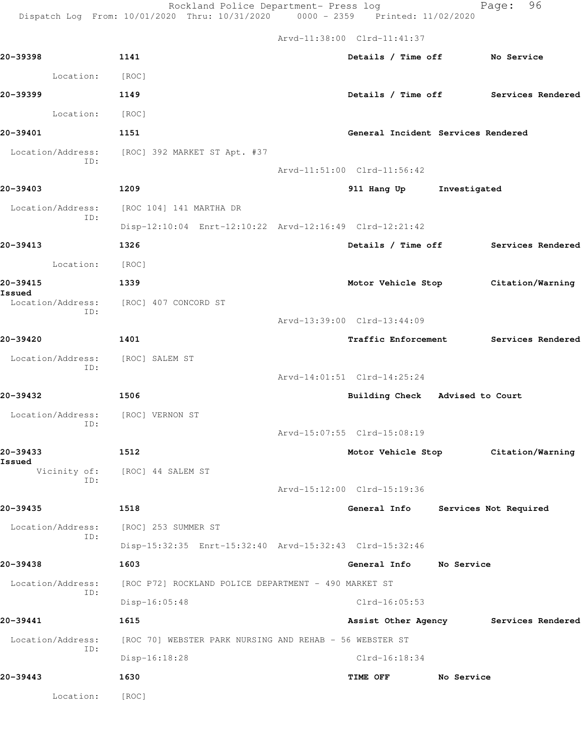Rockland Police Department- Press log Fage: 96

Dispatch Log From: 10/01/2020 Thru: 10/31/2020 0000 - 2359 Printed: 11/02/2020

 Arvd-11:38:00 Clrd-11:41:37 **20-39398 1141 Details / Time off No Service** Location: [ROC] **20-39399 1149 Details / Time off Services Rendered** Location: [ROC] **20-39401 1151 General Incident Services Rendered** Location/Address: [ROC] 392 MARKET ST Apt. #37 ID: Arvd-11:51:00 Clrd-11:56:42 **20-39403 1209 911 Hang Up Investigated** Location/Address: [ROC 104] 141 MARTHA DR ID: Disp-12:10:04 Enrt-12:10:22 Arvd-12:16:49 Clrd-12:21:42 **20-39413 1326 Details / Time off Services Rendered** Location: [ROC] **20-39415 1339 Motor Vehicle Stop Citation/Warning Issued**  Location/Address: [ROC] 407 CONCORD ST ID: Arvd-13:39:00 Clrd-13:44:09 **20-39420 1401 Traffic Enforcement Services Rendered** Location/Address: [ROC] SALEM ST ID: Arvd-14:01:51 Clrd-14:25:24 **20-39432 1506 Building Check Advised to Court** Location/Address: [ROC] VERNON ST ID: Arvd-15:07:55 Clrd-15:08:19 **20-39433 1512 Motor Vehicle Stop Citation/Warning Issued**  [ROC] 44 SALEM ST ID: Arvd-15:12:00 Clrd-15:19:36 **20-39435 1518 General Info Services Not Required** Location/Address: [ROC] 253 SUMMER ST ID: Disp-15:32:35 Enrt-15:32:40 Arvd-15:32:43 Clrd-15:32:46 **20-39438 1603 General Info No Service** Location/Address: [ROC P72] ROCKLAND POLICE DEPARTMENT - 490 MARKET ST ID: Disp-16:05:48 Clrd-16:05:53 **20-39441 1615 Assist Other Agency Services Rendered** Location/Address: [ROC 70] WEBSTER PARK NURSING AND REHAB - 56 WEBSTER ST ID: Disp-16:18:28 Clrd-16:18:34 **20-39443 1630 TIME OFF No Service** Location: [ROC]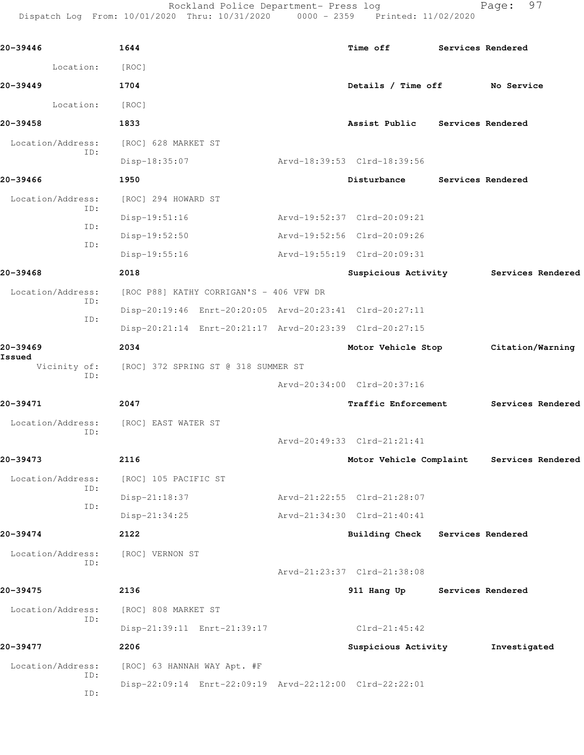Rockland Police Department- Press log Page: 97 Dispatch Log From: 10/01/2020 Thru: 10/31/2020 0000 - 2359 Printed: 11/02/2020 **20-39446 1644 Time off Services Rendered** Location: [ROC] **20-39449 1704 Details / Time off No Service** Location: [ROC] **20-39458 1833 Assist Public Services Rendered** Location/Address: [ROC] 628 MARKET ST ID: Disp-18:35:07 Arvd-18:39:53 Clrd-18:39:56 **20-39466 1950 Disturbance Services Rendered** Location/Address: [ROC] 294 HOWARD ST ID: Disp-19:51:16 Arvd-19:52:37 Clrd-20:09:21 ID: Disp-19:52:50 Arvd-19:52:56 Clrd-20:09:26 ID: Disp-19:55:16 Arvd-19:55:19 Clrd-20:09:31 **20-39468 2018 Suspicious Activity Services Rendered** Location/Address: [ROC P88] KATHY CORRIGAN'S - 406 VFW DR ID: Disp-20:19:46 Enrt-20:20:05 Arvd-20:23:41 Clrd-20:27:11 ID: Disp-20:21:14 Enrt-20:21:17 Arvd-20:23:39 Clrd-20:27:15 **20-39469 2034 Motor Vehicle Stop Citation/Warning** Vicinity of: [ROC] 372 SPRING ST @ 318 SUMMER ST ID: Arvd-20:34:00 Clrd-20:37:16 **20-39471 2047 Traffic Enforcement Services Rendered** Location/Address: [ROC] EAST WATER ST ID: Arvd-20:49:33 Clrd-21:21:41 **20-39473 2116 Motor Vehicle Complaint Services Rendered** Location/Address: [ROC] 105 PACIFIC ST ID: Disp-21:18:37 Arvd-21:22:55 Clrd-21:28:07 ID: Disp-21:34:25 Arvd-21:34:30 Clrd-21:40:41 **20-39474 2122 Building Check Services Rendered** Location/Address: [ROC] VERNON ST ID: Arvd-21:23:37 Clrd-21:38:08 **20-39475 2136 911 Hang Up Services Rendered** Location/Address: [ROC] 808 MARKET ST ID: Disp-21:39:11 Enrt-21:39:17 Clrd-21:45:42 **20-39477 2206 Suspicious Activity Investigated**

Disp-22:09:14 Enrt-22:09:19 Arvd-22:12:00 Clrd-22:22:01

 Location/Address: [ROC] 63 HANNAH WAY Apt. #F ID: ID:

**Issued**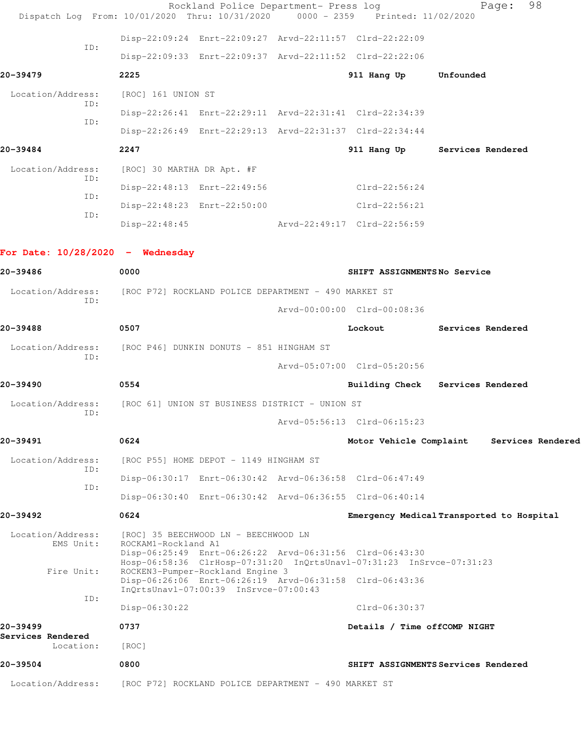| Dispatch Log From: 10/01/2020 Thru: 10/31/2020 |                                                                                                  | Rockland Police Department- Press log | 0000 - 2359 Printed: 11/02/2020                                      |                   | Page: | 98                |
|------------------------------------------------|--------------------------------------------------------------------------------------------------|---------------------------------------|----------------------------------------------------------------------|-------------------|-------|-------------------|
|                                                | Disp-22:09:24 Enrt-22:09:27 Arvd-22:11:57 Clrd-22:22:09                                          |                                       |                                                                      |                   |       |                   |
| ID:                                            | Disp-22:09:33 Enrt-22:09:37 Arvd-22:11:52 Clrd-22:22:06                                          |                                       |                                                                      |                   |       |                   |
| 20-39479                                       | 2225                                                                                             |                                       | 911 Hang Up Unfounded                                                |                   |       |                   |
| Location/Address:                              | [ROC] 161 UNION ST                                                                               |                                       |                                                                      |                   |       |                   |
| ID:                                            | Disp-22:26:41 Enrt-22:29:11 Arvd-22:31:41 Clrd-22:34:39                                          |                                       |                                                                      |                   |       |                   |
| ID:                                            | Disp-22:26:49 Enrt-22:29:13 Arvd-22:31:37 Clrd-22:34:44                                          |                                       |                                                                      |                   |       |                   |
| 20-39484                                       | 2247                                                                                             |                                       | 911 Hang Up Services Rendered                                        |                   |       |                   |
| Location/Address:                              | [ROC] 30 MARTHA DR Apt. #F                                                                       |                                       |                                                                      |                   |       |                   |
| ID:                                            | Disp-22:48:13 Enrt-22:49:56                                                                      |                                       | $Clrd-22:56:24$                                                      |                   |       |                   |
| ID:                                            | Disp-22:48:23 Enrt-22:50:00                                                                      |                                       | $Clrd-22:56:21$                                                      |                   |       |                   |
| ID:                                            | Disp-22:48:45                                                                                    |                                       | Arvd-22:49:17 Clrd-22:56:59                                          |                   |       |                   |
|                                                |                                                                                                  |                                       |                                                                      |                   |       |                   |
| For Date: $10/28/2020 -$ Wednesday             |                                                                                                  |                                       |                                                                      |                   |       |                   |
| 20-39486                                       | 0000                                                                                             |                                       | SHIFT ASSIGNMENTSNo Service                                          |                   |       |                   |
| Location/Address:<br>ID:                       | [ROC P72] ROCKLAND POLICE DEPARTMENT - 490 MARKET ST                                             |                                       |                                                                      |                   |       |                   |
|                                                |                                                                                                  |                                       | Arvd-00:00:00 Clrd-00:08:36                                          |                   |       |                   |
| 20-39488                                       | 0507                                                                                             |                                       | Lockout                                                              | Services Rendered |       |                   |
| Location/Address:<br>ID:                       | [ROC P46] DUNKIN DONUTS - 851 HINGHAM ST                                                         |                                       |                                                                      |                   |       |                   |
|                                                |                                                                                                  |                                       | Arvd-05:07:00 Clrd-05:20:56                                          |                   |       |                   |
| 20-39490                                       | 0554                                                                                             |                                       | Building Check Services Rendered                                     |                   |       |                   |
| Location/Address:<br>ID:                       | [ROC 61] UNION ST BUSINESS DISTRICT - UNION ST                                                   |                                       |                                                                      |                   |       |                   |
|                                                |                                                                                                  |                                       | $Arvd-05:56:13 \text{ Clrd}-06:15:23$                                |                   |       |                   |
| 20-39491                                       | 0624                                                                                             |                                       | Motor Vehicle Complaint                                              |                   |       | Services Rendered |
| Location/Address:<br>ID:                       | [ROC P55] HOME DEPOT - 1149 HINGHAM ST                                                           |                                       |                                                                      |                   |       |                   |
| ID:                                            | Disp-06:30:17 Enrt-06:30:42 Arvd-06:36:58 Clrd-06:47:49                                          |                                       |                                                                      |                   |       |                   |
|                                                | Disp-06:30:40 Enrt-06:30:42 Arvd-06:36:55 Clrd-06:40:14                                          |                                       |                                                                      |                   |       |                   |
| 20-39492                                       | 0624                                                                                             |                                       | Emergency Medical Transported to Hospital                            |                   |       |                   |
| Location/Address:<br>EMS Unit:                 | [ROC] 35 BEECHWOOD LN - BEECHWOOD LN<br>ROCKAM1-Rockland A1                                      |                                       |                                                                      |                   |       |                   |
| Fire Unit:                                     | Disp-06:25:49 Enrt-06:26:22 Arvd-06:31:56 Clrd-06:43:30<br>ROCKEN3-Pumper-Rockland Engine 3      |                                       | Hosp-06:58:36 ClrHosp-07:31:20 InQrtsUnavl-07:31:23 InSrvce-07:31:23 |                   |       |                   |
|                                                | Disp-06:26:06 Enrt-06:26:19 Arvd-06:31:58 Clrd-06:43:36<br>InOrtsUnavl-07:00:39 InSrvce-07:00:43 |                                       |                                                                      |                   |       |                   |
| ID:                                            | Disp-06:30:22                                                                                    |                                       | Clrd-06:30:37                                                        |                   |       |                   |
| 20-39499                                       | 0737                                                                                             |                                       | Details / Time offCOMP NIGHT                                         |                   |       |                   |
| Services Rendered<br>Location:                 | [ROC]                                                                                            |                                       |                                                                      |                   |       |                   |
| 20-39504                                       | 0800                                                                                             |                                       | SHIFT ASSIGNMENTS Services Rendered                                  |                   |       |                   |
| Location/Address:                              | [ROC P72] ROCKLAND POLICE DEPARTMENT - 490 MARKET ST                                             |                                       |                                                                      |                   |       |                   |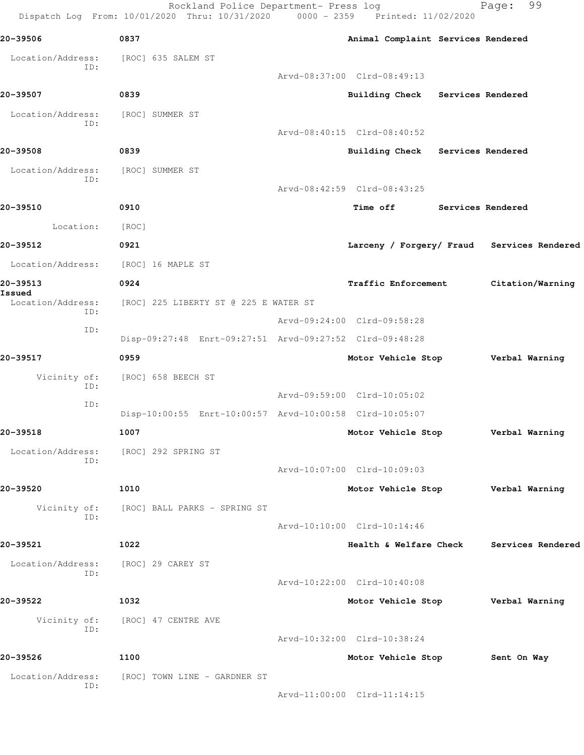Rockland Police Department- Press log Fage: 99 Dispatch Log From: 10/01/2020 Thru: 10/31/2020 0000 - 2359 Printed: 11/02/2020 **20-39506 0837 Animal Complaint Services Rendered** Location/Address: [ROC] 635 SALEM ST ID: Arvd-08:37:00 Clrd-08:49:13 **20-39507 0839 Building Check Services Rendered** Location/Address: [ROC] SUMMER ST ID: Arvd-08:40:15 Clrd-08:40:52 **20-39508 0839 Building Check Services Rendered** Location/Address: [ROC] SUMMER ST ID: Arvd-08:42:59 Clrd-08:43:25 **20-39510 0910 Time off Services Rendered** Location: [ROC] **20-39512 0921 Larceny / Forgery/ Fraud Services Rendered** Location/Address: [ROC] 16 MAPLE ST **20-39513 0924 Traffic Enforcement Citation/Warning Issued**  Location/Address: [ROC] 225 LIBERTY ST @ 225 E WATER ST ID: Arvd-09:24:00 Clrd-09:58:28 ID: Disp-09:27:48 Enrt-09:27:51 Arvd-09:27:52 Clrd-09:48:28 **20-39517 0959 Motor Vehicle Stop Verbal Warning** Vicinity of: [ROC] 658 BEECH ST ID: Arvd-09:59:00 Clrd-10:05:02 ID: Disp-10:00:55 Enrt-10:00:57 Arvd-10:00:58 Clrd-10:05:07 **20-39518 1007 Motor Vehicle Stop Verbal Warning** Location/Address: [ROC] 292 SPRING ST ID: Arvd-10:07:00 Clrd-10:09:03 **20-39520 1010 Motor Vehicle Stop Verbal Warning** Vicinity of: [ROC] BALL PARKS - SPRING ST ID: Arvd-10:10:00 Clrd-10:14:46 **20-39521 1022 Health & Welfare Check Services Rendered** Location/Address: [ROC] 29 CAREY ST ID: Arvd-10:22:00 Clrd-10:40:08 **20-39522 1032 Motor Vehicle Stop Verbal Warning** Vicinity of: [ROC] 47 CENTRE AVE ID: Arvd-10:32:00 Clrd-10:38:24 **20-39526 1100 Motor Vehicle Stop Sent On Way** Location/Address: [ROC] TOWN LINE - GARDNER ST ID: Arvd-11:00:00 Clrd-11:14:15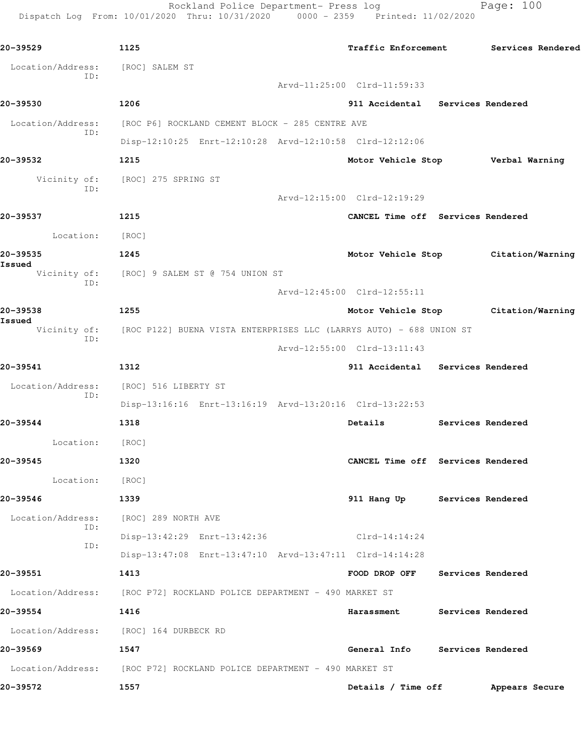Rockland Police Department- Press log Page: 100 Dispatch Log From: 10/01/2020 Thru: 10/31/2020 0000 - 2359 Printed: 11/02/2020

**20-39529 1125 Traffic Enforcement Services Rendered** Location/Address: [ROC] SALEM ST ID: Arvd-11:25:00 Clrd-11:59:33 **20-39530 1206 911 Accidental Services Rendered** Location/Address: [ROC P6] ROCKLAND CEMENT BLOCK - 285 CENTRE AVE ID: Disp-12:10:25 Enrt-12:10:28 Arvd-12:10:58 Clrd-12:12:06 **20-39532 1215 Motor Vehicle Stop Verbal Warning** Vicinity of: [ROC] 275 SPRING ST ID: Arvd-12:15:00 Clrd-12:19:29 **20-39537 1215 CANCEL Time off Services Rendered** Location: [ROC] **20-39535 1245 Motor Vehicle Stop Citation/Warning Issued**  Vicinity of: [ROC] 9 SALEM ST @ 754 UNION ST ID: Arvd-12:45:00 Clrd-12:55:11 **20-39538 1255 Motor Vehicle Stop Citation/Warning Issued**  Vicinity of: [ROC P122] BUENA VISTA ENTERPRISES LLC (LARRYS AUTO) - 688 UNION ST ID: Arvd-12:55:00 Clrd-13:11:43 **20-39541 1312 911 Accidental Services Rendered** Location/Address: [ROC] 516 LIBERTY ST ID: Disp-13:16:16 Enrt-13:16:19 Arvd-13:20:16 Clrd-13:22:53 **20-39544 1318 Details Services Rendered** Location: [ROC] **20-39545 1320 CANCEL Time off Services Rendered** Location: [ROC] **20-39546 1339 911 Hang Up Services Rendered** Location/Address: [ROC] 289 NORTH AVE ID: Disp-13:42:29 Enrt-13:42:36 Clrd-14:14:24 ID: Disp-13:47:08 Enrt-13:47:10 Arvd-13:47:11 Clrd-14:14:28 **20-39551 1413 FOOD DROP OFF Services Rendered** Location/Address: [ROC P72] ROCKLAND POLICE DEPARTMENT - 490 MARKET ST **20-39554 1416 Harassment Services Rendered** Location/Address: [ROC] 164 DURBECK RD **20-39569 1547 General Info Services Rendered** Location/Address: [ROC P72] ROCKLAND POLICE DEPARTMENT - 490 MARKET ST **20-39572 1557 Details / Time off Appears Secure**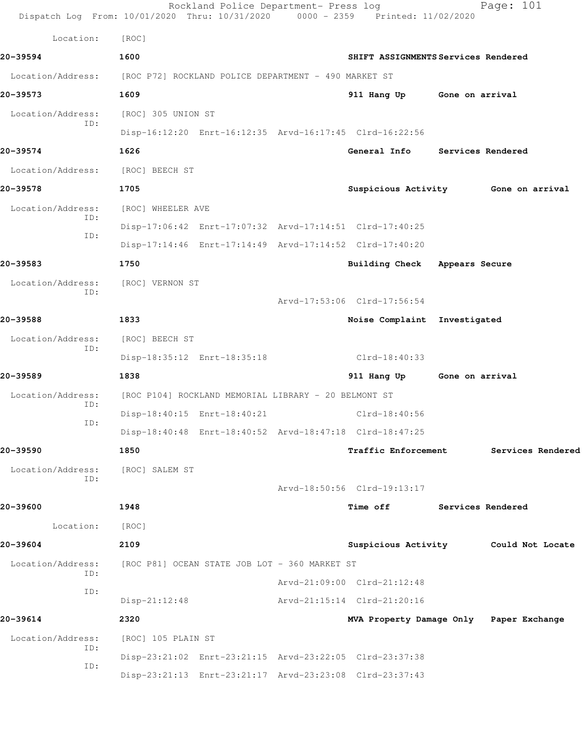|                                  | Rockland Police Department- Press log<br>Dispatch Log From: 10/01/2020 Thru: 10/31/2020 0000 - 2359 Printed: 11/02/2020 |                                         |                   | Page: 101                            |
|----------------------------------|-------------------------------------------------------------------------------------------------------------------------|-----------------------------------------|-------------------|--------------------------------------|
| Location:                        | [ROC]                                                                                                                   |                                         |                   |                                      |
| 20-39594                         | 1600                                                                                                                    | SHIFT ASSIGNMENTS Services Rendered     |                   |                                      |
| Location/Address:                | [ROC P72] ROCKLAND POLICE DEPARTMENT - 490 MARKET ST                                                                    |                                         |                   |                                      |
| 20-39573                         | 1609                                                                                                                    | 911 Hang Up Gone on arrival             |                   |                                      |
| Location/Address:                | [ROC] 305 UNION ST                                                                                                      |                                         |                   |                                      |
| ID:                              | Disp-16:12:20 Enrt-16:12:35 Arvd-16:17:45 Clrd-16:22:56                                                                 |                                         |                   |                                      |
| 20-39574                         | 1626                                                                                                                    | General Info Services Rendered          |                   |                                      |
| Location/Address: [ROC] BEECH ST |                                                                                                                         |                                         |                   |                                      |
| 20-39578                         | 1705                                                                                                                    |                                         |                   | Suspicious Activity 6one on arrival  |
| Location/Address:<br>ID:         | [ROC] WHEELER AVE                                                                                                       |                                         |                   |                                      |
| ID:                              | Disp-17:06:42 Enrt-17:07:32 Arvd-17:14:51 Clrd-17:40:25                                                                 |                                         |                   |                                      |
|                                  | Disp-17:14:46 Enrt-17:14:49 Arvd-17:14:52 Clrd-17:40:20                                                                 |                                         |                   |                                      |
| 20-39583                         | 1750                                                                                                                    | Building Check Appears Secure           |                   |                                      |
| Location/Address:<br>ID:         | [ROC] VERNON ST                                                                                                         |                                         |                   |                                      |
|                                  |                                                                                                                         | Arvd-17:53:06 Clrd-17:56:54             |                   |                                      |
| 20-39588                         | 1833                                                                                                                    | Noise Complaint Investigated            |                   |                                      |
| Location/Address:<br>ID:         | [ROC] BEECH ST                                                                                                          |                                         |                   |                                      |
|                                  | Disp-18:35:12 Enrt-18:35:18                                                                                             | Clrd-18:40:33                           |                   |                                      |
| 20-39589                         | 1838                                                                                                                    | 911 Hang Up Gone on arrival             |                   |                                      |
| Location/Address:<br>ID:         | [ROC P104] ROCKLAND MEMORIAL LIBRARY - 20 BELMONT ST                                                                    |                                         |                   |                                      |
| ID:                              | Disp-18:40:15 Enrt-18:40:21                                                                                             | $Clrd-18:40:56$                         |                   |                                      |
|                                  | Disp-18:40:48 Enrt-18:40:52 Arvd-18:47:18 Clrd-18:47:25                                                                 |                                         |                   |                                      |
| 20-39590                         | 1850                                                                                                                    | <b>Traffic Enforcement</b>              |                   | Services Rendered                    |
| Location/Address:<br>ID:         | [ROC] SALEM ST                                                                                                          |                                         |                   |                                      |
|                                  |                                                                                                                         | Arvd-18:50:56 Clrd-19:13:17             |                   |                                      |
| 20-39600                         | 1948                                                                                                                    | Time off                                | Services Rendered |                                      |
| Location:                        | [ROC]                                                                                                                   |                                         |                   |                                      |
| 20-39604                         | 2109                                                                                                                    |                                         |                   | Suspicious Activity Could Not Locate |
| Location/Address:<br>ID:         | [ROC P81] OCEAN STATE JOB LOT - 360 MARKET ST                                                                           |                                         |                   |                                      |
| ID:                              |                                                                                                                         | Arvd-21:09:00 Clrd-21:12:48             |                   |                                      |
|                                  | $Disp-21:12:48$                                                                                                         | Arvd-21:15:14 Clrd-21:20:16             |                   |                                      |
| 20-39614                         | 2320                                                                                                                    | MVA Property Damage Only Paper Exchange |                   |                                      |
| Location/Address:<br>ID:         | [ROC] 105 PLAIN ST                                                                                                      |                                         |                   |                                      |
| ID:                              | Disp-23:21:02 Enrt-23:21:15 Arvd-23:22:05 Clrd-23:37:38                                                                 |                                         |                   |                                      |
|                                  | Disp-23:21:13 Enrt-23:21:17 Arvd-23:23:08 Clrd-23:37:43                                                                 |                                         |                   |                                      |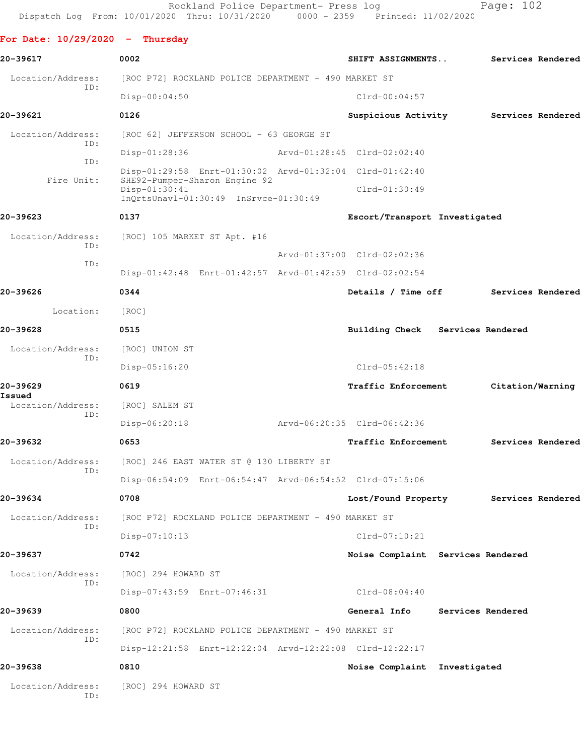**For Date: 10/29/2020 - Thursday**

**20-39617 0002 SHIFT ASSIGNMENTS.. Services Rendered** Location/Address: [ROC P72] ROCKLAND POLICE DEPARTMENT - 490 MARKET ST ID: Disp-00:04:50 Clrd-00:04:57 **20-39621 0126 Suspicious Activity Services Rendered** Location/Address: [ROC 62] JEFFERSON SCHOOL - 63 GEORGE ST ID: Disp-01:28:36 Arvd-01:28:45 Clrd-02:02:40 ID: Disp-01:29:58 Enrt-01:30:02 Arvd-01:32:04 Clrd-01:42:40 Fire Unit: SHE92-Pumper-Sharon Engine 92 Disp-01:30:41 Clrd-01:30:49 InQrtsUnavl-01:30:49 InSrvce-01:30:49 **20-39623 0137 Escort/Transport Investigated** Location/Address: [ROC] 105 MARKET ST Apt. #16 ID: Arvd-01:37:00 Clrd-02:02:36 ID: Disp-01:42:48 Enrt-01:42:57 Arvd-01:42:59 Clrd-02:02:54 **20-39626 0344 Details / Time off Services Rendered** Location: [ROC] **20-39628 0515 Building Check Services Rendered** Location/Address: [ROC] UNION ST ID: Disp-05:16:20 Clrd-05:42:18 **20-39629 0619 Traffic Enforcement Citation/Warning Issued**  Location/Address: [ROC] SALEM ST ID: Disp-06:20:18 Arvd-06:20:35 Clrd-06:42:36 **20-39632 0653 Traffic Enforcement Services Rendered** Location/Address: [ROC] 246 EAST WATER ST @ 130 LIBERTY ST ID: Disp-06:54:09 Enrt-06:54:47 Arvd-06:54:52 Clrd-07:15:06 **20-39634 0708 Lost/Found Property Services Rendered** Location/Address: [ROC P72] ROCKLAND POLICE DEPARTMENT - 490 MARKET ST ID: Disp-07:10:13 Clrd-07:10:21 **20-39637 0742 Noise Complaint Services Rendered** Location/Address: [ROC] 294 HOWARD ST ID: Disp-07:43:59 Enrt-07:46:31 Clrd-08:04:40 **20-39639 0800 General Info Services Rendered** Location/Address: [ROC P72] ROCKLAND POLICE DEPARTMENT - 490 MARKET ST ID: Disp-12:21:58 Enrt-12:22:04 Arvd-12:22:08 Clrd-12:22:17 **20-39638 0810 Noise Complaint Investigated** Location/Address: [ROC] 294 HOWARD ST ID: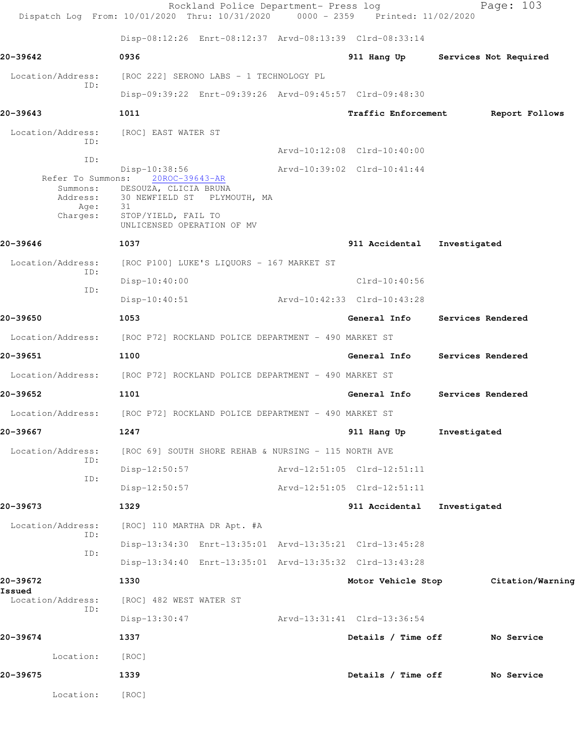|                          | Rockland Police Department- Press log<br>Dispatch Log From: 10/01/2020 Thru: 10/31/2020 0000 - 2359 Printed: 11/02/2020 |                             | Page: 103                      |
|--------------------------|-------------------------------------------------------------------------------------------------------------------------|-----------------------------|--------------------------------|
|                          | Disp-08:12:26 Enrt-08:12:37 Arvd-08:13:39 Clrd-08:33:14                                                                 |                             |                                |
| 20-39642                 | 0936                                                                                                                    | 911 Hang Up                 | Services Not Required          |
| Location/Address:<br>ID: | [ROC 222] SERONO LABS - 1 TECHNOLOGY PL                                                                                 |                             |                                |
|                          | Disp-09:39:22 Enrt-09:39:26 Arvd-09:45:57 Clrd-09:48:30                                                                 |                             |                                |
| 20-39643                 | 1011                                                                                                                    | <b>Traffic Enforcement</b>  | Report Follows                 |
| Location/Address:<br>TD: | [ROC] EAST WATER ST                                                                                                     |                             |                                |
| ID:                      |                                                                                                                         | Arvd-10:12:08 Clrd-10:40:00 |                                |
|                          | Disp-10:38:56<br>Refer To Summons: 20ROC-39643-AR                                                                       | Arvd-10:39:02 Clrd-10:41:44 |                                |
| Age:                     | Summons: DESOUZA, CLICIA BRUNA<br>Address: 30 NEWFIELD ST PLYMOUTH, MA                                                  |                             |                                |
| Charges:                 | 31<br>STOP/YIELD, FAIL TO<br>UNLICENSED OPERATION OF MV                                                                 |                             |                                |
| 20-39646                 | 1037                                                                                                                    | 911 Accidental              | Investigated                   |
| Location/Address:        | [ROC P100] LUKE'S LIQUORS - 167 MARKET ST                                                                               |                             |                                |
| ID:<br>ID:               | $Disp-10:40:00$                                                                                                         | $Clrd-10:40:56$             |                                |
|                          | $Disp-10:40:51$                                                                                                         | Arvd-10:42:33 Clrd-10:43:28 |                                |
| 20-39650                 | 1053                                                                                                                    | General Info                | Services Rendered              |
| Location/Address:        | [ROC P72] ROCKLAND POLICE DEPARTMENT - 490 MARKET ST                                                                    |                             |                                |
| 20-39651                 | 1100                                                                                                                    | General Info                | Services Rendered              |
|                          | Location/Address: [ROC P72] ROCKLAND POLICE DEPARTMENT - 490 MARKET ST                                                  |                             |                                |
| 20-39652                 | 1101                                                                                                                    |                             | General Info Services Rendered |
|                          | Location/Address: [ROC P72] ROCKLAND POLICE DEPARTMENT - 490 MARKET ST                                                  |                             |                                |
| 20-39667                 | 1247                                                                                                                    | 911 Hang Up                 | Investigated                   |
| Location/Address:        | [ROC 69] SOUTH SHORE REHAB & NURSING - 115 NORTH AVE                                                                    |                             |                                |
| ID:<br>ID:               | $Disp-12:50:57$                                                                                                         | Arvd-12:51:05 Clrd-12:51:11 |                                |
|                          | $Disp-12:50:57$                                                                                                         | Arvd-12:51:05 Clrd-12:51:11 |                                |
| 20-39673                 | 1329                                                                                                                    | 911 Accidental              | Investigated                   |
| Location/Address:        | [ROC] 110 MARTHA DR Apt. #A                                                                                             |                             |                                |
| ID:                      | Disp-13:34:30 Enrt-13:35:01 Arvd-13:35:21 Clrd-13:45:28                                                                 |                             |                                |
| ID:                      | Disp-13:34:40 Enrt-13:35:01 Arvd-13:35:32 Clrd-13:43:28                                                                 |                             |                                |
| 20-39672<br>Issued       | 1330                                                                                                                    | Motor Vehicle Stop          | Citation/Warning               |
| Location/Address:<br>ID: | [ROC] 482 WEST WATER ST                                                                                                 |                             |                                |
|                          | Disp-13:30:47                                                                                                           | Arvd-13:31:41 Clrd-13:36:54 |                                |
| 20-39674                 | 1337                                                                                                                    | Details / Time off          | No Service                     |
| Location:                | [ROC]                                                                                                                   |                             |                                |
| 20-39675                 | 1339                                                                                                                    | Details / Time off          | No Service                     |
| Location:                | [ROC]                                                                                                                   |                             |                                |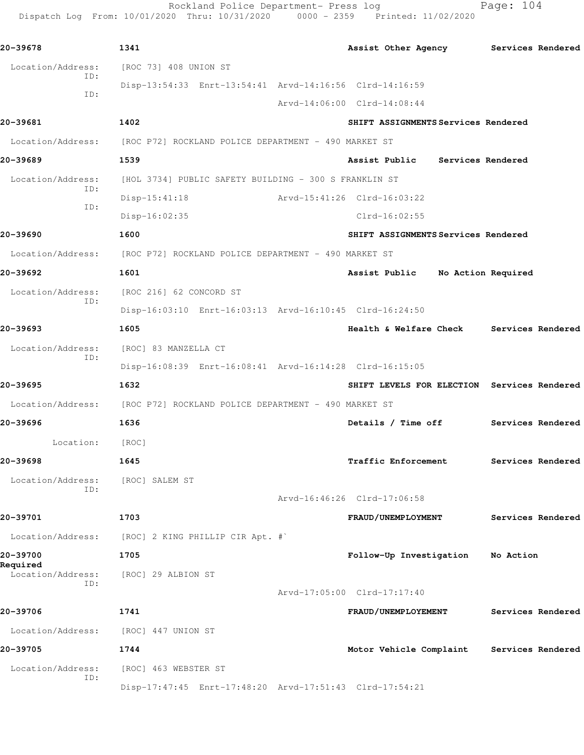Rockland Police Department- Press log Page: 104 Dispatch Log From: 10/01/2020 Thru: 10/31/2020 0000 - 2359 Printed: 11/02/2020

**20-39678 1341 Assist Other Agency Services Rendered** Location/Address: [ROC 73] 408 UNION ST ID: Disp-13:54:33 Enrt-13:54:41 Arvd-14:16:56 Clrd-14:16:59 ID: Arvd-14:06:00 Clrd-14:08:44 **20-39681 1402 SHIFT ASSIGNMENTS Services Rendered** Location/Address: [ROC P72] ROCKLAND POLICE DEPARTMENT - 490 MARKET ST **20-39689 1539 Assist Public Services Rendered** Location/Address: [HOL 3734] PUBLIC SAFETY BUILDING - 300 S FRANKLIN ST ID: Disp-15:41:18 Arvd-15:41:26 Clrd-16:03:22 ID: Disp-16:02:35 Clrd-16:02:55 **20-39690 1600 SHIFT ASSIGNMENTS Services Rendered** Location/Address: [ROC P72] ROCKLAND POLICE DEPARTMENT - 490 MARKET ST **20-39692 1601 Assist Public No Action Required** Location/Address: [ROC 216] 62 CONCORD ST ID: Disp-16:03:10 Enrt-16:03:13 Arvd-16:10:45 Clrd-16:24:50 **20-39693 1605 Health & Welfare Check Services Rendered** Location/Address: [ROC] 83 MANZELLA CT ID: Disp-16:08:39 Enrt-16:08:41 Arvd-16:14:28 Clrd-16:15:05 **20-39695 1632 SHIFT LEVELS FOR ELECTION Services Rendered** Location/Address: [ROC P72] ROCKLAND POLICE DEPARTMENT - 490 MARKET ST **20-39696 1636 Details / Time off Services Rendered** Location: [ROC] **20-39698 1645 Traffic Enforcement Services Rendered** Location/Address: [ROC] SALEM ST ID: Arvd-16:46:26 Clrd-17:06:58 **20-39701 1703 FRAUD/UNEMPLOYMENT Services Rendered** Location/Address: [ROC] 2 KING PHILLIP CIR Apt. #` **20-39700 1705 Follow-Up Investigation No Action Required**  Location/Address: [ROC] 29 ALBION ST ID: Arvd-17:05:00 Clrd-17:17:40 **20-39706 1741 FRAUD/UNEMPLOYEMENT Services Rendered** Location/Address: [ROC] 447 UNION ST **20-39705 1744 Motor Vehicle Complaint Services Rendered** Location/Address: [ROC] 463 WEBSTER ST ID: Disp-17:47:45 Enrt-17:48:20 Arvd-17:51:43 Clrd-17:54:21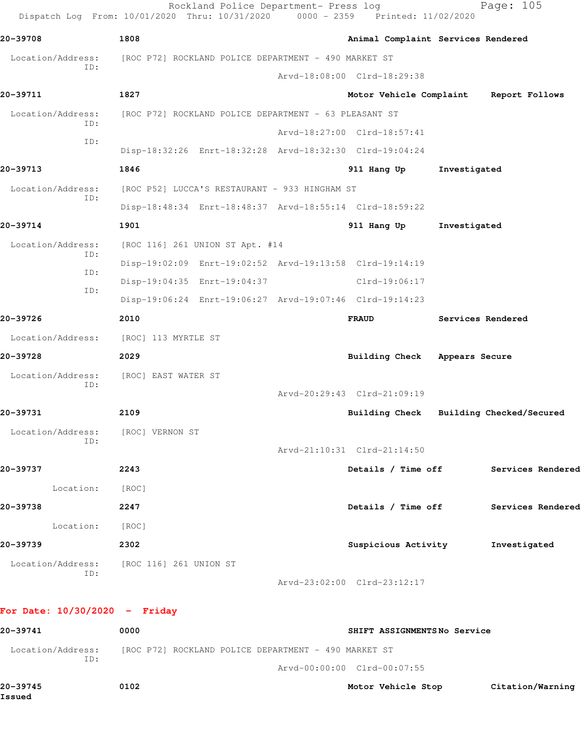| 20-39708                                 | 1808                                                  |                                 |  | Animal Complaint Services Rendered                      |                |                                         |
|------------------------------------------|-------------------------------------------------------|---------------------------------|--|---------------------------------------------------------|----------------|-----------------------------------------|
| Location/Address:                        | [ROC P72] ROCKLAND POLICE DEPARTMENT - 490 MARKET ST  |                                 |  |                                                         |                |                                         |
| ID:                                      |                                                       |                                 |  | Arvd-18:08:00 Clrd-18:29:38                             |                |                                         |
| 20-39711                                 | 1827                                                  |                                 |  | Motor Vehicle Complaint                                 |                | Report Follows                          |
| Location/Address:<br>ID:                 | [ROC P72] ROCKLAND POLICE DEPARTMENT - 63 PLEASANT ST |                                 |  |                                                         |                |                                         |
| ID:                                      |                                                       |                                 |  | Arvd-18:27:00 Clrd-18:57:41                             |                |                                         |
|                                          |                                                       |                                 |  | Disp-18:32:26 Enrt-18:32:28 Arvd-18:32:30 Clrd-19:04:24 |                |                                         |
| 20-39713                                 | 1846                                                  |                                 |  | 911 Hang Up                                             | Investigated   |                                         |
| Location/Address:<br>ID:                 | [ROC P52] LUCCA'S RESTAURANT - 933 HINGHAM ST         |                                 |  |                                                         |                |                                         |
|                                          |                                                       |                                 |  | Disp-18:48:34 Enrt-18:48:37 Arvd-18:55:14 Clrd-18:59:22 |                |                                         |
| 20-39714                                 | 1901                                                  |                                 |  | 911 Hang Up                                             | Investigated   |                                         |
| Location/Address:                        |                                                       | [ROC 116] 261 UNION ST Apt. #14 |  |                                                         |                |                                         |
| ID:                                      |                                                       |                                 |  | Disp-19:02:09 Enrt-19:02:52 Arvd-19:13:58 Clrd-19:14:19 |                |                                         |
| ID:<br>ID:                               | Disp-19:04:35 Enrt-19:04:37                           |                                 |  | $Clrd-19:06:17$                                         |                |                                         |
|                                          |                                                       |                                 |  | Disp-19:06:24 Enrt-19:06:27 Arvd-19:07:46 Clrd-19:14:23 |                |                                         |
| 20-39726                                 | 2010                                                  |                                 |  | <b>FRAUD</b>                                            |                | Services Rendered                       |
| Location/Address:                        | [ROC] 113 MYRTLE ST                                   |                                 |  |                                                         |                |                                         |
| 20-39728                                 | 2029                                                  |                                 |  | <b>Building Check</b>                                   | Appears Secure |                                         |
| Location/Address:                        | [ROC] EAST WATER ST                                   |                                 |  |                                                         |                |                                         |
| ID:                                      |                                                       |                                 |  | Arvd-20:29:43 Clrd-21:09:19                             |                |                                         |
| 20-39731                                 | 2109                                                  |                                 |  |                                                         |                | Building Check Building Checked/Secured |
| Location/Address:                        | [ROC] VERNON ST                                       |                                 |  |                                                         |                |                                         |
| ID:                                      |                                                       |                                 |  | Arvd-21:10:31 Clrd-21:14:50                             |                |                                         |
| 20-39737                                 | 2243                                                  |                                 |  |                                                         |                | Details / Time off Services Rendered    |
| Location:                                | [ROC]                                                 |                                 |  |                                                         |                |                                         |
| 20-39738                                 | 2247                                                  |                                 |  | Details / Time off                                      |                | Services Rendered                       |
| Location: [ROC]                          |                                                       |                                 |  |                                                         |                |                                         |
| 20-39739                                 | 2302                                                  |                                 |  | Suspicious Activity                                     |                | Investigated                            |
| Location/Address: [ROC 116] 261 UNION ST |                                                       |                                 |  |                                                         |                |                                         |

## **For Date: 10/30/2020 - Friday**

| 20-39741           | 0000                                                 | SHIFT ASSIGNMENTSNo Service |                  |
|--------------------|------------------------------------------------------|-----------------------------|------------------|
| Location/Address:  | [ROC P72] ROCKLAND POLICE DEPARTMENT - 490 MARKET ST |                             |                  |
| ID:                |                                                      | Arvd-00:00:00 Clrd-00:07:55 |                  |
| 20-39745<br>Issued | 0102                                                 | Motor Vehicle Stop          | Citation/Warning |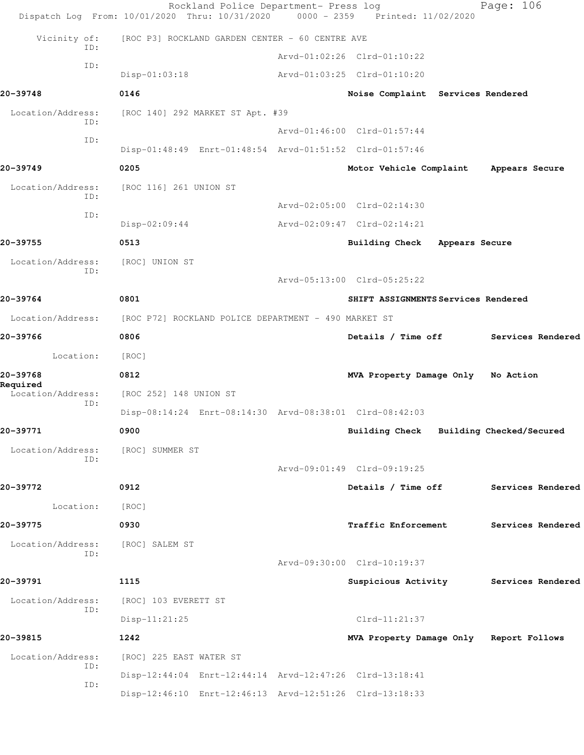|                                      | Rockland Police Department- Press log<br>Dispatch Log From: 10/01/2020 Thru: 10/31/2020 0000 - 2359 Printed: 11/02/2020 |                                         |                | Page: 106                             |
|--------------------------------------|-------------------------------------------------------------------------------------------------------------------------|-----------------------------------------|----------------|---------------------------------------|
| Vicinity of:                         | [ROC P3] ROCKLAND GARDEN CENTER - 60 CENTRE AVE                                                                         |                                         |                |                                       |
| ID:                                  |                                                                                                                         | Arvd-01:02:26 Clrd-01:10:22             |                |                                       |
| ID:                                  | $Disp-01:03:18$                                                                                                         | Arvd-01:03:25 Clrd-01:10:20             |                |                                       |
| 20-39748                             | 0146                                                                                                                    | Noise Complaint Services Rendered       |                |                                       |
| Location/Address:<br>ID:             | [ROC 140] 292 MARKET ST Apt. #39                                                                                        |                                         |                |                                       |
| ID:                                  |                                                                                                                         | Arvd-01:46:00 Clrd-01:57:44             |                |                                       |
|                                      | Disp-01:48:49 Enrt-01:48:54 Arvd-01:51:52 Clrd-01:57:46                                                                 |                                         |                |                                       |
| 20-39749                             | 0205                                                                                                                    | Motor Vehicle Complaint                 |                | Appears Secure                        |
| Location/Address:<br>ID:             | [ROC 116] 261 UNION ST                                                                                                  | Arvd-02:05:00 Clrd-02:14:30             |                |                                       |
| ID:                                  |                                                                                                                         | Arvd-02:09:47 Clrd-02:14:21             |                |                                       |
| 20-39755                             | $Disp-02:09:44$<br>0513                                                                                                 |                                         |                |                                       |
|                                      |                                                                                                                         | <b>Building Check</b>                   | Appears Secure |                                       |
| Location/Address:<br>ID:             | [ROC] UNION ST                                                                                                          | Arvd-05:13:00 Clrd-05:25:22             |                |                                       |
| 20-39764                             | 0801                                                                                                                    | SHIFT ASSIGNMENTS Services Rendered     |                |                                       |
| Location/Address:                    | [ROC P72] ROCKLAND POLICE DEPARTMENT - 490 MARKET ST                                                                    |                                         |                |                                       |
| 20-39766                             | 0806                                                                                                                    |                                         |                | Details / Time off Services Rendered  |
| Location:                            | [ROC]                                                                                                                   |                                         |                |                                       |
| 20-39768                             | 0812                                                                                                                    | MVA Property Damage Only No Action      |                |                                       |
| Required<br>Location/Address:<br>ID: | [ROC 252] 148 UNION ST                                                                                                  |                                         |                |                                       |
|                                      | Disp-08:14:24 Enrt-08:14:30 Arvd-08:38:01 Clrd-08:42:03                                                                 |                                         |                |                                       |
| 20-39771                             | 0900                                                                                                                    | Building Check Building Checked/Secured |                |                                       |
| Location/Address:<br>ID:             | [ROC] SUMMER ST                                                                                                         |                                         |                |                                       |
|                                      |                                                                                                                         | Arvd-09:01:49 Clrd-09:19:25             |                |                                       |
| 20-39772                             | 0912                                                                                                                    | Details / Time off                      |                | Services Rendered                     |
| Location:                            | [ROC]                                                                                                                   |                                         |                |                                       |
| 20-39775                             | 0930                                                                                                                    | <b>Traffic Enforcement</b>              |                | Services Rendered                     |
| Location/Address:<br>ID:             | [ROC] SALEM ST                                                                                                          |                                         |                |                                       |
|                                      |                                                                                                                         | Arvd-09:30:00 Clrd-10:19:37             |                |                                       |
| 20-39791                             | 1115                                                                                                                    |                                         |                | Suspicious Activity Services Rendered |
| Location/Address:<br>ID:             | [ROC] 103 EVERETT ST                                                                                                    |                                         |                |                                       |
|                                      | $Disp-11:21:25$                                                                                                         | Clrd-11:21:37                           |                |                                       |
| 20-39815                             | 1242                                                                                                                    | MVA Property Damage Only Report Follows |                |                                       |
| Location/Address:<br>ID:             | [ROC] 225 EAST WATER ST                                                                                                 |                                         |                |                                       |
| ID:                                  | Disp-12:44:04 Enrt-12:44:14 Arvd-12:47:26 Clrd-13:18:41                                                                 |                                         |                |                                       |
|                                      | Disp-12:46:10 Enrt-12:46:13 Arvd-12:51:26 Clrd-13:18:33                                                                 |                                         |                |                                       |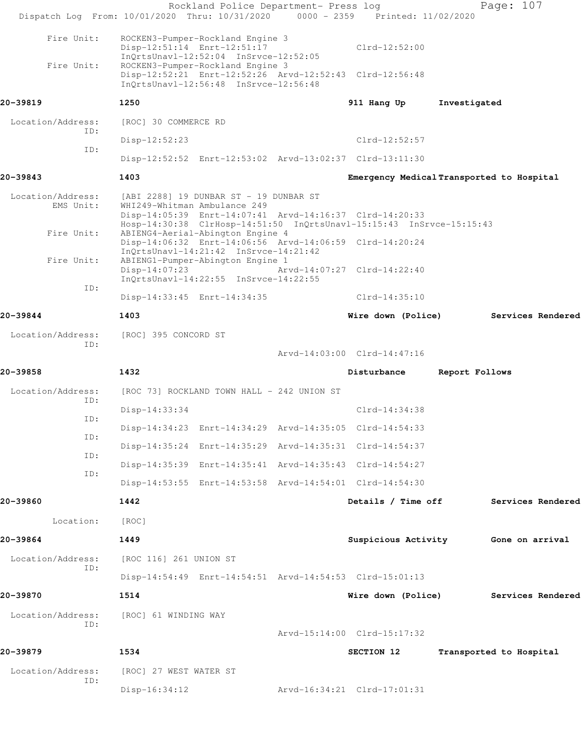| Dispatch Log From: 10/01/2020 Thru: 10/31/2020 0000 - 2359 Printed: 11/02/2020 |                        | Rockland Police Department- Press log                                                                      |                                                                                                                                 |                | Page: 107                                 |
|--------------------------------------------------------------------------------|------------------------|------------------------------------------------------------------------------------------------------------|---------------------------------------------------------------------------------------------------------------------------------|----------------|-------------------------------------------|
| Fire Unit:                                                                     |                        | ROCKEN3-Pumper-Rockland Engine 3<br>Disp-12:51:14 Enrt-12:51:17<br>InQrtsUnavl-12:52:04 InSrvce-12:52:05   | $Clrd-12:52:00$                                                                                                                 |                |                                           |
| Fire Unit:                                                                     |                        | ROCKEN3-Pumper-Rockland Engine 3<br>InOrtsUnavl-12:56:48 InSrvce-12:56:48                                  | Disp-12:52:21 Enrt-12:52:26 Arvd-12:52:43 Clrd-12:56:48                                                                         |                |                                           |
| 20-39819                                                                       | 1250                   |                                                                                                            | 911 Hang Up                                                                                                                     | Investigated   |                                           |
| Location/Address:                                                              | [ROC] 30 COMMERCE RD   |                                                                                                            |                                                                                                                                 |                |                                           |
| ID:                                                                            | Disp-12:52:23          |                                                                                                            | $Clrd-12:52:57$                                                                                                                 |                |                                           |
| ID:                                                                            |                        |                                                                                                            | Disp-12:52:52 Enrt-12:53:02 Arvd-13:02:37 Clrd-13:11:30                                                                         |                |                                           |
| 20-39843                                                                       | 1403                   |                                                                                                            |                                                                                                                                 |                | Emergency Medical Transported to Hospital |
| Location/Address:<br>EMS Unit:<br>Fire Unit:                                   |                        | [ABI 2288] 19 DUNBAR ST - 19 DUNBAR ST<br>WHI249-Whitman Ambulance 249<br>ABIENG4-Aerial-Abington Engine 4 | Disp-14:05:39 Enrt-14:07:41 Arvd-14:16:37 Clrd-14:20:33<br>Hosp-14:30:38 ClrHosp-14:51:50 InQrtsUnavl-15:15:43 InSrvce-15:15:43 |                |                                           |
| Fire Unit:                                                                     |                        | InOrtsUnavl-14:21:42 InSrvce-14:21:42<br>ABIENG1-Pumper-Abington Engine 1                                  | Disp-14:06:32 Enrt-14:06:56 Arvd-14:06:59 Clrd-14:20:24                                                                         |                |                                           |
| ID:                                                                            | $Disp-14:07:23$        | InQrtsUnavl-14:22:55 InSrvce-14:22:55                                                                      | Arvd-14:07:27 Clrd-14:22:40                                                                                                     |                |                                           |
|                                                                                |                        | Disp-14:33:45 Enrt-14:34:35                                                                                | $Clrd-14:35:10$                                                                                                                 |                |                                           |
| 20-39844                                                                       | 1403                   |                                                                                                            | Wire down (Police)                                                                                                              |                | Services Rendered                         |
| Location/Address:<br>ID:                                                       | [ROC] 395 CONCORD ST   |                                                                                                            | Arvd-14:03:00 Clrd-14:47:16                                                                                                     |                |                                           |
| 20-39858                                                                       | 1432                   |                                                                                                            | Disturbance                                                                                                                     | Report Follows |                                           |
| Location/Address:                                                              |                        | [ROC 73] ROCKLAND TOWN HALL - 242 UNION ST                                                                 |                                                                                                                                 |                |                                           |
| ID:                                                                            | $Disp-14:33:34$        |                                                                                                            | $Clrd-14:34:38$                                                                                                                 |                |                                           |
| ID:                                                                            |                        |                                                                                                            | Disp-14:34:23 Enrt-14:34:29 Arvd-14:35:05 Clrd-14:54:33                                                                         |                |                                           |
| ID:                                                                            |                        |                                                                                                            | Disp-14:35:24 Enrt-14:35:29 Arvd-14:35:31 Clrd-14:54:37                                                                         |                |                                           |
| ID:                                                                            |                        |                                                                                                            | Disp-14:35:39 Enrt-14:35:41 Arvd-14:35:43 Clrd-14:54:27                                                                         |                |                                           |
| ID:                                                                            |                        |                                                                                                            | Disp-14:53:55 Enrt-14:53:58 Arvd-14:54:01 Clrd-14:54:30                                                                         |                |                                           |
| 20-39860                                                                       | 1442                   |                                                                                                            | Details / Time off                                                                                                              |                | Services Rendered                         |
| Location:                                                                      | [ROC]                  |                                                                                                            |                                                                                                                                 |                |                                           |
| 20-39864                                                                       | 1449                   |                                                                                                            |                                                                                                                                 |                | Suspicious Activity Gone on arrival       |
| Location/Address:<br>ID:                                                       | [ROC 116] 261 UNION ST |                                                                                                            |                                                                                                                                 |                |                                           |
|                                                                                |                        |                                                                                                            | Disp-14:54:49 Enrt-14:54:51 Arvd-14:54:53 Clrd-15:01:13                                                                         |                |                                           |
| 20-39870                                                                       | 1514                   |                                                                                                            | Wire down (Police)                                                                                                              |                | Services Rendered                         |
| Location/Address:<br>ID:                                                       | [ROC] 61 WINDING WAY   |                                                                                                            |                                                                                                                                 |                |                                           |
|                                                                                |                        |                                                                                                            | Arvd-15:14:00 Clrd-15:17:32                                                                                                     |                |                                           |
| 20-39879                                                                       | 1534                   |                                                                                                            | SECTION 12                                                                                                                      |                | Transported to Hospital                   |
| Location/Address:<br>ID:                                                       | [ROC] 27 WEST WATER ST |                                                                                                            |                                                                                                                                 |                |                                           |
|                                                                                | $Disp-16:34:12$        |                                                                                                            | Arvd-16:34:21 Clrd-17:01:31                                                                                                     |                |                                           |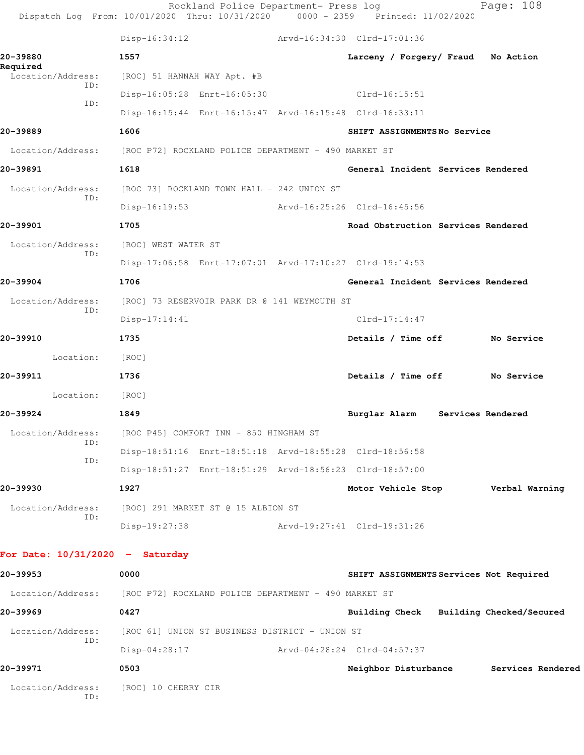|                                   | Rockland Police Department- Press log<br>Dispatch Log From: 10/01/2020 Thru: 10/31/2020 0000 - 2359 Printed: 11/02/2020 |                                         | Page: 108 |
|-----------------------------------|-------------------------------------------------------------------------------------------------------------------------|-----------------------------------------|-----------|
|                                   | $Disp-16:34:12$                                                                                                         | Arvd-16:34:30 Clrd-17:01:36             |           |
| 20-39880                          | 1557                                                                                                                    | Larceny / Forgery/ Fraud No Action      |           |
| Required<br>Location/Address:     | [ROC] 51 HANNAH WAY Apt. #B                                                                                             |                                         |           |
| ID:                               | Disp-16:05:28 Enrt-16:05:30                                                                                             | $Clrd-16:15:51$                         |           |
| ID:                               | Disp-16:15:44 Enrt-16:15:47 Arvd-16:15:48 Clrd-16:33:11                                                                 |                                         |           |
| 20-39889                          | 1606                                                                                                                    | SHIFT ASSIGNMENTSNo Service             |           |
|                                   | Location/Address: [ROC P72] ROCKLAND POLICE DEPARTMENT - 490 MARKET ST                                                  |                                         |           |
| 20-39891                          | 1618                                                                                                                    | General Incident Services Rendered      |           |
| Location/Address:<br>ID:          | [ROC 73] ROCKLAND TOWN HALL - 242 UNION ST                                                                              |                                         |           |
|                                   | $Disp-16:19:53$                                                                                                         | Arvd-16:25:26 Clrd-16:45:56             |           |
| 20-39901                          | 1705                                                                                                                    | Road Obstruction Services Rendered      |           |
| Location/Address:<br>ID:          | [ROC] WEST WATER ST                                                                                                     |                                         |           |
|                                   | Disp-17:06:58 Enrt-17:07:01 Arvd-17:10:27 Clrd-19:14:53                                                                 |                                         |           |
| 20-39904                          | 1706                                                                                                                    | General Incident Services Rendered      |           |
| Location/Address:<br>ID:          | [ROC] 73 RESERVOIR PARK DR @ 141 WEYMOUTH ST                                                                            |                                         |           |
|                                   | $Disp-17:14:41$                                                                                                         | $Clrd-17:14:47$                         |           |
| 20-39910                          | 1735                                                                                                                    | Details / Time off No Service           |           |
| Location:                         | [ROC]                                                                                                                   |                                         |           |
| 20-39911                          | 1736                                                                                                                    | Details / Time off No Service           |           |
| Location:                         | [ROC]                                                                                                                   |                                         |           |
| 20-39924                          | 1849                                                                                                                    | Burglar Alarm<br>Services Rendered      |           |
| Location/Address:<br>ID:          | [ROC P45] COMFORT INN - 850 HINGHAM ST                                                                                  |                                         |           |
| ID:                               | Disp-18:51:16 Enrt-18:51:18 Arvd-18:55:28 Clrd-18:56:58                                                                 |                                         |           |
|                                   | Disp-18:51:27 Enrt-18:51:29 Arvd-18:56:23 Clrd-18:57:00                                                                 |                                         |           |
| 20-39930                          | 1927                                                                                                                    | Motor Vehicle Stop Verbal Warning       |           |
| Location/Address:<br>ID:          | [ROC] 291 MARKET ST @ 15 ALBION ST                                                                                      |                                         |           |
|                                   | Disp-19:27:38                                                                                                           | Arvd-19:27:41 Clrd-19:31:26             |           |
| For Date: $10/31/2020$ - Saturday |                                                                                                                         |                                         |           |
| 20-39953                          | 0000                                                                                                                    | SHIFT ASSIGNMENTS Services Not Required |           |
|                                   | Location/Address: [ROC P72] ROCKLAND POLICE DEPARTMENT - 490 MARKET ST                                                  |                                         |           |
| 20-39969                          | 0427                                                                                                                    | Building Check Building Checked/Secured |           |
| Location/Address:                 | [ROC 61] UNION ST BUSINESS DISTRICT - UNION ST                                                                          |                                         |           |
| ID:                               | Disp-04:28:17                                                                                                           | Arvd-04:28:24 Clrd-04:57:37             |           |
| 20-39971                          | 0503                                                                                                                    | Neighbor Disturbance Services Rendered  |           |
| Location/Address:<br>ID:          | [ROC] 10 CHERRY CIR                                                                                                     |                                         |           |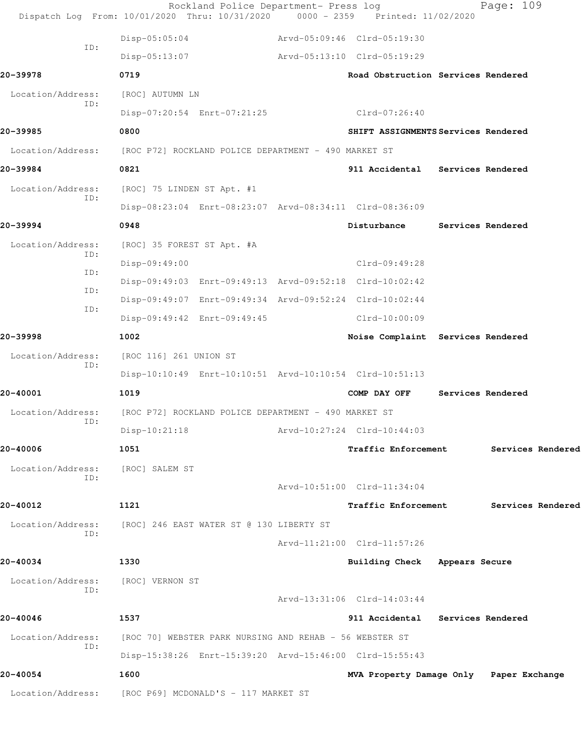|                          | Rockland Police Department- Press log<br>Dispatch Log From: 10/01/2020 Thru: 10/31/2020 | $0000 - 2359$ | Printed: 11/02/2020                             |  | Page: 109         |
|--------------------------|-----------------------------------------------------------------------------------------|---------------|-------------------------------------------------|--|-------------------|
| ID:                      | Disp-05:05:04                                                                           |               | Arvd-05:09:46 Clrd-05:19:30                     |  |                   |
|                          | $Disp-05:13:07$                                                                         |               | Arvd-05:13:10 Clrd-05:19:29                     |  |                   |
| 20-39978                 | 0719                                                                                    |               | Road Obstruction Services Rendered              |  |                   |
| Location/Address:        | [ROC] AUTUMN LN                                                                         |               |                                                 |  |                   |
| TD:                      | Disp-07:20:54 Enrt-07:21:25                                                             |               | Clrd-07:26:40                                   |  |                   |
| 20-39985                 | 0800                                                                                    |               | SHIFT ASSIGNMENTS Services Rendered             |  |                   |
| Location/Address:        | [ROC P72] ROCKLAND POLICE DEPARTMENT - 490 MARKET ST                                    |               |                                                 |  |                   |
| 20-39984                 | 0821                                                                                    |               | 911 Accidental Services Rendered                |  |                   |
| Location/Address:<br>ID: | [ROC] 75 LINDEN ST Apt. #1                                                              |               |                                                 |  |                   |
|                          | Disp-08:23:04 Enrt-08:23:07 Arvd-08:34:11 Clrd-08:36:09                                 |               |                                                 |  |                   |
| 20–39994                 | 0948                                                                                    |               | Disturbance                                     |  | Services Rendered |
| Location/Address:        | [ROC] 35 FOREST ST Apt. #A                                                              |               |                                                 |  |                   |
| ID:                      | Disp-09:49:00                                                                           |               | Clrd-09:49:28                                   |  |                   |
| ID:                      | Disp-09:49:03 Enrt-09:49:13 Arvd-09:52:18 Clrd-10:02:42                                 |               |                                                 |  |                   |
| ID:<br>ID:               | Disp-09:49:07 Enrt-09:49:34 Arvd-09:52:24 Clrd-10:02:44                                 |               |                                                 |  |                   |
|                          | Disp-09:49:42 Enrt-09:49:45                                                             |               | $Clrd-10:00:09$                                 |  |                   |
| 20-39998                 | 1002                                                                                    |               | Noise Complaint Services Rendered               |  |                   |
| Location/Address:<br>ID: | [ROC 116] 261 UNION ST                                                                  |               |                                                 |  |                   |
|                          | Disp-10:10:49 Enrt-10:10:51 Arvd-10:10:54 Clrd-10:51:13                                 |               |                                                 |  |                   |
| 20-40001                 | 1019                                                                                    |               | COMP DAY OFF                                    |  | Services Rendered |
| Location/Address:        | [ROC P72] ROCKLAND POLICE DEPARTMENT - 490 MARKET ST                                    |               |                                                 |  |                   |
| ID:                      | $Disp-10:21:18$                                                                         |               | Arvd-10:27:24 Clrd-10:44:03                     |  |                   |
| 20-40006                 | 1051                                                                                    |               | <b>Traffic Enforcement</b><br>Services Rendered |  |                   |
| Location/Address:<br>ID: | [ROC] SALEM ST                                                                          |               |                                                 |  |                   |
|                          |                                                                                         |               | Arvd-10:51:00 Clrd-11:34:04                     |  |                   |
| 20-40012                 | 1121                                                                                    |               | Traffic Enforcement                             |  | Services Rendered |
| Location/Address:<br>ID: | [ROC] 246 EAST WATER ST @ 130 LIBERTY ST                                                |               |                                                 |  |                   |
|                          |                                                                                         |               | Arvd-11:21:00 Clrd-11:57:26                     |  |                   |
| 20-40034                 | 1330                                                                                    |               | Building Check Appears Secure                   |  |                   |
| Location/Address:<br>ID: | [ROC] VERNON ST                                                                         |               |                                                 |  |                   |
|                          |                                                                                         |               | Arvd-13:31:06 Clrd-14:03:44                     |  |                   |
| 20-40046                 | 1537                                                                                    |               | 911 Accidental                                  |  | Services Rendered |
| Location/Address:<br>ID: | [ROC 70] WEBSTER PARK NURSING AND REHAB - 56 WEBSTER ST                                 |               |                                                 |  |                   |
|                          | Disp-15:38:26 Enrt-15:39:20 Arvd-15:46:00 Clrd-15:55:43                                 |               |                                                 |  |                   |
| 20-40054                 | 1600                                                                                    |               | MVA Property Damage Only Paper Exchange         |  |                   |
| Location/Address:        | [ROC P69] MCDONALD'S - 117 MARKET ST                                                    |               |                                                 |  |                   |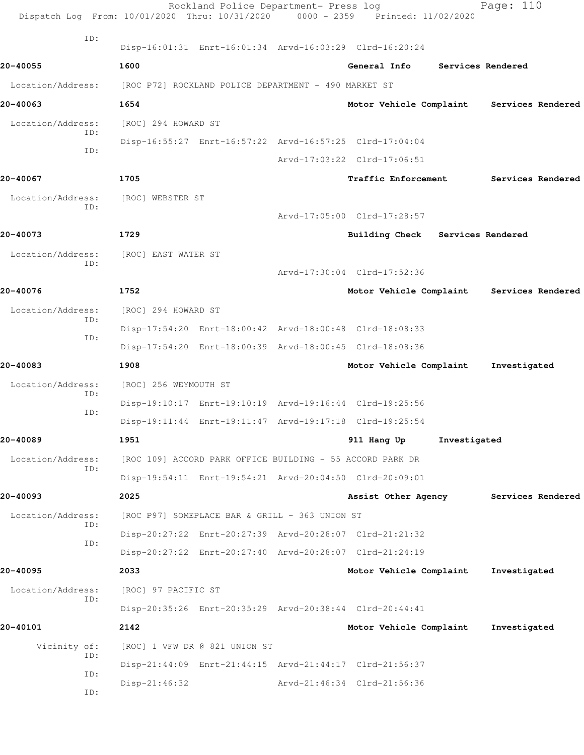| Dispatch Log From: 10/01/2020 Thru: 10/31/2020 0000 - 2359 Printed: 11/02/2020 |                                                      | Rockland Police Department- Press log                     |                                                         |                   | Page: 110         |
|--------------------------------------------------------------------------------|------------------------------------------------------|-----------------------------------------------------------|---------------------------------------------------------|-------------------|-------------------|
| ID:                                                                            |                                                      |                                                           | Disp-16:01:31 Enrt-16:01:34 Arvd-16:03:29 Clrd-16:20:24 |                   |                   |
| 20-40055                                                                       | 1600                                                 |                                                           | General Info                                            | Services Rendered |                   |
| Location/Address:                                                              | [ROC P72] ROCKLAND POLICE DEPARTMENT - 490 MARKET ST |                                                           |                                                         |                   |                   |
| 20-40063                                                                       | 1654                                                 |                                                           | Motor Vehicle Complaint                                 |                   | Services Rendered |
| Location/Address:                                                              | [ROC] 294 HOWARD ST                                  |                                                           |                                                         |                   |                   |
| ID:                                                                            |                                                      |                                                           | Disp-16:55:27 Enrt-16:57:22 Arvd-16:57:25 Clrd-17:04:04 |                   |                   |
| ID:                                                                            |                                                      |                                                           | Arvd-17:03:22 Clrd-17:06:51                             |                   |                   |
| 20-40067                                                                       | 1705                                                 |                                                           | <b>Traffic Enforcement</b>                              |                   | Services Rendered |
| Location/Address:<br>ID:                                                       | [ROC] WEBSTER ST                                     |                                                           |                                                         |                   |                   |
|                                                                                |                                                      |                                                           | Arvd-17:05:00 Clrd-17:28:57                             |                   |                   |
| 20-40073                                                                       | 1729                                                 |                                                           | Building Check Services Rendered                        |                   |                   |
| Location/Address:<br>ID:                                                       | [ROC] EAST WATER ST                                  |                                                           |                                                         |                   |                   |
|                                                                                |                                                      |                                                           | Arvd-17:30:04 Clrd-17:52:36                             |                   |                   |
| 20-40076                                                                       | 1752                                                 |                                                           | Motor Vehicle Complaint                                 |                   | Services Rendered |
| Location/Address:                                                              | [ROC] 294 HOWARD ST                                  |                                                           |                                                         |                   |                   |
| ID:<br>ID:                                                                     |                                                      |                                                           | Disp-17:54:20 Enrt-18:00:42 Arvd-18:00:48 Clrd-18:08:33 |                   |                   |
|                                                                                |                                                      |                                                           | Disp-17:54:20 Enrt-18:00:39 Arvd-18:00:45 Clrd-18:08:36 |                   |                   |
| 20-40083                                                                       | 1908                                                 |                                                           | Motor Vehicle Complaint                                 |                   | Investigated      |
| Location/Address:<br>ID:                                                       | [ROC] 256 WEYMOUTH ST                                |                                                           |                                                         |                   |                   |
| ID:                                                                            |                                                      |                                                           | Disp-19:10:17 Enrt-19:10:19 Arvd-19:16:44 Clrd-19:25:56 |                   |                   |
|                                                                                |                                                      |                                                           | Disp-19:11:44 Enrt-19:11:47 Arvd-19:17:18 Clrd-19:25:54 |                   |                   |
| 20-40089                                                                       | 1951                                                 |                                                           | 911 Hang Up                                             | Investigated      |                   |
| Location/Address:<br>ID:                                                       |                                                      | [ROC 109] ACCORD PARK OFFICE BUILDING - 55 ACCORD PARK DR |                                                         |                   |                   |
|                                                                                |                                                      |                                                           | Disp-19:54:11 Enrt-19:54:21 Arvd-20:04:50 Clrd-20:09:01 |                   |                   |
| 20-40093                                                                       | 2025                                                 |                                                           | Assist Other Agency                                     |                   | Services Rendered |
| Location/Address:<br>ID:                                                       |                                                      | [ROC P97] SOMEPLACE BAR & GRILL - 363 UNION ST            |                                                         |                   |                   |
| ID:                                                                            |                                                      |                                                           | Disp-20:27:22 Enrt-20:27:39 Arvd-20:28:07 Clrd-21:21:32 |                   |                   |
|                                                                                |                                                      |                                                           | Disp-20:27:22 Enrt-20:27:40 Arvd-20:28:07 Clrd-21:24:19 |                   |                   |
| 20-40095                                                                       | 2033                                                 |                                                           | Motor Vehicle Complaint                                 |                   | Investigated      |
| Location/Address:<br>ID:                                                       | [ROC] 97 PACIFIC ST                                  |                                                           |                                                         |                   |                   |
|                                                                                |                                                      |                                                           | Disp-20:35:26 Enrt-20:35:29 Arvd-20:38:44 Clrd-20:44:41 |                   |                   |
| 20-40101                                                                       | 2142                                                 |                                                           | Motor Vehicle Complaint                                 |                   | Investigated      |
| Vicinity of:<br>ID:                                                            |                                                      | [ROC] 1 VFW DR @ 821 UNION ST                             |                                                         |                   |                   |
| ID:                                                                            |                                                      |                                                           | Disp-21:44:09 Enrt-21:44:15 Arvd-21:44:17 Clrd-21:56:37 |                   |                   |
| ID:                                                                            | $Disp-21:46:32$                                      |                                                           | Arvd-21:46:34 Clrd-21:56:36                             |                   |                   |